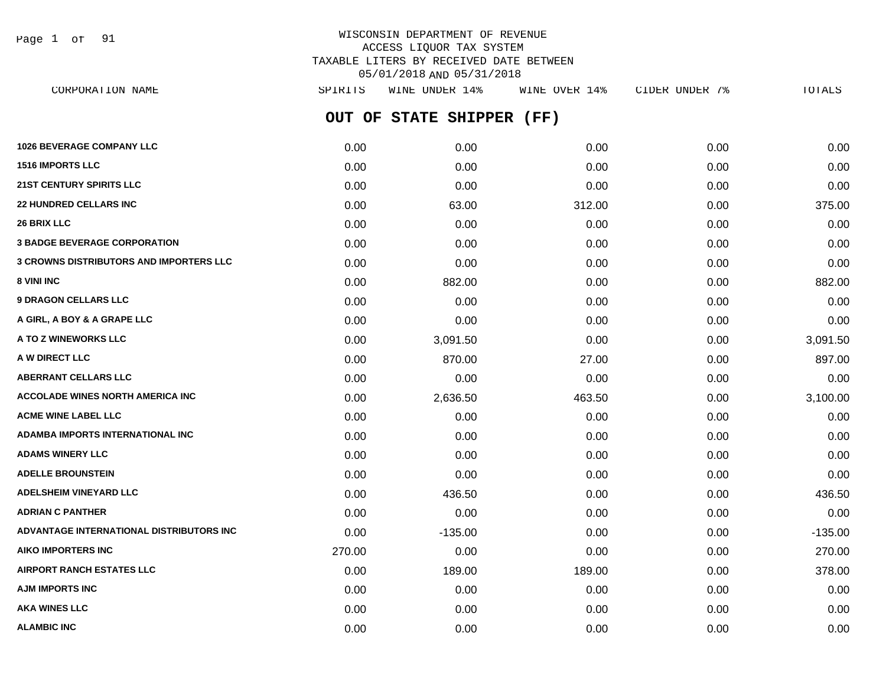Page 1 of 91

| CORPORATION NAME                                | SPIRITS | WINE UNDER 14%     | WINE OVER 14% | CIDER UNDER 7% | <b>TOTALS</b> |
|-------------------------------------------------|---------|--------------------|---------------|----------------|---------------|
|                                                 | OUT OF  | STATE SHIPPER (FF) |               |                |               |
| <b>1026 BEVERAGE COMPANY LLC</b>                | 0.00    | 0.00               | 0.00          | 0.00           | 0.00          |
| 1516 IMPORTS LLC                                | 0.00    | 0.00               | 0.00          | 0.00           | 0.00          |
| 21ST CENTURY SPIRITS LLC                        | 0.00    | 0.00               | 0.00          | 0.00           | 0.00          |
| <b>22 HUNDRED CELLARS INC</b>                   | 0.00    | 63.00              | 312.00        | 0.00           | 375.00        |
| <b>26 BRIX LLC</b>                              | 0.00    | 0.00               | 0.00          | 0.00           | 0.00          |
| <b>3 BADGE BEVERAGE CORPORATION</b>             | 0.00    | 0.00               | 0.00          | 0.00           | 0.00          |
| <b>3 CROWNS DISTRIBUTORS AND IMPORTERS LLC</b>  | 0.00    | 0.00               | 0.00          | 0.00           | 0.00          |
| 8 VINI INC                                      | 0.00    | 882.00             | 0.00          | 0.00           | 882.00        |
| <b>9 DRAGON CELLARS LLC</b>                     | 0.00    | 0.00               | 0.00          | 0.00           | 0.00          |
| A GIRL, A BOY & A GRAPE LLC                     | 0.00    | 0.00               | 0.00          | 0.00           | 0.00          |
| A TO Z WINEWORKS LLC                            | 0.00    | 3,091.50           | 0.00          | 0.00           | 3,091.50      |
| A W DIRECT LLC                                  | 0.00    | 870.00             | 27.00         | 0.00           | 897.00        |
| <b>ABERRANT CELLARS LLC</b>                     | 0.00    | 0.00               | 0.00          | 0.00           | 0.00          |
| <b>ACCOLADE WINES NORTH AMERICA INC</b>         | 0.00    | 2,636.50           | 463.50        | 0.00           | 3,100.00      |
| <b>ACME WINE LABEL LLC</b>                      | 0.00    | 0.00               | 0.00          | 0.00           | 0.00          |
| <b>ADAMBA IMPORTS INTERNATIONAL INC</b>         | 0.00    | 0.00               | 0.00          | 0.00           | 0.00          |
| <b>ADAMS WINERY LLC</b>                         | 0.00    | 0.00               | 0.00          | 0.00           | 0.00          |
| <b>ADELLE BROUNSTEIN</b>                        | 0.00    | 0.00               | 0.00          | 0.00           | 0.00          |
| <b>ADELSHEIM VINEYARD LLC</b>                   | 0.00    | 436.50             | 0.00          | 0.00           | 436.50        |
| <b>ADRIAN C PANTHER</b>                         | 0.00    | 0.00               | 0.00          | 0.00           | 0.00          |
| <b>ADVANTAGE INTERNATIONAL DISTRIBUTORS INC</b> | 0.00    | $-135.00$          | 0.00          | 0.00           | $-135.00$     |
| <b>AIKO IMPORTERS INC</b>                       | 270.00  | 0.00               | 0.00          | 0.00           | 270.00        |
| <b>AIRPORT RANCH ESTATES LLC</b>                | 0.00    | 189.00             | 189.00        | 0.00           | 378.00        |
| <b>AJM IMPORTS INC</b>                          | 0.00    | 0.00               | 0.00          | 0.00           | 0.00          |
| <b>AKA WINES LLC</b>                            | 0.00    | 0.00               | 0.00          | 0.00           | 0.00          |
| <b>ALAMBIC INC</b>                              | 0.00    | 0.00               | 0.00          | 0.00           | 0.00          |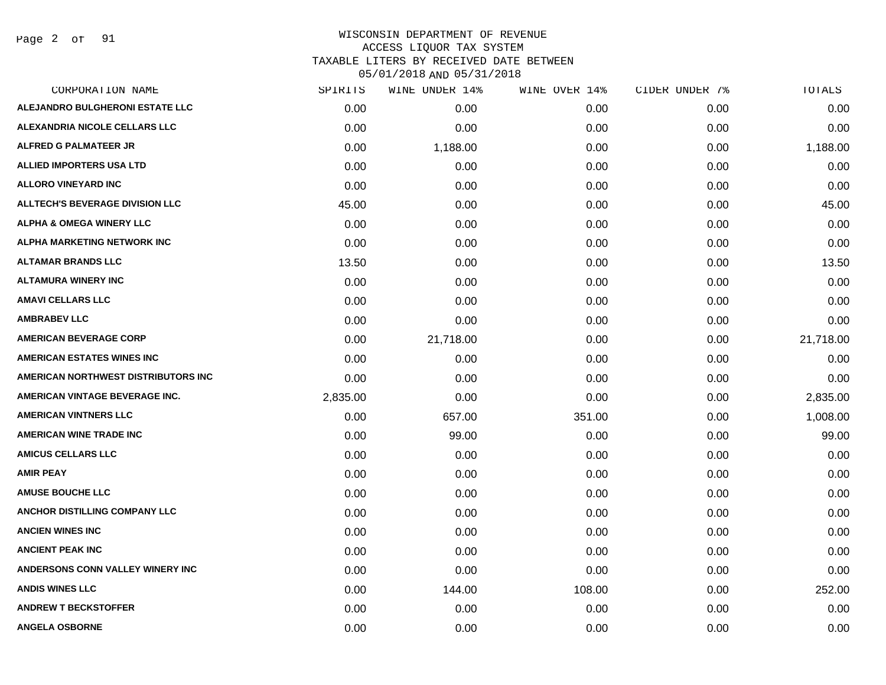Page 2 of 91

## WISCONSIN DEPARTMENT OF REVENUE ACCESS LIQUOR TAX SYSTEM TAXABLE LITERS BY RECEIVED DATE BETWEEN

| CORPORATION NAME                       | SPIRITS  | WINE UNDER 14% | WINE OVER 14% | CIDER UNDER 7% | TOTALS    |
|----------------------------------------|----------|----------------|---------------|----------------|-----------|
| ALEJANDRO BULGHERONI ESTATE LLC        | 0.00     | 0.00           | 0.00          | 0.00           | 0.00      |
| ALEXANDRIA NICOLE CELLARS LLC          | 0.00     | 0.00           | 0.00          | 0.00           | 0.00      |
| <b>ALFRED G PALMATEER JR</b>           | 0.00     | 1,188.00       | 0.00          | 0.00           | 1,188.00  |
| <b>ALLIED IMPORTERS USA LTD</b>        | 0.00     | 0.00           | 0.00          | 0.00           | 0.00      |
| <b>ALLORO VINEYARD INC</b>             | 0.00     | 0.00           | 0.00          | 0.00           | 0.00      |
| <b>ALLTECH'S BEVERAGE DIVISION LLC</b> | 45.00    | 0.00           | 0.00          | 0.00           | 45.00     |
| <b>ALPHA &amp; OMEGA WINERY LLC</b>    | 0.00     | 0.00           | 0.00          | 0.00           | 0.00      |
| ALPHA MARKETING NETWORK INC            | 0.00     | 0.00           | 0.00          | 0.00           | 0.00      |
| <b>ALTAMAR BRANDS LLC</b>              | 13.50    | 0.00           | 0.00          | 0.00           | 13.50     |
| <b>ALTAMURA WINERY INC</b>             | 0.00     | 0.00           | 0.00          | 0.00           | 0.00      |
| <b>AMAVI CELLARS LLC</b>               | 0.00     | 0.00           | 0.00          | 0.00           | 0.00      |
| <b>AMBRABEV LLC</b>                    | 0.00     | 0.00           | 0.00          | 0.00           | 0.00      |
| <b>AMERICAN BEVERAGE CORP</b>          | 0.00     | 21,718.00      | 0.00          | 0.00           | 21,718.00 |
| <b>AMERICAN ESTATES WINES INC</b>      | 0.00     | 0.00           | 0.00          | 0.00           | 0.00      |
| AMERICAN NORTHWEST DISTRIBUTORS INC    | 0.00     | 0.00           | 0.00          | 0.00           | 0.00      |
| AMERICAN VINTAGE BEVERAGE INC.         | 2,835.00 | 0.00           | 0.00          | 0.00           | 2,835.00  |
| <b>AMERICAN VINTNERS LLC</b>           | 0.00     | 657.00         | 351.00        | 0.00           | 1,008.00  |
| <b>AMERICAN WINE TRADE INC</b>         | 0.00     | 99.00          | 0.00          | 0.00           | 99.00     |
| <b>AMICUS CELLARS LLC</b>              | 0.00     | 0.00           | 0.00          | 0.00           | 0.00      |
| <b>AMIR PEAY</b>                       | 0.00     | 0.00           | 0.00          | 0.00           | 0.00      |
| <b>AMUSE BOUCHE LLC</b>                | 0.00     | 0.00           | 0.00          | 0.00           | 0.00      |
| ANCHOR DISTILLING COMPANY LLC          | 0.00     | 0.00           | 0.00          | 0.00           | 0.00      |
| <b>ANCIEN WINES INC</b>                | 0.00     | 0.00           | 0.00          | 0.00           | 0.00      |
| <b>ANCIENT PEAK INC</b>                | 0.00     | 0.00           | 0.00          | 0.00           | 0.00      |
| ANDERSONS CONN VALLEY WINERY INC       | 0.00     | 0.00           | 0.00          | 0.00           | 0.00      |
| <b>ANDIS WINES LLC</b>                 | 0.00     | 144.00         | 108.00        | 0.00           | 252.00    |
| <b>ANDREW T BECKSTOFFER</b>            | 0.00     | 0.00           | 0.00          | 0.00           | 0.00      |
| <b>ANGELA OSBORNE</b>                  | 0.00     | 0.00           | 0.00          | 0.00           | 0.00      |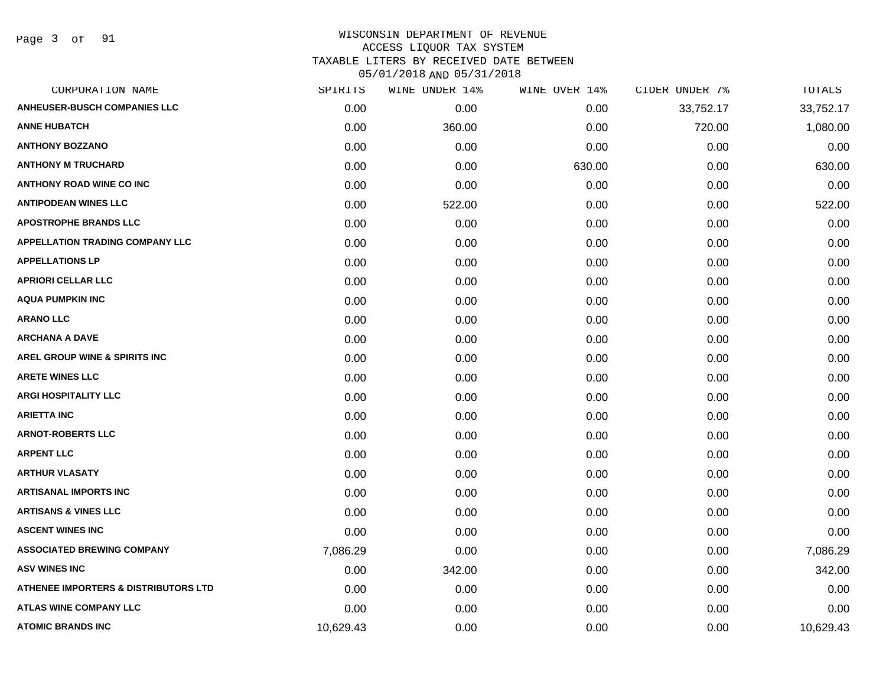Page 3 of 91

| CORPORATION NAME                                | SPIRITS   | WINE UNDER 14% | WINE OVER 14% | CIDER UNDER 7% | TOTALS    |
|-------------------------------------------------|-----------|----------------|---------------|----------------|-----------|
| <b>ANHEUSER-BUSCH COMPANIES LLC</b>             | 0.00      | 0.00           | 0.00          | 33,752.17      | 33,752.17 |
| <b>ANNE HUBATCH</b>                             | 0.00      | 360.00         | 0.00          | 720.00         | 1,080.00  |
| <b>ANTHONY BOZZANO</b>                          | 0.00      | 0.00           | 0.00          | 0.00           | 0.00      |
| <b>ANTHONY M TRUCHARD</b>                       | 0.00      | 0.00           | 630.00        | 0.00           | 630.00    |
| <b>ANTHONY ROAD WINE CO INC</b>                 | 0.00      | 0.00           | 0.00          | 0.00           | 0.00      |
| <b>ANTIPODEAN WINES LLC</b>                     | 0.00      | 522.00         | 0.00          | 0.00           | 522.00    |
| <b>APOSTROPHE BRANDS LLC</b>                    | 0.00      | 0.00           | 0.00          | 0.00           | 0.00      |
| <b>APPELLATION TRADING COMPANY LLC</b>          | 0.00      | 0.00           | 0.00          | 0.00           | 0.00      |
| <b>APPELLATIONS LP</b>                          | 0.00      | 0.00           | 0.00          | 0.00           | 0.00      |
| <b>APRIORI CELLAR LLC</b>                       | 0.00      | 0.00           | 0.00          | 0.00           | 0.00      |
| <b>AQUA PUMPKIN INC</b>                         | 0.00      | 0.00           | 0.00          | 0.00           | 0.00      |
| <b>ARANO LLC</b>                                | 0.00      | 0.00           | 0.00          | 0.00           | 0.00      |
| <b>ARCHANA A DAVE</b>                           | 0.00      | 0.00           | 0.00          | 0.00           | 0.00      |
| AREL GROUP WINE & SPIRITS INC                   | 0.00      | 0.00           | 0.00          | 0.00           | 0.00      |
| <b>ARETE WINES LLC</b>                          | 0.00      | 0.00           | 0.00          | 0.00           | 0.00      |
| <b>ARGI HOSPITALITY LLC</b>                     | 0.00      | 0.00           | 0.00          | 0.00           | 0.00      |
| <b>ARIETTA INC</b>                              | 0.00      | 0.00           | 0.00          | 0.00           | 0.00      |
| <b>ARNOT-ROBERTS LLC</b>                        | 0.00      | 0.00           | 0.00          | 0.00           | 0.00      |
| <b>ARPENT LLC</b>                               | 0.00      | 0.00           | 0.00          | 0.00           | 0.00      |
| <b>ARTHUR VLASATY</b>                           | 0.00      | 0.00           | 0.00          | 0.00           | 0.00      |
| <b>ARTISANAL IMPORTS INC</b>                    | 0.00      | 0.00           | 0.00          | 0.00           | 0.00      |
| <b>ARTISANS &amp; VINES LLC</b>                 | 0.00      | 0.00           | 0.00          | 0.00           | 0.00      |
| <b>ASCENT WINES INC</b>                         | 0.00      | 0.00           | 0.00          | 0.00           | 0.00      |
| <b>ASSOCIATED BREWING COMPANY</b>               | 7,086.29  | 0.00           | 0.00          | 0.00           | 7,086.29  |
| <b>ASV WINES INC</b>                            | 0.00      | 342.00         | 0.00          | 0.00           | 342.00    |
| <b>ATHENEE IMPORTERS &amp; DISTRIBUTORS LTD</b> | 0.00      | 0.00           | 0.00          | 0.00           | 0.00      |
| <b>ATLAS WINE COMPANY LLC</b>                   | 0.00      | 0.00           | 0.00          | 0.00           | 0.00      |
| <b>ATOMIC BRANDS INC</b>                        | 10,629.43 | 0.00           | 0.00          | 0.00           | 10,629.43 |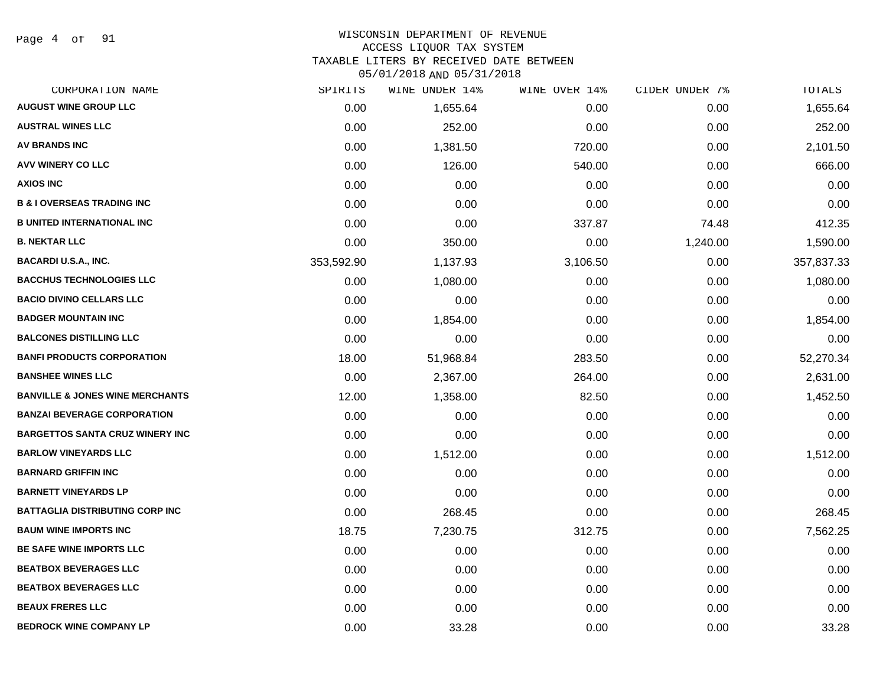Page 4 of 91

## WISCONSIN DEPARTMENT OF REVENUE

#### ACCESS LIQUOR TAX SYSTEM

TAXABLE LITERS BY RECEIVED DATE BETWEEN

| CORPORATION NAME                           | SPIRITS    | WINE UNDER 14% | WINE OVER 14% | CIDER UNDER 7% | TOTALS     |
|--------------------------------------------|------------|----------------|---------------|----------------|------------|
| <b>AUGUST WINE GROUP LLC</b>               | 0.00       | 1,655.64       | 0.00          | 0.00           | 1,655.64   |
| <b>AUSTRAL WINES LLC</b>                   | 0.00       | 252.00         | 0.00          | 0.00           | 252.00     |
| <b>AV BRANDS INC</b>                       | 0.00       | 1,381.50       | 720.00        | 0.00           | 2,101.50   |
| AVV WINERY CO LLC                          | 0.00       | 126.00         | 540.00        | 0.00           | 666.00     |
| <b>AXIOS INC</b>                           | 0.00       | 0.00           | 0.00          | 0.00           | 0.00       |
| <b>B &amp; I OVERSEAS TRADING INC</b>      | 0.00       | 0.00           | 0.00          | 0.00           | 0.00       |
| <b>B UNITED INTERNATIONAL INC</b>          | 0.00       | 0.00           | 337.87        | 74.48          | 412.35     |
| <b>B. NEKTAR LLC</b>                       | 0.00       | 350.00         | 0.00          | 1,240.00       | 1,590.00   |
| <b>BACARDI U.S.A., INC.</b>                | 353,592.90 | 1,137.93       | 3,106.50      | 0.00           | 357,837.33 |
| <b>BACCHUS TECHNOLOGIES LLC</b>            | 0.00       | 1,080.00       | 0.00          | 0.00           | 1,080.00   |
| <b>BACIO DIVINO CELLARS LLC</b>            | 0.00       | 0.00           | 0.00          | 0.00           | 0.00       |
| <b>BADGER MOUNTAIN INC</b>                 | 0.00       | 1,854.00       | 0.00          | 0.00           | 1,854.00   |
| <b>BALCONES DISTILLING LLC</b>             | 0.00       | 0.00           | 0.00          | 0.00           | 0.00       |
| <b>BANFI PRODUCTS CORPORATION</b>          | 18.00      | 51,968.84      | 283.50        | 0.00           | 52,270.34  |
| <b>BANSHEE WINES LLC</b>                   | 0.00       | 2,367.00       | 264.00        | 0.00           | 2,631.00   |
| <b>BANVILLE &amp; JONES WINE MERCHANTS</b> | 12.00      | 1,358.00       | 82.50         | 0.00           | 1,452.50   |
| <b>BANZAI BEVERAGE CORPORATION</b>         | 0.00       | 0.00           | 0.00          | 0.00           | 0.00       |
| <b>BARGETTOS SANTA CRUZ WINERY INC</b>     | 0.00       | 0.00           | 0.00          | 0.00           | 0.00       |
| <b>BARLOW VINEYARDS LLC</b>                | 0.00       | 1,512.00       | 0.00          | 0.00           | 1,512.00   |
| <b>BARNARD GRIFFIN INC</b>                 | 0.00       | 0.00           | 0.00          | 0.00           | 0.00       |
| <b>BARNETT VINEYARDS LP</b>                | 0.00       | 0.00           | 0.00          | 0.00           | 0.00       |
| <b>BATTAGLIA DISTRIBUTING CORP INC</b>     | 0.00       | 268.45         | 0.00          | 0.00           | 268.45     |
| <b>BAUM WINE IMPORTS INC</b>               | 18.75      | 7,230.75       | 312.75        | 0.00           | 7,562.25   |
| <b>BE SAFE WINE IMPORTS LLC</b>            | 0.00       | 0.00           | 0.00          | 0.00           | 0.00       |
| <b>BEATBOX BEVERAGES LLC</b>               | 0.00       | 0.00           | 0.00          | 0.00           | 0.00       |
| <b>BEATBOX BEVERAGES LLC</b>               | 0.00       | 0.00           | 0.00          | 0.00           | 0.00       |
| <b>BEAUX FRERES LLC</b>                    | 0.00       | 0.00           | 0.00          | 0.00           | 0.00       |
| <b>BEDROCK WINE COMPANY LP</b>             | 0.00       | 33.28          | 0.00          | 0.00           | 33.28      |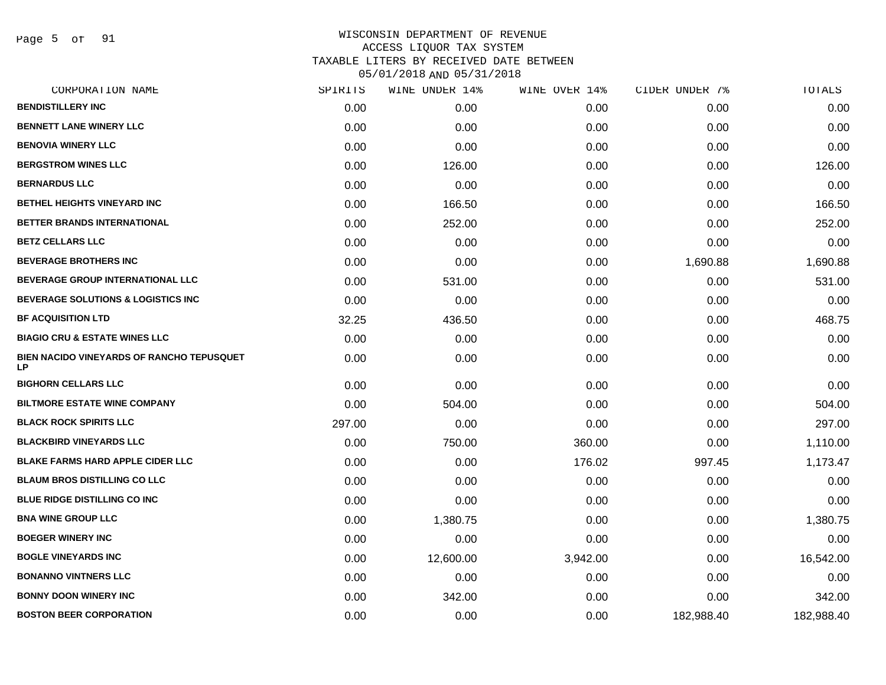Page 5 of 91

| CORPORATION NAME                                        | SPIRITS | WINE UNDER 14% | WINE OVER 14% | CIDER UNDER 7% | TOTALS     |
|---------------------------------------------------------|---------|----------------|---------------|----------------|------------|
| <b>BENDISTILLERY INC</b>                                | 0.00    | 0.00           | 0.00          | 0.00           | 0.00       |
| <b>BENNETT LANE WINERY LLC</b>                          | 0.00    | 0.00           | 0.00          | 0.00           | 0.00       |
| <b>BENOVIA WINERY LLC</b>                               | 0.00    | 0.00           | 0.00          | 0.00           | 0.00       |
| <b>BERGSTROM WINES LLC</b>                              | 0.00    | 126.00         | 0.00          | 0.00           | 126.00     |
| <b>BERNARDUS LLC</b>                                    | 0.00    | 0.00           | 0.00          | 0.00           | 0.00       |
| <b>BETHEL HEIGHTS VINEYARD INC</b>                      | 0.00    | 166.50         | 0.00          | 0.00           | 166.50     |
| BETTER BRANDS INTERNATIONAL                             | 0.00    | 252.00         | 0.00          | 0.00           | 252.00     |
| <b>BETZ CELLARS LLC</b>                                 | 0.00    | 0.00           | 0.00          | 0.00           | 0.00       |
| <b>BEVERAGE BROTHERS INC</b>                            | 0.00    | 0.00           | 0.00          | 1,690.88       | 1,690.88   |
| <b>BEVERAGE GROUP INTERNATIONAL LLC</b>                 | 0.00    | 531.00         | 0.00          | 0.00           | 531.00     |
| <b>BEVERAGE SOLUTIONS &amp; LOGISTICS INC</b>           | 0.00    | 0.00           | 0.00          | 0.00           | 0.00       |
| <b>BF ACQUISITION LTD</b>                               | 32.25   | 436.50         | 0.00          | 0.00           | 468.75     |
| <b>BIAGIO CRU &amp; ESTATE WINES LLC</b>                | 0.00    | 0.00           | 0.00          | 0.00           | 0.00       |
| <b>BIEN NACIDO VINEYARDS OF RANCHO TEPUSQUET</b><br>LP. | 0.00    | 0.00           | 0.00          | 0.00           | 0.00       |
| <b>BIGHORN CELLARS LLC</b>                              | 0.00    | 0.00           | 0.00          | 0.00           | 0.00       |
| <b>BILTMORE ESTATE WINE COMPANY</b>                     | 0.00    | 504.00         | 0.00          | 0.00           | 504.00     |
| <b>BLACK ROCK SPIRITS LLC</b>                           | 297.00  | 0.00           | 0.00          | 0.00           | 297.00     |
| <b>BLACKBIRD VINEYARDS LLC</b>                          | 0.00    | 750.00         | 360.00        | 0.00           | 1,110.00   |
| <b>BLAKE FARMS HARD APPLE CIDER LLC</b>                 | 0.00    | 0.00           | 176.02        | 997.45         | 1,173.47   |
| <b>BLAUM BROS DISTILLING CO LLC</b>                     | 0.00    | 0.00           | 0.00          | 0.00           | 0.00       |
| <b>BLUE RIDGE DISTILLING CO INC</b>                     | 0.00    | 0.00           | 0.00          | 0.00           | 0.00       |
| <b>BNA WINE GROUP LLC</b>                               | 0.00    | 1,380.75       | 0.00          | 0.00           | 1,380.75   |
| <b>BOEGER WINERY INC</b>                                | 0.00    | 0.00           | 0.00          | 0.00           | 0.00       |
| <b>BOGLE VINEYARDS INC</b>                              | 0.00    | 12,600.00      | 3,942.00      | 0.00           | 16,542.00  |
| <b>BONANNO VINTNERS LLC</b>                             | 0.00    | 0.00           | 0.00          | 0.00           | 0.00       |
| <b>BONNY DOON WINERY INC</b>                            | 0.00    | 342.00         | 0.00          | 0.00           | 342.00     |
| <b>BOSTON BEER CORPORATION</b>                          | 0.00    | 0.00           | 0.00          | 182,988.40     | 182,988.40 |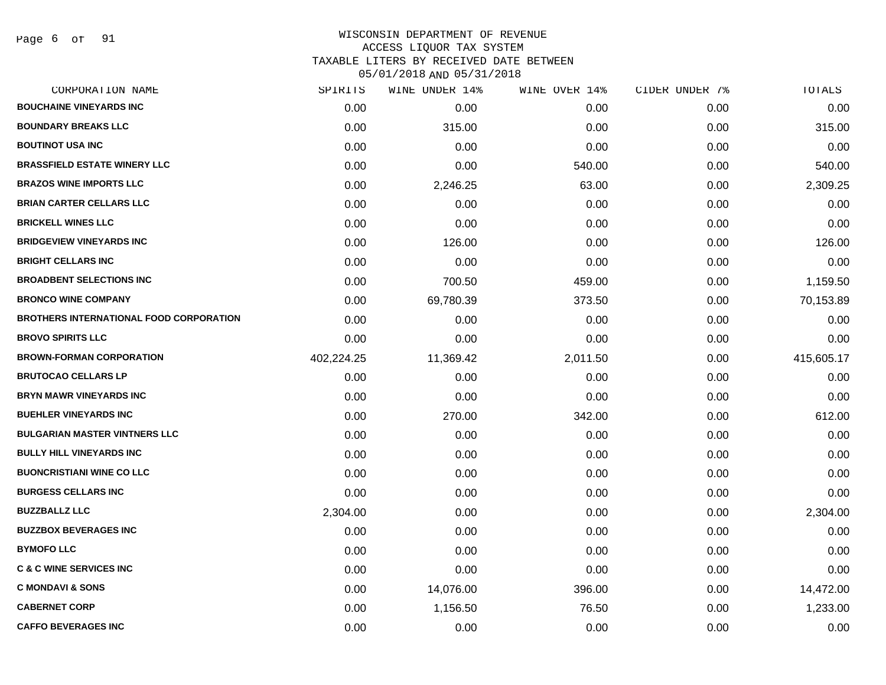Page 6 of 91

## WISCONSIN DEPARTMENT OF REVENUE ACCESS LIQUOR TAX SYSTEM TAXABLE LITERS BY RECEIVED DATE BETWEEN

| CORPORATION NAME                               | SPIRITS    | WINE UNDER 14% | WINE OVER 14% | CIDER UNDER 7% | TOTALS     |
|------------------------------------------------|------------|----------------|---------------|----------------|------------|
| <b>BOUCHAINE VINEYARDS INC</b>                 | 0.00       | 0.00           | 0.00          | 0.00           | 0.00       |
| <b>BOUNDARY BREAKS LLC</b>                     | 0.00       | 315.00         | 0.00          | 0.00           | 315.00     |
| <b>BOUTINOT USA INC</b>                        | 0.00       | 0.00           | 0.00          | 0.00           | 0.00       |
| <b>BRASSFIELD ESTATE WINERY LLC</b>            | 0.00       | 0.00           | 540.00        | 0.00           | 540.00     |
| <b>BRAZOS WINE IMPORTS LLC</b>                 | 0.00       | 2,246.25       | 63.00         | 0.00           | 2,309.25   |
| <b>BRIAN CARTER CELLARS LLC</b>                | 0.00       | 0.00           | 0.00          | 0.00           | 0.00       |
| <b>BRICKELL WINES LLC</b>                      | 0.00       | 0.00           | 0.00          | 0.00           | 0.00       |
| <b>BRIDGEVIEW VINEYARDS INC</b>                | 0.00       | 126.00         | 0.00          | 0.00           | 126.00     |
| <b>BRIGHT CELLARS INC</b>                      | 0.00       | 0.00           | 0.00          | 0.00           | 0.00       |
| <b>BROADBENT SELECTIONS INC</b>                | 0.00       | 700.50         | 459.00        | 0.00           | 1,159.50   |
| <b>BRONCO WINE COMPANY</b>                     | 0.00       | 69,780.39      | 373.50        | 0.00           | 70,153.89  |
| <b>BROTHERS INTERNATIONAL FOOD CORPORATION</b> | 0.00       | 0.00           | 0.00          | 0.00           | 0.00       |
| <b>BROVO SPIRITS LLC</b>                       | 0.00       | 0.00           | 0.00          | 0.00           | 0.00       |
| <b>BROWN-FORMAN CORPORATION</b>                | 402,224.25 | 11,369.42      | 2,011.50      | 0.00           | 415,605.17 |
| <b>BRUTOCAO CELLARS LP</b>                     | 0.00       | 0.00           | 0.00          | 0.00           | 0.00       |
| <b>BRYN MAWR VINEYARDS INC</b>                 | 0.00       | 0.00           | 0.00          | 0.00           | 0.00       |
| <b>BUEHLER VINEYARDS INC</b>                   | 0.00       | 270.00         | 342.00        | 0.00           | 612.00     |
| <b>BULGARIAN MASTER VINTNERS LLC</b>           | 0.00       | 0.00           | 0.00          | 0.00           | 0.00       |
| <b>BULLY HILL VINEYARDS INC</b>                | 0.00       | 0.00           | 0.00          | 0.00           | 0.00       |
| <b>BUONCRISTIANI WINE CO LLC</b>               | 0.00       | 0.00           | 0.00          | 0.00           | 0.00       |
| <b>BURGESS CELLARS INC</b>                     | 0.00       | 0.00           | 0.00          | 0.00           | 0.00       |
| <b>BUZZBALLZ LLC</b>                           | 2,304.00   | 0.00           | 0.00          | 0.00           | 2,304.00   |
| <b>BUZZBOX BEVERAGES INC</b>                   | 0.00       | 0.00           | 0.00          | 0.00           | 0.00       |
| <b>BYMOFO LLC</b>                              | 0.00       | 0.00           | 0.00          | 0.00           | 0.00       |
| <b>C &amp; C WINE SERVICES INC</b>             | 0.00       | 0.00           | 0.00          | 0.00           | 0.00       |
| <b>C MONDAVI &amp; SONS</b>                    | 0.00       | 14,076.00      | 396.00        | 0.00           | 14,472.00  |
| <b>CABERNET CORP</b>                           | 0.00       | 1,156.50       | 76.50         | 0.00           | 1,233.00   |
| <b>CAFFO BEVERAGES INC</b>                     | 0.00       | 0.00           | 0.00          | 0.00           | 0.00       |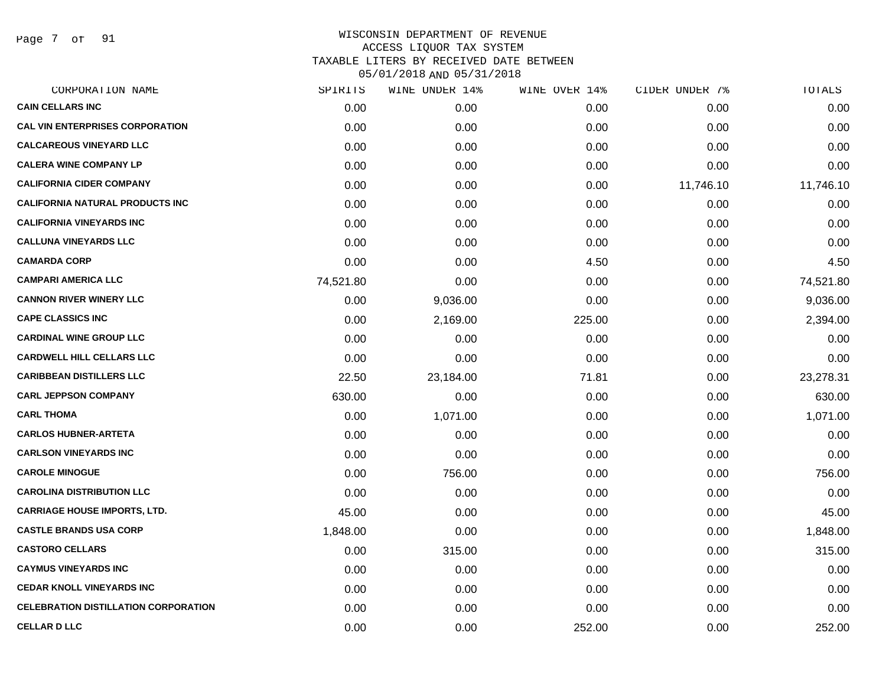Page 7 of 91

| CORPORATION NAME                            | SPIRITS   | WINE UNDER 14% | WINE OVER 14% | CIDER UNDER 7% | TOTALS    |
|---------------------------------------------|-----------|----------------|---------------|----------------|-----------|
| <b>CAIN CELLARS INC</b>                     | 0.00      | 0.00           | 0.00          | 0.00           | 0.00      |
| <b>CAL VIN ENTERPRISES CORPORATION</b>      | 0.00      | 0.00           | 0.00          | 0.00           | 0.00      |
| <b>CALCAREOUS VINEYARD LLC</b>              | 0.00      | 0.00           | 0.00          | 0.00           | 0.00      |
| <b>CALERA WINE COMPANY LP</b>               | 0.00      | 0.00           | 0.00          | 0.00           | 0.00      |
| <b>CALIFORNIA CIDER COMPANY</b>             | 0.00      | 0.00           | 0.00          | 11,746.10      | 11,746.10 |
| <b>CALIFORNIA NATURAL PRODUCTS INC</b>      | 0.00      | 0.00           | 0.00          | 0.00           | 0.00      |
| <b>CALIFORNIA VINEYARDS INC</b>             | 0.00      | 0.00           | 0.00          | 0.00           | 0.00      |
| <b>CALLUNA VINEYARDS LLC</b>                | 0.00      | 0.00           | 0.00          | 0.00           | 0.00      |
| <b>CAMARDA CORP</b>                         | 0.00      | 0.00           | 4.50          | 0.00           | 4.50      |
| <b>CAMPARI AMERICA LLC</b>                  | 74,521.80 | 0.00           | 0.00          | 0.00           | 74,521.80 |
| <b>CANNON RIVER WINERY LLC</b>              | 0.00      | 9,036.00       | 0.00          | 0.00           | 9,036.00  |
| <b>CAPE CLASSICS INC</b>                    | 0.00      | 2,169.00       | 225.00        | 0.00           | 2,394.00  |
| <b>CARDINAL WINE GROUP LLC</b>              | 0.00      | 0.00           | 0.00          | 0.00           | 0.00      |
| <b>CARDWELL HILL CELLARS LLC</b>            | 0.00      | 0.00           | 0.00          | 0.00           | 0.00      |
| <b>CARIBBEAN DISTILLERS LLC</b>             | 22.50     | 23,184.00      | 71.81         | 0.00           | 23,278.31 |
| <b>CARL JEPPSON COMPANY</b>                 | 630.00    | 0.00           | 0.00          | 0.00           | 630.00    |
| <b>CARL THOMA</b>                           | 0.00      | 1,071.00       | 0.00          | 0.00           | 1,071.00  |
| <b>CARLOS HUBNER-ARTETA</b>                 | 0.00      | 0.00           | 0.00          | 0.00           | 0.00      |
| <b>CARLSON VINEYARDS INC</b>                | 0.00      | 0.00           | 0.00          | 0.00           | 0.00      |
| <b>CAROLE MINOGUE</b>                       | 0.00      | 756.00         | 0.00          | 0.00           | 756.00    |
| <b>CAROLINA DISTRIBUTION LLC</b>            | 0.00      | 0.00           | 0.00          | 0.00           | 0.00      |
| <b>CARRIAGE HOUSE IMPORTS, LTD.</b>         | 45.00     | 0.00           | 0.00          | 0.00           | 45.00     |
| <b>CASTLE BRANDS USA CORP</b>               | 1,848.00  | 0.00           | 0.00          | 0.00           | 1,848.00  |
| <b>CASTORO CELLARS</b>                      | 0.00      | 315.00         | 0.00          | 0.00           | 315.00    |
| <b>CAYMUS VINEYARDS INC</b>                 | 0.00      | 0.00           | 0.00          | 0.00           | 0.00      |
| <b>CEDAR KNOLL VINEYARDS INC</b>            | 0.00      | 0.00           | 0.00          | 0.00           | 0.00      |
| <b>CELEBRATION DISTILLATION CORPORATION</b> | 0.00      | 0.00           | 0.00          | 0.00           | 0.00      |
| <b>CELLAR D LLC</b>                         | 0.00      | 0.00           | 252.00        | 0.00           | 252.00    |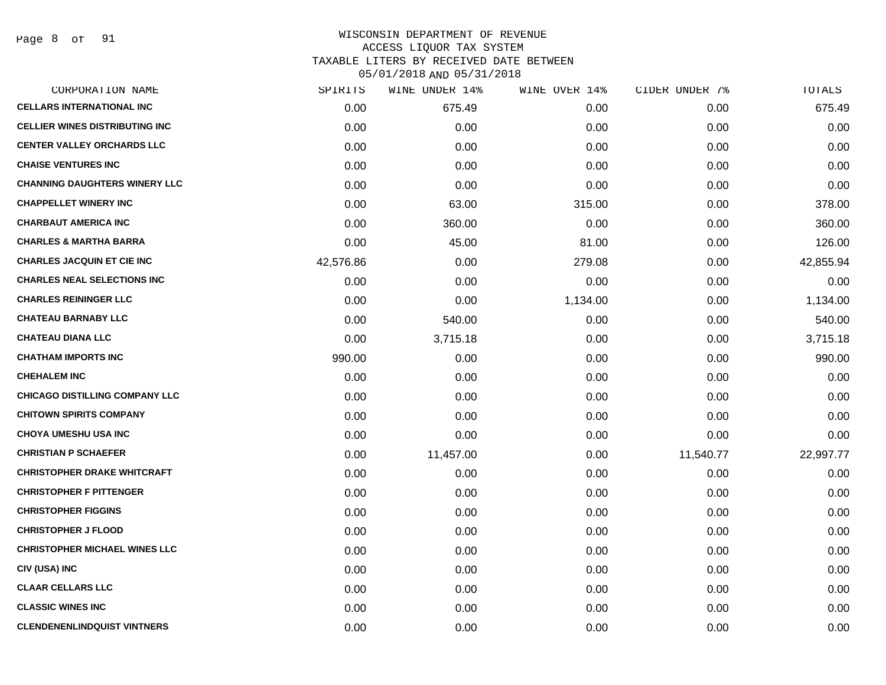# WISCONSIN DEPARTMENT OF REVENUE ACCESS LIQUOR TAX SYSTEM TAXABLE LITERS BY RECEIVED DATE BETWEEN

| CORPORATION NAME                       | SPIRITS   | WINE UNDER 14% | WINE OVER 14% | CIDER UNDER 7% | TOTALS    |
|----------------------------------------|-----------|----------------|---------------|----------------|-----------|
| <b>CELLARS INTERNATIONAL INC</b>       | 0.00      | 675.49         | 0.00          | 0.00           | 675.49    |
| <b>CELLIER WINES DISTRIBUTING INC.</b> | 0.00      | 0.00           | 0.00          | 0.00           | 0.00      |
| <b>CENTER VALLEY ORCHARDS LLC</b>      | 0.00      | 0.00           | 0.00          | 0.00           | 0.00      |
| <b>CHAISE VENTURES INC</b>             | 0.00      | 0.00           | 0.00          | 0.00           | 0.00      |
| <b>CHANNING DAUGHTERS WINERY LLC</b>   | 0.00      | 0.00           | 0.00          | 0.00           | 0.00      |
| <b>CHAPPELLET WINERY INC</b>           | 0.00      | 63.00          | 315.00        | 0.00           | 378.00    |
| <b>CHARBAUT AMERICA INC</b>            | 0.00      | 360.00         | 0.00          | 0.00           | 360.00    |
| <b>CHARLES &amp; MARTHA BARRA</b>      | 0.00      | 45.00          | 81.00         | 0.00           | 126.00    |
| <b>CHARLES JACQUIN ET CIE INC</b>      | 42,576.86 | 0.00           | 279.08        | 0.00           | 42,855.94 |
| <b>CHARLES NEAL SELECTIONS INC</b>     | 0.00      | 0.00           | 0.00          | 0.00           | 0.00      |
| <b>CHARLES REININGER LLC</b>           | 0.00      | 0.00           | 1,134.00      | 0.00           | 1,134.00  |
| <b>CHATEAU BARNABY LLC</b>             | 0.00      | 540.00         | 0.00          | 0.00           | 540.00    |
| <b>CHATEAU DIANA LLC</b>               | 0.00      | 3,715.18       | 0.00          | 0.00           | 3,715.18  |
| <b>CHATHAM IMPORTS INC</b>             | 990.00    | 0.00           | 0.00          | 0.00           | 990.00    |
| <b>CHEHALEM INC</b>                    | 0.00      | 0.00           | 0.00          | 0.00           | 0.00      |
| <b>CHICAGO DISTILLING COMPANY LLC</b>  | 0.00      | 0.00           | 0.00          | 0.00           | 0.00      |
| <b>CHITOWN SPIRITS COMPANY</b>         | 0.00      | 0.00           | 0.00          | 0.00           | 0.00      |
| <b>CHOYA UMESHU USA INC</b>            | 0.00      | 0.00           | 0.00          | 0.00           | 0.00      |
| <b>CHRISTIAN P SCHAEFER</b>            | 0.00      | 11,457.00      | 0.00          | 11,540.77      | 22,997.77 |
| <b>CHRISTOPHER DRAKE WHITCRAFT</b>     | 0.00      | 0.00           | 0.00          | 0.00           | 0.00      |
| <b>CHRISTOPHER F PITTENGER</b>         | 0.00      | 0.00           | 0.00          | 0.00           | 0.00      |
| <b>CHRISTOPHER FIGGINS</b>             | 0.00      | 0.00           | 0.00          | 0.00           | 0.00      |
| <b>CHRISTOPHER J FLOOD</b>             | 0.00      | 0.00           | 0.00          | 0.00           | 0.00      |
| <b>CHRISTOPHER MICHAEL WINES LLC</b>   | 0.00      | 0.00           | 0.00          | 0.00           | 0.00      |
| CIV (USA) INC                          | 0.00      | 0.00           | 0.00          | 0.00           | 0.00      |
| <b>CLAAR CELLARS LLC</b>               | 0.00      | 0.00           | 0.00          | 0.00           | 0.00      |
| <b>CLASSIC WINES INC</b>               | 0.00      | 0.00           | 0.00          | 0.00           | 0.00      |
| <b>CLENDENENLINDQUIST VINTNERS</b>     | 0.00      | 0.00           | 0.00          | 0.00           | 0.00      |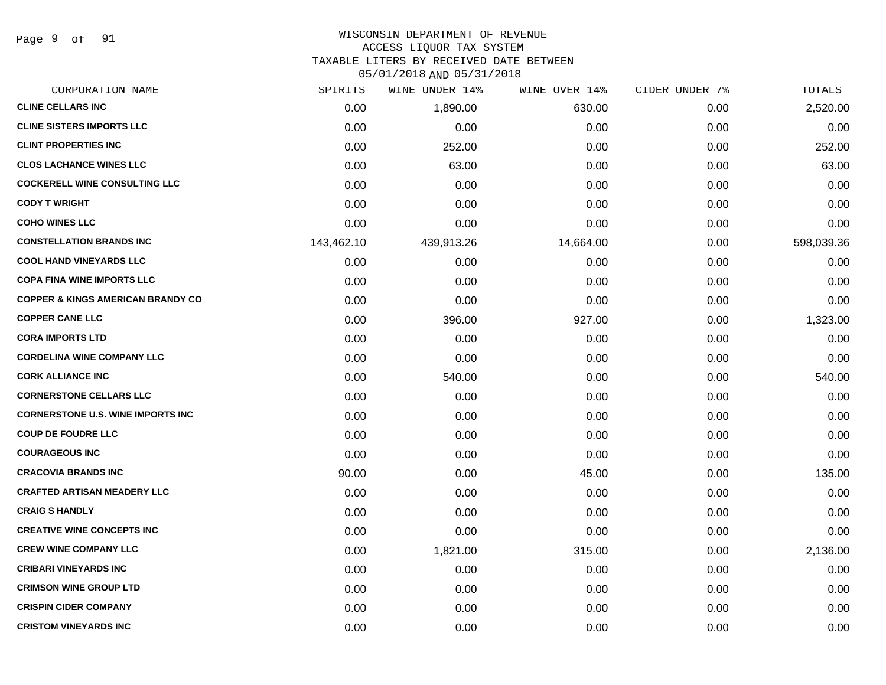Page 9 of 91

#### WISCONSIN DEPARTMENT OF REVENUE

#### ACCESS LIQUOR TAX SYSTEM

TAXABLE LITERS BY RECEIVED DATE BETWEEN

| CORPORATION NAME                             | SPIRITS    | WINE UNDER 14% | WINE OVER 14% | CIDER UNDER 7% | TOTALS     |
|----------------------------------------------|------------|----------------|---------------|----------------|------------|
| <b>CLINE CELLARS INC</b>                     | 0.00       | 1,890.00       | 630.00        | 0.00           | 2,520.00   |
| <b>CLINE SISTERS IMPORTS LLC</b>             | 0.00       | 0.00           | 0.00          | 0.00           | 0.00       |
| <b>CLINT PROPERTIES INC</b>                  | 0.00       | 252.00         | 0.00          | 0.00           | 252.00     |
| <b>CLOS LACHANCE WINES LLC</b>               | 0.00       | 63.00          | 0.00          | 0.00           | 63.00      |
| <b>COCKERELL WINE CONSULTING LLC</b>         | 0.00       | 0.00           | 0.00          | 0.00           | 0.00       |
| <b>CODY T WRIGHT</b>                         | 0.00       | 0.00           | 0.00          | 0.00           | 0.00       |
| <b>COHO WINES LLC</b>                        | 0.00       | 0.00           | 0.00          | 0.00           | 0.00       |
| <b>CONSTELLATION BRANDS INC</b>              | 143,462.10 | 439,913.26     | 14,664.00     | 0.00           | 598,039.36 |
| <b>COOL HAND VINEYARDS LLC</b>               | 0.00       | 0.00           | 0.00          | 0.00           | 0.00       |
| <b>COPA FINA WINE IMPORTS LLC</b>            | 0.00       | 0.00           | 0.00          | 0.00           | 0.00       |
| <b>COPPER &amp; KINGS AMERICAN BRANDY CO</b> | 0.00       | 0.00           | 0.00          | 0.00           | 0.00       |
| <b>COPPER CANE LLC</b>                       | 0.00       | 396.00         | 927.00        | 0.00           | 1,323.00   |
| <b>CORA IMPORTS LTD</b>                      | 0.00       | 0.00           | 0.00          | 0.00           | 0.00       |
| <b>CORDELINA WINE COMPANY LLC</b>            | 0.00       | 0.00           | 0.00          | 0.00           | 0.00       |
| <b>CORK ALLIANCE INC</b>                     | 0.00       | 540.00         | 0.00          | 0.00           | 540.00     |
| <b>CORNERSTONE CELLARS LLC</b>               | 0.00       | 0.00           | 0.00          | 0.00           | 0.00       |
| <b>CORNERSTONE U.S. WINE IMPORTS INC</b>     | 0.00       | 0.00           | 0.00          | 0.00           | 0.00       |
| <b>COUP DE FOUDRE LLC</b>                    | 0.00       | 0.00           | 0.00          | 0.00           | 0.00       |
| <b>COURAGEOUS INC</b>                        | 0.00       | 0.00           | 0.00          | 0.00           | 0.00       |
| <b>CRACOVIA BRANDS INC</b>                   | 90.00      | 0.00           | 45.00         | 0.00           | 135.00     |
| <b>CRAFTED ARTISAN MEADERY LLC</b>           | 0.00       | 0.00           | 0.00          | 0.00           | 0.00       |
| <b>CRAIG S HANDLY</b>                        | 0.00       | 0.00           | 0.00          | 0.00           | 0.00       |
| <b>CREATIVE WINE CONCEPTS INC</b>            | 0.00       | 0.00           | 0.00          | 0.00           | 0.00       |
| <b>CREW WINE COMPANY LLC</b>                 | 0.00       | 1,821.00       | 315.00        | 0.00           | 2,136.00   |
| <b>CRIBARI VINEYARDS INC</b>                 | 0.00       | 0.00           | 0.00          | 0.00           | 0.00       |
| <b>CRIMSON WINE GROUP LTD</b>                | 0.00       | 0.00           | 0.00          | 0.00           | 0.00       |
| <b>CRISPIN CIDER COMPANY</b>                 | 0.00       | 0.00           | 0.00          | 0.00           | 0.00       |
| <b>CRISTOM VINEYARDS INC</b>                 | 0.00       | 0.00           | 0.00          | 0.00           | 0.00       |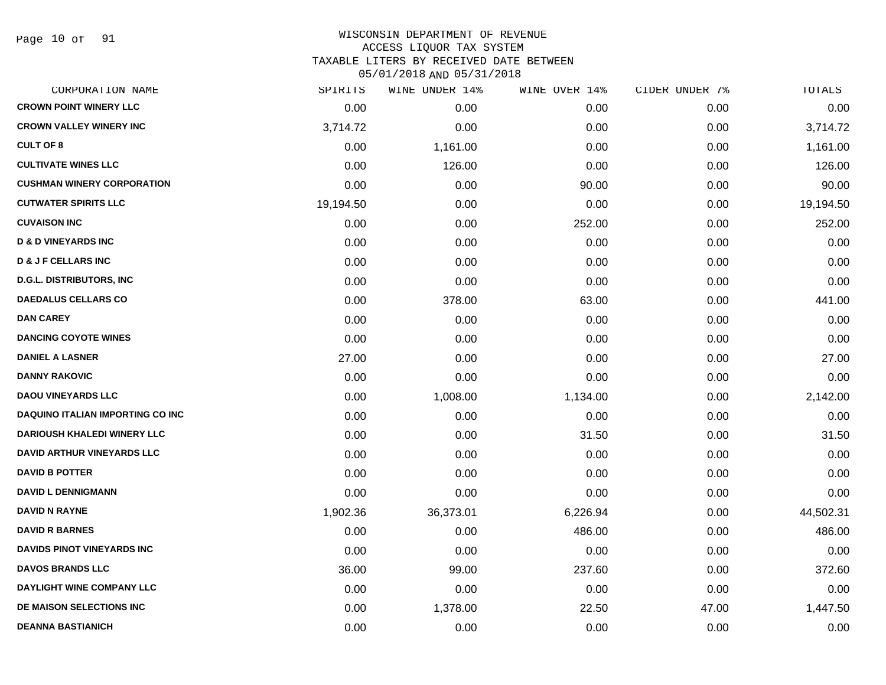Page 10 of 91

# WISCONSIN DEPARTMENT OF REVENUE ACCESS LIQUOR TAX SYSTEM

TAXABLE LITERS BY RECEIVED DATE BETWEEN

| CORPORATION NAME                        | SPIRITS   | WINE UNDER 14% | WINE OVER 14% | CIDER UNDER 7% | TOTALS    |
|-----------------------------------------|-----------|----------------|---------------|----------------|-----------|
| <b>CROWN POINT WINERY LLC</b>           | 0.00      | 0.00           | 0.00          | 0.00           | 0.00      |
| <b>CROWN VALLEY WINERY INC</b>          | 3,714.72  | 0.00           | 0.00          | 0.00           | 3,714.72  |
| <b>CULT OF 8</b>                        | 0.00      | 1,161.00       | 0.00          | 0.00           | 1,161.00  |
| <b>CULTIVATE WINES LLC</b>              | 0.00      | 126.00         | 0.00          | 0.00           | 126.00    |
| <b>CUSHMAN WINERY CORPORATION</b>       | 0.00      | 0.00           | 90.00         | 0.00           | 90.00     |
| <b>CUTWATER SPIRITS LLC</b>             | 19,194.50 | 0.00           | 0.00          | 0.00           | 19,194.50 |
| <b>CUVAISON INC</b>                     | 0.00      | 0.00           | 252.00        | 0.00           | 252.00    |
| <b>D &amp; D VINEYARDS INC</b>          | 0.00      | 0.00           | 0.00          | 0.00           | 0.00      |
| <b>D &amp; J F CELLARS INC</b>          | 0.00      | 0.00           | 0.00          | 0.00           | 0.00      |
| <b>D.G.L. DISTRIBUTORS, INC.</b>        | 0.00      | 0.00           | 0.00          | 0.00           | 0.00      |
| <b>DAEDALUS CELLARS CO</b>              | 0.00      | 378.00         | 63.00         | 0.00           | 441.00    |
| <b>DAN CAREY</b>                        | 0.00      | 0.00           | 0.00          | 0.00           | 0.00      |
| <b>DANCING COYOTE WINES</b>             | 0.00      | 0.00           | 0.00          | 0.00           | 0.00      |
| <b>DANIEL A LASNER</b>                  | 27.00     | 0.00           | 0.00          | 0.00           | 27.00     |
| <b>DANNY RAKOVIC</b>                    | 0.00      | 0.00           | 0.00          | 0.00           | 0.00      |
| <b>DAOU VINEYARDS LLC</b>               | 0.00      | 1,008.00       | 1,134.00      | 0.00           | 2,142.00  |
| <b>DAQUINO ITALIAN IMPORTING CO INC</b> | 0.00      | 0.00           | 0.00          | 0.00           | 0.00      |
| DARIOUSH KHALEDI WINERY LLC             | 0.00      | 0.00           | 31.50         | 0.00           | 31.50     |
| <b>DAVID ARTHUR VINEYARDS LLC</b>       | 0.00      | 0.00           | 0.00          | 0.00           | 0.00      |
| <b>DAVID B POTTER</b>                   | 0.00      | 0.00           | 0.00          | 0.00           | 0.00      |
| <b>DAVID L DENNIGMANN</b>               | 0.00      | 0.00           | 0.00          | 0.00           | 0.00      |
| <b>DAVID N RAYNE</b>                    | 1,902.36  | 36,373.01      | 6,226.94      | 0.00           | 44,502.31 |
| <b>DAVID R BARNES</b>                   | 0.00      | 0.00           | 486.00        | 0.00           | 486.00    |
| <b>DAVIDS PINOT VINEYARDS INC</b>       | 0.00      | 0.00           | 0.00          | 0.00           | 0.00      |
| <b>DAVOS BRANDS LLC</b>                 | 36.00     | 99.00          | 237.60        | 0.00           | 372.60    |
| DAYLIGHT WINE COMPANY LLC               | 0.00      | 0.00           | 0.00          | 0.00           | 0.00      |
| DE MAISON SELECTIONS INC                | 0.00      | 1,378.00       | 22.50         | 47.00          | 1,447.50  |
| <b>DEANNA BASTIANICH</b>                | 0.00      | 0.00           | 0.00          | 0.00           | 0.00      |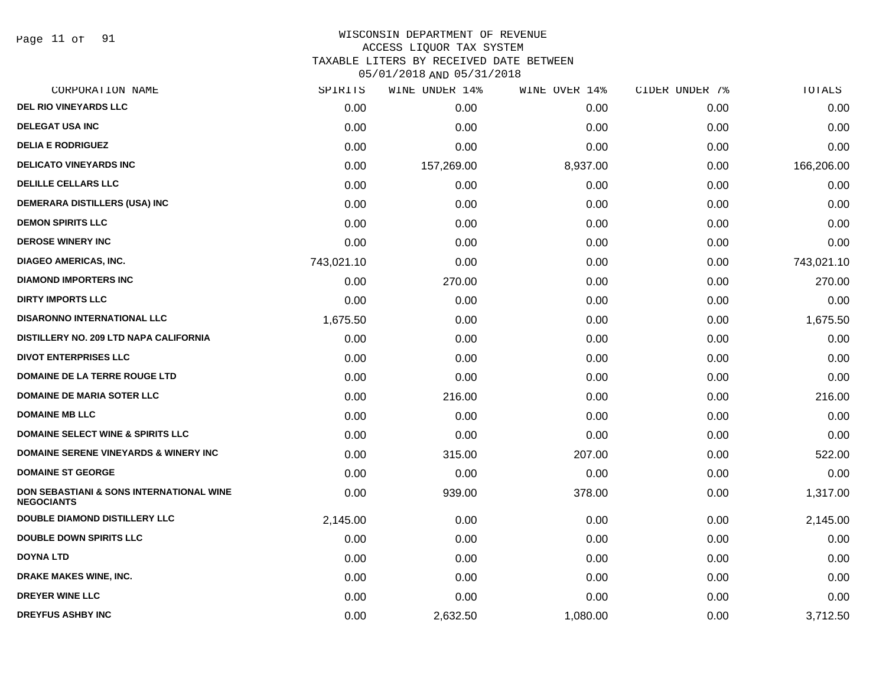Page 11 of 91

#### WISCONSIN DEPARTMENT OF REVENUE ACCESS LIQUOR TAX SYSTEM

TAXABLE LITERS BY RECEIVED DATE BETWEEN

| CORPORATION NAME                                                         | SPIRITS    | WINE UNDER 14% | WINE OVER 14% | CIDER UNDER 7% | TOTALS     |
|--------------------------------------------------------------------------|------------|----------------|---------------|----------------|------------|
| <b>DEL RIO VINEYARDS LLC</b>                                             | 0.00       | 0.00           | 0.00          | 0.00           | 0.00       |
| <b>DELEGAT USA INC</b>                                                   | 0.00       | 0.00           | 0.00          | 0.00           | 0.00       |
| <b>DELIA E RODRIGUEZ</b>                                                 | 0.00       | 0.00           | 0.00          | 0.00           | 0.00       |
| <b>DELICATO VINEYARDS INC</b>                                            | 0.00       | 157,269.00     | 8,937.00      | 0.00           | 166,206.00 |
| <b>DELILLE CELLARS LLC</b>                                               | 0.00       | 0.00           | 0.00          | 0.00           | 0.00       |
| DEMERARA DISTILLERS (USA) INC                                            | 0.00       | 0.00           | 0.00          | 0.00           | 0.00       |
| <b>DEMON SPIRITS LLC</b>                                                 | 0.00       | 0.00           | 0.00          | 0.00           | 0.00       |
| <b>DEROSE WINERY INC</b>                                                 | 0.00       | 0.00           | 0.00          | 0.00           | 0.00       |
| <b>DIAGEO AMERICAS, INC.</b>                                             | 743,021.10 | 0.00           | 0.00          | 0.00           | 743,021.10 |
| <b>DIAMOND IMPORTERS INC</b>                                             | 0.00       | 270.00         | 0.00          | 0.00           | 270.00     |
| <b>DIRTY IMPORTS LLC</b>                                                 | 0.00       | 0.00           | 0.00          | 0.00           | 0.00       |
| <b>DISARONNO INTERNATIONAL LLC</b>                                       | 1,675.50   | 0.00           | 0.00          | 0.00           | 1,675.50   |
| DISTILLERY NO. 209 LTD NAPA CALIFORNIA                                   | 0.00       | 0.00           | 0.00          | 0.00           | 0.00       |
| <b>DIVOT ENTERPRISES LLC</b>                                             | 0.00       | 0.00           | 0.00          | 0.00           | 0.00       |
| <b>DOMAINE DE LA TERRE ROUGE LTD</b>                                     | 0.00       | 0.00           | 0.00          | 0.00           | 0.00       |
| <b>DOMAINE DE MARIA SOTER LLC</b>                                        | 0.00       | 216.00         | 0.00          | 0.00           | 216.00     |
| <b>DOMAINE MB LLC</b>                                                    | 0.00       | 0.00           | 0.00          | 0.00           | 0.00       |
| <b>DOMAINE SELECT WINE &amp; SPIRITS LLC</b>                             | 0.00       | 0.00           | 0.00          | 0.00           | 0.00       |
| <b>DOMAINE SERENE VINEYARDS &amp; WINERY INC</b>                         | 0.00       | 315.00         | 207.00        | 0.00           | 522.00     |
| <b>DOMAINE ST GEORGE</b>                                                 | 0.00       | 0.00           | 0.00          | 0.00           | 0.00       |
| <b>DON SEBASTIANI &amp; SONS INTERNATIONAL WINE</b><br><b>NEGOCIANTS</b> | 0.00       | 939.00         | 378.00        | 0.00           | 1,317.00   |
| <b>DOUBLE DIAMOND DISTILLERY LLC</b>                                     | 2,145.00   | 0.00           | 0.00          | 0.00           | 2,145.00   |
| <b>DOUBLE DOWN SPIRITS LLC</b>                                           | 0.00       | 0.00           | 0.00          | 0.00           | 0.00       |
| <b>DOYNA LTD</b>                                                         | 0.00       | 0.00           | 0.00          | 0.00           | 0.00       |
| DRAKE MAKES WINE, INC.                                                   | 0.00       | 0.00           | 0.00          | 0.00           | 0.00       |
| DREYER WINE LLC                                                          | 0.00       | 0.00           | 0.00          | 0.00           | 0.00       |
| <b>DREYFUS ASHBY INC</b>                                                 | 0.00       | 2,632.50       | 1,080.00      | 0.00           | 3,712.50   |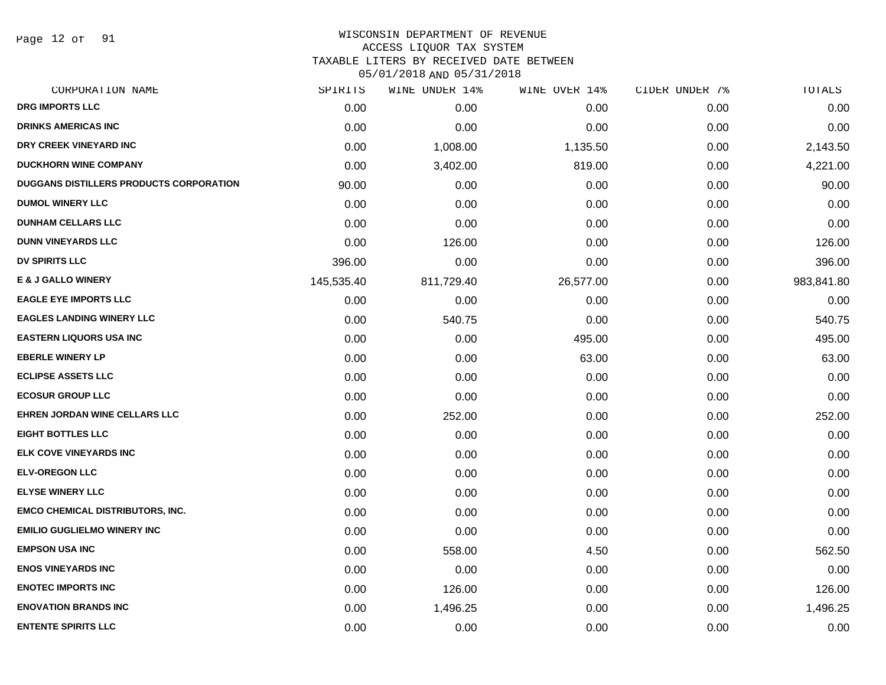Page 12 of 91

#### WISCONSIN DEPARTMENT OF REVENUE ACCESS LIQUOR TAX SYSTEM

TAXABLE LITERS BY RECEIVED DATE BETWEEN

| CORPORATION NAME                               | SPIRITS    | WINE UNDER 14% | WINE OVER 14% | CIDER UNDER 7% | TOTALS     |
|------------------------------------------------|------------|----------------|---------------|----------------|------------|
| DRG IMPORTS LLC                                | 0.00       | 0.00           | 0.00          | 0.00           | 0.00       |
| <b>DRINKS AMERICAS INC</b>                     | 0.00       | 0.00           | 0.00          | 0.00           | 0.00       |
| DRY CREEK VINEYARD INC                         | 0.00       | 1,008.00       | 1,135.50      | 0.00           | 2,143.50   |
| <b>DUCKHORN WINE COMPANY</b>                   | 0.00       | 3,402.00       | 819.00        | 0.00           | 4,221.00   |
| <b>DUGGANS DISTILLERS PRODUCTS CORPORATION</b> | 90.00      | 0.00           | 0.00          | 0.00           | 90.00      |
| <b>DUMOL WINERY LLC</b>                        | 0.00       | 0.00           | 0.00          | 0.00           | 0.00       |
| <b>DUNHAM CELLARS LLC</b>                      | 0.00       | 0.00           | 0.00          | 0.00           | 0.00       |
| <b>DUNN VINEYARDS LLC</b>                      | 0.00       | 126.00         | 0.00          | 0.00           | 126.00     |
| <b>DV SPIRITS LLC</b>                          | 396.00     | 0.00           | 0.00          | 0.00           | 396.00     |
| <b>E &amp; J GALLO WINERY</b>                  | 145,535.40 | 811,729.40     | 26,577.00     | 0.00           | 983,841.80 |
| <b>EAGLE EYE IMPORTS LLC</b>                   | 0.00       | 0.00           | 0.00          | 0.00           | 0.00       |
| <b>EAGLES LANDING WINERY LLC</b>               | 0.00       | 540.75         | 0.00          | 0.00           | 540.75     |
| <b>EASTERN LIQUORS USA INC</b>                 | 0.00       | 0.00           | 495.00        | 0.00           | 495.00     |
| <b>EBERLE WINERY LP</b>                        | 0.00       | 0.00           | 63.00         | 0.00           | 63.00      |
| <b>ECLIPSE ASSETS LLC</b>                      | 0.00       | 0.00           | 0.00          | 0.00           | 0.00       |
| <b>ECOSUR GROUP LLC</b>                        | 0.00       | 0.00           | 0.00          | 0.00           | 0.00       |
| <b>EHREN JORDAN WINE CELLARS LLC</b>           | 0.00       | 252.00         | 0.00          | 0.00           | 252.00     |
| <b>EIGHT BOTTLES LLC</b>                       | 0.00       | 0.00           | 0.00          | 0.00           | 0.00       |
| ELK COVE VINEYARDS INC                         | 0.00       | 0.00           | 0.00          | 0.00           | 0.00       |
| <b>ELV-OREGON LLC</b>                          | 0.00       | 0.00           | 0.00          | 0.00           | 0.00       |
| <b>ELYSE WINERY LLC</b>                        | 0.00       | 0.00           | 0.00          | 0.00           | 0.00       |
| <b>EMCO CHEMICAL DISTRIBUTORS, INC.</b>        | 0.00       | 0.00           | 0.00          | 0.00           | 0.00       |
| <b>EMILIO GUGLIELMO WINERY INC</b>             | 0.00       | 0.00           | 0.00          | 0.00           | 0.00       |
| <b>EMPSON USA INC</b>                          | 0.00       | 558.00         | 4.50          | 0.00           | 562.50     |
| <b>ENOS VINEYARDS INC</b>                      | 0.00       | 0.00           | 0.00          | 0.00           | 0.00       |
| <b>ENOTEC IMPORTS INC</b>                      | 0.00       | 126.00         | 0.00          | 0.00           | 126.00     |
| <b>ENOVATION BRANDS INC</b>                    | 0.00       | 1,496.25       | 0.00          | 0.00           | 1,496.25   |
| <b>ENTENTE SPIRITS LLC</b>                     | 0.00       | 0.00           | 0.00          | 0.00           | 0.00       |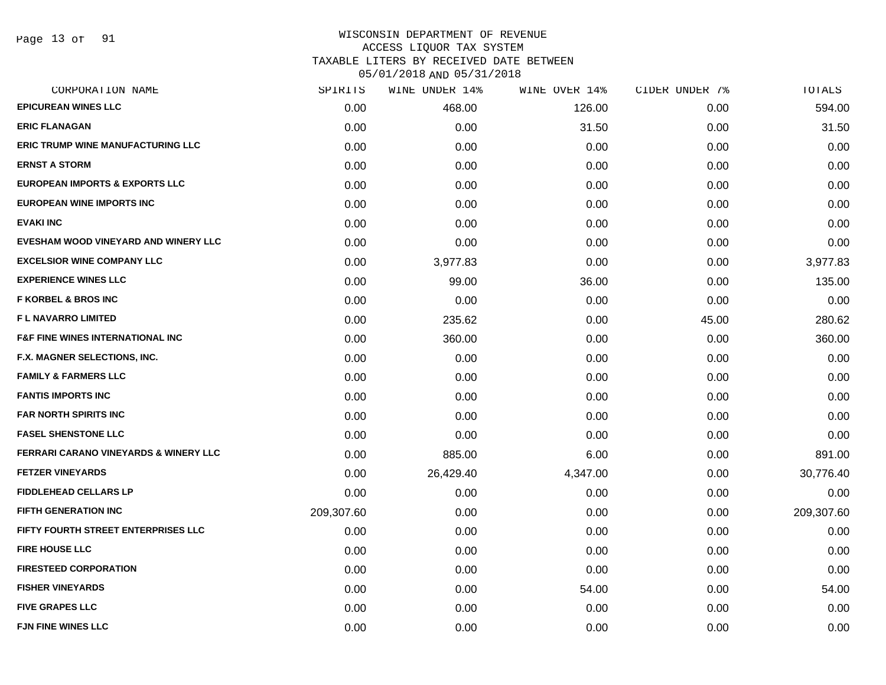Page 13 of 91

# WISCONSIN DEPARTMENT OF REVENUE ACCESS LIQUOR TAX SYSTEM TAXABLE LITERS BY RECEIVED DATE BETWEEN

| CORPORATION NAME                            | SPIRITS    | WINE UNDER 14% | WINE OVER 14% | CIDER UNDER 7% | TOTALS     |
|---------------------------------------------|------------|----------------|---------------|----------------|------------|
| <b>EPICUREAN WINES LLC</b>                  | 0.00       | 468.00         | 126.00        | 0.00           | 594.00     |
| <b>ERIC FLANAGAN</b>                        | 0.00       | 0.00           | 31.50         | 0.00           | 31.50      |
| <b>ERIC TRUMP WINE MANUFACTURING LLC</b>    | 0.00       | 0.00           | 0.00          | 0.00           | 0.00       |
| <b>ERNST A STORM</b>                        | 0.00       | 0.00           | 0.00          | 0.00           | 0.00       |
| <b>EUROPEAN IMPORTS &amp; EXPORTS LLC</b>   | 0.00       | 0.00           | 0.00          | 0.00           | 0.00       |
| <b>EUROPEAN WINE IMPORTS INC</b>            | 0.00       | 0.00           | 0.00          | 0.00           | 0.00       |
| <b>EVAKI INC</b>                            | 0.00       | 0.00           | 0.00          | 0.00           | 0.00       |
| EVESHAM WOOD VINEYARD AND WINERY LLC        | 0.00       | 0.00           | 0.00          | 0.00           | 0.00       |
| <b>EXCELSIOR WINE COMPANY LLC</b>           | 0.00       | 3,977.83       | 0.00          | 0.00           | 3,977.83   |
| <b>EXPERIENCE WINES LLC</b>                 | 0.00       | 99.00          | 36.00         | 0.00           | 135.00     |
| <b>F KORBEL &amp; BROS INC</b>              | 0.00       | 0.00           | 0.00          | 0.00           | 0.00       |
| <b>FL NAVARRO LIMITED</b>                   | 0.00       | 235.62         | 0.00          | 45.00          | 280.62     |
| <b>F&amp;F FINE WINES INTERNATIONAL INC</b> | 0.00       | 360.00         | 0.00          | 0.00           | 360.00     |
| <b>F.X. MAGNER SELECTIONS, INC.</b>         | 0.00       | 0.00           | 0.00          | 0.00           | 0.00       |
| <b>FAMILY &amp; FARMERS LLC</b>             | 0.00       | 0.00           | 0.00          | 0.00           | 0.00       |
| <b>FANTIS IMPORTS INC</b>                   | 0.00       | 0.00           | 0.00          | 0.00           | 0.00       |
| <b>FAR NORTH SPIRITS INC</b>                | 0.00       | 0.00           | 0.00          | 0.00           | 0.00       |
| <b>FASEL SHENSTONE LLC</b>                  | 0.00       | 0.00           | 0.00          | 0.00           | 0.00       |
| FERRARI CARANO VINEYARDS & WINERY LLC       | 0.00       | 885.00         | 6.00          | 0.00           | 891.00     |
| <b>FETZER VINEYARDS</b>                     | 0.00       | 26,429.40      | 4,347.00      | 0.00           | 30,776.40  |
| <b>FIDDLEHEAD CELLARS LP</b>                | 0.00       | 0.00           | 0.00          | 0.00           | 0.00       |
| <b>FIFTH GENERATION INC</b>                 | 209,307.60 | 0.00           | 0.00          | 0.00           | 209,307.60 |
| FIFTY FOURTH STREET ENTERPRISES LLC         | 0.00       | 0.00           | 0.00          | 0.00           | 0.00       |
| <b>FIRE HOUSE LLC</b>                       | 0.00       | 0.00           | 0.00          | 0.00           | 0.00       |
| <b>FIRESTEED CORPORATION</b>                | 0.00       | 0.00           | 0.00          | 0.00           | 0.00       |
| <b>FISHER VINEYARDS</b>                     | 0.00       | 0.00           | 54.00         | 0.00           | 54.00      |
| <b>FIVE GRAPES LLC</b>                      | 0.00       | 0.00           | 0.00          | 0.00           | 0.00       |
| <b>FJN FINE WINES LLC</b>                   | 0.00       | 0.00           | 0.00          | 0.00           | 0.00       |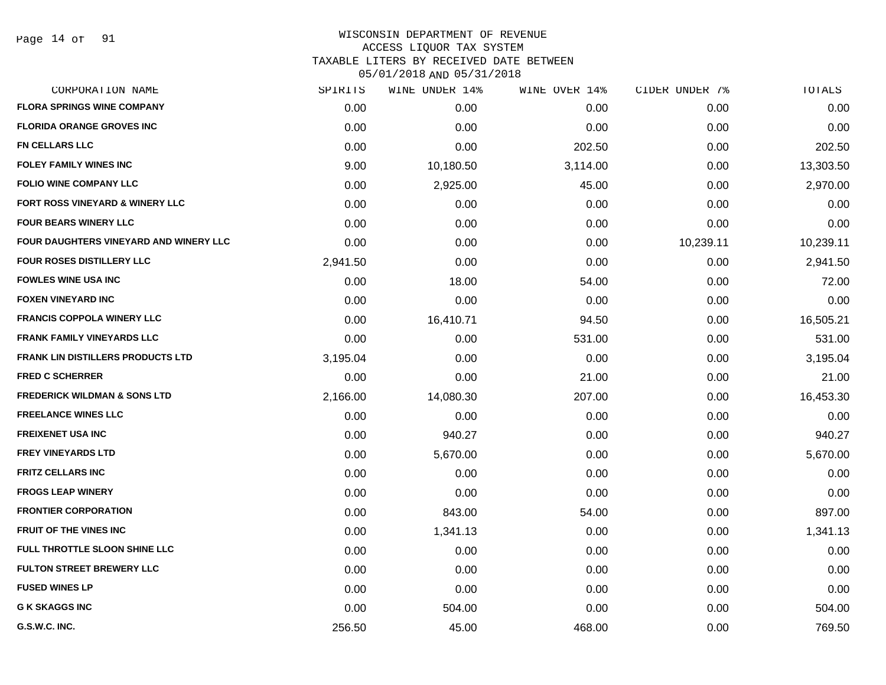#### WISCONSIN DEPARTMENT OF REVENUE ACCESS LIQUOR TAX SYSTEM

TAXABLE LITERS BY RECEIVED DATE BETWEEN

| CORPORATION NAME                         | SPIRITS  | WINE UNDER 14% | WINE OVER 14% | CIDER UNDER 7% | TOTALS    |
|------------------------------------------|----------|----------------|---------------|----------------|-----------|
| <b>FLORA SPRINGS WINE COMPANY</b>        | 0.00     | 0.00           | 0.00          | 0.00           | 0.00      |
| <b>FLORIDA ORANGE GROVES INC</b>         | 0.00     | 0.00           | 0.00          | 0.00           | 0.00      |
| <b>FN CELLARS LLC</b>                    | 0.00     | 0.00           | 202.50        | 0.00           | 202.50    |
| <b>FOLEY FAMILY WINES INC</b>            | 9.00     | 10,180.50      | 3,114.00      | 0.00           | 13,303.50 |
| <b>FOLIO WINE COMPANY LLC</b>            | 0.00     | 2,925.00       | 45.00         | 0.00           | 2,970.00  |
| FORT ROSS VINEYARD & WINERY LLC          | 0.00     | 0.00           | 0.00          | 0.00           | 0.00      |
| <b>FOUR BEARS WINERY LLC</b>             | 0.00     | 0.00           | 0.00          | 0.00           | 0.00      |
| FOUR DAUGHTERS VINEYARD AND WINERY LLC   | 0.00     | 0.00           | 0.00          | 10,239.11      | 10,239.11 |
| <b>FOUR ROSES DISTILLERY LLC</b>         | 2,941.50 | 0.00           | 0.00          | 0.00           | 2,941.50  |
| <b>FOWLES WINE USA INC</b>               | 0.00     | 18.00          | 54.00         | 0.00           | 72.00     |
| <b>FOXEN VINEYARD INC</b>                | 0.00     | 0.00           | 0.00          | 0.00           | 0.00      |
| <b>FRANCIS COPPOLA WINERY LLC</b>        | 0.00     | 16,410.71      | 94.50         | 0.00           | 16,505.21 |
| <b>FRANK FAMILY VINEYARDS LLC</b>        | 0.00     | 0.00           | 531.00        | 0.00           | 531.00    |
| <b>FRANK LIN DISTILLERS PRODUCTS LTD</b> | 3,195.04 | 0.00           | 0.00          | 0.00           | 3,195.04  |
| <b>FRED C SCHERRER</b>                   | 0.00     | 0.00           | 21.00         | 0.00           | 21.00     |
| <b>FREDERICK WILDMAN &amp; SONS LTD</b>  | 2,166.00 | 14,080.30      | 207.00        | 0.00           | 16,453.30 |
| <b>FREELANCE WINES LLC</b>               | 0.00     | 0.00           | 0.00          | 0.00           | 0.00      |
| <b>FREIXENET USA INC</b>                 | 0.00     | 940.27         | 0.00          | 0.00           | 940.27    |
| <b>FREY VINEYARDS LTD</b>                | 0.00     | 5,670.00       | 0.00          | 0.00           | 5,670.00  |
| <b>FRITZ CELLARS INC</b>                 | 0.00     | 0.00           | 0.00          | 0.00           | 0.00      |
| <b>FROGS LEAP WINERY</b>                 | 0.00     | 0.00           | 0.00          | 0.00           | 0.00      |
| <b>FRONTIER CORPORATION</b>              | 0.00     | 843.00         | 54.00         | 0.00           | 897.00    |
| FRUIT OF THE VINES INC                   | 0.00     | 1,341.13       | 0.00          | 0.00           | 1,341.13  |
| FULL THROTTLE SLOON SHINE LLC            | 0.00     | 0.00           | 0.00          | 0.00           | 0.00      |
| <b>FULTON STREET BREWERY LLC</b>         | 0.00     | 0.00           | 0.00          | 0.00           | 0.00      |
| <b>FUSED WINES LP</b>                    | 0.00     | 0.00           | 0.00          | 0.00           | 0.00      |
| <b>G K SKAGGS INC</b>                    | 0.00     | 504.00         | 0.00          | 0.00           | 504.00    |
| G.S.W.C. INC.                            | 256.50   | 45.00          | 468.00        | 0.00           | 769.50    |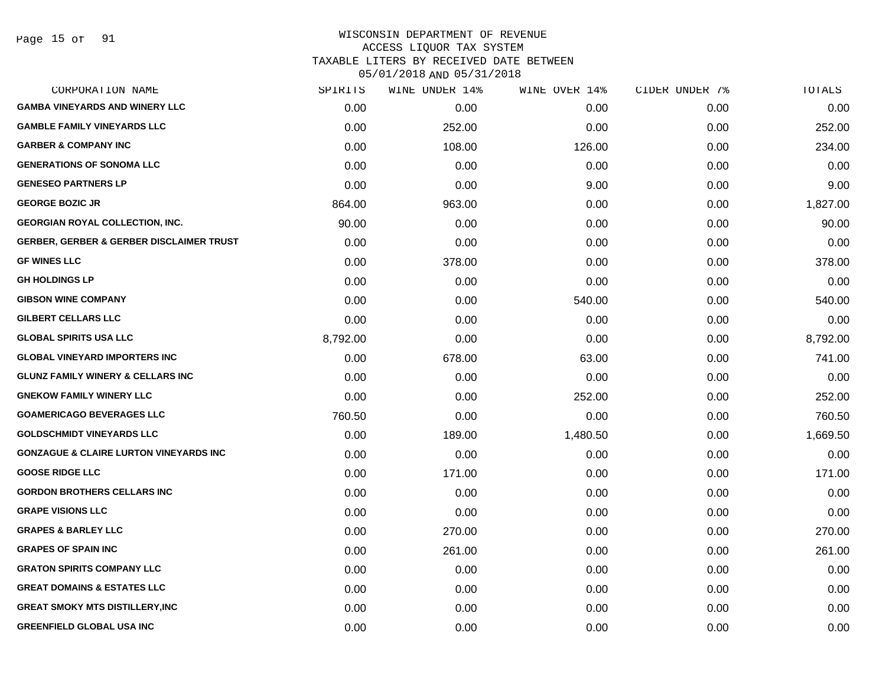Page 15 of 91

## WISCONSIN DEPARTMENT OF REVENUE ACCESS LIQUOR TAX SYSTEM TAXABLE LITERS BY RECEIVED DATE BETWEEN

| CORPORATION NAME                                    | SPIRITS  | WINE UNDER 14% | WINE OVER 14% | CIDER UNDER 7% | TOTALS   |
|-----------------------------------------------------|----------|----------------|---------------|----------------|----------|
| <b>GAMBA VINEYARDS AND WINERY LLC</b>               | 0.00     | 0.00           | 0.00          | 0.00           | 0.00     |
| <b>GAMBLE FAMILY VINEYARDS LLC</b>                  | 0.00     | 252.00         | 0.00          | 0.00           | 252.00   |
| <b>GARBER &amp; COMPANY INC</b>                     | 0.00     | 108.00         | 126.00        | 0.00           | 234.00   |
| <b>GENERATIONS OF SONOMA LLC</b>                    | 0.00     | 0.00           | 0.00          | 0.00           | 0.00     |
| <b>GENESEO PARTNERS LP</b>                          | 0.00     | 0.00           | 9.00          | 0.00           | 9.00     |
| <b>GEORGE BOZIC JR</b>                              | 864.00   | 963.00         | 0.00          | 0.00           | 1,827.00 |
| <b>GEORGIAN ROYAL COLLECTION, INC.</b>              | 90.00    | 0.00           | 0.00          | 0.00           | 90.00    |
| <b>GERBER, GERBER &amp; GERBER DISCLAIMER TRUST</b> | 0.00     | 0.00           | 0.00          | 0.00           | 0.00     |
| <b>GF WINES LLC</b>                                 | 0.00     | 378.00         | 0.00          | 0.00           | 378.00   |
| <b>GH HOLDINGS LP</b>                               | 0.00     | 0.00           | 0.00          | 0.00           | 0.00     |
| <b>GIBSON WINE COMPANY</b>                          | 0.00     | 0.00           | 540.00        | 0.00           | 540.00   |
| <b>GILBERT CELLARS LLC</b>                          | 0.00     | 0.00           | 0.00          | 0.00           | 0.00     |
| <b>GLOBAL SPIRITS USA LLC</b>                       | 8,792.00 | 0.00           | 0.00          | 0.00           | 8,792.00 |
| <b>GLOBAL VINEYARD IMPORTERS INC</b>                | 0.00     | 678.00         | 63.00         | 0.00           | 741.00   |
| <b>GLUNZ FAMILY WINERY &amp; CELLARS INC</b>        | 0.00     | 0.00           | 0.00          | 0.00           | 0.00     |
| <b>GNEKOW FAMILY WINERY LLC</b>                     | 0.00     | 0.00           | 252.00        | 0.00           | 252.00   |
| <b>GOAMERICAGO BEVERAGES LLC</b>                    | 760.50   | 0.00           | 0.00          | 0.00           | 760.50   |
| <b>GOLDSCHMIDT VINEYARDS LLC</b>                    | 0.00     | 189.00         | 1,480.50      | 0.00           | 1,669.50 |
| <b>GONZAGUE &amp; CLAIRE LURTON VINEYARDS INC</b>   | 0.00     | 0.00           | 0.00          | 0.00           | 0.00     |
| <b>GOOSE RIDGE LLC</b>                              | 0.00     | 171.00         | 0.00          | 0.00           | 171.00   |
| <b>GORDON BROTHERS CELLARS INC</b>                  | 0.00     | 0.00           | 0.00          | 0.00           | 0.00     |
| <b>GRAPE VISIONS LLC</b>                            | 0.00     | 0.00           | 0.00          | 0.00           | 0.00     |
| <b>GRAPES &amp; BARLEY LLC</b>                      | 0.00     | 270.00         | 0.00          | 0.00           | 270.00   |
| <b>GRAPES OF SPAIN INC</b>                          | 0.00     | 261.00         | 0.00          | 0.00           | 261.00   |
| <b>GRATON SPIRITS COMPANY LLC</b>                   | 0.00     | 0.00           | 0.00          | 0.00           | 0.00     |
| <b>GREAT DOMAINS &amp; ESTATES LLC</b>              | 0.00     | 0.00           | 0.00          | 0.00           | 0.00     |
| <b>GREAT SMOKY MTS DISTILLERY, INC</b>              | 0.00     | 0.00           | 0.00          | 0.00           | 0.00     |
| <b>GREENFIELD GLOBAL USA INC</b>                    | 0.00     | 0.00           | 0.00          | 0.00           | 0.00     |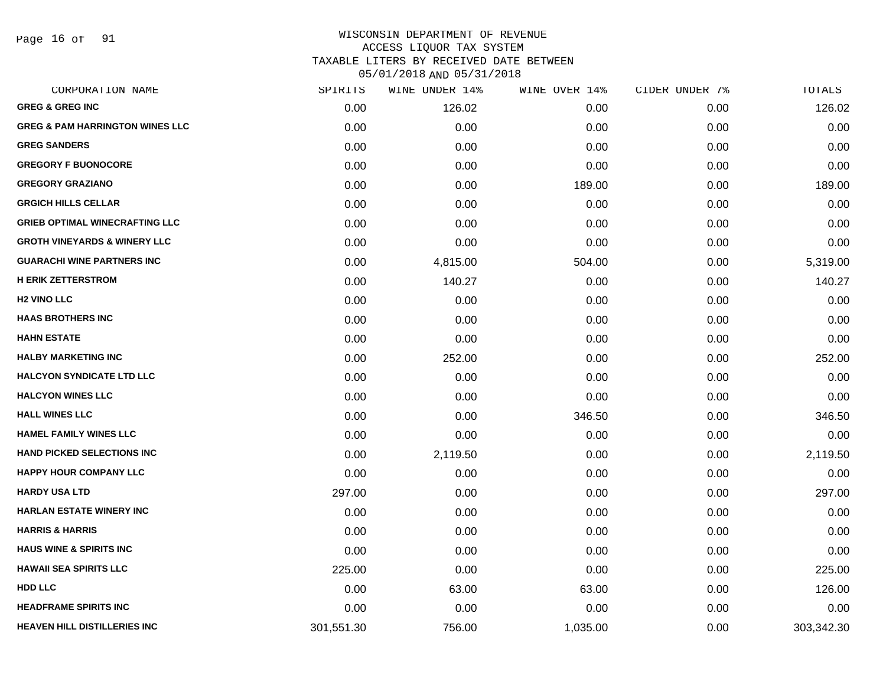Page 16 of 91

# WISCONSIN DEPARTMENT OF REVENUE ACCESS LIQUOR TAX SYSTEM TAXABLE LITERS BY RECEIVED DATE BETWEEN

| CORPORATION NAME                           | SPIRITS    | WINE UNDER 14% | WINE OVER 14% | CIDER UNDER 7% | TOTALS     |
|--------------------------------------------|------------|----------------|---------------|----------------|------------|
| <b>GREG &amp; GREG INC</b>                 | 0.00       | 126.02         | 0.00          | 0.00           | 126.02     |
| <b>GREG &amp; PAM HARRINGTON WINES LLC</b> | 0.00       | 0.00           | 0.00          | 0.00           | 0.00       |
| <b>GREG SANDERS</b>                        | 0.00       | 0.00           | 0.00          | 0.00           | 0.00       |
| <b>GREGORY F BUONOCORE</b>                 | 0.00       | 0.00           | 0.00          | 0.00           | 0.00       |
| <b>GREGORY GRAZIANO</b>                    | 0.00       | 0.00           | 189.00        | 0.00           | 189.00     |
| <b>GRGICH HILLS CELLAR</b>                 | 0.00       | 0.00           | 0.00          | 0.00           | 0.00       |
| <b>GRIEB OPTIMAL WINECRAFTING LLC</b>      | 0.00       | 0.00           | 0.00          | 0.00           | 0.00       |
| <b>GROTH VINEYARDS &amp; WINERY LLC</b>    | 0.00       | 0.00           | 0.00          | 0.00           | 0.00       |
| <b>GUARACHI WINE PARTNERS INC</b>          | 0.00       | 4,815.00       | 504.00        | 0.00           | 5,319.00   |
| <b>H ERIK ZETTERSTROM</b>                  | 0.00       | 140.27         | 0.00          | 0.00           | 140.27     |
| <b>H2 VINO LLC</b>                         | 0.00       | 0.00           | 0.00          | 0.00           | 0.00       |
| <b>HAAS BROTHERS INC</b>                   | 0.00       | 0.00           | 0.00          | 0.00           | 0.00       |
| <b>HAHN ESTATE</b>                         | 0.00       | 0.00           | 0.00          | 0.00           | 0.00       |
| <b>HALBY MARKETING INC</b>                 | 0.00       | 252.00         | 0.00          | 0.00           | 252.00     |
| <b>HALCYON SYNDICATE LTD LLC</b>           | 0.00       | 0.00           | 0.00          | 0.00           | 0.00       |
| <b>HALCYON WINES LLC</b>                   | 0.00       | 0.00           | 0.00          | 0.00           | 0.00       |
| <b>HALL WINES LLC</b>                      | 0.00       | 0.00           | 346.50        | 0.00           | 346.50     |
| <b>HAMEL FAMILY WINES LLC</b>              | 0.00       | 0.00           | 0.00          | 0.00           | 0.00       |
| <b>HAND PICKED SELECTIONS INC</b>          | 0.00       | 2,119.50       | 0.00          | 0.00           | 2,119.50   |
| <b>HAPPY HOUR COMPANY LLC</b>              | 0.00       | 0.00           | 0.00          | 0.00           | 0.00       |
| <b>HARDY USA LTD</b>                       | 297.00     | 0.00           | 0.00          | 0.00           | 297.00     |
| <b>HARLAN ESTATE WINERY INC</b>            | 0.00       | 0.00           | 0.00          | 0.00           | 0.00       |
| <b>HARRIS &amp; HARRIS</b>                 | 0.00       | 0.00           | 0.00          | 0.00           | 0.00       |
| <b>HAUS WINE &amp; SPIRITS INC</b>         | 0.00       | 0.00           | 0.00          | 0.00           | 0.00       |
| <b>HAWAII SEA SPIRITS LLC</b>              | 225.00     | 0.00           | 0.00          | 0.00           | 225.00     |
| <b>HDD LLC</b>                             | 0.00       | 63.00          | 63.00         | 0.00           | 126.00     |
| <b>HEADFRAME SPIRITS INC</b>               | 0.00       | 0.00           | 0.00          | 0.00           | 0.00       |
| <b>HEAVEN HILL DISTILLERIES INC</b>        | 301,551.30 | 756.00         | 1,035.00      | 0.00           | 303,342.30 |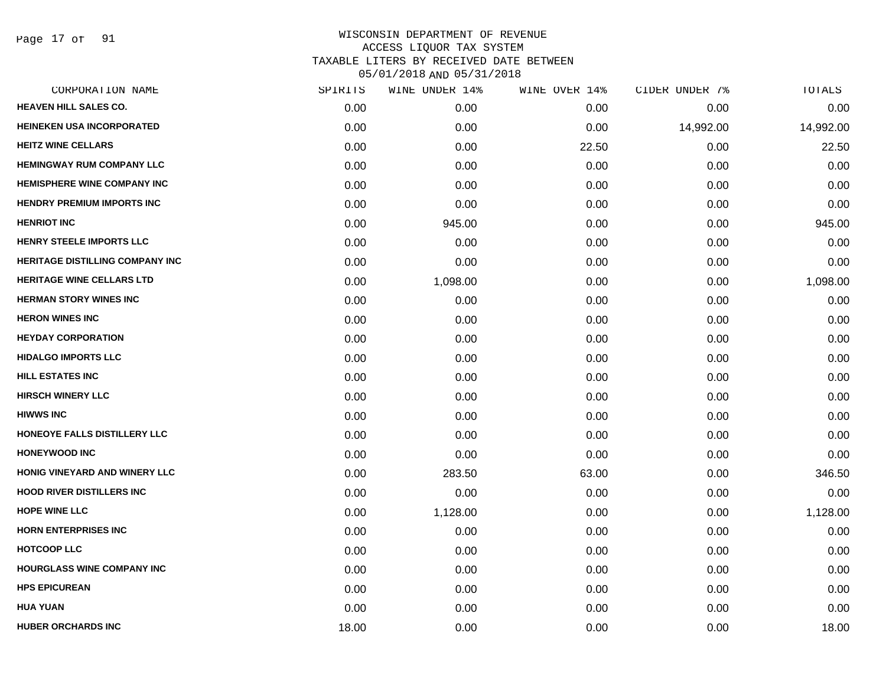Page 17 of 91

|       | WINE UNDER 14% |       |               | TOTALS         |
|-------|----------------|-------|---------------|----------------|
| 0.00  | 0.00           | 0.00  | 0.00          | 0.00           |
| 0.00  | 0.00           | 0.00  | 14,992.00     | 14,992.00      |
| 0.00  | 0.00           | 22.50 | 0.00          | 22.50          |
| 0.00  | 0.00           | 0.00  | 0.00          | 0.00           |
| 0.00  | 0.00           | 0.00  | 0.00          | 0.00           |
| 0.00  | 0.00           | 0.00  | 0.00          | 0.00           |
| 0.00  | 945.00         | 0.00  | 0.00          | 945.00         |
| 0.00  | 0.00           | 0.00  | 0.00          | 0.00           |
| 0.00  | 0.00           | 0.00  | 0.00          | 0.00           |
| 0.00  | 1,098.00       | 0.00  | 0.00          | 1,098.00       |
| 0.00  | 0.00           | 0.00  | 0.00          | 0.00           |
| 0.00  | 0.00           | 0.00  | 0.00          | 0.00           |
| 0.00  | 0.00           | 0.00  | 0.00          | 0.00           |
| 0.00  | 0.00           | 0.00  | 0.00          | 0.00           |
| 0.00  | 0.00           | 0.00  | 0.00          | 0.00           |
| 0.00  | 0.00           | 0.00  | 0.00          | 0.00           |
| 0.00  | 0.00           | 0.00  | 0.00          | 0.00           |
| 0.00  | 0.00           | 0.00  | 0.00          | 0.00           |
| 0.00  | 0.00           | 0.00  | 0.00          | 0.00           |
| 0.00  | 283.50         | 63.00 | 0.00          | 346.50         |
| 0.00  | 0.00           | 0.00  | 0.00          | 0.00           |
| 0.00  | 1,128.00       | 0.00  | 0.00          | 1,128.00       |
| 0.00  | 0.00           | 0.00  | 0.00          | 0.00           |
| 0.00  | 0.00           | 0.00  | 0.00          | 0.00           |
| 0.00  | 0.00           | 0.00  | 0.00          | 0.00           |
| 0.00  | 0.00           | 0.00  | 0.00          | 0.00           |
| 0.00  | 0.00           | 0.00  | 0.00          | 0.00           |
| 18.00 | 0.00           | 0.00  | 0.00          | 18.00          |
|       | SPIRITS        |       | WINE OVER 14% | CIDER UNDER 7% |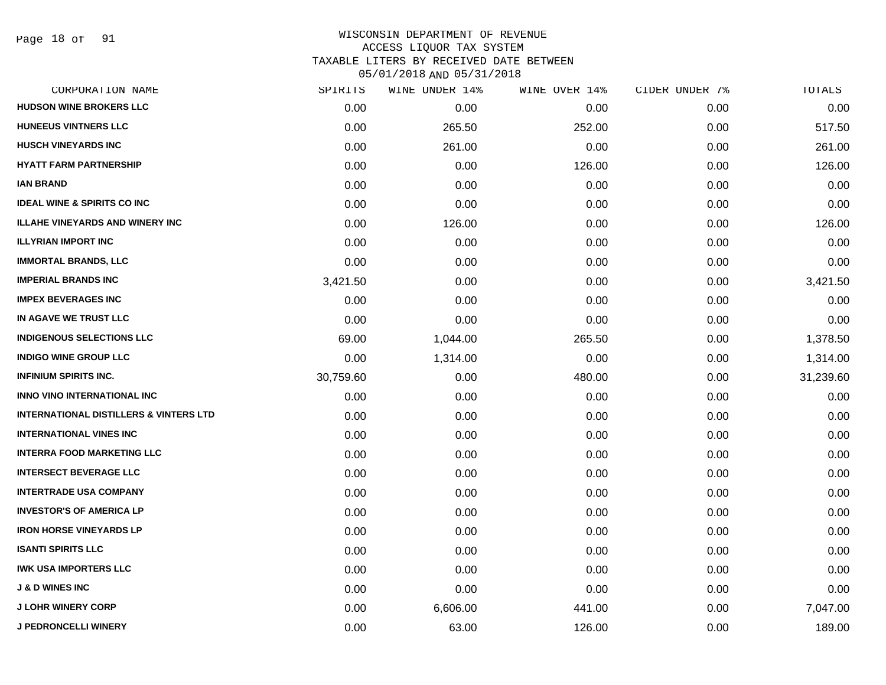Page 18 of 91

# WISCONSIN DEPARTMENT OF REVENUE ACCESS LIQUOR TAX SYSTEM TAXABLE LITERS BY RECEIVED DATE BETWEEN

| CORPORATION NAME                                  | SPIRITS   | WINE UNDER 14% | WINE OVER 14% | CIDER UNDER 7% | TOTALS    |
|---------------------------------------------------|-----------|----------------|---------------|----------------|-----------|
| <b>HUDSON WINE BROKERS LLC</b>                    | 0.00      | 0.00           | 0.00          | 0.00           | 0.00      |
| <b>HUNEEUS VINTNERS LLC</b>                       | 0.00      | 265.50         | 252.00        | 0.00           | 517.50    |
| <b>HUSCH VINEYARDS INC</b>                        | 0.00      | 261.00         | 0.00          | 0.00           | 261.00    |
| <b>HYATT FARM PARTNERSHIP</b>                     | 0.00      | 0.00           | 126.00        | 0.00           | 126.00    |
| <b>IAN BRAND</b>                                  | 0.00      | 0.00           | 0.00          | 0.00           | 0.00      |
| <b>IDEAL WINE &amp; SPIRITS CO INC</b>            | 0.00      | 0.00           | 0.00          | 0.00           | 0.00      |
| <b>ILLAHE VINEYARDS AND WINERY INC</b>            | 0.00      | 126.00         | 0.00          | 0.00           | 126.00    |
| <b>ILLYRIAN IMPORT INC</b>                        | 0.00      | 0.00           | 0.00          | 0.00           | 0.00      |
| <b>IMMORTAL BRANDS, LLC</b>                       | 0.00      | 0.00           | 0.00          | 0.00           | 0.00      |
| <b>IMPERIAL BRANDS INC</b>                        | 3,421.50  | 0.00           | 0.00          | 0.00           | 3,421.50  |
| <b>IMPEX BEVERAGES INC</b>                        | 0.00      | 0.00           | 0.00          | 0.00           | 0.00      |
| IN AGAVE WE TRUST LLC                             | 0.00      | 0.00           | 0.00          | 0.00           | 0.00      |
| <b>INDIGENOUS SELECTIONS LLC</b>                  | 69.00     | 1,044.00       | 265.50        | 0.00           | 1,378.50  |
| <b>INDIGO WINE GROUP LLC</b>                      | 0.00      | 1,314.00       | 0.00          | 0.00           | 1,314.00  |
| <b>INFINIUM SPIRITS INC.</b>                      | 30,759.60 | 0.00           | 480.00        | 0.00           | 31,239.60 |
| <b>INNO VINO INTERNATIONAL INC</b>                | 0.00      | 0.00           | 0.00          | 0.00           | 0.00      |
| <b>INTERNATIONAL DISTILLERS &amp; VINTERS LTD</b> | 0.00      | 0.00           | 0.00          | 0.00           | 0.00      |
| <b>INTERNATIONAL VINES INC</b>                    | 0.00      | 0.00           | 0.00          | 0.00           | 0.00      |
| <b>INTERRA FOOD MARKETING LLC</b>                 | 0.00      | 0.00           | 0.00          | 0.00           | 0.00      |
| <b>INTERSECT BEVERAGE LLC</b>                     | 0.00      | 0.00           | 0.00          | 0.00           | 0.00      |
| <b>INTERTRADE USA COMPANY</b>                     | 0.00      | 0.00           | 0.00          | 0.00           | 0.00      |
| <b>INVESTOR'S OF AMERICA LP</b>                   | 0.00      | 0.00           | 0.00          | 0.00           | 0.00      |
| <b>IRON HORSE VINEYARDS LP</b>                    | 0.00      | 0.00           | 0.00          | 0.00           | 0.00      |
| <b>ISANTI SPIRITS LLC</b>                         | 0.00      | 0.00           | 0.00          | 0.00           | 0.00      |
| <b>IWK USA IMPORTERS LLC</b>                      | 0.00      | 0.00           | 0.00          | 0.00           | 0.00      |
| <b>J &amp; D WINES INC</b>                        | 0.00      | 0.00           | 0.00          | 0.00           | 0.00      |
| <b>J LOHR WINERY CORP</b>                         | 0.00      | 6,606.00       | 441.00        | 0.00           | 7,047.00  |
| <b>J PEDRONCELLI WINERY</b>                       | 0.00      | 63.00          | 126.00        | 0.00           | 189.00    |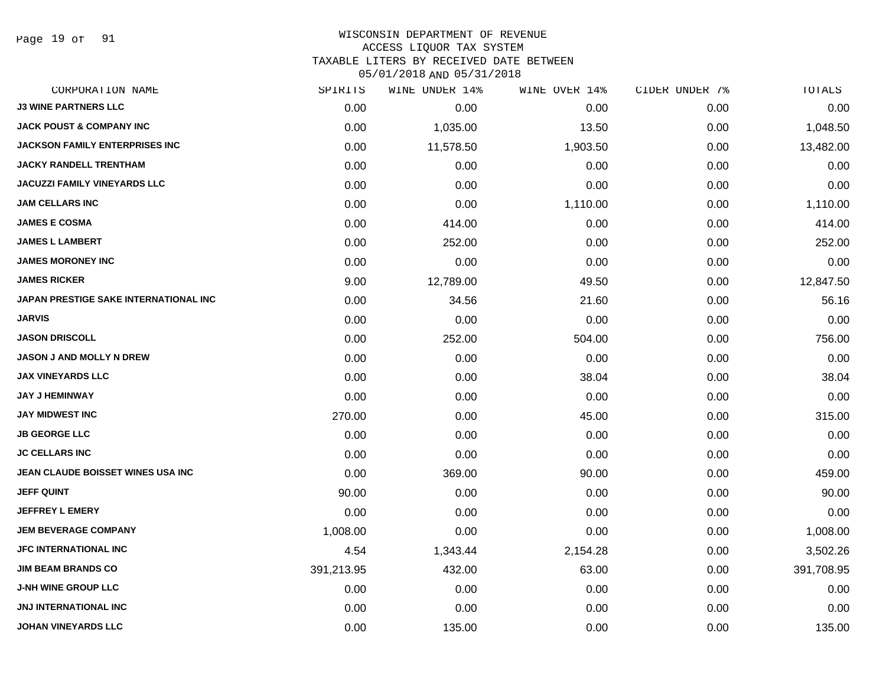Page 19 of 91

## WISCONSIN DEPARTMENT OF REVENUE ACCESS LIQUOR TAX SYSTEM TAXABLE LITERS BY RECEIVED DATE BETWEEN

| CORPORATION NAME                      | SPIRITS    | WINE UNDER 14% | WINE OVER 14% | CIDER UNDER 7% | TOTALS     |
|---------------------------------------|------------|----------------|---------------|----------------|------------|
| <b>J3 WINE PARTNERS LLC</b>           | 0.00       | 0.00           | 0.00          | 0.00           | 0.00       |
| <b>JACK POUST &amp; COMPANY INC</b>   | 0.00       | 1,035.00       | 13.50         | 0.00           | 1,048.50   |
| <b>JACKSON FAMILY ENTERPRISES INC</b> | 0.00       | 11,578.50      | 1,903.50      | 0.00           | 13,482.00  |
| <b>JACKY RANDELL TRENTHAM</b>         | 0.00       | 0.00           | 0.00          | 0.00           | 0.00       |
| <b>JACUZZI FAMILY VINEYARDS LLC</b>   | 0.00       | 0.00           | 0.00          | 0.00           | 0.00       |
| <b>JAM CELLARS INC</b>                | 0.00       | 0.00           | 1,110.00      | 0.00           | 1,110.00   |
| <b>JAMES E COSMA</b>                  | 0.00       | 414.00         | 0.00          | 0.00           | 414.00     |
| <b>JAMES L LAMBERT</b>                | 0.00       | 252.00         | 0.00          | 0.00           | 252.00     |
| <b>JAMES MORONEY INC</b>              | 0.00       | 0.00           | 0.00          | 0.00           | 0.00       |
| <b>JAMES RICKER</b>                   | 9.00       | 12,789.00      | 49.50         | 0.00           | 12,847.50  |
| JAPAN PRESTIGE SAKE INTERNATIONAL INC | 0.00       | 34.56          | 21.60         | 0.00           | 56.16      |
| <b>JARVIS</b>                         | 0.00       | 0.00           | 0.00          | 0.00           | 0.00       |
| <b>JASON DRISCOLL</b>                 | 0.00       | 252.00         | 504.00        | 0.00           | 756.00     |
| <b>JASON J AND MOLLY N DREW</b>       | 0.00       | 0.00           | 0.00          | 0.00           | 0.00       |
| <b>JAX VINEYARDS LLC</b>              | 0.00       | 0.00           | 38.04         | 0.00           | 38.04      |
| <b>JAY J HEMINWAY</b>                 | 0.00       | 0.00           | 0.00          | 0.00           | 0.00       |
| <b>JAY MIDWEST INC</b>                | 270.00     | 0.00           | 45.00         | 0.00           | 315.00     |
| <b>JB GEORGE LLC</b>                  | 0.00       | 0.00           | 0.00          | 0.00           | 0.00       |
| <b>JC CELLARS INC</b>                 | 0.00       | 0.00           | 0.00          | 0.00           | 0.00       |
| JEAN CLAUDE BOISSET WINES USA INC     | 0.00       | 369.00         | 90.00         | 0.00           | 459.00     |
| <b>JEFF QUINT</b>                     | 90.00      | 0.00           | 0.00          | 0.00           | 90.00      |
| <b>JEFFREY L EMERY</b>                | 0.00       | 0.00           | 0.00          | 0.00           | 0.00       |
| <b>JEM BEVERAGE COMPANY</b>           | 1,008.00   | 0.00           | 0.00          | 0.00           | 1,008.00   |
| <b>JFC INTERNATIONAL INC</b>          | 4.54       | 1,343.44       | 2,154.28      | 0.00           | 3,502.26   |
| <b>JIM BEAM BRANDS CO</b>             | 391,213.95 | 432.00         | 63.00         | 0.00           | 391,708.95 |
| <b>J-NH WINE GROUP LLC</b>            | 0.00       | 0.00           | 0.00          | 0.00           | 0.00       |
| <b>JNJ INTERNATIONAL INC</b>          | 0.00       | 0.00           | 0.00          | 0.00           | 0.00       |
| <b>JOHAN VINEYARDS LLC</b>            | 0.00       | 135.00         | 0.00          | 0.00           | 135.00     |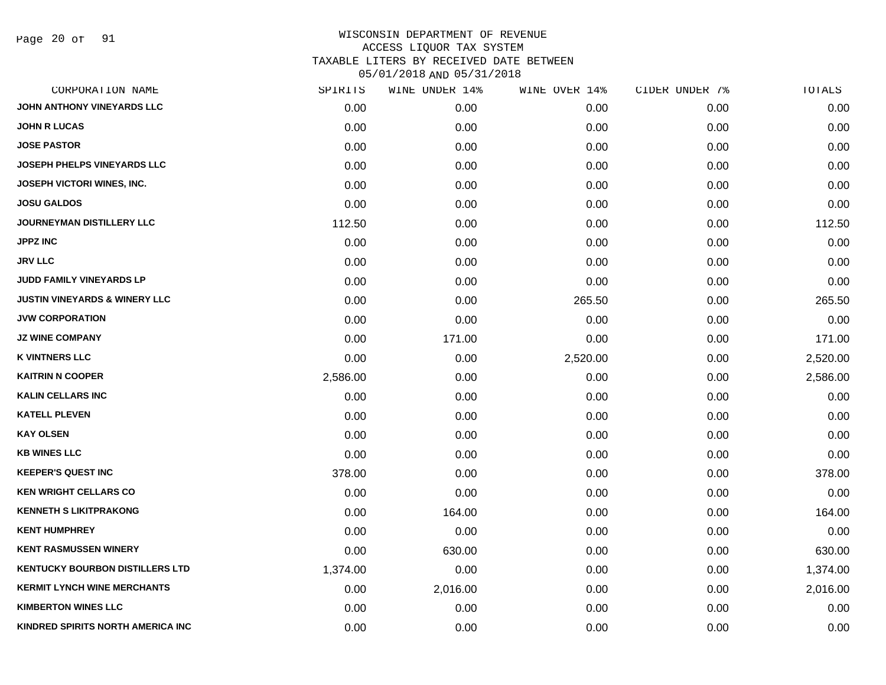Page 20 of 91

| CORPORATION NAME                         | SPIRITS  | WINE UNDER 14% | WINE OVER 14% | CIDER UNDER 7% | TOTALS   |
|------------------------------------------|----------|----------------|---------------|----------------|----------|
| JOHN ANTHONY VINEYARDS LLC               | 0.00     | 0.00           | 0.00          | 0.00           | 0.00     |
| <b>JOHN R LUCAS</b>                      | 0.00     | 0.00           | 0.00          | 0.00           | 0.00     |
| <b>JOSE PASTOR</b>                       | 0.00     | 0.00           | 0.00          | 0.00           | 0.00     |
| <b>JOSEPH PHELPS VINEYARDS LLC</b>       | 0.00     | 0.00           | 0.00          | 0.00           | 0.00     |
| <b>JOSEPH VICTORI WINES, INC.</b>        | 0.00     | 0.00           | 0.00          | 0.00           | 0.00     |
| <b>JOSU GALDOS</b>                       | 0.00     | 0.00           | 0.00          | 0.00           | 0.00     |
| JOURNEYMAN DISTILLERY LLC                | 112.50   | 0.00           | 0.00          | 0.00           | 112.50   |
| <b>JPPZ INC</b>                          | 0.00     | 0.00           | 0.00          | 0.00           | 0.00     |
| <b>JRV LLC</b>                           | 0.00     | 0.00           | 0.00          | 0.00           | 0.00     |
| JUDD FAMILY VINEYARDS LP                 | 0.00     | 0.00           | 0.00          | 0.00           | 0.00     |
| <b>JUSTIN VINEYARDS &amp; WINERY LLC</b> | 0.00     | 0.00           | 265.50        | 0.00           | 265.50   |
| <b>JVW CORPORATION</b>                   | 0.00     | 0.00           | 0.00          | 0.00           | 0.00     |
| <b>JZ WINE COMPANY</b>                   | 0.00     | 171.00         | 0.00          | 0.00           | 171.00   |
| <b>K VINTNERS LLC</b>                    | 0.00     | 0.00           | 2,520.00      | 0.00           | 2,520.00 |
| <b>KAITRIN N COOPER</b>                  | 2,586.00 | 0.00           | 0.00          | 0.00           | 2,586.00 |
| <b>KALIN CELLARS INC</b>                 | 0.00     | 0.00           | 0.00          | 0.00           | 0.00     |
| <b>KATELL PLEVEN</b>                     | 0.00     | 0.00           | 0.00          | 0.00           | 0.00     |
| <b>KAY OLSEN</b>                         | 0.00     | 0.00           | 0.00          | 0.00           | 0.00     |
| <b>KB WINES LLC</b>                      | 0.00     | 0.00           | 0.00          | 0.00           | 0.00     |
| <b>KEEPER'S QUEST INC</b>                | 378.00   | 0.00           | 0.00          | 0.00           | 378.00   |
| <b>KEN WRIGHT CELLARS CO</b>             | 0.00     | 0.00           | 0.00          | 0.00           | 0.00     |
| <b>KENNETH S LIKITPRAKONG</b>            | 0.00     | 164.00         | 0.00          | 0.00           | 164.00   |
| <b>KENT HUMPHREY</b>                     | 0.00     | 0.00           | 0.00          | 0.00           | 0.00     |
| <b>KENT RASMUSSEN WINERY</b>             | 0.00     | 630.00         | 0.00          | 0.00           | 630.00   |
| <b>KENTUCKY BOURBON DISTILLERS LTD</b>   | 1,374.00 | 0.00           | 0.00          | 0.00           | 1,374.00 |
| <b>KERMIT LYNCH WINE MERCHANTS</b>       | 0.00     | 2,016.00       | 0.00          | 0.00           | 2,016.00 |
| <b>KIMBERTON WINES LLC</b>               | 0.00     | 0.00           | 0.00          | 0.00           | 0.00     |
| KINDRED SPIRITS NORTH AMERICA INC        | 0.00     | 0.00           | 0.00          | 0.00           | 0.00     |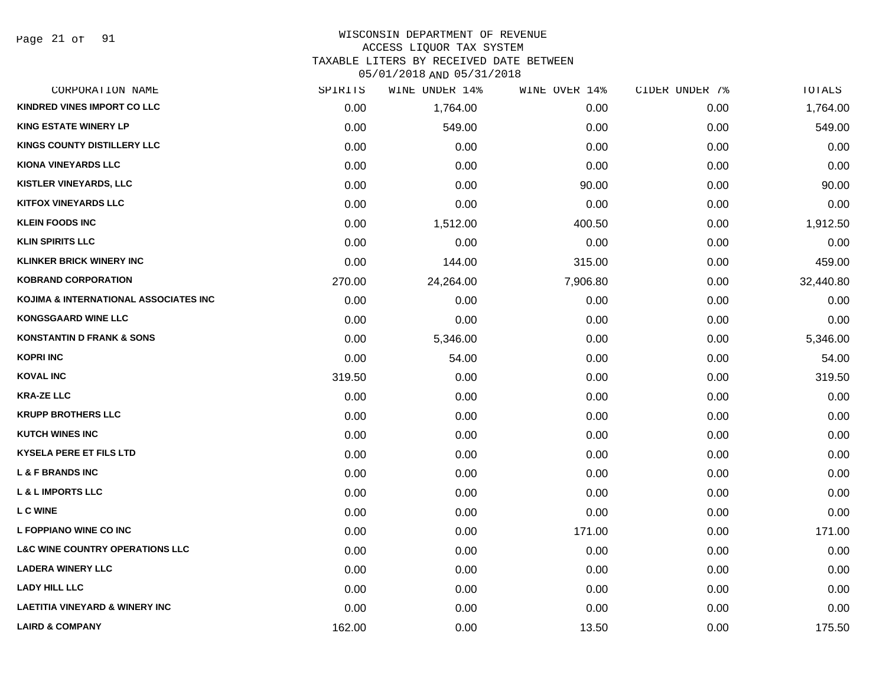Page 21 of 91

#### WISCONSIN DEPARTMENT OF REVENUE ACCESS LIQUOR TAX SYSTEM

TAXABLE LITERS BY RECEIVED DATE BETWEEN

| CORPORATION NAME                           | SPIRITS | WINE UNDER 14% | WINE OVER 14% | CIDER UNDER 7% | TOTALS    |
|--------------------------------------------|---------|----------------|---------------|----------------|-----------|
| <b>KINDRED VINES IMPORT CO LLC</b>         | 0.00    | 1,764.00       | 0.00          | 0.00           | 1,764.00  |
| <b>KING ESTATE WINERY LP</b>               | 0.00    | 549.00         | 0.00          | 0.00           | 549.00    |
| <b>KINGS COUNTY DISTILLERY LLC</b>         | 0.00    | 0.00           | 0.00          | 0.00           | 0.00      |
| <b>KIONA VINEYARDS LLC</b>                 | 0.00    | 0.00           | 0.00          | 0.00           | 0.00      |
| <b>KISTLER VINEYARDS, LLC</b>              | 0.00    | 0.00           | 90.00         | 0.00           | 90.00     |
| <b>KITFOX VINEYARDS LLC</b>                | 0.00    | 0.00           | 0.00          | 0.00           | 0.00      |
| <b>KLEIN FOODS INC</b>                     | 0.00    | 1,512.00       | 400.50        | 0.00           | 1,912.50  |
| <b>KLIN SPIRITS LLC</b>                    | 0.00    | 0.00           | 0.00          | 0.00           | 0.00      |
| <b>KLINKER BRICK WINERY INC</b>            | 0.00    | 144.00         | 315.00        | 0.00           | 459.00    |
| <b>KOBRAND CORPORATION</b>                 | 270.00  | 24,264.00      | 7,906.80      | 0.00           | 32,440.80 |
| KOJIMA & INTERNATIONAL ASSOCIATES INC      | 0.00    | 0.00           | 0.00          | 0.00           | 0.00      |
| <b>KONGSGAARD WINE LLC</b>                 | 0.00    | 0.00           | 0.00          | 0.00           | 0.00      |
| <b>KONSTANTIN D FRANK &amp; SONS</b>       | 0.00    | 5,346.00       | 0.00          | 0.00           | 5,346.00  |
| <b>KOPRI INC</b>                           | 0.00    | 54.00          | 0.00          | 0.00           | 54.00     |
| <b>KOVAL INC</b>                           | 319.50  | 0.00           | 0.00          | 0.00           | 319.50    |
| <b>KRA-ZE LLC</b>                          | 0.00    | 0.00           | 0.00          | 0.00           | 0.00      |
| <b>KRUPP BROTHERS LLC</b>                  | 0.00    | 0.00           | 0.00          | 0.00           | 0.00      |
| <b>KUTCH WINES INC</b>                     | 0.00    | 0.00           | 0.00          | 0.00           | 0.00      |
| <b>KYSELA PERE ET FILS LTD</b>             | 0.00    | 0.00           | 0.00          | 0.00           | 0.00      |
| <b>L &amp; F BRANDS INC</b>                | 0.00    | 0.00           | 0.00          | 0.00           | 0.00      |
| <b>L &amp; L IMPORTS LLC</b>               | 0.00    | 0.00           | 0.00          | 0.00           | 0.00      |
| <b>LC WINE</b>                             | 0.00    | 0.00           | 0.00          | 0.00           | 0.00      |
| L FOPPIANO WINE CO INC                     | 0.00    | 0.00           | 171.00        | 0.00           | 171.00    |
| <b>L&amp;C WINE COUNTRY OPERATIONS LLC</b> | 0.00    | 0.00           | 0.00          | 0.00           | 0.00      |
| <b>LADERA WINERY LLC</b>                   | 0.00    | 0.00           | 0.00          | 0.00           | 0.00      |
| <b>LADY HILL LLC</b>                       | 0.00    | 0.00           | 0.00          | 0.00           | 0.00      |
| <b>LAETITIA VINEYARD &amp; WINERY INC</b>  | 0.00    | 0.00           | 0.00          | 0.00           | 0.00      |
| <b>LAIRD &amp; COMPANY</b>                 | 162.00  | 0.00           | 13.50         | 0.00           | 175.50    |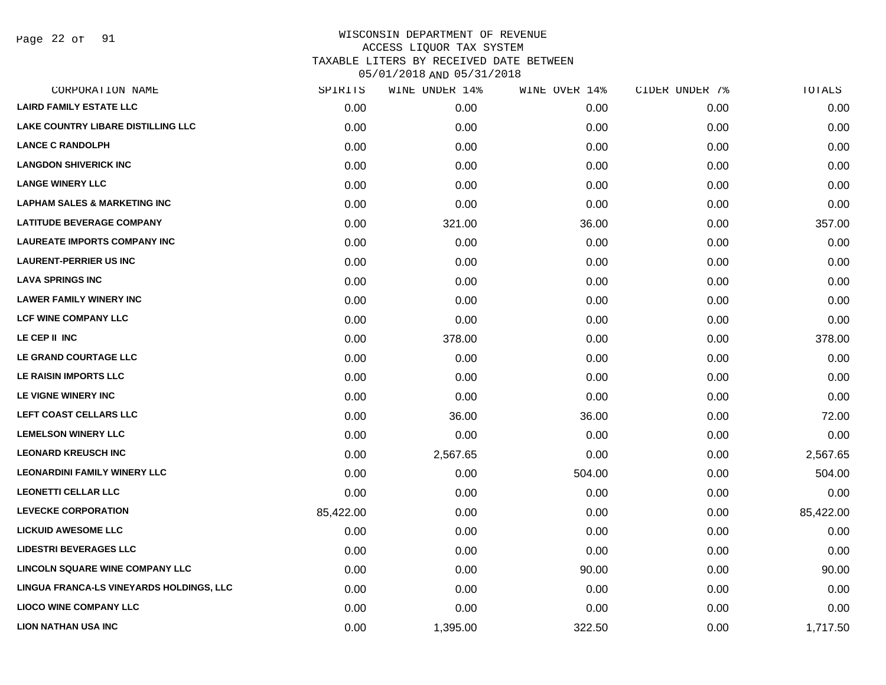Page 22 of 91

| CORPORATION NAME                          | SPIRITS   | WINE UNDER 14% | WINE OVER 14% | CIDER UNDER 7% | TOTALS    |
|-------------------------------------------|-----------|----------------|---------------|----------------|-----------|
| <b>LAIRD FAMILY ESTATE LLC</b>            | 0.00      | 0.00           | 0.00          | 0.00           | 0.00      |
| <b>LAKE COUNTRY LIBARE DISTILLING LLC</b> | 0.00      | 0.00           | 0.00          | 0.00           | 0.00      |
| <b>LANCE C RANDOLPH</b>                   | 0.00      | 0.00           | 0.00          | 0.00           | 0.00      |
| <b>LANGDON SHIVERICK INC</b>              | 0.00      | 0.00           | 0.00          | 0.00           | 0.00      |
| <b>LANGE WINERY LLC</b>                   | 0.00      | 0.00           | 0.00          | 0.00           | 0.00      |
| <b>LAPHAM SALES &amp; MARKETING INC</b>   | 0.00      | 0.00           | 0.00          | 0.00           | 0.00      |
| <b>LATITUDE BEVERAGE COMPANY</b>          | 0.00      | 321.00         | 36.00         | 0.00           | 357.00    |
| <b>LAUREATE IMPORTS COMPANY INC</b>       | 0.00      | 0.00           | 0.00          | 0.00           | 0.00      |
| <b>LAURENT-PERRIER US INC</b>             | 0.00      | 0.00           | 0.00          | 0.00           | 0.00      |
| <b>LAVA SPRINGS INC</b>                   | 0.00      | 0.00           | 0.00          | 0.00           | 0.00      |
| <b>LAWER FAMILY WINERY INC</b>            | 0.00      | 0.00           | 0.00          | 0.00           | 0.00      |
| <b>LCF WINE COMPANY LLC</b>               | 0.00      | 0.00           | 0.00          | 0.00           | 0.00      |
| LE CEP II INC                             | 0.00      | 378.00         | 0.00          | 0.00           | 378.00    |
| LE GRAND COURTAGE LLC                     | 0.00      | 0.00           | 0.00          | 0.00           | 0.00      |
| <b>LE RAISIN IMPORTS LLC</b>              | 0.00      | 0.00           | 0.00          | 0.00           | 0.00      |
| LE VIGNE WINERY INC                       | 0.00      | 0.00           | 0.00          | 0.00           | 0.00      |
| LEFT COAST CELLARS LLC                    | 0.00      | 36.00          | 36.00         | 0.00           | 72.00     |
| <b>LEMELSON WINERY LLC</b>                | 0.00      | 0.00           | 0.00          | 0.00           | 0.00      |
| <b>LEONARD KREUSCH INC</b>                | 0.00      | 2,567.65       | 0.00          | 0.00           | 2,567.65  |
| <b>LEONARDINI FAMILY WINERY LLC</b>       | 0.00      | 0.00           | 504.00        | 0.00           | 504.00    |
| <b>LEONETTI CELLAR LLC</b>                | 0.00      | 0.00           | 0.00          | 0.00           | 0.00      |
| <b>LEVECKE CORPORATION</b>                | 85,422.00 | 0.00           | 0.00          | 0.00           | 85,422.00 |
| <b>LICKUID AWESOME LLC</b>                | 0.00      | 0.00           | 0.00          | 0.00           | 0.00      |
| <b>LIDESTRI BEVERAGES LLC</b>             | 0.00      | 0.00           | 0.00          | 0.00           | 0.00      |
| <b>LINCOLN SQUARE WINE COMPANY LLC</b>    | 0.00      | 0.00           | 90.00         | 0.00           | 90.00     |
| LINGUA FRANCA-LS VINEYARDS HOLDINGS, LLC  | 0.00      | 0.00           | 0.00          | 0.00           | 0.00      |
| <b>LIOCO WINE COMPANY LLC</b>             | 0.00      | 0.00           | 0.00          | 0.00           | 0.00      |
| <b>LION NATHAN USA INC</b>                | 0.00      | 1,395.00       | 322.50        | 0.00           | 1,717.50  |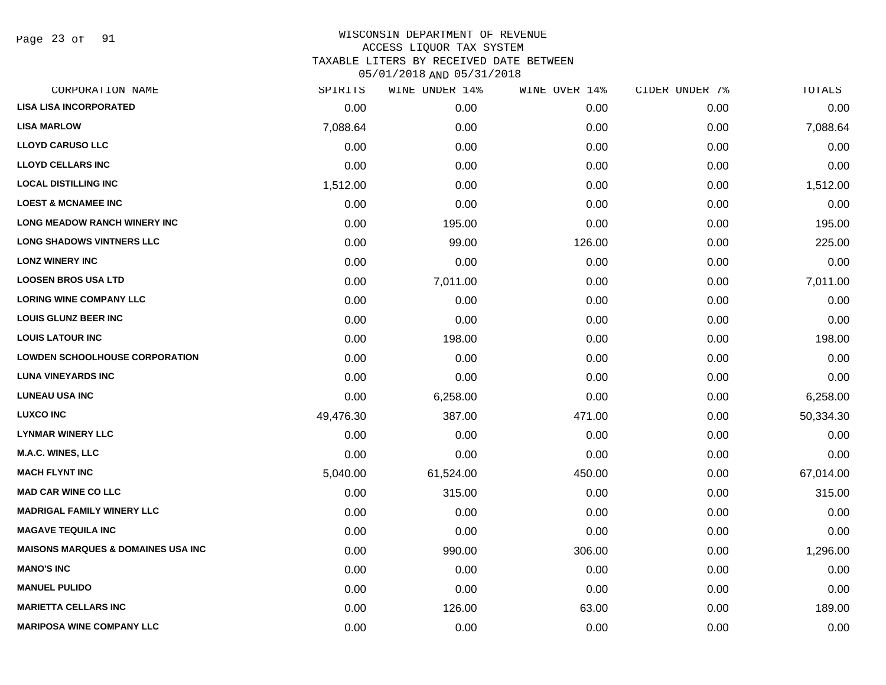Page 23 of 91

| CORPORATION NAME                              | SPIRITS   | WINE UNDER 14% | WINE OVER 14% | CIDER UNDER 7% | <b>TOTALS</b> |
|-----------------------------------------------|-----------|----------------|---------------|----------------|---------------|
| <b>LISA LISA INCORPORATED</b>                 | 0.00      | 0.00           | 0.00          | 0.00           | 0.00          |
| <b>LISA MARLOW</b>                            | 7,088.64  | 0.00           | 0.00          | 0.00           | 7,088.64      |
| <b>LLOYD CARUSO LLC</b>                       | 0.00      | 0.00           | 0.00          | 0.00           | 0.00          |
| <b>LLOYD CELLARS INC</b>                      | 0.00      | 0.00           | 0.00          | 0.00           | 0.00          |
| <b>LOCAL DISTILLING INC</b>                   | 1,512.00  | 0.00           | 0.00          | 0.00           | 1,512.00      |
| <b>LOEST &amp; MCNAMEE INC</b>                | 0.00      | 0.00           | 0.00          | 0.00           | 0.00          |
| <b>LONG MEADOW RANCH WINERY INC</b>           | 0.00      | 195.00         | 0.00          | 0.00           | 195.00        |
| <b>LONG SHADOWS VINTNERS LLC</b>              | 0.00      | 99.00          | 126.00        | 0.00           | 225.00        |
| <b>LONZ WINERY INC</b>                        | 0.00      | 0.00           | 0.00          | 0.00           | 0.00          |
| <b>LOOSEN BROS USA LTD</b>                    | 0.00      | 7,011.00       | 0.00          | 0.00           | 7,011.00      |
| <b>LORING WINE COMPANY LLC</b>                | 0.00      | 0.00           | 0.00          | 0.00           | 0.00          |
| <b>LOUIS GLUNZ BEER INC</b>                   | 0.00      | 0.00           | 0.00          | 0.00           | 0.00          |
| <b>LOUIS LATOUR INC</b>                       | 0.00      | 198.00         | 0.00          | 0.00           | 198.00        |
| <b>LOWDEN SCHOOLHOUSE CORPORATION</b>         | 0.00      | 0.00           | 0.00          | 0.00           | 0.00          |
| <b>LUNA VINEYARDS INC</b>                     | 0.00      | 0.00           | 0.00          | 0.00           | 0.00          |
| <b>LUNEAU USA INC</b>                         | 0.00      | 6,258.00       | 0.00          | 0.00           | 6,258.00      |
| <b>LUXCO INC</b>                              | 49,476.30 | 387.00         | 471.00        | 0.00           | 50,334.30     |
| <b>LYNMAR WINERY LLC</b>                      | 0.00      | 0.00           | 0.00          | 0.00           | 0.00          |
| <b>M.A.C. WINES, LLC</b>                      | 0.00      | 0.00           | 0.00          | 0.00           | 0.00          |
| <b>MACH FLYNT INC</b>                         | 5,040.00  | 61,524.00      | 450.00        | 0.00           | 67,014.00     |
| <b>MAD CAR WINE CO LLC</b>                    | 0.00      | 315.00         | 0.00          | 0.00           | 315.00        |
| <b>MADRIGAL FAMILY WINERY LLC</b>             | 0.00      | 0.00           | 0.00          | 0.00           | 0.00          |
| <b>MAGAVE TEQUILA INC</b>                     | 0.00      | 0.00           | 0.00          | 0.00           | 0.00          |
| <b>MAISONS MARQUES &amp; DOMAINES USA INC</b> | 0.00      | 990.00         | 306.00        | 0.00           | 1,296.00      |
| <b>MANO'S INC</b>                             | 0.00      | 0.00           | 0.00          | 0.00           | 0.00          |
| <b>MANUEL PULIDO</b>                          | 0.00      | 0.00           | 0.00          | 0.00           | 0.00          |
| <b>MARIETTA CELLARS INC</b>                   | 0.00      | 126.00         | 63.00         | 0.00           | 189.00        |
| <b>MARIPOSA WINE COMPANY LLC</b>              | 0.00      | 0.00           | 0.00          | 0.00           | 0.00          |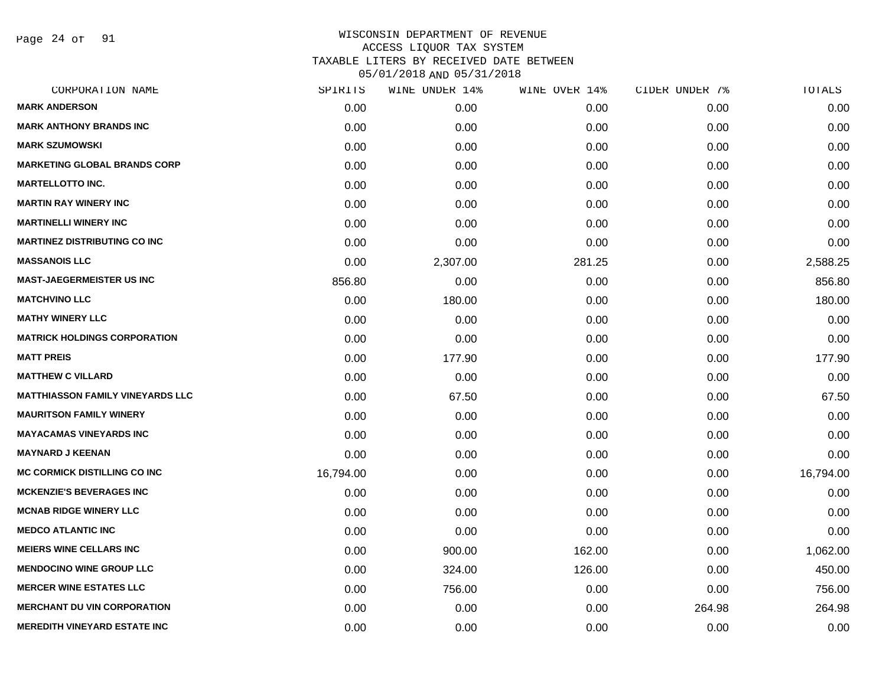Page 24 of 91

| SPIRITS   | WINE UNDER 14% | WINE OVER 14% | CIDER UNDER 7% | TOTALS    |
|-----------|----------------|---------------|----------------|-----------|
| 0.00      | 0.00           | 0.00          | 0.00           | 0.00      |
| 0.00      | 0.00           | 0.00          | 0.00           | 0.00      |
| 0.00      | 0.00           | 0.00          | 0.00           | 0.00      |
| 0.00      | 0.00           | 0.00          | 0.00           | 0.00      |
| 0.00      | 0.00           | 0.00          | 0.00           | 0.00      |
| 0.00      | 0.00           | 0.00          | 0.00           | 0.00      |
| 0.00      | 0.00           | 0.00          | 0.00           | 0.00      |
| 0.00      | 0.00           | 0.00          | 0.00           | 0.00      |
| 0.00      | 2,307.00       | 281.25        | 0.00           | 2,588.25  |
| 856.80    | 0.00           | 0.00          | 0.00           | 856.80    |
| 0.00      | 180.00         | 0.00          | 0.00           | 180.00    |
| 0.00      | 0.00           | 0.00          | 0.00           | 0.00      |
| 0.00      | 0.00           | 0.00          | 0.00           | 0.00      |
| 0.00      | 177.90         | 0.00          | 0.00           | 177.90    |
| 0.00      | 0.00           | 0.00          | 0.00           | 0.00      |
| 0.00      | 67.50          | 0.00          | 0.00           | 67.50     |
| 0.00      | 0.00           | 0.00          | 0.00           | 0.00      |
| 0.00      | 0.00           | 0.00          | 0.00           | 0.00      |
| 0.00      | 0.00           | 0.00          | 0.00           | 0.00      |
| 16,794.00 | 0.00           | 0.00          | 0.00           | 16,794.00 |
| 0.00      | 0.00           | 0.00          | 0.00           | 0.00      |
| 0.00      | 0.00           | 0.00          | 0.00           | 0.00      |
| 0.00      | 0.00           | 0.00          | 0.00           | 0.00      |
| 0.00      | 900.00         | 162.00        | 0.00           | 1,062.00  |
| 0.00      | 324.00         | 126.00        | 0.00           | 450.00    |
| 0.00      | 756.00         | 0.00          | 0.00           | 756.00    |
| 0.00      | 0.00           | 0.00          | 264.98         | 264.98    |
| 0.00      | 0.00           | 0.00          | 0.00           | 0.00      |
|           |                |               |                |           |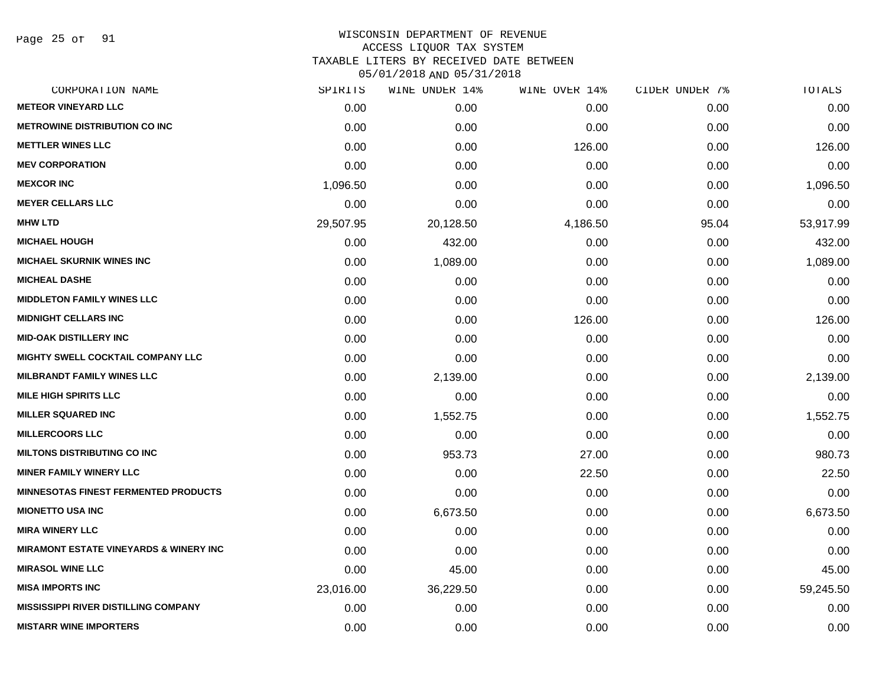Page 25 of 91

| CORPORATION NAME                                  | SPIRITS   | WINE UNDER 14% | WINE OVER 14% | CIDER UNDER 7% | TOTALS    |
|---------------------------------------------------|-----------|----------------|---------------|----------------|-----------|
| <b>METEOR VINEYARD LLC</b>                        | 0.00      | 0.00           | 0.00          | 0.00           | 0.00      |
| <b>METROWINE DISTRIBUTION CO INC</b>              | 0.00      | 0.00           | 0.00          | 0.00           | 0.00      |
| <b>METTLER WINES LLC</b>                          | 0.00      | 0.00           | 126.00        | 0.00           | 126.00    |
| <b>MEV CORPORATION</b>                            | 0.00      | 0.00           | 0.00          | 0.00           | 0.00      |
| <b>MEXCOR INC</b>                                 | 1,096.50  | 0.00           | 0.00          | 0.00           | 1,096.50  |
| <b>MEYER CELLARS LLC</b>                          | 0.00      | 0.00           | 0.00          | 0.00           | 0.00      |
| <b>MHW LTD</b>                                    | 29,507.95 | 20,128.50      | 4,186.50      | 95.04          | 53,917.99 |
| <b>MICHAEL HOUGH</b>                              | 0.00      | 432.00         | 0.00          | 0.00           | 432.00    |
| <b>MICHAEL SKURNIK WINES INC</b>                  | 0.00      | 1,089.00       | 0.00          | 0.00           | 1,089.00  |
| <b>MICHEAL DASHE</b>                              | 0.00      | 0.00           | 0.00          | 0.00           | 0.00      |
| <b>MIDDLETON FAMILY WINES LLC</b>                 | 0.00      | 0.00           | 0.00          | 0.00           | 0.00      |
| <b>MIDNIGHT CELLARS INC</b>                       | 0.00      | 0.00           | 126.00        | 0.00           | 126.00    |
| <b>MID-OAK DISTILLERY INC</b>                     | 0.00      | 0.00           | 0.00          | 0.00           | 0.00      |
| <b>MIGHTY SWELL COCKTAIL COMPANY LLC</b>          | 0.00      | 0.00           | 0.00          | 0.00           | 0.00      |
| <b>MILBRANDT FAMILY WINES LLC</b>                 | 0.00      | 2,139.00       | 0.00          | 0.00           | 2,139.00  |
| <b>MILE HIGH SPIRITS LLC</b>                      | 0.00      | 0.00           | 0.00          | 0.00           | 0.00      |
| <b>MILLER SQUARED INC</b>                         | 0.00      | 1,552.75       | 0.00          | 0.00           | 1,552.75  |
| <b>MILLERCOORS LLC</b>                            | 0.00      | 0.00           | 0.00          | 0.00           | 0.00      |
| <b>MILTONS DISTRIBUTING CO INC</b>                | 0.00      | 953.73         | 27.00         | 0.00           | 980.73    |
| <b>MINER FAMILY WINERY LLC</b>                    | 0.00      | 0.00           | 22.50         | 0.00           | 22.50     |
| <b>MINNESOTAS FINEST FERMENTED PRODUCTS</b>       | 0.00      | 0.00           | 0.00          | 0.00           | 0.00      |
| <b>MIONETTO USA INC</b>                           | 0.00      | 6,673.50       | 0.00          | 0.00           | 6,673.50  |
| <b>MIRA WINERY LLC</b>                            | 0.00      | 0.00           | 0.00          | 0.00           | 0.00      |
| <b>MIRAMONT ESTATE VINEYARDS &amp; WINERY INC</b> | 0.00      | 0.00           | 0.00          | 0.00           | 0.00      |
| <b>MIRASOL WINE LLC</b>                           | 0.00      | 45.00          | 0.00          | 0.00           | 45.00     |
| <b>MISA IMPORTS INC</b>                           | 23,016.00 | 36,229.50      | 0.00          | 0.00           | 59,245.50 |
| <b>MISSISSIPPI RIVER DISTILLING COMPANY</b>       | 0.00      | 0.00           | 0.00          | 0.00           | 0.00      |
| <b>MISTARR WINE IMPORTERS</b>                     | 0.00      | 0.00           | 0.00          | 0.00           | 0.00      |
|                                                   |           |                |               |                |           |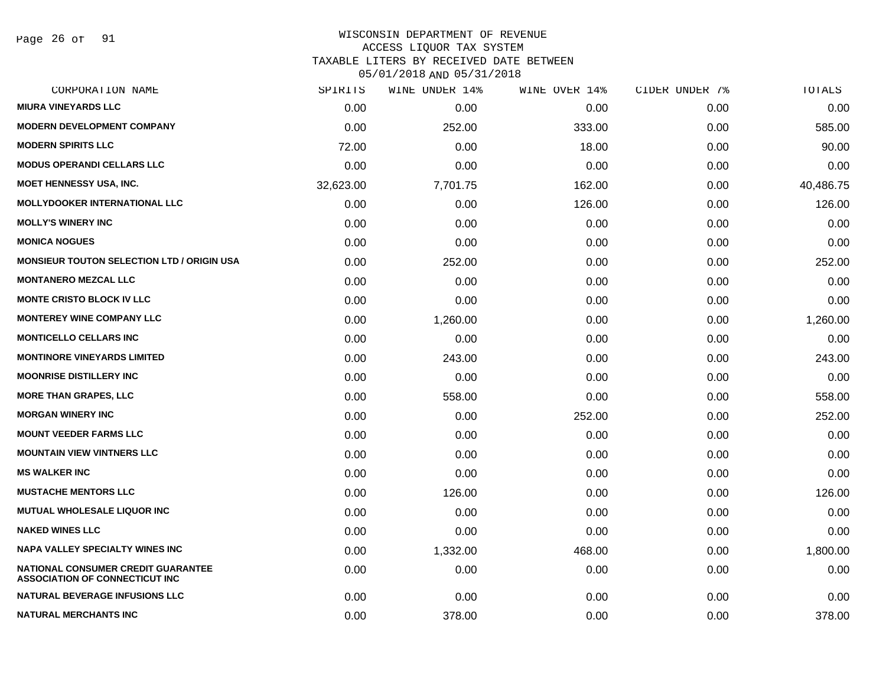Page 26 of 91

#### WISCONSIN DEPARTMENT OF REVENUE ACCESS LIQUOR TAX SYSTEM

TAXABLE LITERS BY RECEIVED DATE BETWEEN

| CORPORATION NAME                                                                   | SPIRITS   | WINE UNDER 14% | WINE OVER 14% | CIDER UNDER 7% | TOTALS    |
|------------------------------------------------------------------------------------|-----------|----------------|---------------|----------------|-----------|
| <b>MIURA VINEYARDS LLC</b>                                                         | 0.00      | 0.00           | 0.00          | 0.00           | 0.00      |
| <b>MODERN DEVELOPMENT COMPANY</b>                                                  | 0.00      | 252.00         | 333.00        | 0.00           | 585.00    |
| <b>MODERN SPIRITS LLC</b>                                                          | 72.00     | 0.00           | 18.00         | 0.00           | 90.00     |
| <b>MODUS OPERANDI CELLARS LLC</b>                                                  | 0.00      | 0.00           | 0.00          | 0.00           | 0.00      |
| <b>MOET HENNESSY USA, INC.</b>                                                     | 32,623.00 | 7,701.75       | 162.00        | 0.00           | 40,486.75 |
| <b>MOLLYDOOKER INTERNATIONAL LLC</b>                                               | 0.00      | 0.00           | 126.00        | 0.00           | 126.00    |
| <b>MOLLY'S WINERY INC</b>                                                          | 0.00      | 0.00           | 0.00          | 0.00           | 0.00      |
| <b>MONICA NOGUES</b>                                                               | 0.00      | 0.00           | 0.00          | 0.00           | 0.00      |
| <b>MONSIEUR TOUTON SELECTION LTD / ORIGIN USA</b>                                  | 0.00      | 252.00         | 0.00          | 0.00           | 252.00    |
| <b>MONTANERO MEZCAL LLC</b>                                                        | 0.00      | 0.00           | 0.00          | 0.00           | 0.00      |
| <b>MONTE CRISTO BLOCK IV LLC</b>                                                   | 0.00      | 0.00           | 0.00          | 0.00           | 0.00      |
| <b>MONTEREY WINE COMPANY LLC</b>                                                   | 0.00      | 1,260.00       | 0.00          | 0.00           | 1,260.00  |
| <b>MONTICELLO CELLARS INC</b>                                                      | 0.00      | 0.00           | 0.00          | 0.00           | 0.00      |
| <b>MONTINORE VINEYARDS LIMITED</b>                                                 | 0.00      | 243.00         | 0.00          | 0.00           | 243.00    |
| <b>MOONRISE DISTILLERY INC</b>                                                     | 0.00      | 0.00           | 0.00          | 0.00           | 0.00      |
| <b>MORE THAN GRAPES, LLC</b>                                                       | 0.00      | 558.00         | 0.00          | 0.00           | 558.00    |
| <b>MORGAN WINERY INC</b>                                                           | 0.00      | 0.00           | 252.00        | 0.00           | 252.00    |
| <b>MOUNT VEEDER FARMS LLC</b>                                                      | 0.00      | 0.00           | 0.00          | 0.00           | 0.00      |
| <b>MOUNTAIN VIEW VINTNERS LLC</b>                                                  | 0.00      | 0.00           | 0.00          | 0.00           | 0.00      |
| <b>MS WALKER INC</b>                                                               | 0.00      | 0.00           | 0.00          | 0.00           | 0.00      |
| <b>MUSTACHE MENTORS LLC</b>                                                        | 0.00      | 126.00         | 0.00          | 0.00           | 126.00    |
| <b>MUTUAL WHOLESALE LIQUOR INC</b>                                                 | 0.00      | 0.00           | 0.00          | 0.00           | 0.00      |
| <b>NAKED WINES LLC</b>                                                             | 0.00      | 0.00           | 0.00          | 0.00           | 0.00      |
| <b>NAPA VALLEY SPECIALTY WINES INC</b>                                             | 0.00      | 1,332.00       | 468.00        | 0.00           | 1,800.00  |
| <b>NATIONAL CONSUMER CREDIT GUARANTEE</b><br><b>ASSOCIATION OF CONNECTICUT INC</b> | 0.00      | 0.00           | 0.00          | 0.00           | 0.00      |
| NATURAL BEVERAGE INFUSIONS LLC                                                     | 0.00      | 0.00           | 0.00          | 0.00           | 0.00      |
| <b>NATURAL MERCHANTS INC</b>                                                       | 0.00      | 378.00         | 0.00          | 0.00           | 378.00    |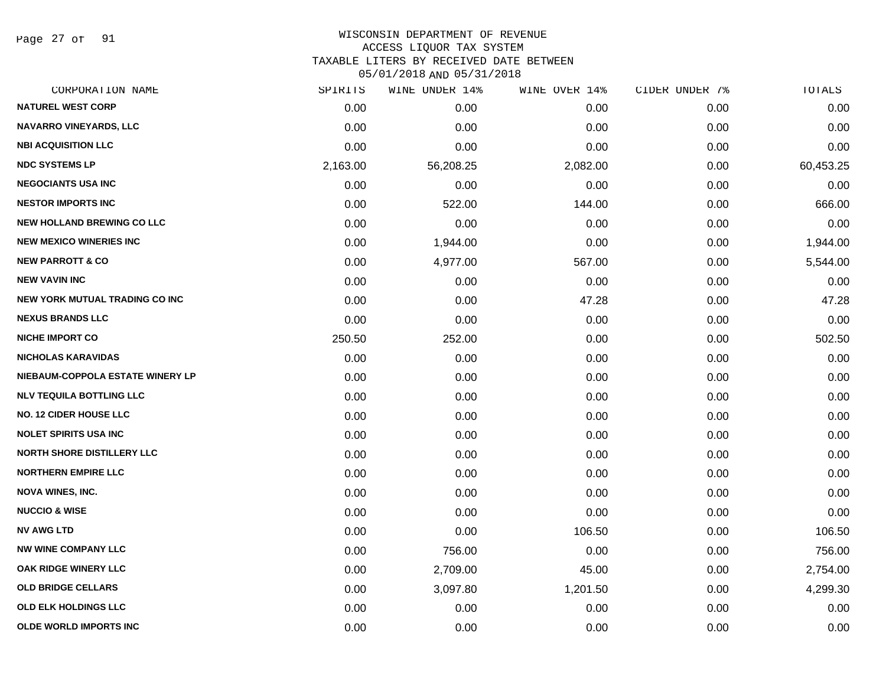Page 27 of 91

#### WISCONSIN DEPARTMENT OF REVENUE ACCESS LIQUOR TAX SYSTEM

TAXABLE LITERS BY RECEIVED DATE BETWEEN

| CORPORATION NAME                      | SPIRITS  | WINE UNDER 14% | WINE OVER 14% | CIDER UNDER 7% | TOTALS    |
|---------------------------------------|----------|----------------|---------------|----------------|-----------|
| <b>NATUREL WEST CORP</b>              | 0.00     | 0.00           | 0.00          | 0.00           | 0.00      |
| <b>NAVARRO VINEYARDS, LLC</b>         | 0.00     | 0.00           | 0.00          | 0.00           | 0.00      |
| <b>NBI ACQUISITION LLC</b>            | 0.00     | 0.00           | 0.00          | 0.00           | 0.00      |
| <b>NDC SYSTEMS LP</b>                 | 2,163.00 | 56,208.25      | 2,082.00      | 0.00           | 60,453.25 |
| <b>NEGOCIANTS USA INC</b>             | 0.00     | 0.00           | 0.00          | 0.00           | 0.00      |
| <b>NESTOR IMPORTS INC</b>             | 0.00     | 522.00         | 144.00        | 0.00           | 666.00    |
| <b>NEW HOLLAND BREWING CO LLC</b>     | 0.00     | 0.00           | 0.00          | 0.00           | 0.00      |
| <b>NEW MEXICO WINERIES INC</b>        | 0.00     | 1,944.00       | 0.00          | 0.00           | 1,944.00  |
| <b>NEW PARROTT &amp; CO</b>           | 0.00     | 4,977.00       | 567.00        | 0.00           | 5,544.00  |
| <b>NEW VAVIN INC</b>                  | 0.00     | 0.00           | 0.00          | 0.00           | 0.00      |
| <b>NEW YORK MUTUAL TRADING CO INC</b> | 0.00     | 0.00           | 47.28         | 0.00           | 47.28     |
| <b>NEXUS BRANDS LLC</b>               | 0.00     | 0.00           | 0.00          | 0.00           | 0.00      |
| <b>NICHE IMPORT CO</b>                | 250.50   | 252.00         | 0.00          | 0.00           | 502.50    |
| <b>NICHOLAS KARAVIDAS</b>             | 0.00     | 0.00           | 0.00          | 0.00           | 0.00      |
| NIEBAUM-COPPOLA ESTATE WINERY LP      | 0.00     | 0.00           | 0.00          | 0.00           | 0.00      |
| <b>NLV TEQUILA BOTTLING LLC</b>       | 0.00     | 0.00           | 0.00          | 0.00           | 0.00      |
| <b>NO. 12 CIDER HOUSE LLC</b>         | 0.00     | 0.00           | 0.00          | 0.00           | 0.00      |
| <b>NOLET SPIRITS USA INC</b>          | 0.00     | 0.00           | 0.00          | 0.00           | 0.00      |
| <b>NORTH SHORE DISTILLERY LLC</b>     | 0.00     | 0.00           | 0.00          | 0.00           | 0.00      |
| <b>NORTHERN EMPIRE LLC</b>            | 0.00     | 0.00           | 0.00          | 0.00           | 0.00      |
| <b>NOVA WINES, INC.</b>               | 0.00     | 0.00           | 0.00          | 0.00           | 0.00      |
| <b>NUCCIO &amp; WISE</b>              | 0.00     | 0.00           | 0.00          | 0.00           | 0.00      |
| <b>NV AWG LTD</b>                     | 0.00     | 0.00           | 106.50        | 0.00           | 106.50    |
| <b>NW WINE COMPANY LLC</b>            | 0.00     | 756.00         | 0.00          | 0.00           | 756.00    |
| <b>OAK RIDGE WINERY LLC</b>           | 0.00     | 2,709.00       | 45.00         | 0.00           | 2,754.00  |
| <b>OLD BRIDGE CELLARS</b>             | 0.00     | 3,097.80       | 1,201.50      | 0.00           | 4,299.30  |
| <b>OLD ELK HOLDINGS LLC</b>           | 0.00     | 0.00           | 0.00          | 0.00           | 0.00      |
| <b>OLDE WORLD IMPORTS INC</b>         | 0.00     | 0.00           | 0.00          | 0.00           | 0.00      |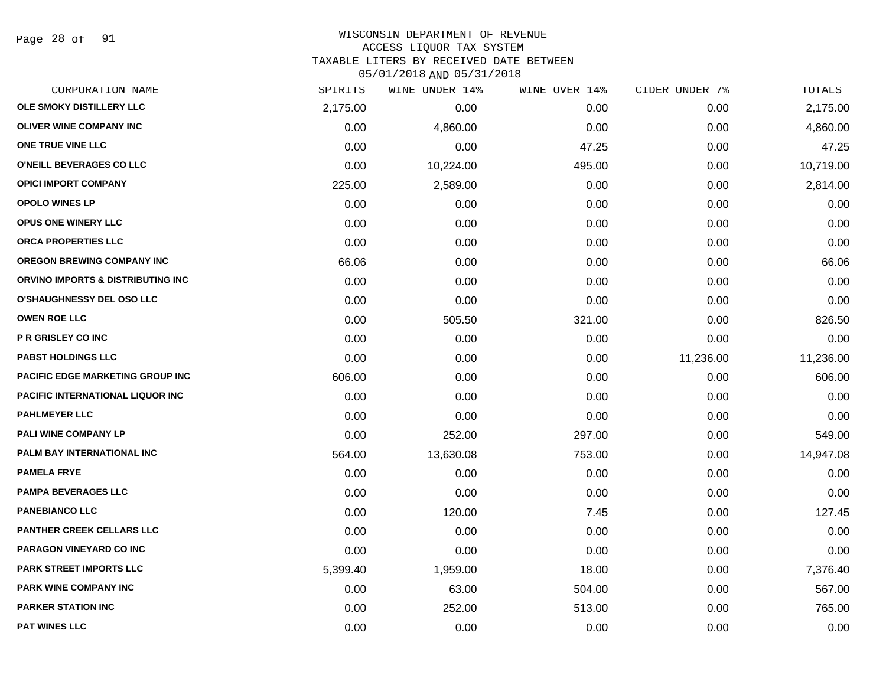Page 28 of 91

## WISCONSIN DEPARTMENT OF REVENUE ACCESS LIQUOR TAX SYSTEM TAXABLE LITERS BY RECEIVED DATE BETWEEN

| CORPORATION NAME                   | SPIRITS  | WINE UNDER 14% | WINE OVER 14% | CIDER UNDER 7% | <b>TOTALS</b> |
|------------------------------------|----------|----------------|---------------|----------------|---------------|
| OLE SMOKY DISTILLERY LLC           | 2,175.00 | 0.00           | 0.00          | 0.00           | 2,175.00      |
| <b>OLIVER WINE COMPANY INC</b>     | 0.00     | 4,860.00       | 0.00          | 0.00           | 4,860.00      |
| ONE TRUE VINE LLC                  | 0.00     | 0.00           | 47.25         | 0.00           | 47.25         |
| O'NEILL BEVERAGES CO LLC           | 0.00     | 10,224.00      | 495.00        | 0.00           | 10,719.00     |
| <b>OPICI IMPORT COMPANY</b>        | 225.00   | 2,589.00       | 0.00          | 0.00           | 2,814.00      |
| <b>OPOLO WINES LP</b>              | 0.00     | 0.00           | 0.00          | 0.00           | 0.00          |
| <b>OPUS ONE WINERY LLC</b>         | 0.00     | 0.00           | 0.00          | 0.00           | 0.00          |
| ORCA PROPERTIES LLC                | 0.00     | 0.00           | 0.00          | 0.00           | 0.00          |
| <b>OREGON BREWING COMPANY INC</b>  | 66.06    | 0.00           | 0.00          | 0.00           | 66.06         |
| ORVINO IMPORTS & DISTRIBUTING INC. | 0.00     | 0.00           | 0.00          | 0.00           | 0.00          |
| <b>O'SHAUGHNESSY DEL OSO LLC</b>   | 0.00     | 0.00           | 0.00          | 0.00           | 0.00          |
| <b>OWEN ROE LLC</b>                | 0.00     | 505.50         | 321.00        | 0.00           | 826.50        |
| P R GRISLEY CO INC                 | 0.00     | 0.00           | 0.00          | 0.00           | 0.00          |
| <b>PABST HOLDINGS LLC</b>          | 0.00     | 0.00           | 0.00          | 11,236.00      | 11,236.00     |
| PACIFIC EDGE MARKETING GROUP INC   | 606.00   | 0.00           | 0.00          | 0.00           | 606.00        |
| PACIFIC INTERNATIONAL LIQUOR INC   | 0.00     | 0.00           | 0.00          | 0.00           | 0.00          |
| <b>PAHLMEYER LLC</b>               | 0.00     | 0.00           | 0.00          | 0.00           | 0.00          |
| PALI WINE COMPANY LP               | 0.00     | 252.00         | 297.00        | 0.00           | 549.00        |
| <b>PALM BAY INTERNATIONAL INC</b>  | 564.00   | 13,630.08      | 753.00        | 0.00           | 14,947.08     |
| <b>PAMELA FRYE</b>                 | 0.00     | 0.00           | 0.00          | 0.00           | 0.00          |
| PAMPA BEVERAGES LLC                | 0.00     | 0.00           | 0.00          | 0.00           | 0.00          |
| <b>PANEBIANCO LLC</b>              | 0.00     | 120.00         | 7.45          | 0.00           | 127.45        |
| <b>PANTHER CREEK CELLARS LLC</b>   | 0.00     | 0.00           | 0.00          | 0.00           | 0.00          |
| PARAGON VINEYARD CO INC            | 0.00     | 0.00           | 0.00          | 0.00           | 0.00          |
| <b>PARK STREET IMPORTS LLC</b>     | 5,399.40 | 1,959.00       | 18.00         | 0.00           | 7,376.40      |
| PARK WINE COMPANY INC              | 0.00     | 63.00          | 504.00        | 0.00           | 567.00        |
| <b>PARKER STATION INC</b>          | 0.00     | 252.00         | 513.00        | 0.00           | 765.00        |
| <b>PAT WINES LLC</b>               | 0.00     | 0.00           | 0.00          | 0.00           | 0.00          |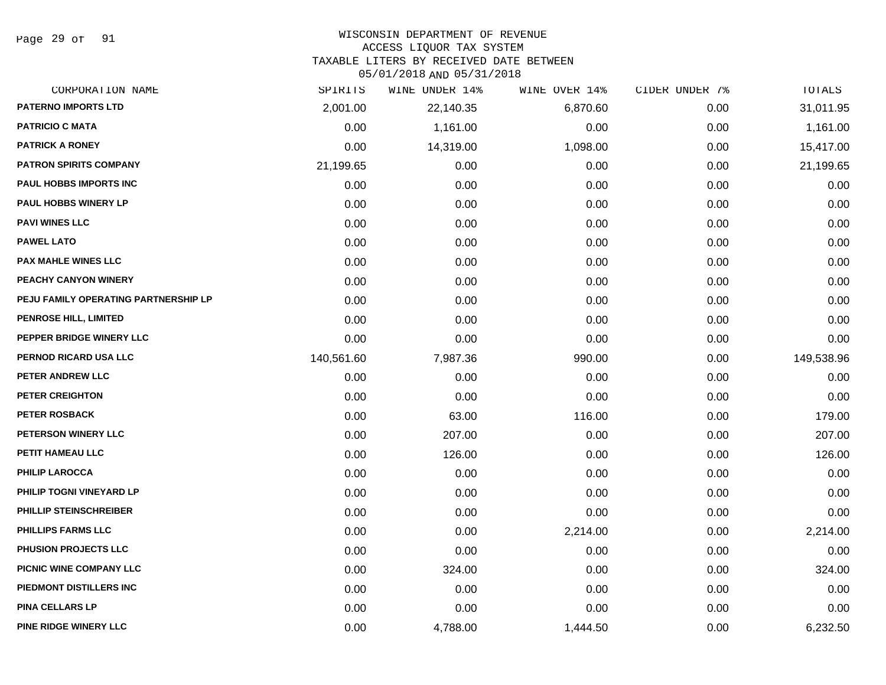Page 29 of 91

#### WISCONSIN DEPARTMENT OF REVENUE

#### ACCESS LIQUOR TAX SYSTEM

TAXABLE LITERS BY RECEIVED DATE BETWEEN

| CORPORATION NAME                     | SPIRITS    | WINE UNDER 14% | WINE OVER 14% | CIDER UNDER 7% | TOTALS     |
|--------------------------------------|------------|----------------|---------------|----------------|------------|
| PATERNO IMPORTS LTD                  | 2,001.00   | 22,140.35      | 6,870.60      | 0.00           | 31,011.95  |
| <b>PATRICIO C MATA</b>               | 0.00       | 1,161.00       | 0.00          | 0.00           | 1,161.00   |
| <b>PATRICK A RONEY</b>               | 0.00       | 14,319.00      | 1,098.00      | 0.00           | 15,417.00  |
| <b>PATRON SPIRITS COMPANY</b>        | 21,199.65  | 0.00           | 0.00          | 0.00           | 21,199.65  |
| PAUL HOBBS IMPORTS INC               | 0.00       | 0.00           | 0.00          | 0.00           | 0.00       |
| <b>PAUL HOBBS WINERY LP</b>          | 0.00       | 0.00           | 0.00          | 0.00           | 0.00       |
| <b>PAVI WINES LLC</b>                | 0.00       | 0.00           | 0.00          | 0.00           | 0.00       |
| <b>PAWEL LATO</b>                    | 0.00       | 0.00           | 0.00          | 0.00           | 0.00       |
| <b>PAX MAHLE WINES LLC</b>           | 0.00       | 0.00           | 0.00          | 0.00           | 0.00       |
| PEACHY CANYON WINERY                 | 0.00       | 0.00           | 0.00          | 0.00           | 0.00       |
| PEJU FAMILY OPERATING PARTNERSHIP LP | 0.00       | 0.00           | 0.00          | 0.00           | 0.00       |
| PENROSE HILL, LIMITED                | 0.00       | 0.00           | 0.00          | 0.00           | 0.00       |
| PEPPER BRIDGE WINERY LLC             | 0.00       | 0.00           | 0.00          | 0.00           | 0.00       |
| PERNOD RICARD USA LLC                | 140,561.60 | 7,987.36       | 990.00        | 0.00           | 149,538.96 |
| PETER ANDREW LLC                     | 0.00       | 0.00           | 0.00          | 0.00           | 0.00       |
| PETER CREIGHTON                      | 0.00       | 0.00           | 0.00          | 0.00           | 0.00       |
| <b>PETER ROSBACK</b>                 | 0.00       | 63.00          | 116.00        | 0.00           | 179.00     |
| PETERSON WINERY LLC                  | 0.00       | 207.00         | 0.00          | 0.00           | 207.00     |
| PETIT HAMEAU LLC                     | 0.00       | 126.00         | 0.00          | 0.00           | 126.00     |
| <b>PHILIP LAROCCA</b>                | 0.00       | 0.00           | 0.00          | 0.00           | 0.00       |
| PHILIP TOGNI VINEYARD LP             | 0.00       | 0.00           | 0.00          | 0.00           | 0.00       |
| PHILLIP STEINSCHREIBER               | 0.00       | 0.00           | 0.00          | 0.00           | 0.00       |
| <b>PHILLIPS FARMS LLC</b>            | 0.00       | 0.00           | 2,214.00      | 0.00           | 2,214.00   |
| PHUSION PROJECTS LLC                 | 0.00       | 0.00           | 0.00          | 0.00           | 0.00       |
| PICNIC WINE COMPANY LLC              | 0.00       | 324.00         | 0.00          | 0.00           | 324.00     |
| PIEDMONT DISTILLERS INC              | 0.00       | 0.00           | 0.00          | 0.00           | 0.00       |
| <b>PINA CELLARS LP</b>               | 0.00       | 0.00           | 0.00          | 0.00           | 0.00       |
| PINE RIDGE WINERY LLC                | 0.00       | 4,788.00       | 1,444.50      | 0.00           | 6,232.50   |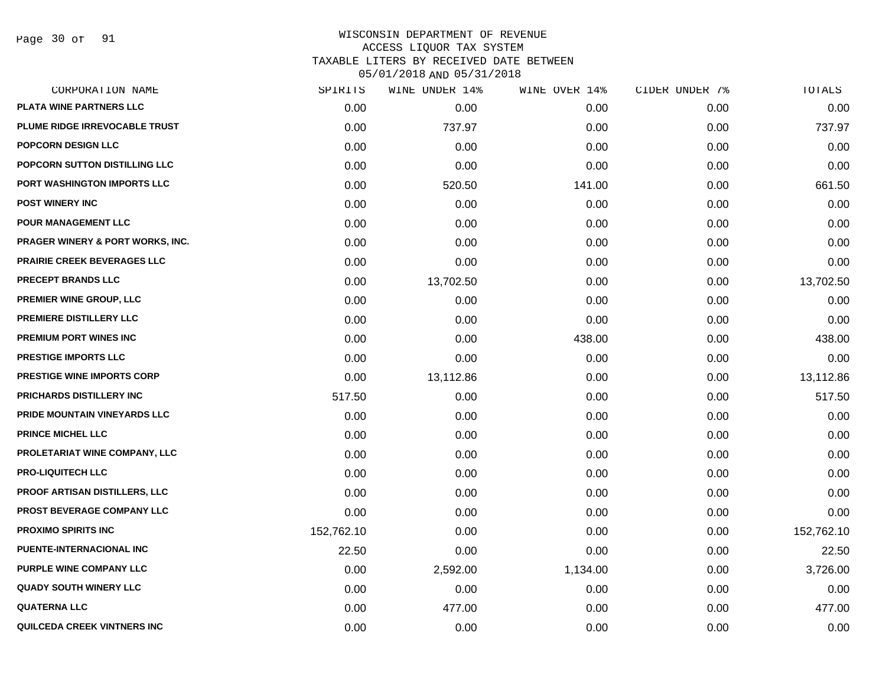Page 30 of 91

| CORPORATION NAME                 | SPIRITS    | WINE UNDER 14% | WINE OVER 14% | CIDER UNDER 7% | TOTALS     |
|----------------------------------|------------|----------------|---------------|----------------|------------|
| PLATA WINE PARTNERS LLC          | 0.00       | 0.00           | 0.00          | 0.00           | 0.00       |
| PLUME RIDGE IRREVOCABLE TRUST    | 0.00       | 737.97         | 0.00          | 0.00           | 737.97     |
| POPCORN DESIGN LLC               | 0.00       | 0.00           | 0.00          | 0.00           | 0.00       |
| POPCORN SUTTON DISTILLING LLC    | 0.00       | 0.00           | 0.00          | 0.00           | 0.00       |
| PORT WASHINGTON IMPORTS LLC      | 0.00       | 520.50         | 141.00        | 0.00           | 661.50     |
| <b>POST WINERY INC</b>           | 0.00       | 0.00           | 0.00          | 0.00           | 0.00       |
| POUR MANAGEMENT LLC              | 0.00       | 0.00           | 0.00          | 0.00           | 0.00       |
| PRAGER WINERY & PORT WORKS, INC. | 0.00       | 0.00           | 0.00          | 0.00           | 0.00       |
| PRAIRIE CREEK BEVERAGES LLC      | 0.00       | 0.00           | 0.00          | 0.00           | 0.00       |
| <b>PRECEPT BRANDS LLC</b>        | 0.00       | 13,702.50      | 0.00          | 0.00           | 13,702.50  |
| PREMIER WINE GROUP, LLC          | 0.00       | 0.00           | 0.00          | 0.00           | 0.00       |
| PREMIERE DISTILLERY LLC          | 0.00       | 0.00           | 0.00          | 0.00           | 0.00       |
| PREMIUM PORT WINES INC           | 0.00       | 0.00           | 438.00        | 0.00           | 438.00     |
| <b>PRESTIGE IMPORTS LLC</b>      | 0.00       | 0.00           | 0.00          | 0.00           | 0.00       |
| PRESTIGE WINE IMPORTS CORP       | 0.00       | 13,112.86      | 0.00          | 0.00           | 13,112.86  |
| PRICHARDS DISTILLERY INC         | 517.50     | 0.00           | 0.00          | 0.00           | 517.50     |
| PRIDE MOUNTAIN VINEYARDS LLC     | 0.00       | 0.00           | 0.00          | 0.00           | 0.00       |
| <b>PRINCE MICHEL LLC</b>         | 0.00       | 0.00           | 0.00          | 0.00           | 0.00       |
| PROLETARIAT WINE COMPANY, LLC    | 0.00       | 0.00           | 0.00          | 0.00           | 0.00       |
| <b>PRO-LIQUITECH LLC</b>         | 0.00       | 0.00           | 0.00          | 0.00           | 0.00       |
| PROOF ARTISAN DISTILLERS, LLC    | 0.00       | 0.00           | 0.00          | 0.00           | 0.00       |
| PROST BEVERAGE COMPANY LLC       | 0.00       | 0.00           | 0.00          | 0.00           | 0.00       |
| <b>PROXIMO SPIRITS INC</b>       | 152,762.10 | 0.00           | 0.00          | 0.00           | 152,762.10 |
| PUENTE-INTERNACIONAL INC         | 22.50      | 0.00           | 0.00          | 0.00           | 22.50      |
| PURPLE WINE COMPANY LLC          | 0.00       | 2,592.00       | 1,134.00      | 0.00           | 3,726.00   |
| <b>QUADY SOUTH WINERY LLC</b>    | 0.00       | 0.00           | 0.00          | 0.00           | 0.00       |
| <b>QUATERNA LLC</b>              | 0.00       | 477.00         | 0.00          | 0.00           | 477.00     |
| QUILCEDA CREEK VINTNERS INC      | 0.00       | 0.00           | 0.00          | 0.00           | 0.00       |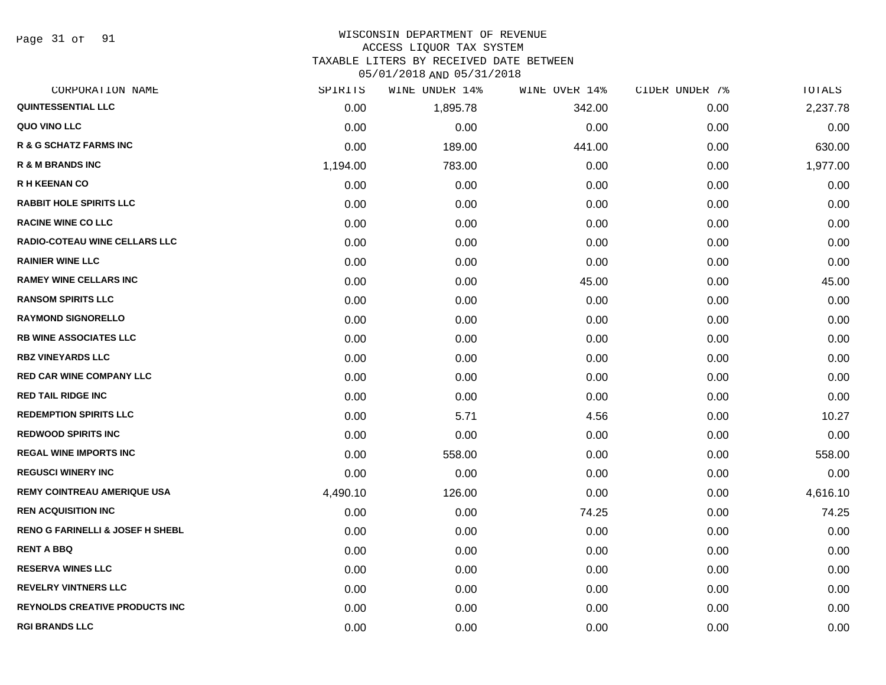Page 31 of 91

# WISCONSIN DEPARTMENT OF REVENUE

ACCESS LIQUOR TAX SYSTEM

TAXABLE LITERS BY RECEIVED DATE BETWEEN

| CORPORATION NAME                            | SPIRITS  | WINE UNDER 14% | WINE OVER 14% | CIDER UNDER 7% | TOTALS   |
|---------------------------------------------|----------|----------------|---------------|----------------|----------|
| <b>QUINTESSENTIAL LLC</b>                   | 0.00     | 1,895.78       | 342.00        | 0.00           | 2,237.78 |
| QUO VINO LLC                                | 0.00     | 0.00           | 0.00          | 0.00           | 0.00     |
| <b>R &amp; G SCHATZ FARMS INC</b>           | 0.00     | 189.00         | 441.00        | 0.00           | 630.00   |
| <b>R &amp; M BRANDS INC</b>                 | 1,194.00 | 783.00         | 0.00          | 0.00           | 1,977.00 |
| <b>R H KEENAN CO</b>                        | 0.00     | 0.00           | 0.00          | 0.00           | 0.00     |
| <b>RABBIT HOLE SPIRITS LLC</b>              | 0.00     | 0.00           | 0.00          | 0.00           | 0.00     |
| <b>RACINE WINE CO LLC</b>                   | 0.00     | 0.00           | 0.00          | 0.00           | 0.00     |
| <b>RADIO-COTEAU WINE CELLARS LLC</b>        | 0.00     | 0.00           | 0.00          | 0.00           | 0.00     |
| <b>RAINIER WINE LLC</b>                     | 0.00     | 0.00           | 0.00          | 0.00           | 0.00     |
| <b>RAMEY WINE CELLARS INC</b>               | 0.00     | 0.00           | 45.00         | 0.00           | 45.00    |
| <b>RANSOM SPIRITS LLC</b>                   | 0.00     | 0.00           | 0.00          | 0.00           | 0.00     |
| <b>RAYMOND SIGNORELLO</b>                   | 0.00     | 0.00           | 0.00          | 0.00           | 0.00     |
| <b>RB WINE ASSOCIATES LLC</b>               | 0.00     | 0.00           | 0.00          | 0.00           | 0.00     |
| <b>RBZ VINEYARDS LLC</b>                    | 0.00     | 0.00           | 0.00          | 0.00           | 0.00     |
| <b>RED CAR WINE COMPANY LLC</b>             | 0.00     | 0.00           | 0.00          | 0.00           | 0.00     |
| <b>RED TAIL RIDGE INC</b>                   | 0.00     | 0.00           | 0.00          | 0.00           | 0.00     |
| <b>REDEMPTION SPIRITS LLC</b>               | 0.00     | 5.71           | 4.56          | 0.00           | 10.27    |
| <b>REDWOOD SPIRITS INC</b>                  | 0.00     | 0.00           | 0.00          | 0.00           | 0.00     |
| <b>REGAL WINE IMPORTS INC</b>               | 0.00     | 558.00         | 0.00          | 0.00           | 558.00   |
| <b>REGUSCI WINERY INC</b>                   | 0.00     | 0.00           | 0.00          | 0.00           | 0.00     |
| <b>REMY COINTREAU AMERIQUE USA</b>          | 4,490.10 | 126.00         | 0.00          | 0.00           | 4,616.10 |
| <b>REN ACQUISITION INC</b>                  | 0.00     | 0.00           | 74.25         | 0.00           | 74.25    |
| <b>RENO G FARINELLI &amp; JOSEF H SHEBL</b> | 0.00     | 0.00           | 0.00          | 0.00           | 0.00     |
| <b>RENT A BBQ</b>                           | 0.00     | 0.00           | 0.00          | 0.00           | 0.00     |
| <b>RESERVA WINES LLC</b>                    | 0.00     | 0.00           | 0.00          | 0.00           | 0.00     |
| <b>REVELRY VINTNERS LLC</b>                 | 0.00     | 0.00           | 0.00          | 0.00           | 0.00     |
| <b>REYNOLDS CREATIVE PRODUCTS INC</b>       | 0.00     | 0.00           | 0.00          | 0.00           | 0.00     |
| <b>RGI BRANDS LLC</b>                       | 0.00     | 0.00           | 0.00          | 0.00           | 0.00     |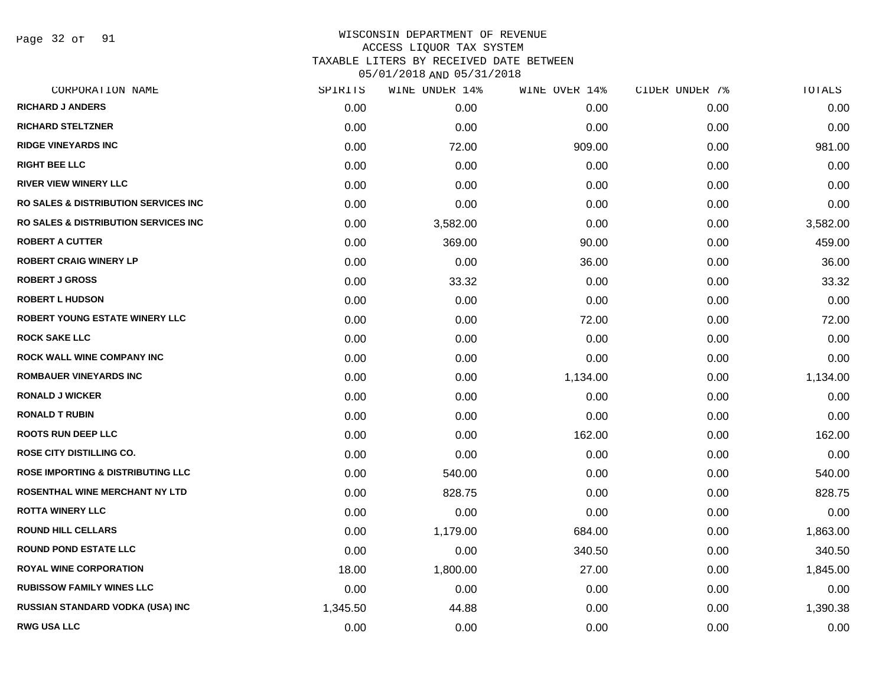Page 32 of 91

| CORPORATION NAME                                | SPIRITS  | WINE UNDER 14% | WINE OVER 14% | CIDER UNDER 7% | TOTALS   |
|-------------------------------------------------|----------|----------------|---------------|----------------|----------|
| <b>RICHARD J ANDERS</b>                         | 0.00     | 0.00           | 0.00          | 0.00           | 0.00     |
| <b>RICHARD STELTZNER</b>                        | 0.00     | 0.00           | 0.00          | 0.00           | 0.00     |
| <b>RIDGE VINEYARDS INC</b>                      | 0.00     | 72.00          | 909.00        | 0.00           | 981.00   |
| <b>RIGHT BEE LLC</b>                            | 0.00     | 0.00           | 0.00          | 0.00           | 0.00     |
| <b>RIVER VIEW WINERY LLC</b>                    | 0.00     | 0.00           | 0.00          | 0.00           | 0.00     |
| <b>RO SALES &amp; DISTRIBUTION SERVICES INC</b> | 0.00     | 0.00           | 0.00          | 0.00           | 0.00     |
| <b>RO SALES &amp; DISTRIBUTION SERVICES INC</b> | 0.00     | 3,582.00       | 0.00          | 0.00           | 3,582.00 |
| <b>ROBERT A CUTTER</b>                          | 0.00     | 369.00         | 90.00         | 0.00           | 459.00   |
| <b>ROBERT CRAIG WINERY LP</b>                   | 0.00     | 0.00           | 36.00         | 0.00           | 36.00    |
| <b>ROBERT J GROSS</b>                           | 0.00     | 33.32          | 0.00          | 0.00           | 33.32    |
| <b>ROBERT L HUDSON</b>                          | 0.00     | 0.00           | 0.00          | 0.00           | 0.00     |
| ROBERT YOUNG ESTATE WINERY LLC                  | 0.00     | 0.00           | 72.00         | 0.00           | 72.00    |
| <b>ROCK SAKE LLC</b>                            | 0.00     | 0.00           | 0.00          | 0.00           | 0.00     |
| ROCK WALL WINE COMPANY INC                      | 0.00     | 0.00           | 0.00          | 0.00           | 0.00     |
| <b>ROMBAUER VINEYARDS INC</b>                   | 0.00     | 0.00           | 1,134.00      | 0.00           | 1,134.00 |
| <b>RONALD J WICKER</b>                          | 0.00     | 0.00           | 0.00          | 0.00           | 0.00     |
| <b>RONALD T RUBIN</b>                           | 0.00     | 0.00           | 0.00          | 0.00           | 0.00     |
| <b>ROOTS RUN DEEP LLC</b>                       | 0.00     | 0.00           | 162.00        | 0.00           | 162.00   |
| ROSE CITY DISTILLING CO.                        | 0.00     | 0.00           | 0.00          | 0.00           | 0.00     |
| <b>ROSE IMPORTING &amp; DISTRIBUTING LLC</b>    | 0.00     | 540.00         | 0.00          | 0.00           | 540.00   |
| ROSENTHAL WINE MERCHANT NY LTD                  | 0.00     | 828.75         | 0.00          | 0.00           | 828.75   |
| <b>ROTTA WINERY LLC</b>                         | 0.00     | 0.00           | 0.00          | 0.00           | 0.00     |
| <b>ROUND HILL CELLARS</b>                       | 0.00     | 1,179.00       | 684.00        | 0.00           | 1,863.00 |
| <b>ROUND POND ESTATE LLC</b>                    | 0.00     | 0.00           | 340.50        | 0.00           | 340.50   |
| ROYAL WINE CORPORATION                          | 18.00    | 1,800.00       | 27.00         | 0.00           | 1,845.00 |
| <b>RUBISSOW FAMILY WINES LLC</b>                | 0.00     | 0.00           | 0.00          | 0.00           | 0.00     |
| RUSSIAN STANDARD VODKA (USA) INC                | 1,345.50 | 44.88          | 0.00          | 0.00           | 1,390.38 |
| <b>RWG USA LLC</b>                              | 0.00     | 0.00           | 0.00          | 0.00           | 0.00     |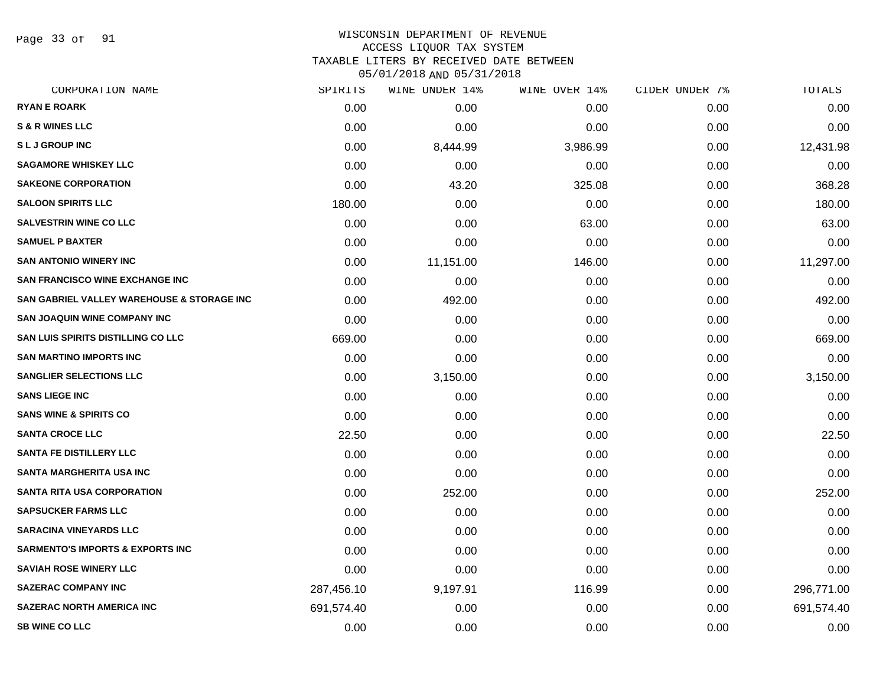Page 33 of 91

#### WISCONSIN DEPARTMENT OF REVENUE ACCESS LIQUOR TAX SYSTEM

TAXABLE LITERS BY RECEIVED DATE BETWEEN

| CORPORATION NAME                            | SPIRITS    | WINE UNDER 14% | WINE OVER 14% | CIDER UNDER 7% | TOTALS     |
|---------------------------------------------|------------|----------------|---------------|----------------|------------|
| <b>RYAN E ROARK</b>                         | 0.00       | 0.00           | 0.00          | 0.00           | 0.00       |
| <b>S &amp; R WINES LLC</b>                  | 0.00       | 0.00           | 0.00          | 0.00           | 0.00       |
| <b>SLJ GROUP INC</b>                        | 0.00       | 8,444.99       | 3,986.99      | 0.00           | 12,431.98  |
| <b>SAGAMORE WHISKEY LLC</b>                 | 0.00       | 0.00           | 0.00          | 0.00           | 0.00       |
| <b>SAKEONE CORPORATION</b>                  | 0.00       | 43.20          | 325.08        | 0.00           | 368.28     |
| <b>SALOON SPIRITS LLC</b>                   | 180.00     | 0.00           | 0.00          | 0.00           | 180.00     |
| <b>SALVESTRIN WINE CO LLC</b>               | 0.00       | 0.00           | 63.00         | 0.00           | 63.00      |
| <b>SAMUEL P BAXTER</b>                      | 0.00       | 0.00           | 0.00          | 0.00           | 0.00       |
| <b>SAN ANTONIO WINERY INC</b>               | 0.00       | 11,151.00      | 146.00        | 0.00           | 11,297.00  |
| <b>SAN FRANCISCO WINE EXCHANGE INC</b>      | 0.00       | 0.00           | 0.00          | 0.00           | 0.00       |
| SAN GABRIEL VALLEY WAREHOUSE & STORAGE INC  | 0.00       | 492.00         | 0.00          | 0.00           | 492.00     |
| <b>SAN JOAQUIN WINE COMPANY INC</b>         | 0.00       | 0.00           | 0.00          | 0.00           | 0.00       |
| <b>SAN LUIS SPIRITS DISTILLING CO LLC</b>   | 669.00     | 0.00           | 0.00          | 0.00           | 669.00     |
| <b>SAN MARTINO IMPORTS INC</b>              | 0.00       | 0.00           | 0.00          | 0.00           | 0.00       |
| <b>SANGLIER SELECTIONS LLC</b>              | 0.00       | 3,150.00       | 0.00          | 0.00           | 3,150.00   |
| <b>SANS LIEGE INC</b>                       | 0.00       | 0.00           | 0.00          | 0.00           | 0.00       |
| <b>SANS WINE &amp; SPIRITS CO</b>           | 0.00       | 0.00           | 0.00          | 0.00           | 0.00       |
| <b>SANTA CROCE LLC</b>                      | 22.50      | 0.00           | 0.00          | 0.00           | 22.50      |
| <b>SANTA FE DISTILLERY LLC</b>              | 0.00       | 0.00           | 0.00          | 0.00           | 0.00       |
| SANTA MARGHERITA USA INC                    | 0.00       | 0.00           | 0.00          | 0.00           | 0.00       |
| <b>SANTA RITA USA CORPORATION</b>           | 0.00       | 252.00         | 0.00          | 0.00           | 252.00     |
| <b>SAPSUCKER FARMS LLC</b>                  | 0.00       | 0.00           | 0.00          | 0.00           | 0.00       |
| <b>SARACINA VINEYARDS LLC</b>               | 0.00       | 0.00           | 0.00          | 0.00           | 0.00       |
| <b>SARMENTO'S IMPORTS &amp; EXPORTS INC</b> | 0.00       | 0.00           | 0.00          | 0.00           | 0.00       |
| <b>SAVIAH ROSE WINERY LLC</b>               | 0.00       | 0.00           | 0.00          | 0.00           | 0.00       |
| <b>SAZERAC COMPANY INC</b>                  | 287,456.10 | 9,197.91       | 116.99        | 0.00           | 296,771.00 |
| <b>SAZERAC NORTH AMERICA INC</b>            | 691,574.40 | 0.00           | 0.00          | 0.00           | 691,574.40 |
| <b>SB WINE CO LLC</b>                       | 0.00       | 0.00           | 0.00          | 0.00           | 0.00       |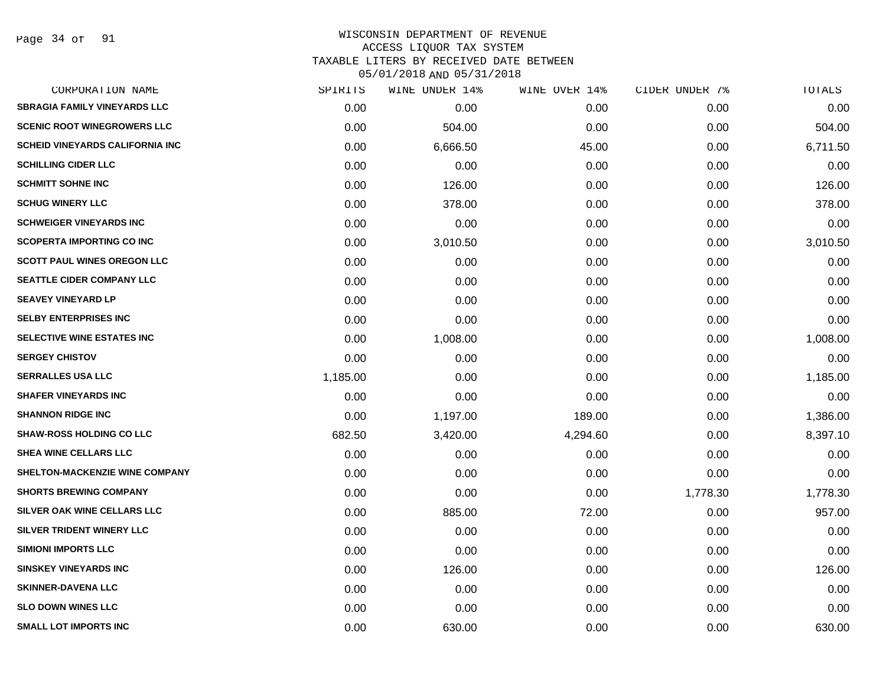Page 34 of 91

# WISCONSIN DEPARTMENT OF REVENUE ACCESS LIQUOR TAX SYSTEM TAXABLE LITERS BY RECEIVED DATE BETWEEN

| CORPORATION NAME                       | SPIRITS  | WINE UNDER 14% | WINE OVER 14% | CIDER UNDER 7% | TOTALS   |
|----------------------------------------|----------|----------------|---------------|----------------|----------|
| <b>SBRAGIA FAMILY VINEYARDS LLC</b>    | 0.00     | 0.00           | 0.00          | 0.00           | 0.00     |
| <b>SCENIC ROOT WINEGROWERS LLC</b>     | 0.00     | 504.00         | 0.00          | 0.00           | 504.00   |
| <b>SCHEID VINEYARDS CALIFORNIA INC</b> | 0.00     | 6,666.50       | 45.00         | 0.00           | 6,711.50 |
| <b>SCHILLING CIDER LLC</b>             | 0.00     | 0.00           | 0.00          | 0.00           | 0.00     |
| <b>SCHMITT SOHNE INC</b>               | 0.00     | 126.00         | 0.00          | 0.00           | 126.00   |
| <b>SCHUG WINERY LLC</b>                | 0.00     | 378.00         | 0.00          | 0.00           | 378.00   |
| <b>SCHWEIGER VINEYARDS INC</b>         | 0.00     | 0.00           | 0.00          | 0.00           | 0.00     |
| <b>SCOPERTA IMPORTING CO INC</b>       | 0.00     | 3,010.50       | 0.00          | 0.00           | 3,010.50 |
| <b>SCOTT PAUL WINES OREGON LLC</b>     | 0.00     | 0.00           | 0.00          | 0.00           | 0.00     |
| <b>SEATTLE CIDER COMPANY LLC</b>       | 0.00     | 0.00           | 0.00          | 0.00           | 0.00     |
| <b>SEAVEY VINEYARD LP</b>              | 0.00     | 0.00           | 0.00          | 0.00           | 0.00     |
| <b>SELBY ENTERPRISES INC</b>           | 0.00     | 0.00           | 0.00          | 0.00           | 0.00     |
| SELECTIVE WINE ESTATES INC             | 0.00     | 1,008.00       | 0.00          | 0.00           | 1,008.00 |
| <b>SERGEY CHISTOV</b>                  | 0.00     | 0.00           | 0.00          | 0.00           | 0.00     |
| <b>SERRALLES USA LLC</b>               | 1,185.00 | 0.00           | 0.00          | 0.00           | 1,185.00 |
| <b>SHAFER VINEYARDS INC</b>            | 0.00     | 0.00           | 0.00          | 0.00           | 0.00     |
| <b>SHANNON RIDGE INC</b>               | 0.00     | 1,197.00       | 189.00        | 0.00           | 1,386.00 |
| <b>SHAW-ROSS HOLDING CO LLC</b>        | 682.50   | 3,420.00       | 4,294.60      | 0.00           | 8,397.10 |
| SHEA WINE CELLARS LLC                  | 0.00     | 0.00           | 0.00          | 0.00           | 0.00     |
| SHELTON-MACKENZIE WINE COMPANY         | 0.00     | 0.00           | 0.00          | 0.00           | 0.00     |
| <b>SHORTS BREWING COMPANY</b>          | 0.00     | 0.00           | 0.00          | 1,778.30       | 1,778.30 |
| SILVER OAK WINE CELLARS LLC            | 0.00     | 885.00         | 72.00         | 0.00           | 957.00   |
| SILVER TRIDENT WINERY LLC              | 0.00     | 0.00           | 0.00          | 0.00           | 0.00     |
| <b>SIMIONI IMPORTS LLC</b>             | 0.00     | 0.00           | 0.00          | 0.00           | 0.00     |
| <b>SINSKEY VINEYARDS INC</b>           | 0.00     | 126.00         | 0.00          | 0.00           | 126.00   |
| <b>SKINNER-DAVENA LLC</b>              | 0.00     | 0.00           | 0.00          | 0.00           | 0.00     |
| <b>SLO DOWN WINES LLC</b>              | 0.00     | 0.00           | 0.00          | 0.00           | 0.00     |
| <b>SMALL LOT IMPORTS INC</b>           | 0.00     | 630.00         | 0.00          | 0.00           | 630.00   |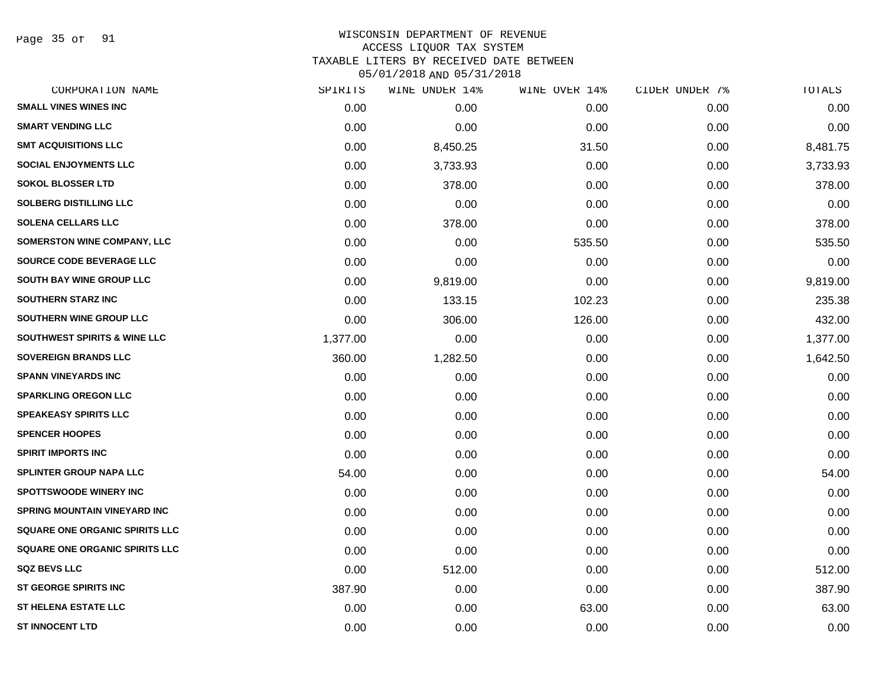Page 35 of 91

| CORPORATION NAME                        | SPIRITS  | WINE UNDER 14% | WINE OVER 14% | CIDER UNDER 7% | TOTALS   |
|-----------------------------------------|----------|----------------|---------------|----------------|----------|
| <b>SMALL VINES WINES INC</b>            | 0.00     | 0.00           | 0.00          | 0.00           | 0.00     |
| <b>SMART VENDING LLC</b>                | 0.00     | 0.00           | 0.00          | 0.00           | 0.00     |
| <b>SMT ACQUISITIONS LLC</b>             | 0.00     | 8,450.25       | 31.50         | 0.00           | 8,481.75 |
| <b>SOCIAL ENJOYMENTS LLC</b>            | 0.00     | 3,733.93       | 0.00          | 0.00           | 3,733.93 |
| <b>SOKOL BLOSSER LTD</b>                | 0.00     | 378.00         | 0.00          | 0.00           | 378.00   |
| <b>SOLBERG DISTILLING LLC</b>           | 0.00     | 0.00           | 0.00          | 0.00           | 0.00     |
| <b>SOLENA CELLARS LLC</b>               | 0.00     | 378.00         | 0.00          | 0.00           | 378.00   |
| <b>SOMERSTON WINE COMPANY, LLC</b>      | 0.00     | 0.00           | 535.50        | 0.00           | 535.50   |
| SOURCE CODE BEVERAGE LLC                | 0.00     | 0.00           | 0.00          | 0.00           | 0.00     |
| SOUTH BAY WINE GROUP LLC                | 0.00     | 9,819.00       | 0.00          | 0.00           | 9,819.00 |
| <b>SOUTHERN STARZ INC</b>               | 0.00     | 133.15         | 102.23        | 0.00           | 235.38   |
| SOUTHERN WINE GROUP LLC                 | 0.00     | 306.00         | 126.00        | 0.00           | 432.00   |
| <b>SOUTHWEST SPIRITS &amp; WINE LLC</b> | 1,377.00 | 0.00           | 0.00          | 0.00           | 1,377.00 |
| <b>SOVEREIGN BRANDS LLC</b>             | 360.00   | 1,282.50       | 0.00          | 0.00           | 1,642.50 |
| <b>SPANN VINEYARDS INC</b>              | 0.00     | 0.00           | 0.00          | 0.00           | 0.00     |
| <b>SPARKLING OREGON LLC</b>             | 0.00     | 0.00           | 0.00          | 0.00           | 0.00     |
| <b>SPEAKEASY SPIRITS LLC</b>            | 0.00     | 0.00           | 0.00          | 0.00           | 0.00     |
| <b>SPENCER HOOPES</b>                   | 0.00     | 0.00           | 0.00          | 0.00           | 0.00     |
| <b>SPIRIT IMPORTS INC</b>               | 0.00     | 0.00           | 0.00          | 0.00           | 0.00     |
| SPLINTER GROUP NAPA LLC                 | 54.00    | 0.00           | 0.00          | 0.00           | 54.00    |
| <b>SPOTTSWOODE WINERY INC</b>           | 0.00     | 0.00           | 0.00          | 0.00           | 0.00     |
| SPRING MOUNTAIN VINEYARD INC            | 0.00     | 0.00           | 0.00          | 0.00           | 0.00     |
| SQUARE ONE ORGANIC SPIRITS LLC          | 0.00     | 0.00           | 0.00          | 0.00           | 0.00     |
| SQUARE ONE ORGANIC SPIRITS LLC          | 0.00     | 0.00           | 0.00          | 0.00           | 0.00     |
| <b>SQZ BEVS LLC</b>                     | 0.00     | 512.00         | 0.00          | 0.00           | 512.00   |
| ST GEORGE SPIRITS INC                   | 387.90   | 0.00           | 0.00          | 0.00           | 387.90   |
| <b>ST HELENA ESTATE LLC</b>             | 0.00     | 0.00           | 63.00         | 0.00           | 63.00    |
| <b>ST INNOCENT LTD</b>                  | 0.00     | 0.00           | 0.00          | 0.00           | 0.00     |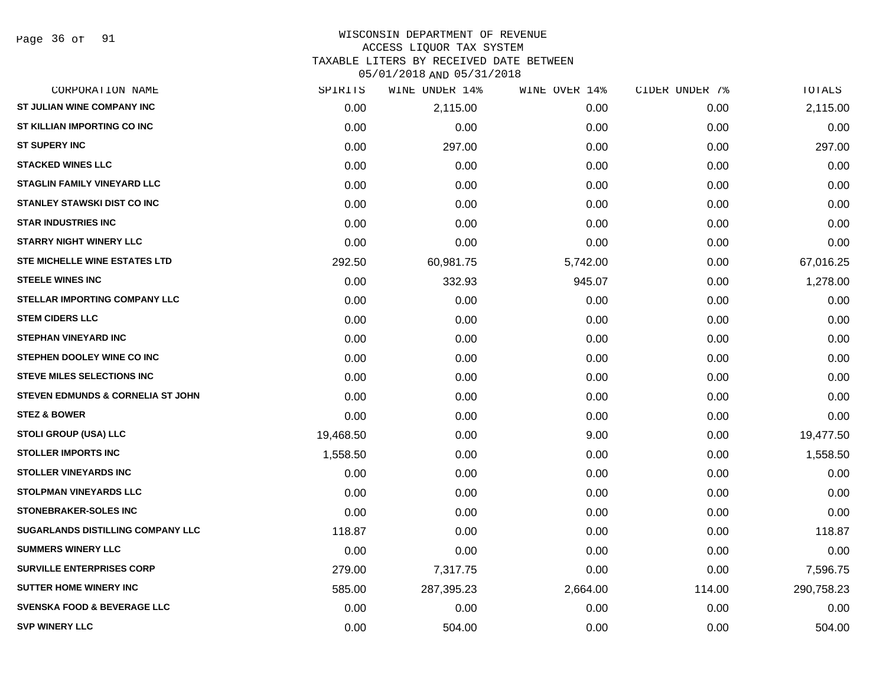## WISCONSIN DEPARTMENT OF REVENUE ACCESS LIQUOR TAX SYSTEM TAXABLE LITERS BY RECEIVED DATE BETWEEN

| CORPORATION NAME                             | SPIRITS   | WINE UNDER 14% | WINE OVER 14% | CIDER UNDER 7% | TOTALS     |
|----------------------------------------------|-----------|----------------|---------------|----------------|------------|
| ST JULIAN WINE COMPANY INC                   | 0.00      | 2,115.00       | 0.00          | 0.00           | 2,115.00   |
| ST KILLIAN IMPORTING CO INC                  | 0.00      | 0.00           | 0.00          | 0.00           | 0.00       |
| <b>ST SUPERY INC</b>                         | 0.00      | 297.00         | 0.00          | 0.00           | 297.00     |
| <b>STACKED WINES LLC</b>                     | 0.00      | 0.00           | 0.00          | 0.00           | 0.00       |
| <b>STAGLIN FAMILY VINEYARD LLC</b>           | 0.00      | 0.00           | 0.00          | 0.00           | 0.00       |
| <b>STANLEY STAWSKI DIST CO INC</b>           | 0.00      | 0.00           | 0.00          | 0.00           | 0.00       |
| <b>STAR INDUSTRIES INC</b>                   | 0.00      | 0.00           | 0.00          | 0.00           | 0.00       |
| <b>STARRY NIGHT WINERY LLC</b>               | 0.00      | 0.00           | 0.00          | 0.00           | 0.00       |
| STE MICHELLE WINE ESTATES LTD                | 292.50    | 60,981.75      | 5,742.00      | 0.00           | 67,016.25  |
| <b>STEELE WINES INC</b>                      | 0.00      | 332.93         | 945.07        | 0.00           | 1,278.00   |
| STELLAR IMPORTING COMPANY LLC                | 0.00      | 0.00           | 0.00          | 0.00           | 0.00       |
| <b>STEM CIDERS LLC</b>                       | 0.00      | 0.00           | 0.00          | 0.00           | 0.00       |
| <b>STEPHAN VINEYARD INC</b>                  | 0.00      | 0.00           | 0.00          | 0.00           | 0.00       |
| STEPHEN DOOLEY WINE CO INC                   | 0.00      | 0.00           | 0.00          | 0.00           | 0.00       |
| <b>STEVE MILES SELECTIONS INC</b>            | 0.00      | 0.00           | 0.00          | 0.00           | 0.00       |
| <b>STEVEN EDMUNDS &amp; CORNELIA ST JOHN</b> | 0.00      | 0.00           | 0.00          | 0.00           | 0.00       |
| <b>STEZ &amp; BOWER</b>                      | 0.00      | 0.00           | 0.00          | 0.00           | 0.00       |
| <b>STOLI GROUP (USA) LLC</b>                 | 19,468.50 | 0.00           | 9.00          | 0.00           | 19,477.50  |
| <b>STOLLER IMPORTS INC</b>                   | 1,558.50  | 0.00           | 0.00          | 0.00           | 1,558.50   |
| <b>STOLLER VINEYARDS INC</b>                 | 0.00      | 0.00           | 0.00          | 0.00           | 0.00       |
| <b>STOLPMAN VINEYARDS LLC</b>                | 0.00      | 0.00           | 0.00          | 0.00           | 0.00       |
| <b>STONEBRAKER-SOLES INC</b>                 | 0.00      | 0.00           | 0.00          | 0.00           | 0.00       |
| SUGARLANDS DISTILLING COMPANY LLC            | 118.87    | 0.00           | 0.00          | 0.00           | 118.87     |
| <b>SUMMERS WINERY LLC</b>                    | 0.00      | 0.00           | 0.00          | 0.00           | 0.00       |
| <b>SURVILLE ENTERPRISES CORP</b>             | 279.00    | 7,317.75       | 0.00          | 0.00           | 7,596.75   |
| <b>SUTTER HOME WINERY INC</b>                | 585.00    | 287,395.23     | 2,664.00      | 114.00         | 290,758.23 |
| <b>SVENSKA FOOD &amp; BEVERAGE LLC</b>       | 0.00      | 0.00           | 0.00          | 0.00           | 0.00       |
| <b>SVP WINERY LLC</b>                        | 0.00      | 504.00         | 0.00          | 0.00           | 504.00     |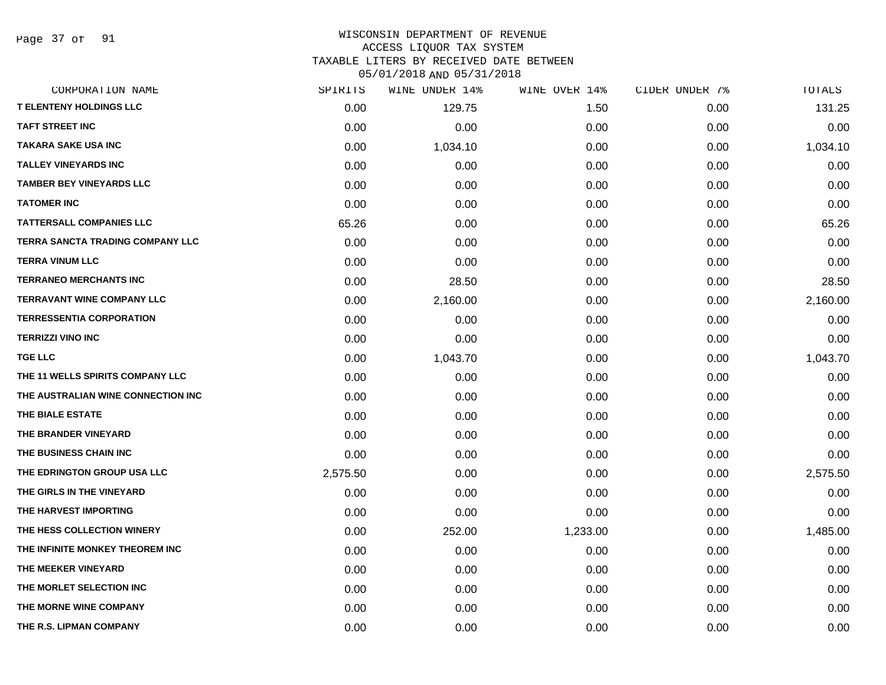Page 37 of 91

#### WISCONSIN DEPARTMENT OF REVENUE ACCESS LIQUOR TAX SYSTEM

TAXABLE LITERS BY RECEIVED DATE BETWEEN

| CORPORATION NAME                        | SPIRITS  | WINE UNDER 14% | WINE OVER 14% | CIDER UNDER 7% | TOTALS   |
|-----------------------------------------|----------|----------------|---------------|----------------|----------|
| <b>T ELENTENY HOLDINGS LLC</b>          | 0.00     | 129.75         | 1.50          | 0.00           | 131.25   |
| <b>TAFT STREET INC</b>                  | 0.00     | 0.00           | 0.00          | 0.00           | 0.00     |
| <b>TAKARA SAKE USA INC</b>              | 0.00     | 1,034.10       | 0.00          | 0.00           | 1,034.10 |
| <b>TALLEY VINEYARDS INC</b>             | 0.00     | 0.00           | 0.00          | 0.00           | 0.00     |
| <b>TAMBER BEY VINEYARDS LLC</b>         | 0.00     | 0.00           | 0.00          | 0.00           | 0.00     |
| <b>TATOMER INC</b>                      | 0.00     | 0.00           | 0.00          | 0.00           | 0.00     |
| <b>TATTERSALL COMPANIES LLC</b>         | 65.26    | 0.00           | 0.00          | 0.00           | 65.26    |
| <b>TERRA SANCTA TRADING COMPANY LLC</b> | 0.00     | 0.00           | 0.00          | 0.00           | 0.00     |
| <b>TERRA VINUM LLC</b>                  | 0.00     | 0.00           | 0.00          | 0.00           | 0.00     |
| <b>TERRANEO MERCHANTS INC</b>           | 0.00     | 28.50          | 0.00          | 0.00           | 28.50    |
| <b>TERRAVANT WINE COMPANY LLC</b>       | 0.00     | 2,160.00       | 0.00          | 0.00           | 2,160.00 |
| <b>TERRESSENTIA CORPORATION</b>         | 0.00     | 0.00           | 0.00          | 0.00           | 0.00     |
| <b>TERRIZZI VINO INC</b>                | 0.00     | 0.00           | 0.00          | 0.00           | 0.00     |
| <b>TGE LLC</b>                          | 0.00     | 1,043.70       | 0.00          | 0.00           | 1,043.70 |
| THE 11 WELLS SPIRITS COMPANY LLC        | 0.00     | 0.00           | 0.00          | 0.00           | 0.00     |
| THE AUSTRALIAN WINE CONNECTION INC      | 0.00     | 0.00           | 0.00          | 0.00           | 0.00     |
| THE BIALE ESTATE                        | 0.00     | 0.00           | 0.00          | 0.00           | 0.00     |
| THE BRANDER VINEYARD                    | 0.00     | 0.00           | 0.00          | 0.00           | 0.00     |
| THE BUSINESS CHAIN INC                  | 0.00     | 0.00           | 0.00          | 0.00           | 0.00     |
| THE EDRINGTON GROUP USA LLC             | 2,575.50 | 0.00           | 0.00          | 0.00           | 2,575.50 |
| THE GIRLS IN THE VINEYARD               | 0.00     | 0.00           | 0.00          | 0.00           | 0.00     |
| THE HARVEST IMPORTING                   | 0.00     | 0.00           | 0.00          | 0.00           | 0.00     |
| THE HESS COLLECTION WINERY              | 0.00     | 252.00         | 1,233.00      | 0.00           | 1,485.00 |
| THE INFINITE MONKEY THEOREM INC.        | 0.00     | 0.00           | 0.00          | 0.00           | 0.00     |
| THE MEEKER VINEYARD                     | 0.00     | 0.00           | 0.00          | 0.00           | 0.00     |
| THE MORLET SELECTION INC                | 0.00     | 0.00           | 0.00          | 0.00           | 0.00     |
| THE MORNE WINE COMPANY                  | 0.00     | 0.00           | 0.00          | 0.00           | 0.00     |
| THE R.S. LIPMAN COMPANY                 | 0.00     | 0.00           | 0.00          | 0.00           | 0.00     |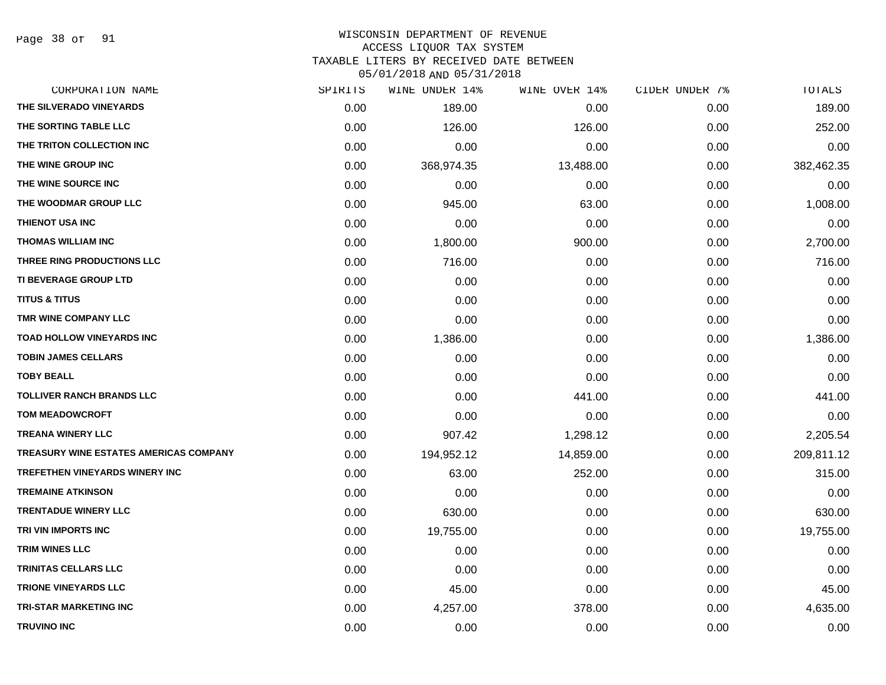Page 38 of 91

#### WISCONSIN DEPARTMENT OF REVENUE ACCESS LIQUOR TAX SYSTEM

TAXABLE LITERS BY RECEIVED DATE BETWEEN

| CORPORATION NAME                       | SPIRITS | WINE UNDER 14% | WINE OVER 14% | CIDER UNDER 7% | TOTALS     |
|----------------------------------------|---------|----------------|---------------|----------------|------------|
| THE SILVERADO VINEYARDS                | 0.00    | 189.00         | 0.00          | 0.00           | 189.00     |
| THE SORTING TABLE LLC                  | 0.00    | 126.00         | 126.00        | 0.00           | 252.00     |
| THE TRITON COLLECTION INC              | 0.00    | 0.00           | 0.00          | 0.00           | 0.00       |
| THE WINE GROUP INC                     | 0.00    | 368,974.35     | 13,488.00     | 0.00           | 382,462.35 |
| THE WINE SOURCE INC                    | 0.00    | 0.00           | 0.00          | 0.00           | 0.00       |
| THE WOODMAR GROUP LLC                  | 0.00    | 945.00         | 63.00         | 0.00           | 1,008.00   |
| THIENOT USA INC                        | 0.00    | 0.00           | 0.00          | 0.00           | 0.00       |
| <b>THOMAS WILLIAM INC</b>              | 0.00    | 1,800.00       | 900.00        | 0.00           | 2,700.00   |
| THREE RING PRODUCTIONS LLC             | 0.00    | 716.00         | 0.00          | 0.00           | 716.00     |
| <b>TI BEVERAGE GROUP LTD</b>           | 0.00    | 0.00           | 0.00          | 0.00           | 0.00       |
| <b>TITUS &amp; TITUS</b>               | 0.00    | 0.00           | 0.00          | 0.00           | 0.00       |
| TMR WINE COMPANY LLC                   | 0.00    | 0.00           | 0.00          | 0.00           | 0.00       |
| <b>TOAD HOLLOW VINEYARDS INC</b>       | 0.00    | 1,386.00       | 0.00          | 0.00           | 1,386.00   |
| <b>TOBIN JAMES CELLARS</b>             | 0.00    | 0.00           | 0.00          | 0.00           | 0.00       |
| <b>TOBY BEALL</b>                      | 0.00    | 0.00           | 0.00          | 0.00           | 0.00       |
| <b>TOLLIVER RANCH BRANDS LLC</b>       | 0.00    | 0.00           | 441.00        | 0.00           | 441.00     |
| <b>TOM MEADOWCROFT</b>                 | 0.00    | 0.00           | 0.00          | 0.00           | 0.00       |
| <b>TREANA WINERY LLC</b>               | 0.00    | 907.42         | 1,298.12      | 0.00           | 2,205.54   |
| TREASURY WINE ESTATES AMERICAS COMPANY | 0.00    | 194,952.12     | 14,859.00     | 0.00           | 209,811.12 |
| TREFETHEN VINEYARDS WINERY INC         | 0.00    | 63.00          | 252.00        | 0.00           | 315.00     |
| <b>TREMAINE ATKINSON</b>               | 0.00    | 0.00           | 0.00          | 0.00           | 0.00       |
| <b>TRENTADUE WINERY LLC</b>            | 0.00    | 630.00         | 0.00          | 0.00           | 630.00     |
| TRI VIN IMPORTS INC                    | 0.00    | 19,755.00      | 0.00          | 0.00           | 19,755.00  |
| <b>TRIM WINES LLC</b>                  | 0.00    | 0.00           | 0.00          | 0.00           | 0.00       |
| <b>TRINITAS CELLARS LLC</b>            | 0.00    | 0.00           | 0.00          | 0.00           | 0.00       |
| <b>TRIONE VINEYARDS LLC</b>            | 0.00    | 45.00          | 0.00          | 0.00           | 45.00      |
| <b>TRI-STAR MARKETING INC</b>          | 0.00    | 4,257.00       | 378.00        | 0.00           | 4,635.00   |
| <b>TRUVINO INC</b>                     | 0.00    | 0.00           | 0.00          | 0.00           | 0.00       |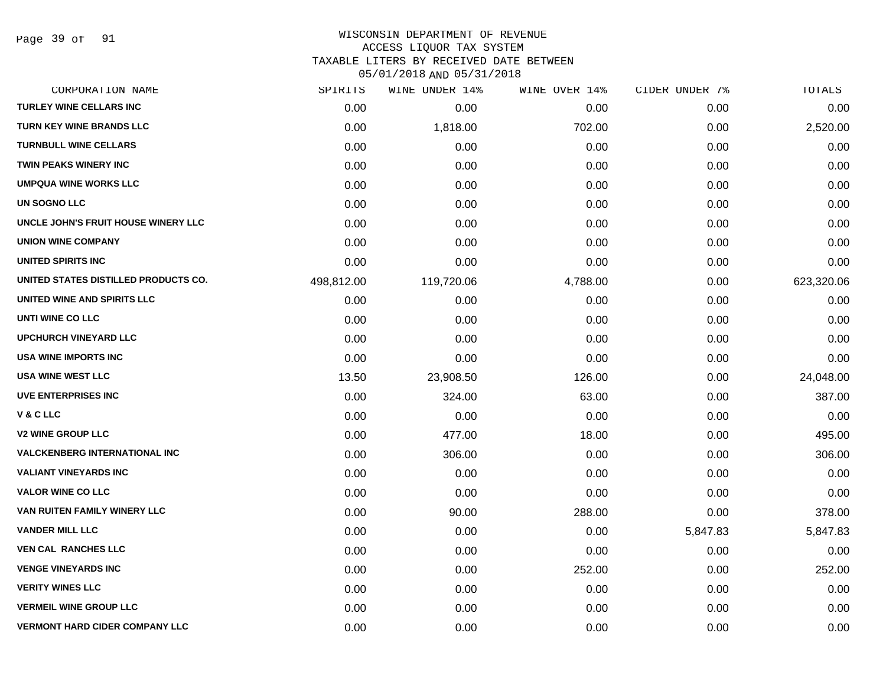Page 39 of 91

# WISCONSIN DEPARTMENT OF REVENUE

## ACCESS LIQUOR TAX SYSTEM

TAXABLE LITERS BY RECEIVED DATE BETWEEN

| CORPORATION NAME                      | SPIRITS    | WINE UNDER 14% | WINE OVER 14% | CIDER UNDER 7% | TOTALS     |
|---------------------------------------|------------|----------------|---------------|----------------|------------|
| <b>TURLEY WINE CELLARS INC</b>        | 0.00       | 0.00           | 0.00          | 0.00           | 0.00       |
| <b>TURN KEY WINE BRANDS LLC</b>       | 0.00       | 1,818.00       | 702.00        | 0.00           | 2,520.00   |
| <b>TURNBULL WINE CELLARS</b>          | 0.00       | 0.00           | 0.00          | 0.00           | 0.00       |
| <b>TWIN PEAKS WINERY INC</b>          | 0.00       | 0.00           | 0.00          | 0.00           | 0.00       |
| <b>UMPQUA WINE WORKS LLC</b>          | 0.00       | 0.00           | 0.00          | 0.00           | 0.00       |
| <b>UN SOGNO LLC</b>                   | 0.00       | 0.00           | 0.00          | 0.00           | 0.00       |
| UNCLE JOHN'S FRUIT HOUSE WINERY LLC   | 0.00       | 0.00           | 0.00          | 0.00           | 0.00       |
| <b>UNION WINE COMPANY</b>             | 0.00       | 0.00           | 0.00          | 0.00           | 0.00       |
| UNITED SPIRITS INC                    | 0.00       | 0.00           | 0.00          | 0.00           | 0.00       |
| UNITED STATES DISTILLED PRODUCTS CO.  | 498,812.00 | 119,720.06     | 4,788.00      | 0.00           | 623,320.06 |
| UNITED WINE AND SPIRITS LLC           | 0.00       | 0.00           | 0.00          | 0.00           | 0.00       |
| UNTI WINE CO LLC                      | 0.00       | 0.00           | 0.00          | 0.00           | 0.00       |
| <b>UPCHURCH VINEYARD LLC</b>          | 0.00       | 0.00           | 0.00          | 0.00           | 0.00       |
| <b>USA WINE IMPORTS INC</b>           | 0.00       | 0.00           | 0.00          | 0.00           | 0.00       |
| <b>USA WINE WEST LLC</b>              | 13.50      | 23,908.50      | 126.00        | 0.00           | 24,048.00  |
| <b>UVE ENTERPRISES INC</b>            | 0.00       | 324.00         | 63.00         | 0.00           | 387.00     |
| V & C LLC                             | 0.00       | 0.00           | 0.00          | 0.00           | 0.00       |
| <b>V2 WINE GROUP LLC</b>              | 0.00       | 477.00         | 18.00         | 0.00           | 495.00     |
| <b>VALCKENBERG INTERNATIONAL INC</b>  | 0.00       | 306.00         | 0.00          | 0.00           | 306.00     |
| <b>VALIANT VINEYARDS INC</b>          | 0.00       | 0.00           | 0.00          | 0.00           | 0.00       |
| <b>VALOR WINE CO LLC</b>              | 0.00       | 0.00           | 0.00          | 0.00           | 0.00       |
| VAN RUITEN FAMILY WINERY LLC          | 0.00       | 90.00          | 288.00        | 0.00           | 378.00     |
| <b>VANDER MILL LLC</b>                | 0.00       | 0.00           | 0.00          | 5,847.83       | 5,847.83   |
| <b>VEN CAL RANCHES LLC</b>            | 0.00       | 0.00           | 0.00          | 0.00           | 0.00       |
| <b>VENGE VINEYARDS INC</b>            | 0.00       | 0.00           | 252.00        | 0.00           | 252.00     |
| <b>VERITY WINES LLC</b>               | 0.00       | 0.00           | 0.00          | 0.00           | 0.00       |
| <b>VERMEIL WINE GROUP LLC</b>         | 0.00       | 0.00           | 0.00          | 0.00           | 0.00       |
| <b>VERMONT HARD CIDER COMPANY LLC</b> | 0.00       | 0.00           | 0.00          | 0.00           | 0.00       |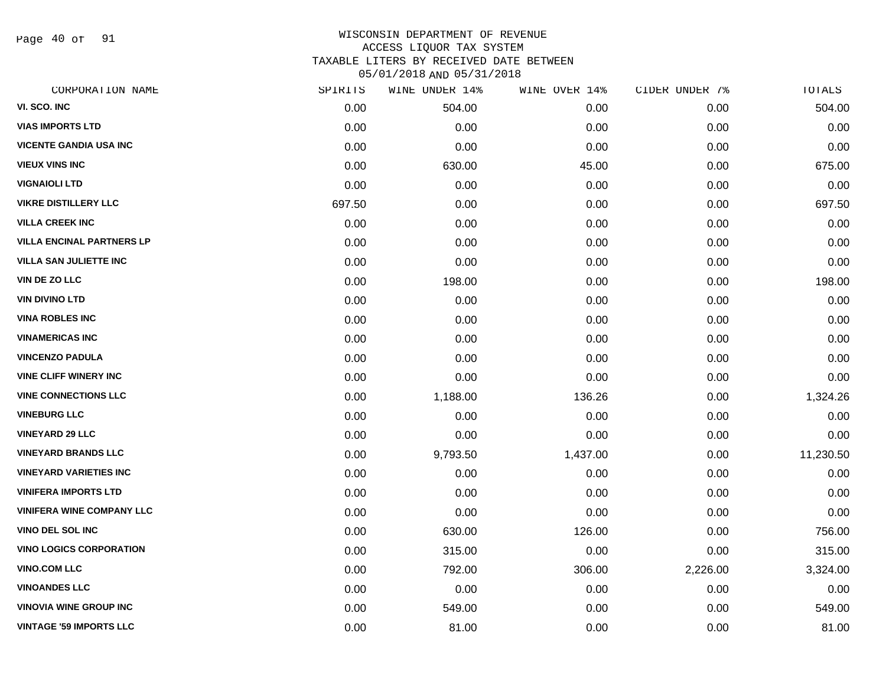Page 40 of 91

#### WISCONSIN DEPARTMENT OF REVENUE ACCESS LIQUOR TAX SYSTEM TAXABLE LITERS BY RECEIVED DATE BETWEEN

| CORPORATION NAME                 | SPIRITS | WINE UNDER 14% | WINE OVER 14% | CIDER UNDER 7% | TOTALS    |
|----------------------------------|---------|----------------|---------------|----------------|-----------|
| VI. SCO. INC                     | 0.00    | 504.00         | 0.00          | 0.00           | 504.00    |
| <b>VIAS IMPORTS LTD</b>          | 0.00    | 0.00           | 0.00          | 0.00           | 0.00      |
| <b>VICENTE GANDIA USA INC</b>    | 0.00    | 0.00           | 0.00          | 0.00           | 0.00      |
| <b>VIEUX VINS INC</b>            | 0.00    | 630.00         | 45.00         | 0.00           | 675.00    |
| <b>VIGNAIOLI LTD</b>             | 0.00    | 0.00           | 0.00          | 0.00           | 0.00      |
| <b>VIKRE DISTILLERY LLC</b>      | 697.50  | 0.00           | 0.00          | 0.00           | 697.50    |
| <b>VILLA CREEK INC</b>           | 0.00    | 0.00           | 0.00          | 0.00           | 0.00      |
| <b>VILLA ENCINAL PARTNERS LP</b> | 0.00    | 0.00           | 0.00          | 0.00           | 0.00      |
| <b>VILLA SAN JULIETTE INC</b>    | 0.00    | 0.00           | 0.00          | 0.00           | 0.00      |
| VIN DE ZO LLC                    | 0.00    | 198.00         | 0.00          | 0.00           | 198.00    |
| <b>VIN DIVINO LTD</b>            | 0.00    | 0.00           | 0.00          | 0.00           | 0.00      |
| <b>VINA ROBLES INC</b>           | 0.00    | 0.00           | 0.00          | 0.00           | 0.00      |
| <b>VINAMERICAS INC</b>           | 0.00    | 0.00           | 0.00          | 0.00           | 0.00      |
| <b>VINCENZO PADULA</b>           | 0.00    | 0.00           | 0.00          | 0.00           | 0.00      |
| <b>VINE CLIFF WINERY INC</b>     | 0.00    | 0.00           | 0.00          | 0.00           | 0.00      |
| <b>VINE CONNECTIONS LLC</b>      | 0.00    | 1,188.00       | 136.26        | 0.00           | 1,324.26  |
| <b>VINEBURG LLC</b>              | 0.00    | 0.00           | 0.00          | 0.00           | 0.00      |
| <b>VINEYARD 29 LLC</b>           | 0.00    | 0.00           | 0.00          | 0.00           | 0.00      |
| <b>VINEYARD BRANDS LLC</b>       | 0.00    | 9,793.50       | 1,437.00      | 0.00           | 11,230.50 |
| <b>VINEYARD VARIETIES INC</b>    | 0.00    | 0.00           | 0.00          | 0.00           | 0.00      |
| <b>VINIFERA IMPORTS LTD</b>      | 0.00    | 0.00           | 0.00          | 0.00           | 0.00      |
| <b>VINIFERA WINE COMPANY LLC</b> | 0.00    | 0.00           | 0.00          | 0.00           | 0.00      |
| <b>VINO DEL SOL INC</b>          | 0.00    | 630.00         | 126.00        | 0.00           | 756.00    |
| <b>VINO LOGICS CORPORATION</b>   | 0.00    | 315.00         | 0.00          | 0.00           | 315.00    |
| <b>VINO.COM LLC</b>              | 0.00    | 792.00         | 306.00        | 2,226.00       | 3,324.00  |
| <b>VINOANDES LLC</b>             | 0.00    | 0.00           | 0.00          | 0.00           | 0.00      |
| <b>VINOVIA WINE GROUP INC</b>    | 0.00    | 549.00         | 0.00          | 0.00           | 549.00    |
| <b>VINTAGE '59 IMPORTS LLC</b>   | 0.00    | 81.00          | 0.00          | 0.00           | 81.00     |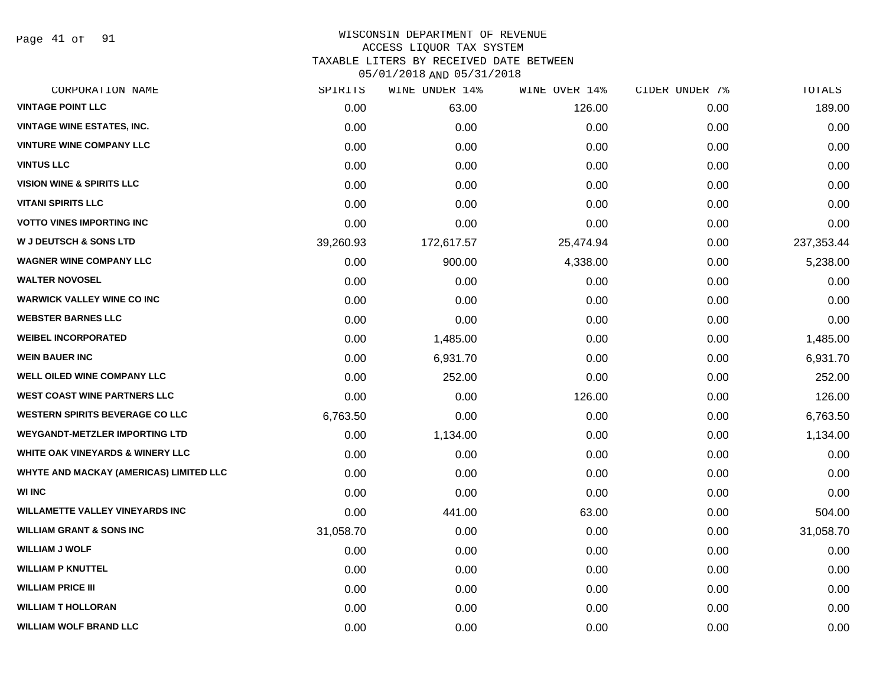Page 41 of 91

# WISCONSIN DEPARTMENT OF REVENUE ACCESS LIQUOR TAX SYSTEM TAXABLE LITERS BY RECEIVED DATE BETWEEN

| CORPORATION NAME                        | SPIRITS   | WINE UNDER 14% | WINE OVER 14% | CIDER UNDER 7% | TOTALS      |
|-----------------------------------------|-----------|----------------|---------------|----------------|-------------|
| <b>VINTAGE POINT LLC</b>                | 0.00      | 63.00          | 126.00        | 0.00           | 189.00      |
| <b>VINTAGE WINE ESTATES, INC.</b>       | 0.00      | 0.00           | 0.00          | 0.00           | 0.00        |
| <b>VINTURE WINE COMPANY LLC</b>         | 0.00      | 0.00           | 0.00          | 0.00           | 0.00        |
| <b>VINTUS LLC</b>                       | 0.00      | 0.00           | 0.00          | 0.00           | 0.00        |
| <b>VISION WINE &amp; SPIRITS LLC</b>    | 0.00      | 0.00           | 0.00          | 0.00           | 0.00        |
| <b>VITANI SPIRITS LLC</b>               | 0.00      | 0.00           | 0.00          | 0.00           | 0.00        |
| <b>VOTTO VINES IMPORTING INC</b>        | 0.00      | 0.00           | 0.00          | 0.00           | 0.00        |
| <b>W J DEUTSCH &amp; SONS LTD</b>       | 39,260.93 | 172,617.57     | 25,474.94     | 0.00           | 237, 353.44 |
| <b>WAGNER WINE COMPANY LLC</b>          | 0.00      | 900.00         | 4,338.00      | 0.00           | 5,238.00    |
| <b>WALTER NOVOSEL</b>                   | 0.00      | 0.00           | 0.00          | 0.00           | 0.00        |
| <b>WARWICK VALLEY WINE CO INC</b>       | 0.00      | 0.00           | 0.00          | 0.00           | 0.00        |
| <b>WEBSTER BARNES LLC</b>               | 0.00      | 0.00           | 0.00          | 0.00           | 0.00        |
| <b>WEIBEL INCORPORATED</b>              | 0.00      | 1,485.00       | 0.00          | 0.00           | 1,485.00    |
| <b>WEIN BAUER INC</b>                   | 0.00      | 6,931.70       | 0.00          | 0.00           | 6,931.70    |
| <b>WELL OILED WINE COMPANY LLC</b>      | 0.00      | 252.00         | 0.00          | 0.00           | 252.00      |
| <b>WEST COAST WINE PARTNERS LLC</b>     | 0.00      | 0.00           | 126.00        | 0.00           | 126.00      |
| <b>WESTERN SPIRITS BEVERAGE CO LLC</b>  | 6,763.50  | 0.00           | 0.00          | 0.00           | 6,763.50    |
| <b>WEYGANDT-METZLER IMPORTING LTD</b>   | 0.00      | 1,134.00       | 0.00          | 0.00           | 1,134.00    |
| WHITE OAK VINEYARDS & WINERY LLC        | 0.00      | 0.00           | 0.00          | 0.00           | 0.00        |
| WHYTE AND MACKAY (AMERICAS) LIMITED LLC | 0.00      | 0.00           | 0.00          | 0.00           | 0.00        |
| <b>WI INC</b>                           | 0.00      | 0.00           | 0.00          | 0.00           | 0.00        |
| <b>WILLAMETTE VALLEY VINEYARDS INC</b>  | 0.00      | 441.00         | 63.00         | 0.00           | 504.00      |
| <b>WILLIAM GRANT &amp; SONS INC</b>     | 31,058.70 | 0.00           | 0.00          | 0.00           | 31,058.70   |
| <b>WILLIAM J WOLF</b>                   | 0.00      | 0.00           | 0.00          | 0.00           | 0.00        |
| <b>WILLIAM P KNUTTEL</b>                | 0.00      | 0.00           | 0.00          | 0.00           | 0.00        |
| <b>WILLIAM PRICE III</b>                | 0.00      | 0.00           | 0.00          | 0.00           | 0.00        |
| <b>WILLIAM T HOLLORAN</b>               | 0.00      | 0.00           | 0.00          | 0.00           | 0.00        |
| <b>WILLIAM WOLF BRAND LLC</b>           | 0.00      | 0.00           | 0.00          | 0.00           | 0.00        |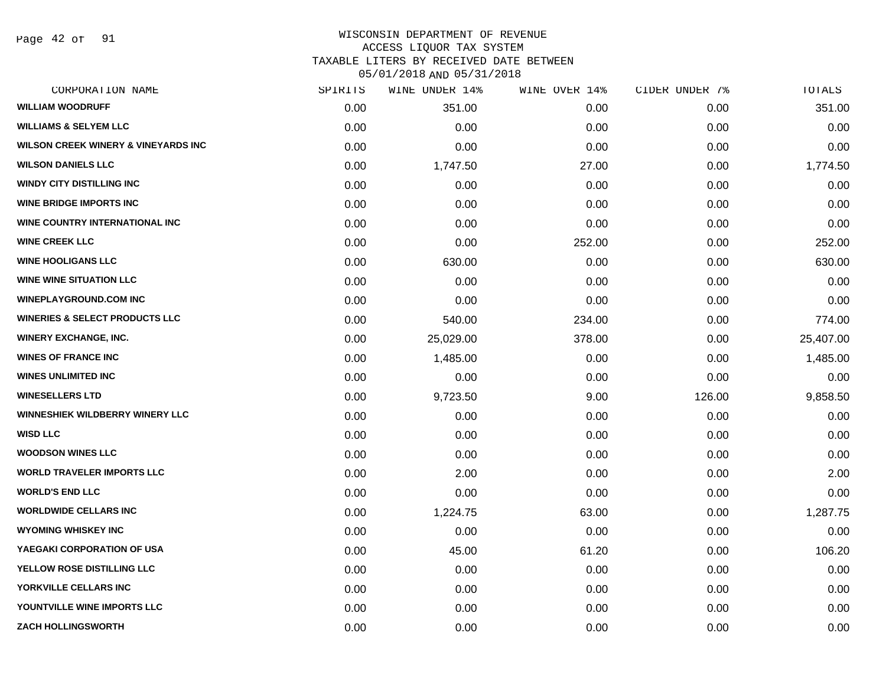Page 42 of 91

#### WISCONSIN DEPARTMENT OF REVENUE ACCESS LIQUOR TAX SYSTEM TAXABLE LITERS BY RECEIVED DATE BETWEEN

| CORPORATION NAME                               | SPIRITS | WINE UNDER 14% | WINE OVER 14% | CIDER UNDER 7% | TOTALS    |
|------------------------------------------------|---------|----------------|---------------|----------------|-----------|
| <b>WILLIAM WOODRUFF</b>                        | 0.00    | 351.00         | 0.00          | 0.00           | 351.00    |
| <b>WILLIAMS &amp; SELYEM LLC</b>               | 0.00    | 0.00           | 0.00          | 0.00           | 0.00      |
| <b>WILSON CREEK WINERY &amp; VINEYARDS INC</b> | 0.00    | 0.00           | 0.00          | 0.00           | 0.00      |
| <b>WILSON DANIELS LLC</b>                      | 0.00    | 1,747.50       | 27.00         | 0.00           | 1,774.50  |
| <b>WINDY CITY DISTILLING INC</b>               | 0.00    | 0.00           | 0.00          | 0.00           | 0.00      |
| <b>WINE BRIDGE IMPORTS INC</b>                 | 0.00    | 0.00           | 0.00          | 0.00           | 0.00      |
| WINE COUNTRY INTERNATIONAL INC                 | 0.00    | 0.00           | 0.00          | 0.00           | 0.00      |
| <b>WINE CREEK LLC</b>                          | 0.00    | 0.00           | 252.00        | 0.00           | 252.00    |
| <b>WINE HOOLIGANS LLC</b>                      | 0.00    | 630.00         | 0.00          | 0.00           | 630.00    |
| <b>WINE WINE SITUATION LLC</b>                 | 0.00    | 0.00           | 0.00          | 0.00           | 0.00      |
| <b>WINEPLAYGROUND.COM INC</b>                  | 0.00    | 0.00           | 0.00          | 0.00           | 0.00      |
| <b>WINERIES &amp; SELECT PRODUCTS LLC</b>      | 0.00    | 540.00         | 234.00        | 0.00           | 774.00    |
| <b>WINERY EXCHANGE, INC.</b>                   | 0.00    | 25,029.00      | 378.00        | 0.00           | 25,407.00 |
| <b>WINES OF FRANCE INC</b>                     | 0.00    | 1,485.00       | 0.00          | 0.00           | 1,485.00  |
| <b>WINES UNLIMITED INC</b>                     | 0.00    | 0.00           | 0.00          | 0.00           | 0.00      |
| <b>WINESELLERS LTD</b>                         | 0.00    | 9,723.50       | 9.00          | 126.00         | 9,858.50  |
| <b>WINNESHIEK WILDBERRY WINERY LLC</b>         | 0.00    | 0.00           | 0.00          | 0.00           | 0.00      |
| <b>WISD LLC</b>                                | 0.00    | 0.00           | 0.00          | 0.00           | 0.00      |
| <b>WOODSON WINES LLC</b>                       | 0.00    | 0.00           | 0.00          | 0.00           | 0.00      |
| <b>WORLD TRAVELER IMPORTS LLC</b>              | 0.00    | 2.00           | 0.00          | 0.00           | 2.00      |
| <b>WORLD'S END LLC</b>                         | 0.00    | 0.00           | 0.00          | 0.00           | 0.00      |
| <b>WORLDWIDE CELLARS INC</b>                   | 0.00    | 1,224.75       | 63.00         | 0.00           | 1,287.75  |
| <b>WYOMING WHISKEY INC</b>                     | 0.00    | 0.00           | 0.00          | 0.00           | 0.00      |
| YAEGAKI CORPORATION OF USA                     | 0.00    | 45.00          | 61.20         | 0.00           | 106.20    |
| YELLOW ROSE DISTILLING LLC                     | 0.00    | 0.00           | 0.00          | 0.00           | 0.00      |
| YORKVILLE CELLARS INC                          | 0.00    | 0.00           | 0.00          | 0.00           | 0.00      |
| YOUNTVILLE WINE IMPORTS LLC                    | 0.00    | 0.00           | 0.00          | 0.00           | 0.00      |
| <b>ZACH HOLLINGSWORTH</b>                      | 0.00    | 0.00           | 0.00          | 0.00           | 0.00      |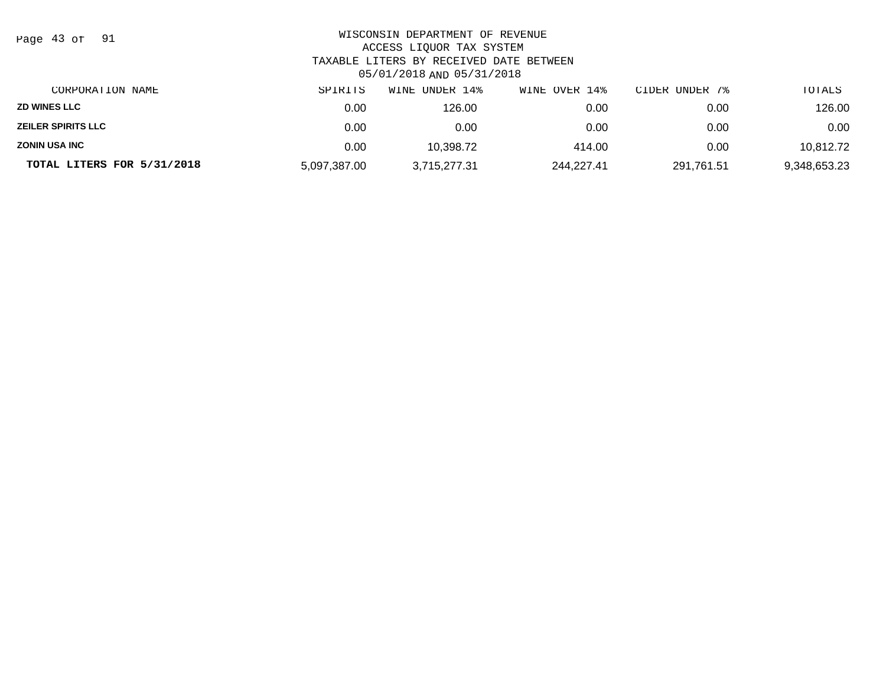| Page 43 of<br>- 91         | WISCONSIN DEPARTMENT OF REVENUE<br>ACCESS LIQUOR TAX SYSTEM<br>TAXABLE LITERS BY RECEIVED DATE BETWEEN<br>05/01/2018 AND 05/31/2018 |                |               |                |              |  |  |
|----------------------------|-------------------------------------------------------------------------------------------------------------------------------------|----------------|---------------|----------------|--------------|--|--|
| CORPORATION NAME           | SPIRITS                                                                                                                             | WINE UNDER 14% | WINE OVER 14% | CIDER UNDER 7% | TOTALS       |  |  |
| <b>ZD WINES LLC</b>        | 0.00                                                                                                                                | 126.00         | 0.00          | 0.00           | 126.00       |  |  |
| <b>ZEILER SPIRITS LLC</b>  | 0.00                                                                                                                                | 0.00           | 0.00          | 0.00           | 0.00         |  |  |
| <b>ZONIN USA INC</b>       | 0.00                                                                                                                                | 10.398.72      | 414.00        | 0.00           | 10,812.72    |  |  |
| TOTAL LITERS FOR 5/31/2018 | 5,097,387.00                                                                                                                        | 3,715,277.31   | 244,227.41    | 291,761.51     | 9,348,653.23 |  |  |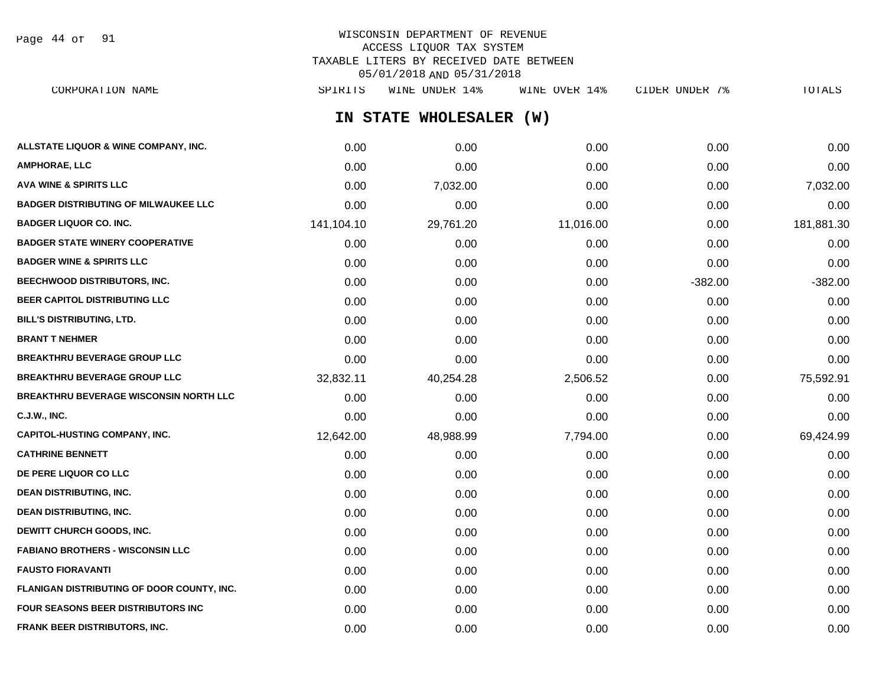Page 44 of 91

## WISCONSIN DEPARTMENT OF REVENUE ACCESS LIQUOR TAX SYSTEM TAXABLE LITERS BY RECEIVED DATE BETWEEN 05/01/2018 AND 05/31/2018

**IN STATE WHOLESALER (W) ALLSTATE LIQUOR & WINE COMPANY, INC.** 0.00 0.00 0.00 0.00 0.00 **AMPHORAE, LLC** 0.00 0.00 0.00 0.00 0.00 CORPORATION NAME SPIRITS WINE UNDER 14% WINE OVER 14% CIDER UNDER 7% TOTALS

| <b>AVA WINE &amp; SPIRITS LLC</b>             | 0.00       | 7,032.00  | 0.00      | 0.00      | 7,032.00   |
|-----------------------------------------------|------------|-----------|-----------|-----------|------------|
| <b>BADGER DISTRIBUTING OF MILWAUKEE LLC</b>   | 0.00       | 0.00      | 0.00      | 0.00      | 0.00       |
| <b>BADGER LIQUOR CO. INC.</b>                 | 141,104.10 | 29,761.20 | 11,016.00 | 0.00      | 181,881.30 |
| <b>BADGER STATE WINERY COOPERATIVE</b>        | 0.00       | 0.00      | 0.00      | 0.00      | 0.00       |
| <b>BADGER WINE &amp; SPIRITS LLC</b>          | 0.00       | 0.00      | 0.00      | 0.00      | 0.00       |
| BEECHWOOD DISTRIBUTORS, INC.                  | 0.00       | 0.00      | 0.00      | $-382.00$ | $-382.00$  |
| BEER CAPITOL DISTRIBUTING LLC                 | 0.00       | 0.00      | 0.00      | 0.00      | 0.00       |
| <b>BILL'S DISTRIBUTING, LTD.</b>              | 0.00       | 0.00      | 0.00      | 0.00      | 0.00       |
| <b>BRANT T NEHMER</b>                         | 0.00       | 0.00      | 0.00      | 0.00      | 0.00       |
| <b>BREAKTHRU BEVERAGE GROUP LLC</b>           | 0.00       | 0.00      | 0.00      | 0.00      | 0.00       |
| <b>BREAKTHRU BEVERAGE GROUP LLC</b>           | 32,832.11  | 40,254.28 | 2,506.52  | 0.00      | 75,592.91  |
| <b>BREAKTHRU BEVERAGE WISCONSIN NORTH LLC</b> | 0.00       | 0.00      | 0.00      | 0.00      | 0.00       |
| <b>C.J.W., INC.</b>                           | 0.00       | 0.00      | 0.00      | 0.00      | 0.00       |
| <b>CAPITOL-HUSTING COMPANY, INC.</b>          | 12,642.00  | 48,988.99 | 7,794.00  | 0.00      | 69,424.99  |
| <b>CATHRINE BENNETT</b>                       | 0.00       | 0.00      | 0.00      | 0.00      | 0.00       |
| DE PERE LIQUOR CO LLC                         | 0.00       | 0.00      | 0.00      | 0.00      | 0.00       |
| <b>DEAN DISTRIBUTING, INC.</b>                | 0.00       | 0.00      | 0.00      | 0.00      | 0.00       |
| <b>DEAN DISTRIBUTING, INC.</b>                | 0.00       | 0.00      | 0.00      | 0.00      | 0.00       |
| DEWITT CHURCH GOODS, INC.                     | 0.00       | 0.00      | 0.00      | 0.00      | 0.00       |
| <b>FABIANO BROTHERS - WISCONSIN LLC</b>       | 0.00       | 0.00      | 0.00      | 0.00      | 0.00       |
| <b>FAUSTO FIORAVANTI</b>                      | 0.00       | 0.00      | 0.00      | 0.00      | 0.00       |
| FLANIGAN DISTRIBUTING OF DOOR COUNTY, INC.    | 0.00       | 0.00      | 0.00      | 0.00      | 0.00       |
| <b>FOUR SEASONS BEER DISTRIBUTORS INC</b>     | 0.00       | 0.00      | 0.00      | 0.00      | 0.00       |
| <b>FRANK BEER DISTRIBUTORS, INC.</b>          | 0.00       | 0.00      | 0.00      | 0.00      | 0.00       |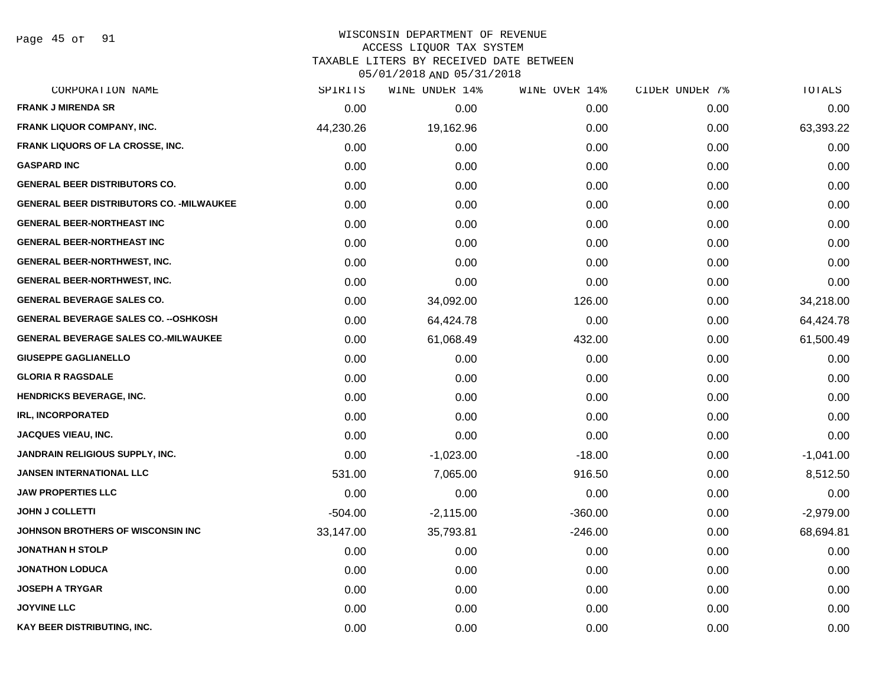Page 45 of 91

#### WISCONSIN DEPARTMENT OF REVENUE ACCESS LIQUOR TAX SYSTEM

TAXABLE LITERS BY RECEIVED DATE BETWEEN

| CORPORATION NAME                                 | SPIRITS   | WINE UNDER 14% | WINE OVER 14% | CIDER UNDER 7% | TOTALS      |
|--------------------------------------------------|-----------|----------------|---------------|----------------|-------------|
| <b>FRANK J MIRENDA SR</b>                        | 0.00      | 0.00           | 0.00          | 0.00           | 0.00        |
| <b>FRANK LIQUOR COMPANY, INC.</b>                | 44,230.26 | 19,162.96      | 0.00          | 0.00           | 63,393.22   |
| FRANK LIQUORS OF LA CROSSE, INC.                 | 0.00      | 0.00           | 0.00          | 0.00           | 0.00        |
| <b>GASPARD INC</b>                               | 0.00      | 0.00           | 0.00          | 0.00           | 0.00        |
| <b>GENERAL BEER DISTRIBUTORS CO.</b>             | 0.00      | 0.00           | 0.00          | 0.00           | 0.00        |
| <b>GENERAL BEER DISTRIBUTORS CO. - MILWAUKEE</b> | 0.00      | 0.00           | 0.00          | 0.00           | 0.00        |
| <b>GENERAL BEER-NORTHEAST INC</b>                | 0.00      | 0.00           | 0.00          | 0.00           | 0.00        |
| <b>GENERAL BEER-NORTHEAST INC</b>                | 0.00      | 0.00           | 0.00          | 0.00           | 0.00        |
| GENERAL BEER-NORTHWEST, INC.                     | 0.00      | 0.00           | 0.00          | 0.00           | 0.00        |
| GENERAL BEER-NORTHWEST, INC.                     | 0.00      | 0.00           | 0.00          | 0.00           | 0.00        |
| <b>GENERAL BEVERAGE SALES CO.</b>                | 0.00      | 34,092.00      | 126.00        | 0.00           | 34,218.00   |
| <b>GENERAL BEVERAGE SALES CO. -- OSHKOSH</b>     | 0.00      | 64,424.78      | 0.00          | 0.00           | 64,424.78   |
| <b>GENERAL BEVERAGE SALES CO.-MILWAUKEE</b>      | 0.00      | 61,068.49      | 432.00        | 0.00           | 61,500.49   |
| <b>GIUSEPPE GAGLIANELLO</b>                      | 0.00      | 0.00           | 0.00          | 0.00           | 0.00        |
| <b>GLORIA R RAGSDALE</b>                         | 0.00      | 0.00           | 0.00          | 0.00           | 0.00        |
| HENDRICKS BEVERAGE, INC.                         | 0.00      | 0.00           | 0.00          | 0.00           | 0.00        |
| <b>IRL, INCORPORATED</b>                         | 0.00      | 0.00           | 0.00          | 0.00           | 0.00        |
| <b>JACQUES VIEAU, INC.</b>                       | 0.00      | 0.00           | 0.00          | 0.00           | 0.00        |
| <b>JANDRAIN RELIGIOUS SUPPLY, INC.</b>           | 0.00      | $-1,023.00$    | $-18.00$      | 0.00           | $-1,041.00$ |
| <b>JANSEN INTERNATIONAL LLC</b>                  | 531.00    | 7,065.00       | 916.50        | 0.00           | 8,512.50    |
| <b>JAW PROPERTIES LLC</b>                        | 0.00      | 0.00           | 0.00          | 0.00           | 0.00        |
| <b>JOHN J COLLETTI</b>                           | $-504.00$ | $-2,115.00$    | $-360.00$     | 0.00           | $-2,979.00$ |
| JOHNSON BROTHERS OF WISCONSIN INC                | 33,147.00 | 35,793.81      | $-246.00$     | 0.00           | 68,694.81   |
| <b>JONATHAN H STOLP</b>                          | 0.00      | 0.00           | 0.00          | 0.00           | 0.00        |
| <b>JONATHON LODUCA</b>                           | 0.00      | 0.00           | 0.00          | 0.00           | 0.00        |
| <b>JOSEPH A TRYGAR</b>                           | 0.00      | 0.00           | 0.00          | 0.00           | 0.00        |
| <b>JOYVINE LLC</b>                               | 0.00      | 0.00           | 0.00          | 0.00           | 0.00        |
| KAY BEER DISTRIBUTING, INC.                      | 0.00      | 0.00           | 0.00          | 0.00           | 0.00        |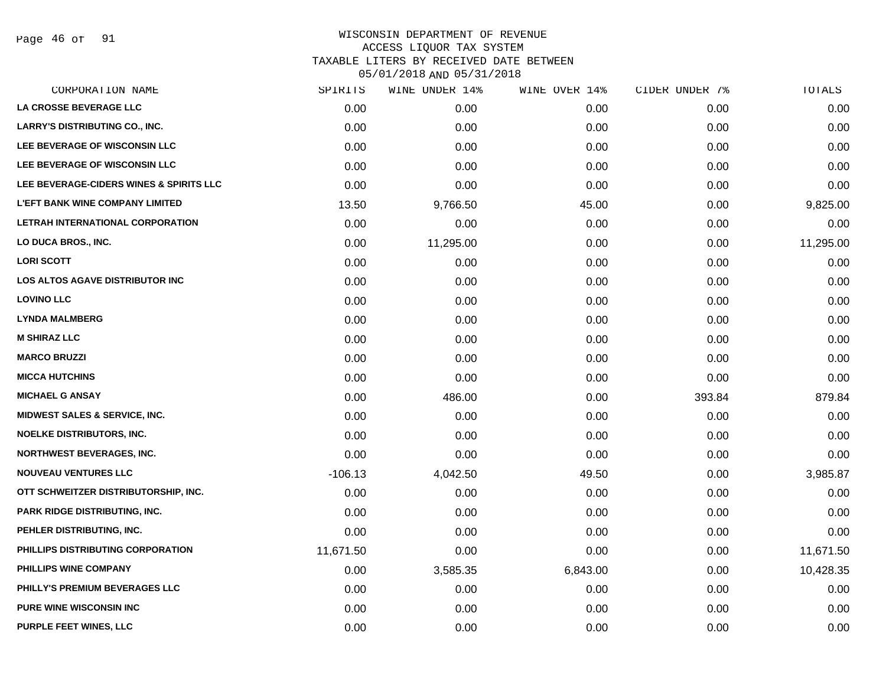Page 46 of 91

#### WISCONSIN DEPARTMENT OF REVENUE ACCESS LIQUOR TAX SYSTEM TAXABLE LITERS BY RECEIVED DATE BETWEEN

| CORPORATION NAME                         | SPIRITS   | WINE UNDER 14% | WINE OVER 14% | CIDER UNDER 7% | TOTALS    |
|------------------------------------------|-----------|----------------|---------------|----------------|-----------|
| LA CROSSE BEVERAGE LLC                   | 0.00      | 0.00           | 0.00          | 0.00           | 0.00      |
| <b>LARRY'S DISTRIBUTING CO., INC.</b>    | 0.00      | 0.00           | 0.00          | 0.00           | 0.00      |
| LEE BEVERAGE OF WISCONSIN LLC            | 0.00      | 0.00           | 0.00          | 0.00           | 0.00      |
| LEE BEVERAGE OF WISCONSIN LLC            | 0.00      | 0.00           | 0.00          | 0.00           | 0.00      |
| LEE BEVERAGE-CIDERS WINES & SPIRITS LLC  | 0.00      | 0.00           | 0.00          | 0.00           | 0.00      |
| <b>L'EFT BANK WINE COMPANY LIMITED</b>   | 13.50     | 9,766.50       | 45.00         | 0.00           | 9,825.00  |
| LETRAH INTERNATIONAL CORPORATION         | 0.00      | 0.00           | 0.00          | 0.00           | 0.00      |
| LO DUCA BROS., INC.                      | 0.00      | 11,295.00      | 0.00          | 0.00           | 11,295.00 |
| <b>LORI SCOTT</b>                        | 0.00      | 0.00           | 0.00          | 0.00           | 0.00      |
| <b>LOS ALTOS AGAVE DISTRIBUTOR INC</b>   | 0.00      | 0.00           | 0.00          | 0.00           | 0.00      |
| <b>LOVINO LLC</b>                        | 0.00      | 0.00           | 0.00          | 0.00           | 0.00      |
| <b>LYNDA MALMBERG</b>                    | 0.00      | 0.00           | 0.00          | 0.00           | 0.00      |
| <b>M SHIRAZ LLC</b>                      | 0.00      | 0.00           | 0.00          | 0.00           | 0.00      |
| <b>MARCO BRUZZI</b>                      | 0.00      | 0.00           | 0.00          | 0.00           | 0.00      |
| <b>MICCA HUTCHINS</b>                    | 0.00      | 0.00           | 0.00          | 0.00           | 0.00      |
| <b>MICHAEL G ANSAY</b>                   | 0.00      | 486.00         | 0.00          | 393.84         | 879.84    |
| <b>MIDWEST SALES &amp; SERVICE, INC.</b> | 0.00      | 0.00           | 0.00          | 0.00           | 0.00      |
| <b>NOELKE DISTRIBUTORS, INC.</b>         | 0.00      | 0.00           | 0.00          | 0.00           | 0.00      |
| <b>NORTHWEST BEVERAGES, INC.</b>         | 0.00      | 0.00           | 0.00          | 0.00           | 0.00      |
| <b>NOUVEAU VENTURES LLC</b>              | $-106.13$ | 4,042.50       | 49.50         | 0.00           | 3,985.87  |
| OTT SCHWEITZER DISTRIBUTORSHIP, INC.     | 0.00      | 0.00           | 0.00          | 0.00           | 0.00      |
| PARK RIDGE DISTRIBUTING, INC.            | 0.00      | 0.00           | 0.00          | 0.00           | 0.00      |
| PEHLER DISTRIBUTING, INC.                | 0.00      | 0.00           | 0.00          | 0.00           | 0.00      |
| PHILLIPS DISTRIBUTING CORPORATION        | 11,671.50 | 0.00           | 0.00          | 0.00           | 11,671.50 |
| PHILLIPS WINE COMPANY                    | 0.00      | 3,585.35       | 6,843.00      | 0.00           | 10,428.35 |
| PHILLY'S PREMIUM BEVERAGES LLC           | 0.00      | 0.00           | 0.00          | 0.00           | 0.00      |
| PURE WINE WISCONSIN INC                  | 0.00      | 0.00           | 0.00          | 0.00           | 0.00      |
| PURPLE FEET WINES, LLC                   | 0.00      | 0.00           | 0.00          | 0.00           | 0.00      |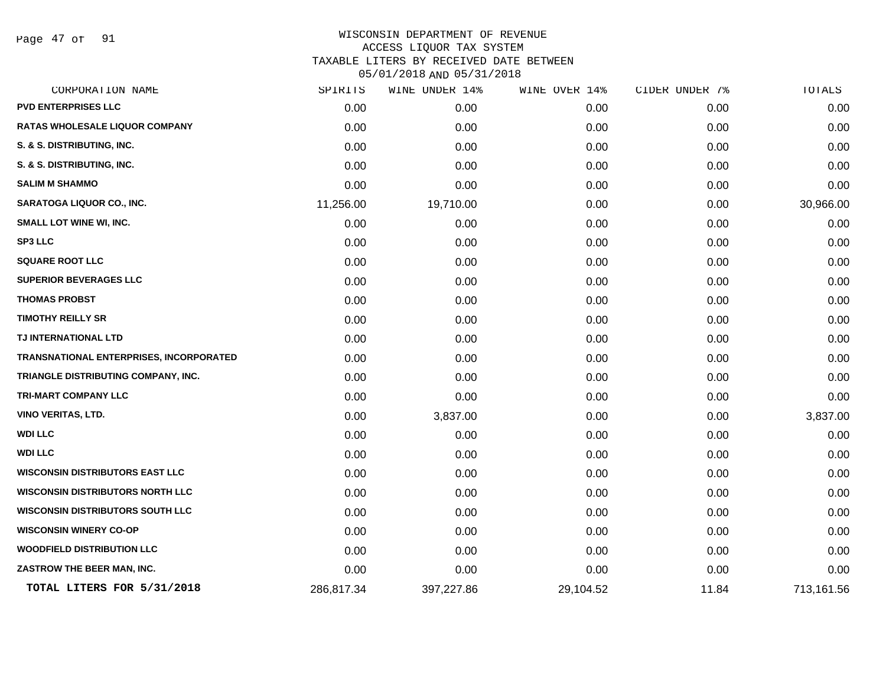Page 47 of 91

## WISCONSIN DEPARTMENT OF REVENUE ACCESS LIQUOR TAX SYSTEM TAXABLE LITERS BY RECEIVED DATE BETWEEN

| CORPORATION NAME                        | SPIRITS    | WINE UNDER 14% | WINE OVER 14% | CIDER UNDER 7% | TOTALS     |
|-----------------------------------------|------------|----------------|---------------|----------------|------------|
| <b>PVD ENTERPRISES LLC</b>              | 0.00       | 0.00           | 0.00          | 0.00           | 0.00       |
| <b>RATAS WHOLESALE LIQUOR COMPANY</b>   | 0.00       | 0.00           | 0.00          | 0.00           | 0.00       |
| S. & S. DISTRIBUTING, INC.              | 0.00       | 0.00           | 0.00          | 0.00           | 0.00       |
| S. & S. DISTRIBUTING, INC.              | 0.00       | 0.00           | 0.00          | 0.00           | 0.00       |
| <b>SALIM M SHAMMO</b>                   | 0.00       | 0.00           | 0.00          | 0.00           | 0.00       |
| <b>SARATOGA LIQUOR CO., INC.</b>        | 11,256.00  | 19,710.00      | 0.00          | 0.00           | 30,966.00  |
| SMALL LOT WINE WI, INC.                 | 0.00       | 0.00           | 0.00          | 0.00           | 0.00       |
| <b>SP3 LLC</b>                          | 0.00       | 0.00           | 0.00          | 0.00           | 0.00       |
| <b>SQUARE ROOT LLC</b>                  | 0.00       | 0.00           | 0.00          | 0.00           | 0.00       |
| <b>SUPERIOR BEVERAGES LLC</b>           | 0.00       | 0.00           | 0.00          | 0.00           | 0.00       |
| <b>THOMAS PROBST</b>                    | 0.00       | 0.00           | 0.00          | 0.00           | 0.00       |
| <b>TIMOTHY REILLY SR</b>                | 0.00       | 0.00           | 0.00          | 0.00           | 0.00       |
| TJ INTERNATIONAL LTD                    | 0.00       | 0.00           | 0.00          | 0.00           | 0.00       |
| TRANSNATIONAL ENTERPRISES, INCORPORATED | 0.00       | 0.00           | 0.00          | 0.00           | 0.00       |
| TRIANGLE DISTRIBUTING COMPANY, INC.     | 0.00       | 0.00           | 0.00          | 0.00           | 0.00       |
| <b>TRI-MART COMPANY LLC</b>             | 0.00       | 0.00           | 0.00          | 0.00           | 0.00       |
| <b>VINO VERITAS, LTD.</b>               | 0.00       | 3,837.00       | 0.00          | 0.00           | 3,837.00   |
| <b>WDI LLC</b>                          | 0.00       | 0.00           | 0.00          | 0.00           | 0.00       |
| <b>WDI LLC</b>                          | 0.00       | 0.00           | 0.00          | 0.00           | 0.00       |
| <b>WISCONSIN DISTRIBUTORS EAST LLC</b>  | 0.00       | 0.00           | 0.00          | 0.00           | 0.00       |
| <b>WISCONSIN DISTRIBUTORS NORTH LLC</b> | 0.00       | 0.00           | 0.00          | 0.00           | 0.00       |
| <b>WISCONSIN DISTRIBUTORS SOUTH LLC</b> | 0.00       | 0.00           | 0.00          | 0.00           | 0.00       |
| <b>WISCONSIN WINERY CO-OP</b>           | 0.00       | 0.00           | 0.00          | 0.00           | 0.00       |
| <b>WOODFIELD DISTRIBUTION LLC</b>       | 0.00       | 0.00           | 0.00          | 0.00           | 0.00       |
| ZASTROW THE BEER MAN, INC.              | 0.00       | 0.00           | 0.00          | 0.00           | 0.00       |
| TOTAL LITERS FOR 5/31/2018              | 286,817.34 | 397,227.86     | 29,104.52     | 11.84          | 713,161.56 |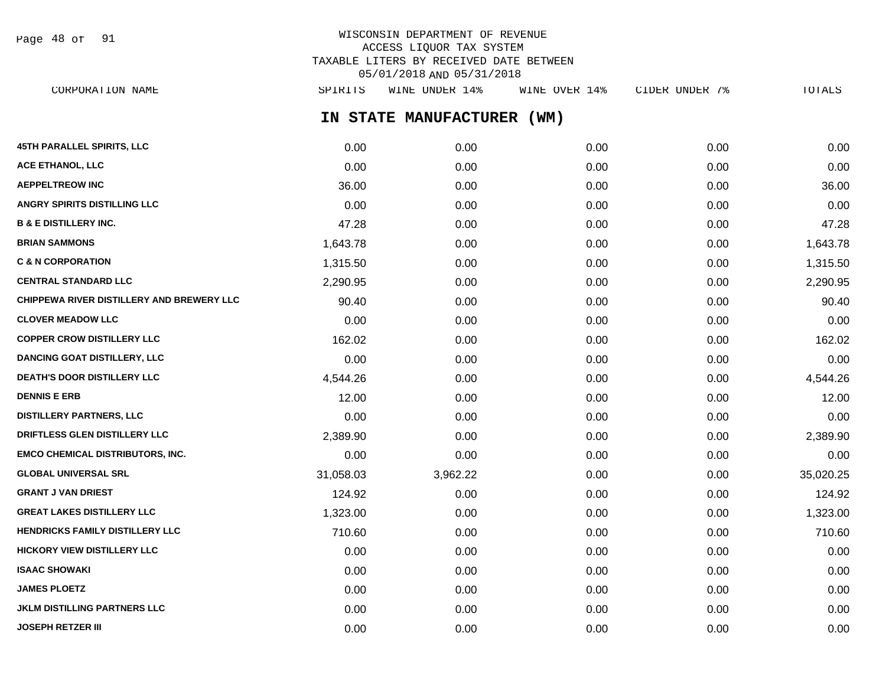Page 48 of 91

## WISCONSIN DEPARTMENT OF REVENUE ACCESS LIQUOR TAX SYSTEM TAXABLE LITERS BY RECEIVED DATE BETWEEN 05/01/2018 AND 05/31/2018

**IN STATE MANUFACTURER (WM) 45TH PARALLEL SPIRITS, LLC** 0.00 0.00 0.00 0.00 0.00 **ACE ETHANOL, LLC** 0.00 0.00 0.00 0.00 0.00 **AEPPELTREOW INC** 36.00 0.00 0.00 0.00 36.00 **ANGRY SPIRITS DISTILLING LLC** 0.00 0.00 0.00 0.00 0.00 **B & E DISTILLERY INC.** 47.28 0.00 0.00 0.00 47.28 **BRIAN SAMMONS** 1,643.78 0.00 0.00 0.00 1,643.78 **C & N CORPORATION** 1,315.50 0.00 0.00 0.00 1,315.50 **CENTRAL STANDARD LLC** 2,290.95 0.00 0.00 0.00 2,290.95 **CHIPPEWA RIVER DISTILLERY AND BREWERY LLC**  $90.40$   $0.00$  0.00 0.00 0.00 0.00 0.00 90.40 **CLOVER MEADOW LLC** 0.00 0.00 0.00 0.00 0.00 **COPPER CROW DISTILLERY LLC** 162.02 0.00 0.00 0.00 162.02 **DANCING GOAT DISTILLERY, LLC** 0.00 0.00 0.00 0.00 0.00 **DEATH'S DOOR DISTILLERY LLC**  $\begin{array}{cccc} 4.544.26 & 0.00 & 0.00 & 0.00 & 0.00 & 4.544.26 \end{array}$ **DENNIS E ERB** 12.00 0.00 0.00 0.00 12.00 **DISTILLERY PARTNERS, LLC** 0.00 0.00 0.00 0.00 0.00 **DRIFTLESS GLEN DISTILLERY LLC** 2,389.90 0.00 0.00 0.00 2,389.90 **EMCO CHEMICAL DISTRIBUTORS, INC.** 0.00 0.00 0.00 0.00 0.00 **GLOBAL UNIVERSAL SRL** 31,058.03 3,962.22 0.00 0.00 35,020.25 **GRANT J VAN DRIEST** 124.92 0.00 0.00 0.00 124.92 **GREAT LAKES DISTILLERY LLC**  $1.323.00$   $1.323.00$   $0.00$   $0.00$   $0.00$   $0.00$   $1.323.00$ **HENDRICKS FAMILY DISTILLERY LLC** 710.60 0.00 0.00 0.00 710.60 **HICKORY VIEW DISTILLERY LLC**  $0.00$   $0.00$   $0.00$   $0.00$   $0.00$   $0.00$   $0.00$   $0.00$   $0.00$   $0.00$   $0.00$   $0.00$   $0.00$   $0.00$   $0.00$   $0.00$   $0.00$   $0.00$   $0.00$   $0.00$   $0.00$   $0.00$   $0.00$   $0.00$   $0.00$   $0.00$   $0.00$   $0.$ **ISAAC SHOWAKI** 0.00 0.00 0.00 0.00 0.00 **JAMES PLOETZ** 0.00 0.00 0.00 0.00 0.00 **JKLM DISTILLING PARTNERS LLC** 0.00 0.00 0.00 0.00 0.00 CORPORATION NAME SPIRITS WINE UNDER 14% WINE OVER 14% CIDER UNDER 7% TOTALS

**JOSEPH RETZER III** 0.00 0.00 0.00 0.00 0.00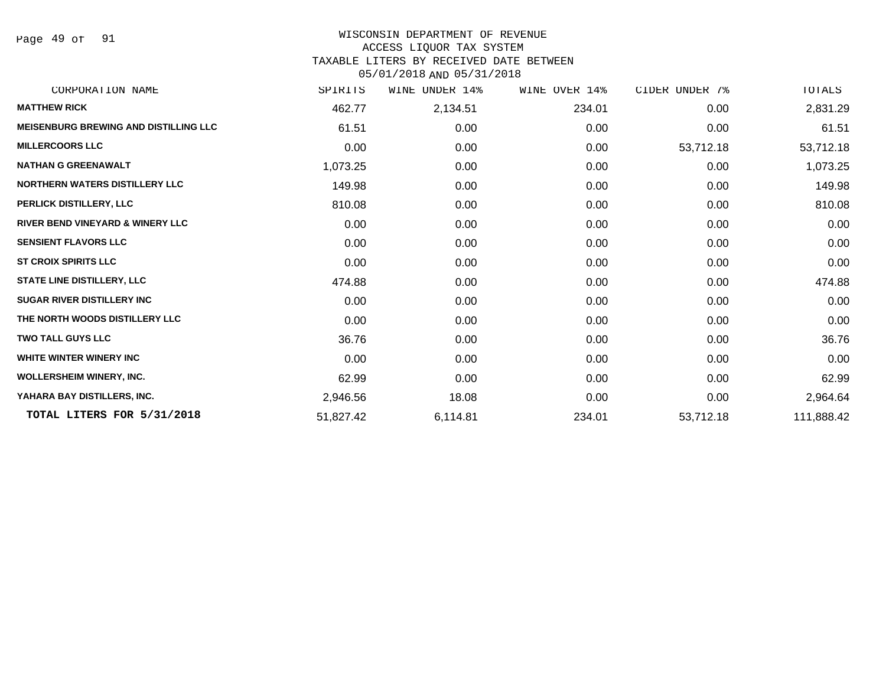Page 49 of 91

## WISCONSIN DEPARTMENT OF REVENUE ACCESS LIQUOR TAX SYSTEM TAXABLE LITERS BY RECEIVED DATE BETWEEN

| CORPORATION NAME                             | SPIRITS   | UNDER 14%<br>WINE | WINE OVER 14% | CIDER UNDER 7% | TOTALS     |
|----------------------------------------------|-----------|-------------------|---------------|----------------|------------|
| <b>MATTHEW RICK</b>                          | 462.77    | 2,134.51          | 234.01        | 0.00           | 2,831.29   |
| <b>MEISENBURG BREWING AND DISTILLING LLC</b> | 61.51     | 0.00              | 0.00          | 0.00           | 61.51      |
| <b>MILLERCOORS LLC</b>                       | 0.00      | 0.00              | 0.00          | 53,712.18      | 53,712.18  |
| <b>NATHAN G GREENAWALT</b>                   | 1,073.25  | 0.00              | 0.00          | 0.00           | 1,073.25   |
| <b>NORTHERN WATERS DISTILLERY LLC</b>        | 149.98    | 0.00              | 0.00          | 0.00           | 149.98     |
| PERLICK DISTILLERY, LLC                      | 810.08    | 0.00              | 0.00          | 0.00           | 810.08     |
| <b>RIVER BEND VINEYARD &amp; WINERY LLC</b>  | 0.00      | 0.00              | 0.00          | 0.00           | 0.00       |
| <b>SENSIENT FLAVORS LLC</b>                  | 0.00      | 0.00              | 0.00          | 0.00           | 0.00       |
| <b>ST CROIX SPIRITS LLC</b>                  | 0.00      | 0.00              | 0.00          | 0.00           | 0.00       |
| <b>STATE LINE DISTILLERY, LLC</b>            | 474.88    | 0.00              | 0.00          | 0.00           | 474.88     |
| <b>SUGAR RIVER DISTILLERY INC</b>            | 0.00      | 0.00              | 0.00          | 0.00           | 0.00       |
| THE NORTH WOODS DISTILLERY LLC               | 0.00      | 0.00              | 0.00          | 0.00           | 0.00       |
| <b>TWO TALL GUYS LLC</b>                     | 36.76     | 0.00              | 0.00          | 0.00           | 36.76      |
| WHITE WINTER WINERY INC                      | 0.00      | 0.00              | 0.00          | 0.00           | 0.00       |
| <b>WOLLERSHEIM WINERY, INC.</b>              | 62.99     | 0.00              | 0.00          | 0.00           | 62.99      |
| YAHARA BAY DISTILLERS, INC.                  | 2,946.56  | 18.08             | 0.00          | 0.00           | 2,964.64   |
| TOTAL LITERS FOR 5/31/2018                   | 51,827.42 | 6,114.81          | 234.01        | 53,712.18      | 111,888.42 |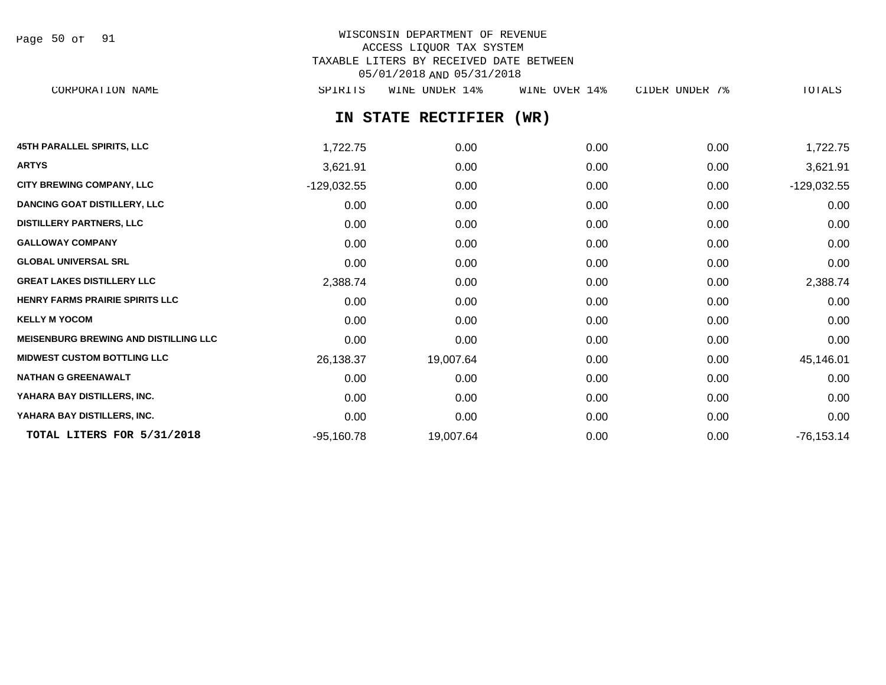Page 50 of 91

# WISCONSIN DEPARTMENT OF REVENUE ACCESS LIQUOR TAX SYSTEM TAXABLE LITERS BY RECEIVED DATE BETWEEN 05/01/2018 AND 05/31/2018

CORPORATION NAME SPIRITS WINE UNDER 14% WINE OVER 14% CIDER UNDER 7% TOTALS

# **IN STATE RECTIFIER (WR)**

| <b>45TH PARALLEL SPIRITS, LLC</b>            | 1,722.75      | 0.00      | 0.00 | 0.00 | 1,722.75      |
|----------------------------------------------|---------------|-----------|------|------|---------------|
| <b>ARTYS</b>                                 | 3,621.91      | 0.00      | 0.00 | 0.00 | 3,621.91      |
| <b>CITY BREWING COMPANY, LLC</b>             | $-129,032.55$ | 0.00      | 0.00 | 0.00 | $-129,032.55$ |
| <b>DANCING GOAT DISTILLERY, LLC</b>          | 0.00          | 0.00      | 0.00 | 0.00 | 0.00          |
| <b>DISTILLERY PARTNERS, LLC</b>              | 0.00          | 0.00      | 0.00 | 0.00 | 0.00          |
| <b>GALLOWAY COMPANY</b>                      | 0.00          | 0.00      | 0.00 | 0.00 | 0.00          |
| <b>GLOBAL UNIVERSAL SRL</b>                  | 0.00          | 0.00      | 0.00 | 0.00 | 0.00          |
| <b>GREAT LAKES DISTILLERY LLC</b>            | 2,388.74      | 0.00      | 0.00 | 0.00 | 2,388.74      |
| HENRY FARMS PRAIRIE SPIRITS LLC              | 0.00          | 0.00      | 0.00 | 0.00 | 0.00          |
| <b>KELLY M YOCOM</b>                         | 0.00          | 0.00      | 0.00 | 0.00 | 0.00          |
| <b>MEISENBURG BREWING AND DISTILLING LLC</b> | 0.00          | 0.00      | 0.00 | 0.00 | 0.00          |
| <b>MIDWEST CUSTOM BOTTLING LLC</b>           | 26,138.37     | 19,007.64 | 0.00 | 0.00 | 45,146.01     |
| <b>NATHAN G GREENAWALT</b>                   | 0.00          | 0.00      | 0.00 | 0.00 | 0.00          |
| YAHARA BAY DISTILLERS, INC.                  | 0.00          | 0.00      | 0.00 | 0.00 | 0.00          |
| YAHARA BAY DISTILLERS, INC.                  | 0.00          | 0.00      | 0.00 | 0.00 | 0.00          |
| TOTAL LITERS FOR 5/31/2018                   | $-95,160.78$  | 19,007.64 | 0.00 | 0.00 | -76,153.14    |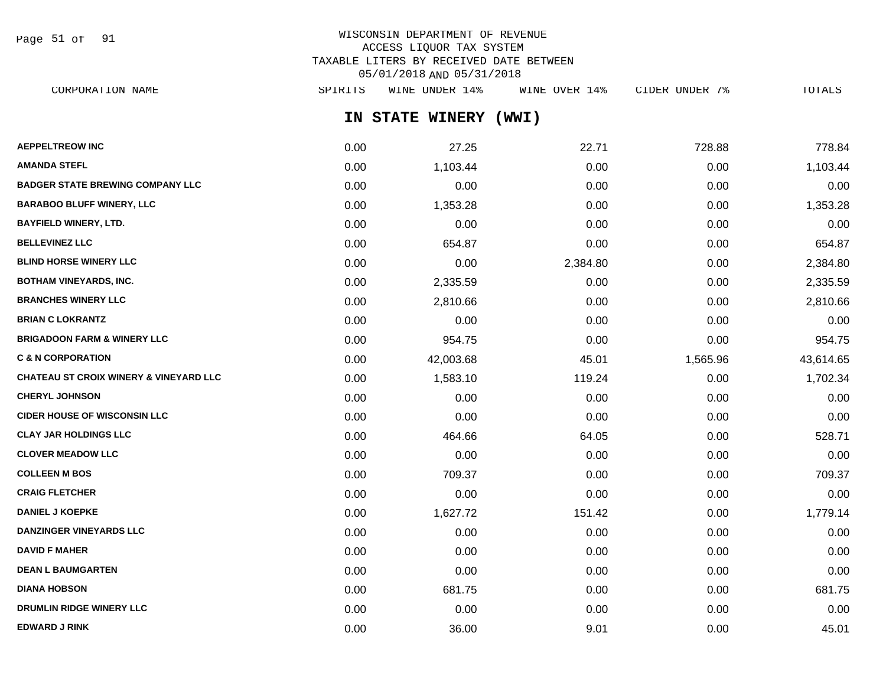Page 51 of 91

# WISCONSIN DEPARTMENT OF REVENUE ACCESS LIQUOR TAX SYSTEM TAXABLE LITERS BY RECEIVED DATE BETWEEN 05/01/2018 AND 05/31/2018

| CORPORATION NAME                                  | SPIRITS | WINE UNDER 14%        | WINE OVER 14% | CIDER UNDER 7% | TOTALS    |
|---------------------------------------------------|---------|-----------------------|---------------|----------------|-----------|
|                                                   |         | IN STATE WINERY (WWI) |               |                |           |
| <b>AEPPELTREOW INC</b>                            | 0.00    | 27.25                 | 22.71         | 728.88         | 778.84    |
| AMANDA STEFL                                      | 0.00    | 1,103.44              | 0.00          | 0.00           | 1,103.44  |
| <b>BADGER STATE BREWING COMPANY LLC</b>           | 0.00    | 0.00                  | 0.00          | 0.00           | 0.00      |
| <b>BARABOO BLUFF WINERY, LLC</b>                  | 0.00    | 1,353.28              | 0.00          | 0.00           | 1,353.28  |
| <b>BAYFIELD WINERY, LTD.</b>                      | 0.00    | 0.00                  | 0.00          | 0.00           | 0.00      |
| <b>BELLEVINEZ LLC</b>                             | 0.00    | 654.87                | 0.00          | 0.00           | 654.87    |
| <b>BLIND HORSE WINERY LLC</b>                     | 0.00    | 0.00                  | 2,384.80      | 0.00           | 2,384.80  |
| <b>BOTHAM VINEYARDS, INC.</b>                     | 0.00    | 2,335.59              | 0.00          | 0.00           | 2,335.59  |
| <b>BRANCHES WINERY LLC</b>                        | 0.00    | 2,810.66              | 0.00          | 0.00           | 2,810.66  |
| <b>BRIAN C LOKRANTZ</b>                           | 0.00    | 0.00                  | 0.00          | 0.00           | 0.00      |
| <b>BRIGADOON FARM &amp; WINERY LLC</b>            | 0.00    | 954.75                | 0.00          | 0.00           | 954.75    |
| <b>C &amp; N CORPORATION</b>                      | 0.00    | 42,003.68             | 45.01         | 1,565.96       | 43,614.65 |
| <b>CHATEAU ST CROIX WINERY &amp; VINEYARD LLC</b> | 0.00    | 1,583.10              | 119.24        | 0.00           | 1,702.34  |
| <b>CHERYL JOHNSON</b>                             | 0.00    | 0.00                  | 0.00          | 0.00           | 0.00      |
| <b>CIDER HOUSE OF WISCONSIN LLC</b>               | 0.00    | 0.00                  | 0.00          | 0.00           | 0.00      |
| <b>CLAY JAR HOLDINGS LLC</b>                      | 0.00    | 464.66                | 64.05         | 0.00           | 528.71    |
| <b>CLOVER MEADOW LLC</b>                          | 0.00    | 0.00                  | 0.00          | 0.00           | 0.00      |
| <b>COLLEEN M BOS</b>                              | 0.00    | 709.37                | 0.00          | 0.00           | 709.37    |
| <b>CRAIG FLETCHER</b>                             | 0.00    | 0.00                  | 0.00          | 0.00           | 0.00      |
| <b>DANIEL J KOEPKE</b>                            | 0.00    | 1,627.72              | 151.42        | 0.00           | 1,779.14  |
|                                                   |         |                       |               |                |           |

**DANZINGER VINEYARDS LLC** 0.00 0.00 0.00 0.00 0.00 **DAVID F MAHER** 0.00 0.00 0.00 0.00 0.00 **DEAN L BAUMGARTEN** 0.00 0.00 0.00 0.00 0.00 **DIANA HOBSON** 0.00 681.75 0.00 0.00 681.75 **DRUMLIN RIDGE WINERY LLC** 0.00 0.00 0.00 0.00 0.00 **EDWARD J RINK** 0.00 36.00 9.01 0.00 45.01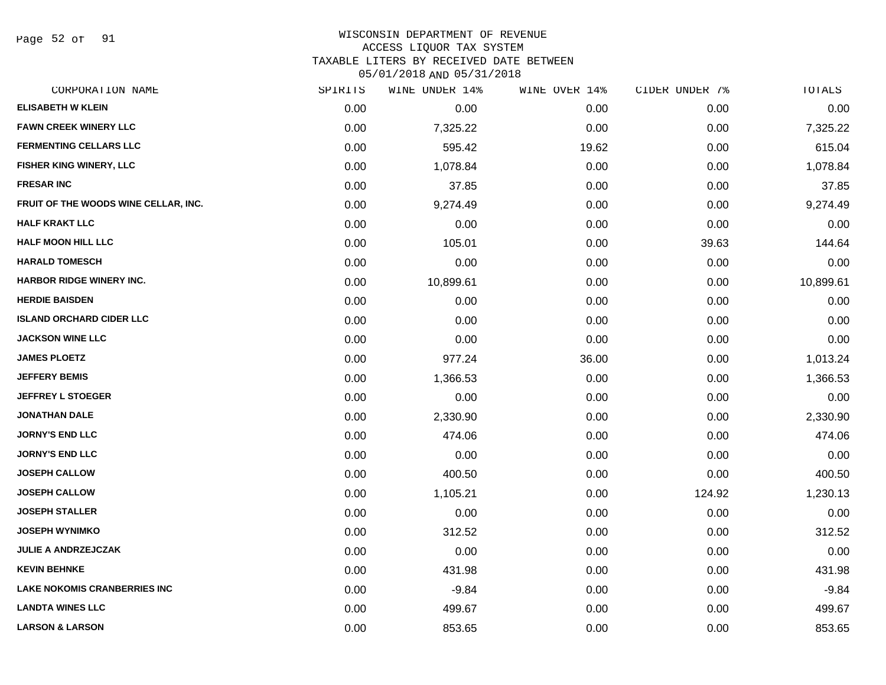Page 52 of 91

#### WISCONSIN DEPARTMENT OF REVENUE ACCESS LIQUOR TAX SYSTEM

TAXABLE LITERS BY RECEIVED DATE BETWEEN

| CORPORATION NAME                     | SPIRITS | WINE UNDER 14% | WINE OVER 14% | CIDER UNDER 7% | TOTALS    |
|--------------------------------------|---------|----------------|---------------|----------------|-----------|
| <b>ELISABETH W KLEIN</b>             | 0.00    | 0.00           | 0.00          | 0.00           | 0.00      |
| <b>FAWN CREEK WINERY LLC</b>         | 0.00    | 7,325.22       | 0.00          | 0.00           | 7,325.22  |
| <b>FERMENTING CELLARS LLC</b>        | 0.00    | 595.42         | 19.62         | 0.00           | 615.04    |
| <b>FISHER KING WINERY, LLC</b>       | 0.00    | 1,078.84       | 0.00          | 0.00           | 1,078.84  |
| <b>FRESAR INC</b>                    | 0.00    | 37.85          | 0.00          | 0.00           | 37.85     |
| FRUIT OF THE WOODS WINE CELLAR, INC. | 0.00    | 9,274.49       | 0.00          | 0.00           | 9,274.49  |
| <b>HALF KRAKT LLC</b>                | 0.00    | 0.00           | 0.00          | 0.00           | 0.00      |
| <b>HALF MOON HILL LLC</b>            | 0.00    | 105.01         | 0.00          | 39.63          | 144.64    |
| <b>HARALD TOMESCH</b>                | 0.00    | 0.00           | 0.00          | 0.00           | 0.00      |
| <b>HARBOR RIDGE WINERY INC.</b>      | 0.00    | 10,899.61      | 0.00          | 0.00           | 10,899.61 |
| <b>HERDIE BAISDEN</b>                | 0.00    | 0.00           | 0.00          | 0.00           | 0.00      |
| <b>ISLAND ORCHARD CIDER LLC</b>      | 0.00    | 0.00           | 0.00          | 0.00           | 0.00      |
| <b>JACKSON WINE LLC</b>              | 0.00    | 0.00           | 0.00          | 0.00           | 0.00      |
| <b>JAMES PLOETZ</b>                  | 0.00    | 977.24         | 36.00         | 0.00           | 1,013.24  |
| <b>JEFFERY BEMIS</b>                 | 0.00    | 1,366.53       | 0.00          | 0.00           | 1,366.53  |
| <b>JEFFREY L STOEGER</b>             | 0.00    | 0.00           | 0.00          | 0.00           | 0.00      |
| <b>JONATHAN DALE</b>                 | 0.00    | 2,330.90       | 0.00          | 0.00           | 2,330.90  |
| <b>JORNY'S END LLC</b>               | 0.00    | 474.06         | 0.00          | 0.00           | 474.06    |
| <b>JORNY'S END LLC</b>               | 0.00    | 0.00           | 0.00          | 0.00           | 0.00      |
| <b>JOSEPH CALLOW</b>                 | 0.00    | 400.50         | 0.00          | 0.00           | 400.50    |
| <b>JOSEPH CALLOW</b>                 | 0.00    | 1,105.21       | 0.00          | 124.92         | 1,230.13  |
| <b>JOSEPH STALLER</b>                | 0.00    | 0.00           | 0.00          | 0.00           | 0.00      |
| <b>JOSEPH WYNIMKO</b>                | 0.00    | 312.52         | 0.00          | 0.00           | 312.52    |
| <b>JULIE A ANDRZEJCZAK</b>           | 0.00    | 0.00           | 0.00          | 0.00           | 0.00      |
| <b>KEVIN BEHNKE</b>                  | 0.00    | 431.98         | 0.00          | 0.00           | 431.98    |
| <b>LAKE NOKOMIS CRANBERRIES INC</b>  | 0.00    | $-9.84$        | 0.00          | 0.00           | $-9.84$   |
| <b>LANDTA WINES LLC</b>              | 0.00    | 499.67         | 0.00          | 0.00           | 499.67    |
| <b>LARSON &amp; LARSON</b>           | 0.00    | 853.65         | 0.00          | 0.00           | 853.65    |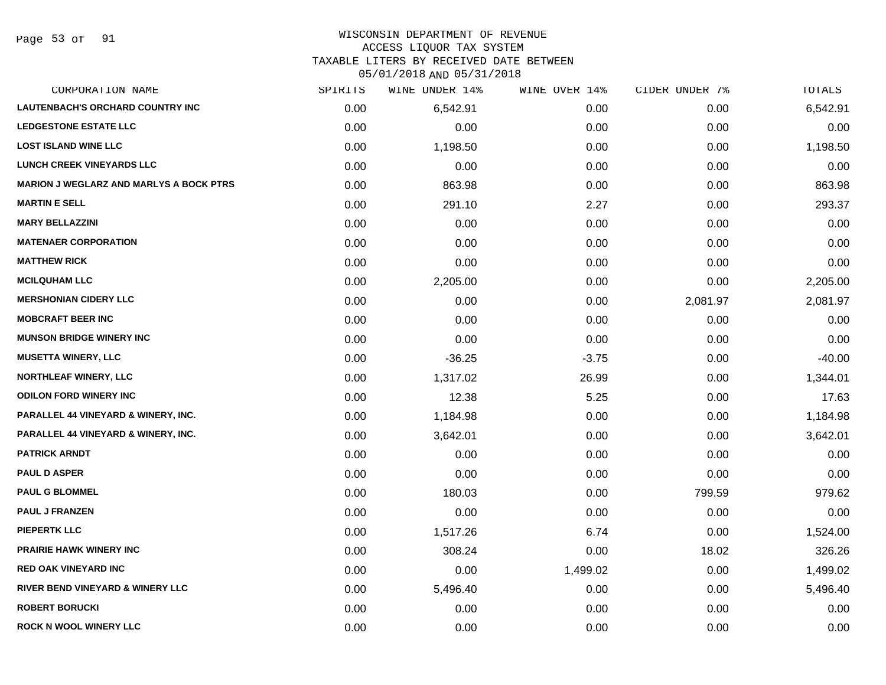Page 53 of 91

## WISCONSIN DEPARTMENT OF REVENUE

#### ACCESS LIQUOR TAX SYSTEM

TAXABLE LITERS BY RECEIVED DATE BETWEEN

| CORPORATION NAME                               | SPIRITS | WINE UNDER 14% | WINE OVER 14% | CIDER UNDER 7% | TOTALS   |
|------------------------------------------------|---------|----------------|---------------|----------------|----------|
| <b>LAUTENBACH'S ORCHARD COUNTRY INC</b>        | 0.00    | 6,542.91       | 0.00          | 0.00           | 6,542.91 |
| <b>LEDGESTONE ESTATE LLC</b>                   | 0.00    | 0.00           | 0.00          | 0.00           | 0.00     |
| <b>LOST ISLAND WINE LLC</b>                    | 0.00    | 1,198.50       | 0.00          | 0.00           | 1,198.50 |
| <b>LUNCH CREEK VINEYARDS LLC</b>               | 0.00    | 0.00           | 0.00          | 0.00           | 0.00     |
| <b>MARION J WEGLARZ AND MARLYS A BOCK PTRS</b> | 0.00    | 863.98         | 0.00          | 0.00           | 863.98   |
| <b>MARTIN E SELL</b>                           | 0.00    | 291.10         | 2.27          | 0.00           | 293.37   |
| <b>MARY BELLAZZINI</b>                         | 0.00    | 0.00           | 0.00          | 0.00           | 0.00     |
| <b>MATENAER CORPORATION</b>                    | 0.00    | 0.00           | 0.00          | 0.00           | 0.00     |
| <b>MATTHEW RICK</b>                            | 0.00    | 0.00           | 0.00          | 0.00           | 0.00     |
| <b>MCILQUHAM LLC</b>                           | 0.00    | 2,205.00       | 0.00          | 0.00           | 2,205.00 |
| <b>MERSHONIAN CIDERY LLC</b>                   | 0.00    | 0.00           | 0.00          | 2,081.97       | 2,081.97 |
| <b>MOBCRAFT BEER INC</b>                       | 0.00    | 0.00           | 0.00          | 0.00           | 0.00     |
| <b>MUNSON BRIDGE WINERY INC</b>                | 0.00    | 0.00           | 0.00          | 0.00           | 0.00     |
| <b>MUSETTA WINERY, LLC</b>                     | 0.00    | $-36.25$       | $-3.75$       | 0.00           | $-40.00$ |
| <b>NORTHLEAF WINERY, LLC</b>                   | 0.00    | 1,317.02       | 26.99         | 0.00           | 1,344.01 |
| <b>ODILON FORD WINERY INC</b>                  | 0.00    | 12.38          | 5.25          | 0.00           | 17.63    |
| PARALLEL 44 VINEYARD & WINERY, INC.            | 0.00    | 1,184.98       | 0.00          | 0.00           | 1,184.98 |
| PARALLEL 44 VINEYARD & WINERY, INC.            | 0.00    | 3,642.01       | 0.00          | 0.00           | 3,642.01 |
| <b>PATRICK ARNDT</b>                           | 0.00    | 0.00           | 0.00          | 0.00           | 0.00     |
| <b>PAUL D ASPER</b>                            | 0.00    | 0.00           | 0.00          | 0.00           | 0.00     |
| <b>PAUL G BLOMMEL</b>                          | 0.00    | 180.03         | 0.00          | 799.59         | 979.62   |
| <b>PAUL J FRANZEN</b>                          | 0.00    | 0.00           | 0.00          | 0.00           | 0.00     |
| <b>PIEPERTK LLC</b>                            | 0.00    | 1,517.26       | 6.74          | 0.00           | 1,524.00 |
| <b>PRAIRIE HAWK WINERY INC</b>                 | 0.00    | 308.24         | 0.00          | 18.02          | 326.26   |
| <b>RED OAK VINEYARD INC</b>                    | 0.00    | 0.00           | 1,499.02      | 0.00           | 1,499.02 |
| <b>RIVER BEND VINEYARD &amp; WINERY LLC</b>    | 0.00    | 5,496.40       | 0.00          | 0.00           | 5,496.40 |
| <b>ROBERT BORUCKI</b>                          | 0.00    | 0.00           | 0.00          | 0.00           | 0.00     |
| <b>ROCK N WOOL WINERY LLC</b>                  | 0.00    | 0.00           | 0.00          | 0.00           | 0.00     |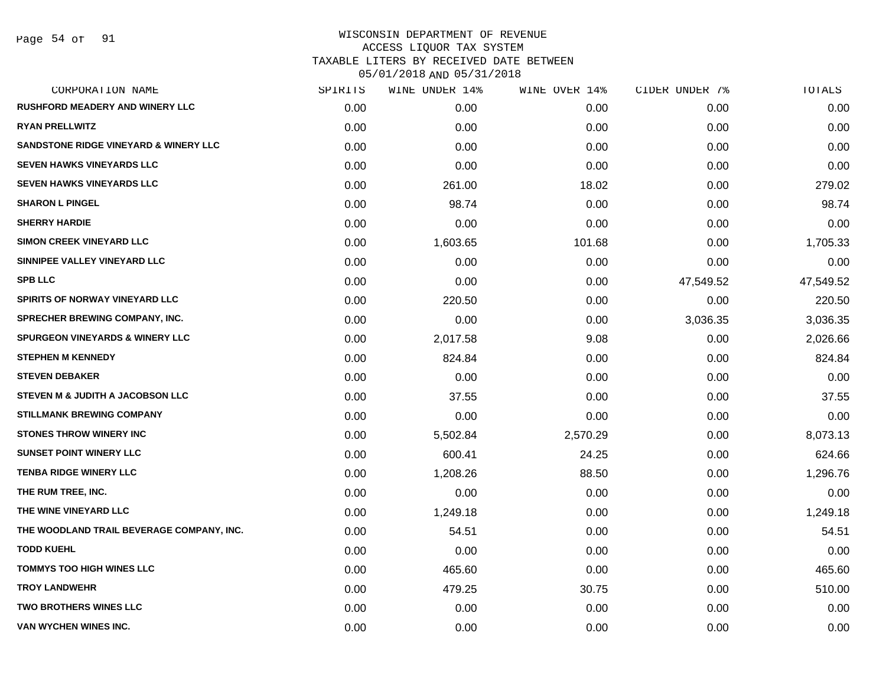| CORPORATION NAME                           | SPIRITS | WINE UNDER 14% | WINE OVER 14% | CIDER UNDER 7% | TOTALS    |
|--------------------------------------------|---------|----------------|---------------|----------------|-----------|
| <b>RUSHFORD MEADERY AND WINERY LLC</b>     | 0.00    | 0.00           | 0.00          | 0.00           | 0.00      |
| <b>RYAN PRELLWITZ</b>                      | 0.00    | 0.00           | 0.00          | 0.00           | 0.00      |
| SANDSTONE RIDGE VINEYARD & WINERY LLC      | 0.00    | 0.00           | 0.00          | 0.00           | 0.00      |
| <b>SEVEN HAWKS VINEYARDS LLC</b>           | 0.00    | 0.00           | 0.00          | 0.00           | 0.00      |
| <b>SEVEN HAWKS VINEYARDS LLC</b>           | 0.00    | 261.00         | 18.02         | 0.00           | 279.02    |
| <b>SHARON L PINGEL</b>                     | 0.00    | 98.74          | 0.00          | 0.00           | 98.74     |
| <b>SHERRY HARDIE</b>                       | 0.00    | 0.00           | 0.00          | 0.00           | 0.00      |
| <b>SIMON CREEK VINEYARD LLC</b>            | 0.00    | 1,603.65       | 101.68        | 0.00           | 1,705.33  |
| SINNIPEE VALLEY VINEYARD LLC               | 0.00    | 0.00           | 0.00          | 0.00           | 0.00      |
| <b>SPB LLC</b>                             | 0.00    | 0.00           | 0.00          | 47,549.52      | 47,549.52 |
| SPIRITS OF NORWAY VINEYARD LLC             | 0.00    | 220.50         | 0.00          | 0.00           | 220.50    |
| <b>SPRECHER BREWING COMPANY, INC.</b>      | 0.00    | 0.00           | 0.00          | 3,036.35       | 3,036.35  |
| <b>SPURGEON VINEYARDS &amp; WINERY LLC</b> | 0.00    | 2,017.58       | 9.08          | 0.00           | 2,026.66  |
| <b>STEPHEN M KENNEDY</b>                   | 0.00    | 824.84         | 0.00          | 0.00           | 824.84    |
| <b>STEVEN DEBAKER</b>                      | 0.00    | 0.00           | 0.00          | 0.00           | 0.00      |
| STEVEN M & JUDITH A JACOBSON LLC           | 0.00    | 37.55          | 0.00          | 0.00           | 37.55     |
| <b>STILLMANK BREWING COMPANY</b>           | 0.00    | 0.00           | 0.00          | 0.00           | 0.00      |
| <b>STONES THROW WINERY INC</b>             | 0.00    | 5,502.84       | 2,570.29      | 0.00           | 8,073.13  |
| <b>SUNSET POINT WINERY LLC</b>             | 0.00    | 600.41         | 24.25         | 0.00           | 624.66    |
| <b>TENBA RIDGE WINERY LLC</b>              | 0.00    | 1,208.26       | 88.50         | 0.00           | 1,296.76  |
| THE RUM TREE, INC.                         | 0.00    | 0.00           | 0.00          | 0.00           | 0.00      |
| THE WINE VINEYARD LLC                      | 0.00    | 1,249.18       | 0.00          | 0.00           | 1,249.18  |
| THE WOODLAND TRAIL BEVERAGE COMPANY, INC.  | 0.00    | 54.51          | 0.00          | 0.00           | 54.51     |
| <b>TODD KUEHL</b>                          | 0.00    | 0.00           | 0.00          | 0.00           | 0.00      |
| <b>TOMMYS TOO HIGH WINES LLC</b>           | 0.00    | 465.60         | 0.00          | 0.00           | 465.60    |
| <b>TROY LANDWEHR</b>                       | 0.00    | 479.25         | 30.75         | 0.00           | 510.00    |
| <b>TWO BROTHERS WINES LLC</b>              | 0.00    | 0.00           | 0.00          | 0.00           | 0.00      |
| <b>VAN WYCHEN WINES INC.</b>               | 0.00    | 0.00           | 0.00          | 0.00           | 0.00      |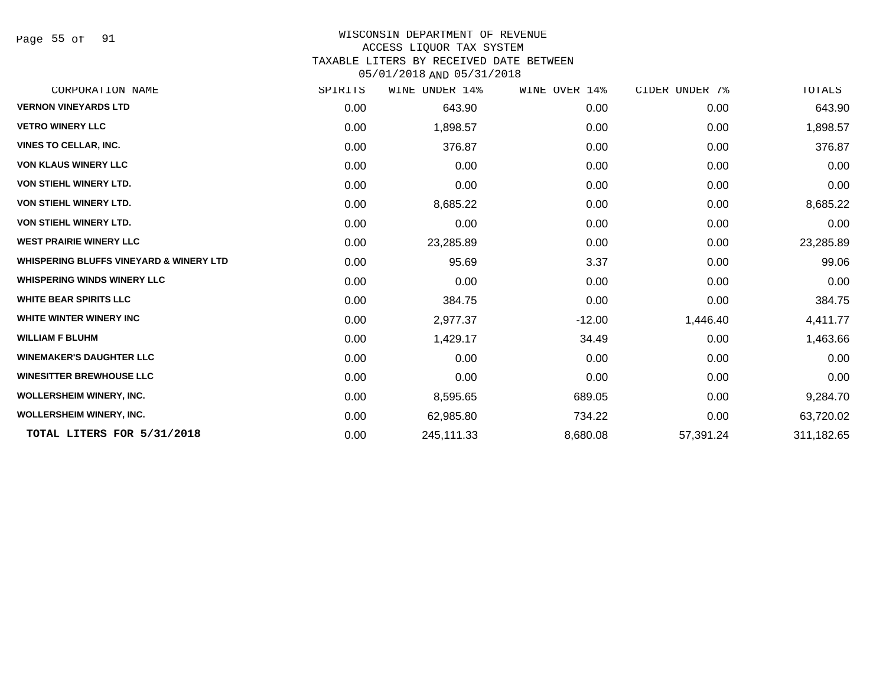Page 55 of 91

## WISCONSIN DEPARTMENT OF REVENUE

#### ACCESS LIQUOR TAX SYSTEM

TAXABLE LITERS BY RECEIVED DATE BETWEEN

| CORPORATION NAME                                   | SPIRITS | WINE UNDER 14% | WINE OVER 14% | CIDER UNDER 7% | TOTALS     |
|----------------------------------------------------|---------|----------------|---------------|----------------|------------|
| <b>VERNON VINEYARDS LTD</b>                        | 0.00    | 643.90         | 0.00          | 0.00           | 643.90     |
| <b>VETRO WINERY LLC</b>                            | 0.00    | 1,898.57       | 0.00          | 0.00           | 1,898.57   |
| <b>VINES TO CELLAR, INC.</b>                       | 0.00    | 376.87         | 0.00          | 0.00           | 376.87     |
| <b>VON KLAUS WINERY LLC</b>                        | 0.00    | 0.00           | 0.00          | 0.00           | 0.00       |
| <b>VON STIEHL WINERY LTD.</b>                      | 0.00    | 0.00           | 0.00          | 0.00           | 0.00       |
| <b>VON STIEHL WINERY LTD.</b>                      | 0.00    | 8,685.22       | 0.00          | 0.00           | 8,685.22   |
| <b>VON STIEHL WINERY LTD.</b>                      | 0.00    | 0.00           | 0.00          | 0.00           | 0.00       |
| <b>WEST PRAIRIE WINERY LLC</b>                     | 0.00    | 23,285.89      | 0.00          | 0.00           | 23,285.89  |
| <b>WHISPERING BLUFFS VINEYARD &amp; WINERY LTD</b> | 0.00    | 95.69          | 3.37          | 0.00           | 99.06      |
| <b>WHISPERING WINDS WINERY LLC</b>                 | 0.00    | 0.00           | 0.00          | 0.00           | 0.00       |
| <b>WHITE BEAR SPIRITS LLC</b>                      | 0.00    | 384.75         | 0.00          | 0.00           | 384.75     |
| WHITE WINTER WINERY INC                            | 0.00    | 2,977.37       | $-12.00$      | 1,446.40       | 4,411.77   |
| <b>WILLIAM F BLUHM</b>                             | 0.00    | 1,429.17       | 34.49         | 0.00           | 1,463.66   |
| <b>WINEMAKER'S DAUGHTER LLC</b>                    | 0.00    | 0.00           | 0.00          | 0.00           | 0.00       |
| <b>WINESITTER BREWHOUSE LLC</b>                    | 0.00    | 0.00           | 0.00          | 0.00           | 0.00       |
| <b>WOLLERSHEIM WINERY, INC.</b>                    | 0.00    | 8,595.65       | 689.05        | 0.00           | 9,284.70   |
| <b>WOLLERSHEIM WINERY, INC.</b>                    | 0.00    | 62,985.80      | 734.22        | 0.00           | 63,720.02  |
| TOTAL LITERS FOR 5/31/2018                         | 0.00    | 245,111.33     | 8,680.08      | 57,391.24      | 311,182.65 |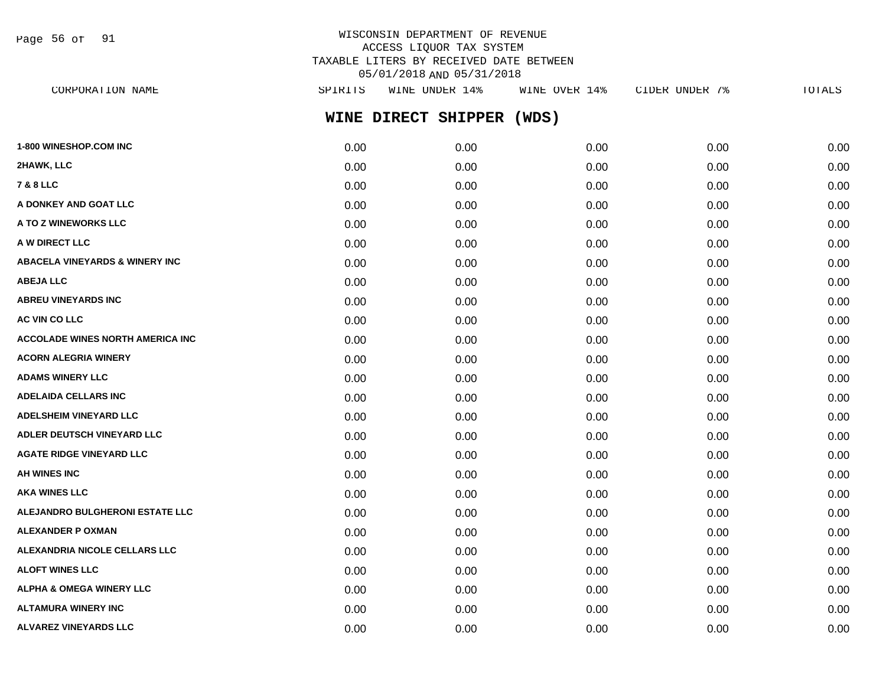Page 56 of 91

## WISCONSIN DEPARTMENT OF REVENUE ACCESS LIQUOR TAX SYSTEM TAXABLE LITERS BY RECEIVED DATE BETWEEN 05/01/2018 AND 05/31/2018

| CORPORATION NAME                        | SPIRITS | WINE UNDER 14%      | WINE OVER 14% | CIDER UNDER 7% | TOTALS |
|-----------------------------------------|---------|---------------------|---------------|----------------|--------|
|                                         |         | WINE DIRECT SHIPPER | (WDS)         |                |        |
| <b>1-800 WINESHOP.COM INC</b>           | 0.00    | 0.00                | 0.00          | 0.00           | 0.00   |
| 2HAWK, LLC                              | 0.00    | 0.00                | 0.00          | 0.00           | 0.00   |
| <b>7 &amp; 8 LLC</b>                    | 0.00    | 0.00                | 0.00          | 0.00           | 0.00   |
| A DONKEY AND GOAT LLC                   | 0.00    | 0.00                | 0.00          | 0.00           | 0.00   |
| <b>A TO Z WINEWORKS LLC</b>             | 0.00    | 0.00                | 0.00          | 0.00           | 0.00   |
| <b>A W DIRECT LLC</b>                   | 0.00    | 0.00                | 0.00          | 0.00           | 0.00   |
| ABACELA VINEYARDS & WINERY INC          | 0.00    | 0.00                | 0.00          | 0.00           | 0.00   |
| <b>ABEJA LLC</b>                        | 0.00    | 0.00                | 0.00          | 0.00           | 0.00   |
| <b>ABREU VINEYARDS INC</b>              | 0.00    | 0.00                | 0.00          | 0.00           | 0.00   |
| <b>AC VIN CO LLC</b>                    | 0.00    | 0.00                | 0.00          | 0.00           | 0.00   |
| <b>ACCOLADE WINES NORTH AMERICA INC</b> | 0.00    | 0.00                | 0.00          | 0.00           | 0.00   |
| <b>ACORN ALEGRIA WINERY</b>             | 0.00    | 0.00                | 0.00          | 0.00           | 0.00   |
| <b>ADAMS WINERY LLC</b>                 | 0.00    | 0.00                | 0.00          | 0.00           | 0.00   |
| <b>ADELAIDA CELLARS INC</b>             | 0.00    | 0.00                | 0.00          | 0.00           | 0.00   |
| <b>ADELSHEIM VINEYARD LLC</b>           | 0.00    | 0.00                | 0.00          | 0.00           | 0.00   |
| <b>ADLER DEUTSCH VINEYARD LLC</b>       | 0.00    | 0.00                | 0.00          | 0.00           | 0.00   |
| <b>AGATE RIDGE VINEYARD LLC</b>         | 0.00    | 0.00                | 0.00          | 0.00           | 0.00   |
| <b>AH WINES INC</b>                     | 0.00    | 0.00                | 0.00          | 0.00           | 0.00   |
| AKA WINES LLC                           | 0.00    | 0.00                | 0.00          | 0.00           | 0.00   |
| <b>ALEJANDRO BULGHERONI ESTATE LLC</b>  | 0.00    | 0.00                | 0.00          | 0.00           | 0.00   |
| ALEXANDER P OXMAN                       | 0.00    | 0.00                | 0.00          | 0.00           | 0.00   |
| <b>ALEXANDRIA NICOLE CELLARS LLC</b>    | 0.00    | 0.00                | 0.00          | 0.00           | 0.00   |
| <b>ALOFT WINES LLC</b>                  | 0.00    | 0.00                | 0.00          | 0.00           | 0.00   |
| <b>ALPHA &amp; OMEGA WINERY LLC</b>     | 0.00    | 0.00                | 0.00          | 0.00           | 0.00   |
| ALTAMURA WINERY INC                     | 0.00    | 0.00                | 0.00          | 0.00           | 0.00   |

**ALVAREZ VINEYARDS LLC** 0.00 0.00 0.00 0.00 0.00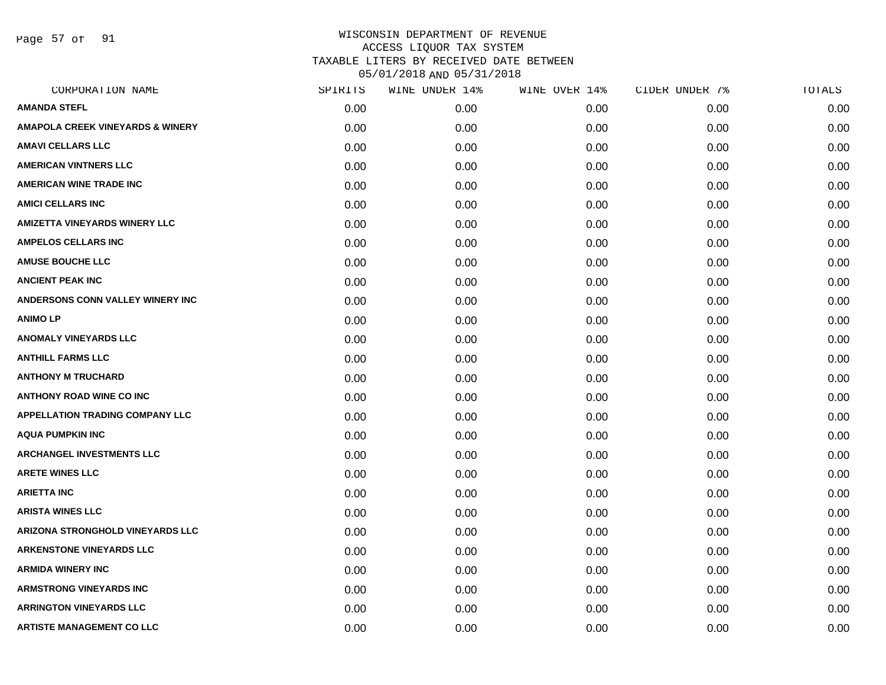Page 57 of 91

| CORPORATION NAME                            | SPIRITS | WINE UNDER 14% | WINE OVER 14% | CIDER UNDER 7% | TOTALS |
|---------------------------------------------|---------|----------------|---------------|----------------|--------|
| <b>AMANDA STEFL</b>                         | 0.00    | 0.00           | 0.00          | 0.00           | 0.00   |
| <b>AMAPOLA CREEK VINEYARDS &amp; WINERY</b> | 0.00    | 0.00           | 0.00          | 0.00           | 0.00   |
| AMAVI CELLARS LLC                           | 0.00    | 0.00           | 0.00          | 0.00           | 0.00   |
| <b>AMERICAN VINTNERS LLC</b>                | 0.00    | 0.00           | 0.00          | 0.00           | 0.00   |
| <b>AMERICAN WINE TRADE INC</b>              | 0.00    | 0.00           | 0.00          | 0.00           | 0.00   |
| <b>AMICI CELLARS INC</b>                    | 0.00    | 0.00           | 0.00          | 0.00           | 0.00   |
| AMIZETTA VINEYARDS WINERY LLC               | 0.00    | 0.00           | 0.00          | 0.00           | 0.00   |
| <b>AMPELOS CELLARS INC</b>                  | 0.00    | 0.00           | 0.00          | 0.00           | 0.00   |
| <b>AMUSE BOUCHE LLC</b>                     | 0.00    | 0.00           | 0.00          | 0.00           | 0.00   |
| <b>ANCIENT PEAK INC</b>                     | 0.00    | 0.00           | 0.00          | 0.00           | 0.00   |
| ANDERSONS CONN VALLEY WINERY INC            | 0.00    | 0.00           | 0.00          | 0.00           | 0.00   |
| <b>ANIMO LP</b>                             | 0.00    | 0.00           | 0.00          | 0.00           | 0.00   |
| <b>ANOMALY VINEYARDS LLC</b>                | 0.00    | 0.00           | 0.00          | 0.00           | 0.00   |
| <b>ANTHILL FARMS LLC</b>                    | 0.00    | 0.00           | 0.00          | 0.00           | 0.00   |
| <b>ANTHONY M TRUCHARD</b>                   | 0.00    | 0.00           | 0.00          | 0.00           | 0.00   |
| <b>ANTHONY ROAD WINE CO INC</b>             | 0.00    | 0.00           | 0.00          | 0.00           | 0.00   |
| <b>APPELLATION TRADING COMPANY LLC</b>      | 0.00    | 0.00           | 0.00          | 0.00           | 0.00   |
| <b>AQUA PUMPKIN INC</b>                     | 0.00    | 0.00           | 0.00          | 0.00           | 0.00   |
| <b>ARCHANGEL INVESTMENTS LLC</b>            | 0.00    | 0.00           | 0.00          | 0.00           | 0.00   |
| <b>ARETE WINES LLC</b>                      | 0.00    | 0.00           | 0.00          | 0.00           | 0.00   |
| <b>ARIETTA INC</b>                          | 0.00    | 0.00           | 0.00          | 0.00           | 0.00   |
| <b>ARISTA WINES LLC</b>                     | 0.00    | 0.00           | 0.00          | 0.00           | 0.00   |
| <b>ARIZONA STRONGHOLD VINEYARDS LLC</b>     | 0.00    | 0.00           | 0.00          | 0.00           | 0.00   |
| <b>ARKENSTONE VINEYARDS LLC</b>             | 0.00    | 0.00           | 0.00          | 0.00           | 0.00   |
| <b>ARMIDA WINERY INC</b>                    | 0.00    | 0.00           | 0.00          | 0.00           | 0.00   |
| <b>ARMSTRONG VINEYARDS INC</b>              | 0.00    | 0.00           | 0.00          | 0.00           | 0.00   |
| <b>ARRINGTON VINEYARDS LLC</b>              | 0.00    | 0.00           | 0.00          | 0.00           | 0.00   |
| <b>ARTISTE MANAGEMENT CO LLC</b>            | 0.00    | 0.00           | 0.00          | 0.00           | 0.00   |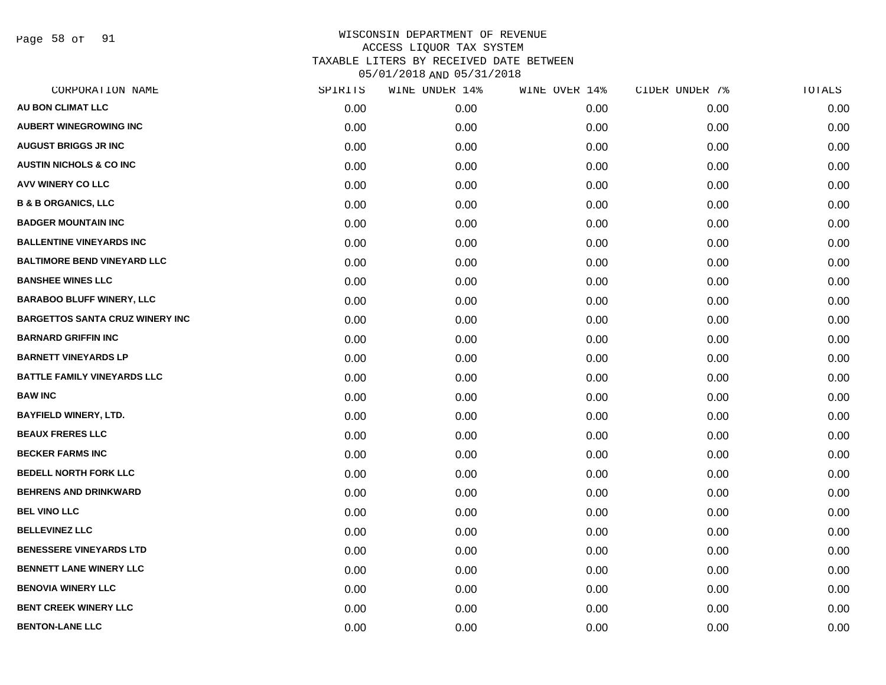Page 58 of 91

| CORPORATION NAME                       | SPIRITS | WINE UNDER 14% | WINE OVER 14% | CIDER UNDER 7% | TOTALS |
|----------------------------------------|---------|----------------|---------------|----------------|--------|
| <b>AU BON CLIMAT LLC</b>               | 0.00    | 0.00           | 0.00          | 0.00           | 0.00   |
| <b>AUBERT WINEGROWING INC</b>          | 0.00    | 0.00           | 0.00          | 0.00           | 0.00   |
| <b>AUGUST BRIGGS JR INC</b>            | 0.00    | 0.00           | 0.00          | 0.00           | 0.00   |
| <b>AUSTIN NICHOLS &amp; CO INC</b>     | 0.00    | 0.00           | 0.00          | 0.00           | 0.00   |
| <b>AVV WINERY CO LLC</b>               | 0.00    | 0.00           | 0.00          | 0.00           | 0.00   |
| <b>B &amp; B ORGANICS, LLC</b>         | 0.00    | 0.00           | 0.00          | 0.00           | 0.00   |
| <b>BADGER MOUNTAIN INC</b>             | 0.00    | 0.00           | 0.00          | 0.00           | 0.00   |
| <b>BALLENTINE VINEYARDS INC</b>        | 0.00    | 0.00           | 0.00          | 0.00           | 0.00   |
| <b>BALTIMORE BEND VINEYARD LLC</b>     | 0.00    | 0.00           | 0.00          | 0.00           | 0.00   |
| <b>BANSHEE WINES LLC</b>               | 0.00    | 0.00           | 0.00          | 0.00           | 0.00   |
| <b>BARABOO BLUFF WINERY, LLC</b>       | 0.00    | 0.00           | 0.00          | 0.00           | 0.00   |
| <b>BARGETTOS SANTA CRUZ WINERY INC</b> | 0.00    | 0.00           | 0.00          | 0.00           | 0.00   |
| <b>BARNARD GRIFFIN INC</b>             | 0.00    | 0.00           | 0.00          | 0.00           | 0.00   |
| <b>BARNETT VINEYARDS LP</b>            | 0.00    | 0.00           | 0.00          | 0.00           | 0.00   |
| <b>BATTLE FAMILY VINEYARDS LLC</b>     | 0.00    | 0.00           | 0.00          | 0.00           | 0.00   |
| <b>BAW INC</b>                         | 0.00    | 0.00           | 0.00          | 0.00           | 0.00   |
| <b>BAYFIELD WINERY, LTD.</b>           | 0.00    | 0.00           | 0.00          | 0.00           | 0.00   |
| <b>BEAUX FRERES LLC</b>                | 0.00    | 0.00           | 0.00          | 0.00           | 0.00   |
| <b>BECKER FARMS INC</b>                | 0.00    | 0.00           | 0.00          | 0.00           | 0.00   |
| <b>BEDELL NORTH FORK LLC</b>           | 0.00    | 0.00           | 0.00          | 0.00           | 0.00   |
| <b>BEHRENS AND DRINKWARD</b>           | 0.00    | 0.00           | 0.00          | 0.00           | 0.00   |
| <b>BEL VINO LLC</b>                    | 0.00    | 0.00           | 0.00          | 0.00           | 0.00   |
| <b>BELLEVINEZ LLC</b>                  | 0.00    | 0.00           | 0.00          | 0.00           | 0.00   |
| <b>BENESSERE VINEYARDS LTD</b>         | 0.00    | 0.00           | 0.00          | 0.00           | 0.00   |
| <b>BENNETT LANE WINERY LLC</b>         | 0.00    | 0.00           | 0.00          | 0.00           | 0.00   |
| <b>BENOVIA WINERY LLC</b>              | 0.00    | 0.00           | 0.00          | 0.00           | 0.00   |
| <b>BENT CREEK WINERY LLC</b>           | 0.00    | 0.00           | 0.00          | 0.00           | 0.00   |
| <b>BENTON-LANE LLC</b>                 | 0.00    | 0.00           | 0.00          | 0.00           | 0.00   |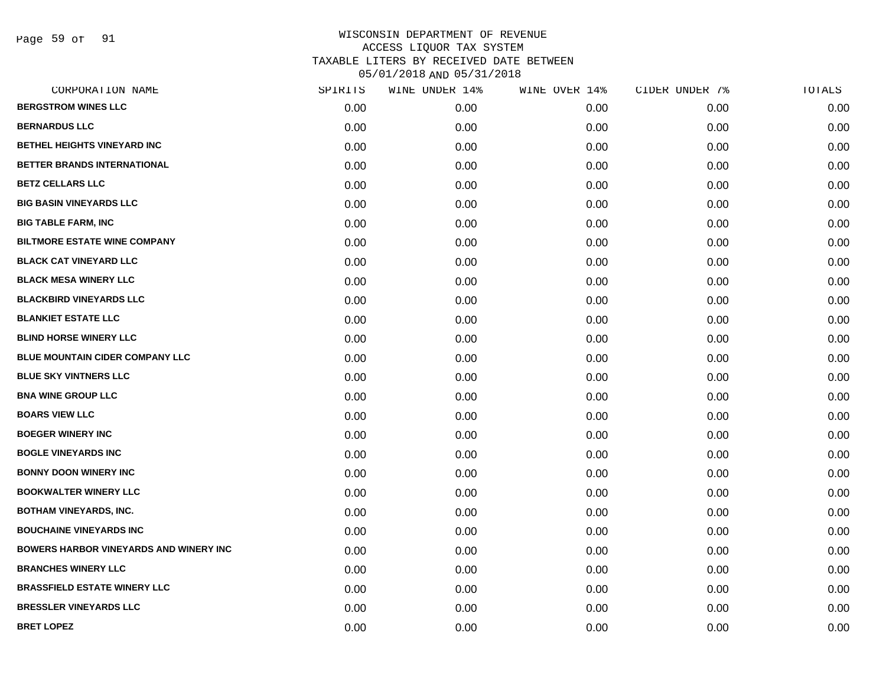Page 59 of 91

| CORPORATION NAME                              | SPIRITS | WINE UNDER 14% | WINE OVER 14% | CIDER UNDER 7% | TOTALS |
|-----------------------------------------------|---------|----------------|---------------|----------------|--------|
| <b>BERGSTROM WINES LLC</b>                    | 0.00    | 0.00           | 0.00          | 0.00           | 0.00   |
| <b>BERNARDUS LLC</b>                          | 0.00    | 0.00           | 0.00          | 0.00           | 0.00   |
| <b>BETHEL HEIGHTS VINEYARD INC</b>            | 0.00    | 0.00           | 0.00          | 0.00           | 0.00   |
| BETTER BRANDS INTERNATIONAL                   | 0.00    | 0.00           | 0.00          | 0.00           | 0.00   |
| <b>BETZ CELLARS LLC</b>                       | 0.00    | 0.00           | 0.00          | 0.00           | 0.00   |
| <b>BIG BASIN VINEYARDS LLC</b>                | 0.00    | 0.00           | 0.00          | 0.00           | 0.00   |
| <b>BIG TABLE FARM, INC</b>                    | 0.00    | 0.00           | 0.00          | 0.00           | 0.00   |
| <b>BILTMORE ESTATE WINE COMPANY</b>           | 0.00    | 0.00           | 0.00          | 0.00           | 0.00   |
| <b>BLACK CAT VINEYARD LLC</b>                 | 0.00    | 0.00           | 0.00          | 0.00           | 0.00   |
| <b>BLACK MESA WINERY LLC</b>                  | 0.00    | 0.00           | 0.00          | 0.00           | 0.00   |
| <b>BLACKBIRD VINEYARDS LLC</b>                | 0.00    | 0.00           | 0.00          | 0.00           | 0.00   |
| <b>BLANKIET ESTATE LLC</b>                    | 0.00    | 0.00           | 0.00          | 0.00           | 0.00   |
| <b>BLIND HORSE WINERY LLC</b>                 | 0.00    | 0.00           | 0.00          | 0.00           | 0.00   |
| <b>BLUE MOUNTAIN CIDER COMPANY LLC</b>        | 0.00    | 0.00           | 0.00          | 0.00           | 0.00   |
| <b>BLUE SKY VINTNERS LLC</b>                  | 0.00    | 0.00           | 0.00          | 0.00           | 0.00   |
| <b>BNA WINE GROUP LLC</b>                     | 0.00    | 0.00           | 0.00          | 0.00           | 0.00   |
| <b>BOARS VIEW LLC</b>                         | 0.00    | 0.00           | 0.00          | 0.00           | 0.00   |
| <b>BOEGER WINERY INC</b>                      | 0.00    | 0.00           | 0.00          | 0.00           | 0.00   |
| <b>BOGLE VINEYARDS INC</b>                    | 0.00    | 0.00           | 0.00          | 0.00           | 0.00   |
| <b>BONNY DOON WINERY INC</b>                  | 0.00    | 0.00           | 0.00          | 0.00           | 0.00   |
| <b>BOOKWALTER WINERY LLC</b>                  | 0.00    | 0.00           | 0.00          | 0.00           | 0.00   |
| <b>BOTHAM VINEYARDS, INC.</b>                 | 0.00    | 0.00           | 0.00          | 0.00           | 0.00   |
| <b>BOUCHAINE VINEYARDS INC</b>                | 0.00    | 0.00           | 0.00          | 0.00           | 0.00   |
| <b>BOWERS HARBOR VINEYARDS AND WINERY INC</b> | 0.00    | 0.00           | 0.00          | 0.00           | 0.00   |
| <b>BRANCHES WINERY LLC</b>                    | 0.00    | 0.00           | 0.00          | 0.00           | 0.00   |
| <b>BRASSFIELD ESTATE WINERY LLC</b>           | 0.00    | 0.00           | 0.00          | 0.00           | 0.00   |
| <b>BRESSLER VINEYARDS LLC</b>                 | 0.00    | 0.00           | 0.00          | 0.00           | 0.00   |
| <b>BRET LOPEZ</b>                             | 0.00    | 0.00           | 0.00          | 0.00           | 0.00   |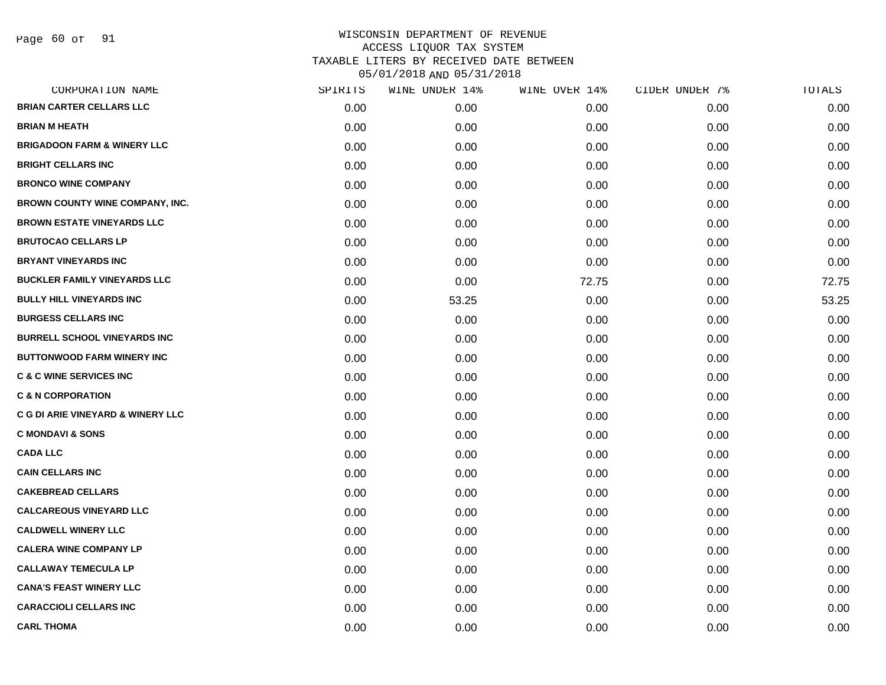|      | WINE UNDER 14% |       | CIDER UNDER 7% | TOTALS |
|------|----------------|-------|----------------|--------|
| 0.00 | 0.00           | 0.00  | 0.00           | 0.00   |
| 0.00 | 0.00           | 0.00  | 0.00           | 0.00   |
| 0.00 | 0.00           | 0.00  | 0.00           | 0.00   |
| 0.00 | 0.00           | 0.00  | 0.00           | 0.00   |
| 0.00 | 0.00           | 0.00  | 0.00           | 0.00   |
| 0.00 | 0.00           | 0.00  | 0.00           | 0.00   |
| 0.00 | 0.00           | 0.00  | 0.00           | 0.00   |
| 0.00 | 0.00           | 0.00  | 0.00           | 0.00   |
| 0.00 | 0.00           | 0.00  | 0.00           | 0.00   |
| 0.00 | 0.00           | 72.75 | 0.00           | 72.75  |
| 0.00 | 53.25          | 0.00  | 0.00           | 53.25  |
| 0.00 | 0.00           | 0.00  | 0.00           | 0.00   |
| 0.00 | 0.00           | 0.00  | 0.00           | 0.00   |
| 0.00 | 0.00           | 0.00  | 0.00           | 0.00   |
| 0.00 | 0.00           | 0.00  | 0.00           | 0.00   |
| 0.00 | 0.00           | 0.00  | 0.00           | 0.00   |
| 0.00 | 0.00           | 0.00  | 0.00           | 0.00   |
| 0.00 | 0.00           | 0.00  | 0.00           | 0.00   |
| 0.00 | 0.00           | 0.00  | 0.00           | 0.00   |
| 0.00 | 0.00           | 0.00  | 0.00           | 0.00   |
| 0.00 | 0.00           | 0.00  | 0.00           | 0.00   |
| 0.00 | 0.00           | 0.00  | 0.00           | 0.00   |
| 0.00 | 0.00           | 0.00  | 0.00           | 0.00   |
| 0.00 | 0.00           | 0.00  | 0.00           | 0.00   |
| 0.00 | 0.00           | 0.00  | 0.00           | 0.00   |
| 0.00 | 0.00           | 0.00  | 0.00           | 0.00   |
| 0.00 | 0.00           | 0.00  | 0.00           | 0.00   |
| 0.00 | 0.00           | 0.00  | 0.00           | 0.00   |
|      | SPIRITS        |       | WINE OVER 14%  |        |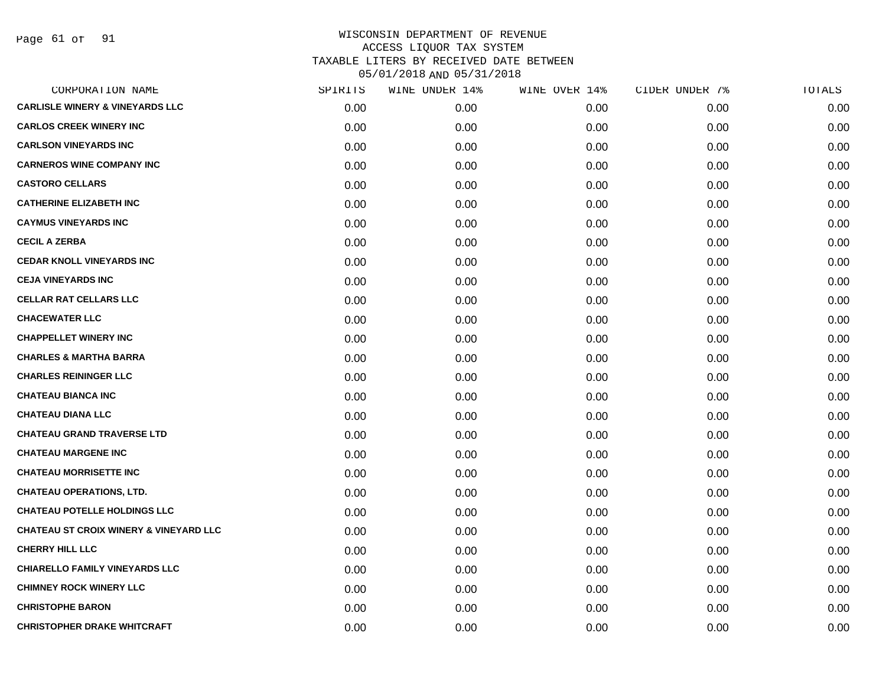Page 61 of 91

| CORPORATION NAME                                  | SPIRITS | WINE UNDER 14% | WINE OVER 14% | CIDER UNDER 7% | TOTALS |
|---------------------------------------------------|---------|----------------|---------------|----------------|--------|
| <b>CARLISLE WINERY &amp; VINEYARDS LLC</b>        | 0.00    | 0.00           | 0.00          | 0.00           | 0.00   |
| <b>CARLOS CREEK WINERY INC</b>                    | 0.00    | 0.00           | 0.00          | 0.00           | 0.00   |
| <b>CARLSON VINEYARDS INC</b>                      | 0.00    | 0.00           | 0.00          | 0.00           | 0.00   |
| <b>CARNEROS WINE COMPANY INC</b>                  | 0.00    | 0.00           | 0.00          | 0.00           | 0.00   |
| <b>CASTORO CELLARS</b>                            | 0.00    | 0.00           | 0.00          | 0.00           | 0.00   |
| <b>CATHERINE ELIZABETH INC</b>                    | 0.00    | 0.00           | 0.00          | 0.00           | 0.00   |
| <b>CAYMUS VINEYARDS INC</b>                       | 0.00    | 0.00           | 0.00          | 0.00           | 0.00   |
| <b>CECIL A ZERBA</b>                              | 0.00    | 0.00           | 0.00          | 0.00           | 0.00   |
| <b>CEDAR KNOLL VINEYARDS INC</b>                  | 0.00    | 0.00           | 0.00          | 0.00           | 0.00   |
| <b>CEJA VINEYARDS INC</b>                         | 0.00    | 0.00           | 0.00          | 0.00           | 0.00   |
| <b>CELLAR RAT CELLARS LLC</b>                     | 0.00    | 0.00           | 0.00          | 0.00           | 0.00   |
| <b>CHACEWATER LLC</b>                             | 0.00    | 0.00           | 0.00          | 0.00           | 0.00   |
| <b>CHAPPELLET WINERY INC</b>                      | 0.00    | 0.00           | 0.00          | 0.00           | 0.00   |
| <b>CHARLES &amp; MARTHA BARRA</b>                 | 0.00    | 0.00           | 0.00          | 0.00           | 0.00   |
| <b>CHARLES REININGER LLC</b>                      | 0.00    | 0.00           | 0.00          | 0.00           | 0.00   |
| <b>CHATEAU BIANCA INC</b>                         | 0.00    | 0.00           | 0.00          | 0.00           | 0.00   |
| <b>CHATEAU DIANA LLC</b>                          | 0.00    | 0.00           | 0.00          | 0.00           | 0.00   |
| <b>CHATEAU GRAND TRAVERSE LTD</b>                 | 0.00    | 0.00           | 0.00          | 0.00           | 0.00   |
| <b>CHATEAU MARGENE INC</b>                        | 0.00    | 0.00           | 0.00          | 0.00           | 0.00   |
| <b>CHATEAU MORRISETTE INC</b>                     | 0.00    | 0.00           | 0.00          | 0.00           | 0.00   |
| <b>CHATEAU OPERATIONS, LTD.</b>                   | 0.00    | 0.00           | 0.00          | 0.00           | 0.00   |
| <b>CHATEAU POTELLE HOLDINGS LLC</b>               | 0.00    | 0.00           | 0.00          | 0.00           | 0.00   |
| <b>CHATEAU ST CROIX WINERY &amp; VINEYARD LLC</b> | 0.00    | 0.00           | 0.00          | 0.00           | 0.00   |
| <b>CHERRY HILL LLC</b>                            | 0.00    | 0.00           | 0.00          | 0.00           | 0.00   |
| <b>CHIARELLO FAMILY VINEYARDS LLC</b>             | 0.00    | 0.00           | 0.00          | 0.00           | 0.00   |
| <b>CHIMNEY ROCK WINERY LLC</b>                    | 0.00    | 0.00           | 0.00          | 0.00           | 0.00   |
| <b>CHRISTOPHE BARON</b>                           | 0.00    | 0.00           | 0.00          | 0.00           | 0.00   |
| <b>CHRISTOPHER DRAKE WHITCRAFT</b>                | 0.00    | 0.00           | 0.00          | 0.00           | 0.00   |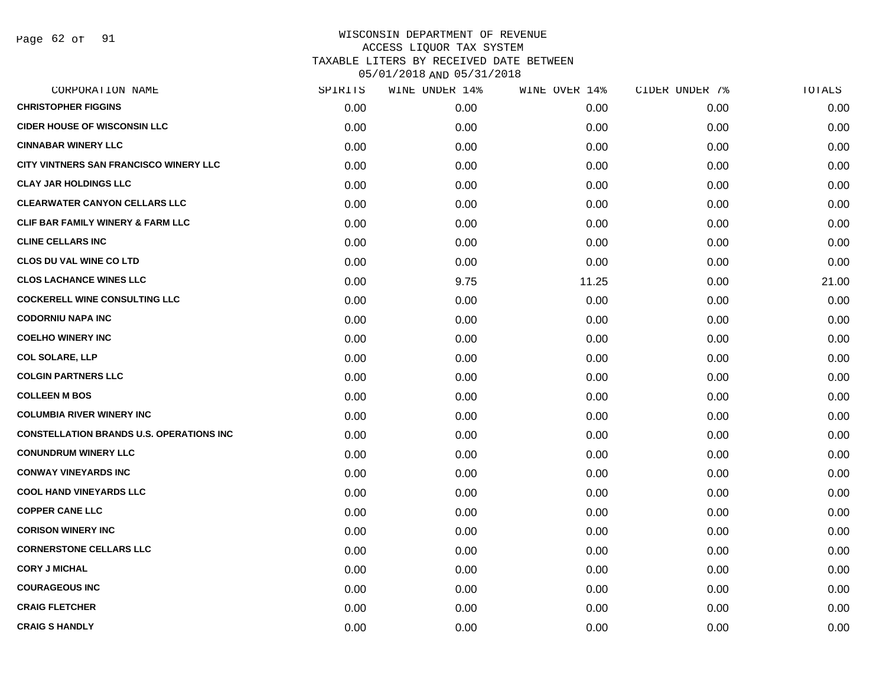Page 62 of 91

| CORPORATION NAME                                | SPIRITS | WINE UNDER 14% | WINE OVER 14% | CIDER UNDER 7% | TOTALS |
|-------------------------------------------------|---------|----------------|---------------|----------------|--------|
| <b>CHRISTOPHER FIGGINS</b>                      | 0.00    | 0.00           | 0.00          | 0.00           | 0.00   |
| <b>CIDER HOUSE OF WISCONSIN LLC</b>             | 0.00    | 0.00           | 0.00          | 0.00           | 0.00   |
| <b>CINNABAR WINERY LLC</b>                      | 0.00    | 0.00           | 0.00          | 0.00           | 0.00   |
| CITY VINTNERS SAN FRANCISCO WINERY LLC          | 0.00    | 0.00           | 0.00          | 0.00           | 0.00   |
| <b>CLAY JAR HOLDINGS LLC</b>                    | 0.00    | 0.00           | 0.00          | 0.00           | 0.00   |
| <b>CLEARWATER CANYON CELLARS LLC</b>            | 0.00    | 0.00           | 0.00          | 0.00           | 0.00   |
| <b>CLIF BAR FAMILY WINERY &amp; FARM LLC</b>    | 0.00    | 0.00           | 0.00          | 0.00           | 0.00   |
| <b>CLINE CELLARS INC</b>                        | 0.00    | 0.00           | 0.00          | 0.00           | 0.00   |
| <b>CLOS DU VAL WINE CO LTD</b>                  | 0.00    | 0.00           | 0.00          | 0.00           | 0.00   |
| <b>CLOS LACHANCE WINES LLC</b>                  | 0.00    | 9.75           | 11.25         | 0.00           | 21.00  |
| <b>COCKERELL WINE CONSULTING LLC</b>            | 0.00    | 0.00           | 0.00          | 0.00           | 0.00   |
| <b>CODORNIU NAPA INC</b>                        | 0.00    | 0.00           | 0.00          | 0.00           | 0.00   |
| <b>COELHO WINERY INC</b>                        | 0.00    | 0.00           | 0.00          | 0.00           | 0.00   |
| <b>COL SOLARE, LLP</b>                          | 0.00    | 0.00           | 0.00          | 0.00           | 0.00   |
| <b>COLGIN PARTNERS LLC</b>                      | 0.00    | 0.00           | 0.00          | 0.00           | 0.00   |
| <b>COLLEEN M BOS</b>                            | 0.00    | 0.00           | 0.00          | 0.00           | 0.00   |
| <b>COLUMBIA RIVER WINERY INC</b>                | 0.00    | 0.00           | 0.00          | 0.00           | 0.00   |
| <b>CONSTELLATION BRANDS U.S. OPERATIONS INC</b> | 0.00    | 0.00           | 0.00          | 0.00           | 0.00   |
| <b>CONUNDRUM WINERY LLC</b>                     | 0.00    | 0.00           | 0.00          | 0.00           | 0.00   |
| <b>CONWAY VINEYARDS INC</b>                     | 0.00    | 0.00           | 0.00          | 0.00           | 0.00   |
| <b>COOL HAND VINEYARDS LLC</b>                  | 0.00    | 0.00           | 0.00          | 0.00           | 0.00   |
| <b>COPPER CANE LLC</b>                          | 0.00    | 0.00           | 0.00          | 0.00           | 0.00   |
| <b>CORISON WINERY INC</b>                       | 0.00    | 0.00           | 0.00          | 0.00           | 0.00   |
| <b>CORNERSTONE CELLARS LLC</b>                  | 0.00    | 0.00           | 0.00          | 0.00           | 0.00   |
| <b>CORY J MICHAL</b>                            | 0.00    | 0.00           | 0.00          | 0.00           | 0.00   |
| <b>COURAGEOUS INC</b>                           | 0.00    | 0.00           | 0.00          | 0.00           | 0.00   |
| <b>CRAIG FLETCHER</b>                           | 0.00    | 0.00           | 0.00          | 0.00           | 0.00   |
| <b>CRAIG S HANDLY</b>                           | 0.00    | 0.00           | 0.00          | 0.00           | 0.00   |
|                                                 |         |                |               |                |        |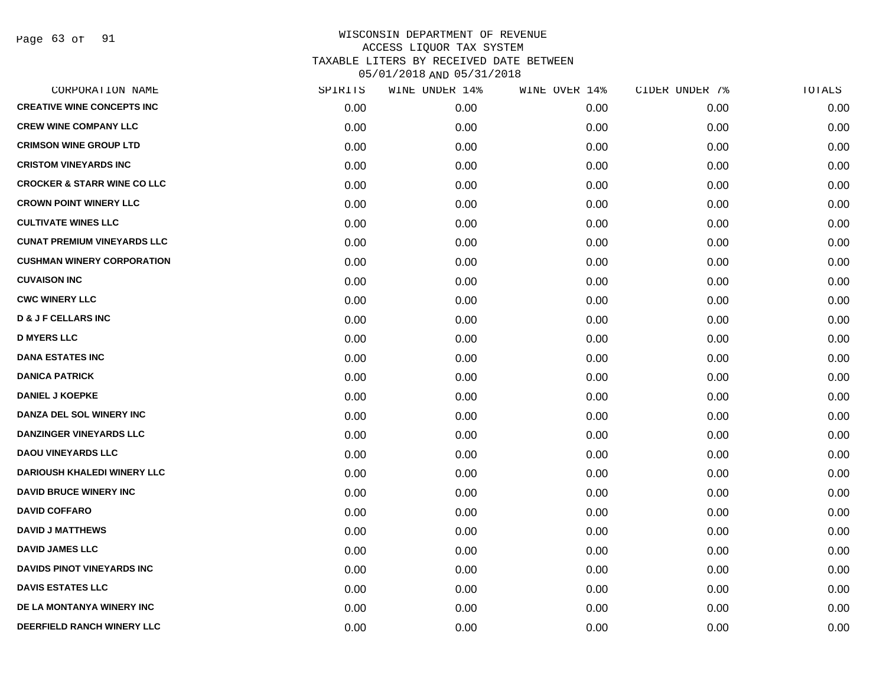Page 63 of 91

| CORPORATION NAME                       | SPIRITS | WINE UNDER 14% | WINE OVER 14% | CIDER UNDER 7% | TOTALS |
|----------------------------------------|---------|----------------|---------------|----------------|--------|
| <b>CREATIVE WINE CONCEPTS INC</b>      | 0.00    | 0.00           | 0.00          | 0.00           | 0.00   |
| <b>CREW WINE COMPANY LLC</b>           | 0.00    | 0.00           | 0.00          | 0.00           | 0.00   |
| <b>CRIMSON WINE GROUP LTD</b>          | 0.00    | 0.00           | 0.00          | 0.00           | 0.00   |
| <b>CRISTOM VINEYARDS INC</b>           | 0.00    | 0.00           | 0.00          | 0.00           | 0.00   |
| <b>CROCKER &amp; STARR WINE CO LLC</b> | 0.00    | 0.00           | 0.00          | 0.00           | 0.00   |
| <b>CROWN POINT WINERY LLC</b>          | 0.00    | 0.00           | 0.00          | 0.00           | 0.00   |
| <b>CULTIVATE WINES LLC</b>             | 0.00    | 0.00           | 0.00          | 0.00           | 0.00   |
| <b>CUNAT PREMIUM VINEYARDS LLC</b>     | 0.00    | 0.00           | 0.00          | 0.00           | 0.00   |
| <b>CUSHMAN WINERY CORPORATION</b>      | 0.00    | 0.00           | 0.00          | 0.00           | 0.00   |
| <b>CUVAISON INC</b>                    | 0.00    | 0.00           | 0.00          | 0.00           | 0.00   |
| <b>CWC WINERY LLC</b>                  | 0.00    | 0.00           | 0.00          | 0.00           | 0.00   |
| <b>D &amp; J F CELLARS INC</b>         | 0.00    | 0.00           | 0.00          | 0.00           | 0.00   |
| <b>D MYERS LLC</b>                     | 0.00    | 0.00           | 0.00          | 0.00           | 0.00   |
| <b>DANA ESTATES INC</b>                | 0.00    | 0.00           | 0.00          | 0.00           | 0.00   |
| <b>DANICA PATRICK</b>                  | 0.00    | 0.00           | 0.00          | 0.00           | 0.00   |
| <b>DANIEL J KOEPKE</b>                 | 0.00    | 0.00           | 0.00          | 0.00           | 0.00   |
| <b>DANZA DEL SOL WINERY INC</b>        | 0.00    | 0.00           | 0.00          | 0.00           | 0.00   |
| DANZINGER VINEYARDS LLC                | 0.00    | 0.00           | 0.00          | 0.00           | 0.00   |
| <b>DAOU VINEYARDS LLC</b>              | 0.00    | 0.00           | 0.00          | 0.00           | 0.00   |
| <b>DARIOUSH KHALEDI WINERY LLC</b>     | 0.00    | 0.00           | 0.00          | 0.00           | 0.00   |
| <b>DAVID BRUCE WINERY INC</b>          | 0.00    | 0.00           | 0.00          | 0.00           | 0.00   |
| <b>DAVID COFFARO</b>                   | 0.00    | 0.00           | 0.00          | 0.00           | 0.00   |
| <b>DAVID J MATTHEWS</b>                | 0.00    | 0.00           | 0.00          | 0.00           | 0.00   |
| <b>DAVID JAMES LLC</b>                 | 0.00    | 0.00           | 0.00          | 0.00           | 0.00   |
| <b>DAVIDS PINOT VINEYARDS INC</b>      | 0.00    | 0.00           | 0.00          | 0.00           | 0.00   |
| <b>DAVIS ESTATES LLC</b>               | 0.00    | 0.00           | 0.00          | 0.00           | 0.00   |
| DE LA MONTANYA WINERY INC              | 0.00    | 0.00           | 0.00          | 0.00           | 0.00   |
| DEERFIELD RANCH WINERY LLC             | 0.00    | 0.00           | 0.00          | 0.00           | 0.00   |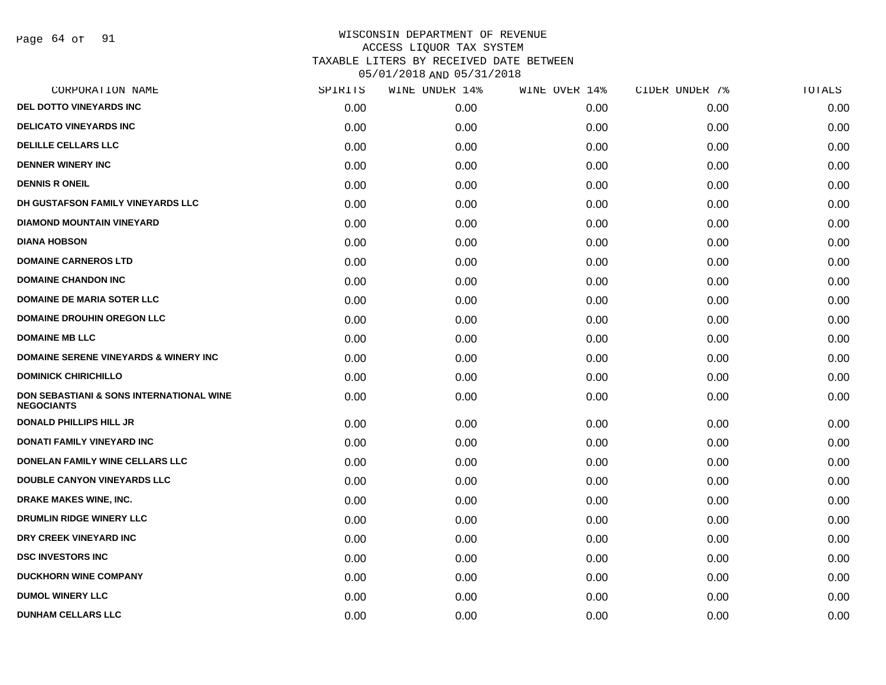Page 64 of 91

| CORPORATION NAME                                                         | SPIRITS | WINE UNDER 14% | WINE OVER 14% | CIDER UNDER 7% | TOTALS |
|--------------------------------------------------------------------------|---------|----------------|---------------|----------------|--------|
| DEL DOTTO VINEYARDS INC                                                  | 0.00    | 0.00           | 0.00          | 0.00           | 0.00   |
| <b>DELICATO VINEYARDS INC</b>                                            | 0.00    | 0.00           | 0.00          | 0.00           | 0.00   |
| <b>DELILLE CELLARS LLC</b>                                               | 0.00    | 0.00           | 0.00          | 0.00           | 0.00   |
| <b>DENNER WINERY INC</b>                                                 | 0.00    | 0.00           | 0.00          | 0.00           | 0.00   |
| <b>DENNIS R ONEIL</b>                                                    | 0.00    | 0.00           | 0.00          | 0.00           | 0.00   |
| DH GUSTAFSON FAMILY VINEYARDS LLC                                        | 0.00    | 0.00           | 0.00          | 0.00           | 0.00   |
| <b>DIAMOND MOUNTAIN VINEYARD</b>                                         | 0.00    | 0.00           | 0.00          | 0.00           | 0.00   |
| <b>DIANA HOBSON</b>                                                      | 0.00    | 0.00           | 0.00          | 0.00           | 0.00   |
| <b>DOMAINE CARNEROS LTD</b>                                              | 0.00    | 0.00           | 0.00          | 0.00           | 0.00   |
| <b>DOMAINE CHANDON INC</b>                                               | 0.00    | 0.00           | 0.00          | 0.00           | 0.00   |
| <b>DOMAINE DE MARIA SOTER LLC</b>                                        | 0.00    | 0.00           | 0.00          | 0.00           | 0.00   |
| <b>DOMAINE DROUHIN OREGON LLC</b>                                        | 0.00    | 0.00           | 0.00          | 0.00           | 0.00   |
| <b>DOMAINE MB LLC</b>                                                    | 0.00    | 0.00           | 0.00          | 0.00           | 0.00   |
| <b>DOMAINE SERENE VINEYARDS &amp; WINERY INC</b>                         | 0.00    | 0.00           | 0.00          | 0.00           | 0.00   |
| <b>DOMINICK CHIRICHILLO</b>                                              | 0.00    | 0.00           | 0.00          | 0.00           | 0.00   |
| <b>DON SEBASTIANI &amp; SONS INTERNATIONAL WINE</b><br><b>NEGOCIANTS</b> | 0.00    | 0.00           | 0.00          | 0.00           | 0.00   |
| <b>DONALD PHILLIPS HILL JR</b>                                           | 0.00    | 0.00           | 0.00          | 0.00           | 0.00   |
| <b>DONATI FAMILY VINEYARD INC</b>                                        | 0.00    | 0.00           | 0.00          | 0.00           | 0.00   |
| DONELAN FAMILY WINE CELLARS LLC                                          | 0.00    | 0.00           | 0.00          | 0.00           | 0.00   |
| <b>DOUBLE CANYON VINEYARDS LLC</b>                                       | 0.00    | 0.00           | 0.00          | 0.00           | 0.00   |
| <b>DRAKE MAKES WINE, INC.</b>                                            | 0.00    | 0.00           | 0.00          | 0.00           | 0.00   |
| DRUMLIN RIDGE WINERY LLC                                                 | 0.00    | 0.00           | 0.00          | 0.00           | 0.00   |
| DRY CREEK VINEYARD INC                                                   | 0.00    | 0.00           | 0.00          | 0.00           | 0.00   |
| <b>DSC INVESTORS INC</b>                                                 | 0.00    | 0.00           | 0.00          | 0.00           | 0.00   |
| <b>DUCKHORN WINE COMPANY</b>                                             | 0.00    | 0.00           | 0.00          | 0.00           | 0.00   |
| <b>DUMOL WINERY LLC</b>                                                  | 0.00    | 0.00           | 0.00          | 0.00           | 0.00   |
| <b>DUNHAM CELLARS LLC</b>                                                | 0.00    | 0.00           | 0.00          | 0.00           | 0.00   |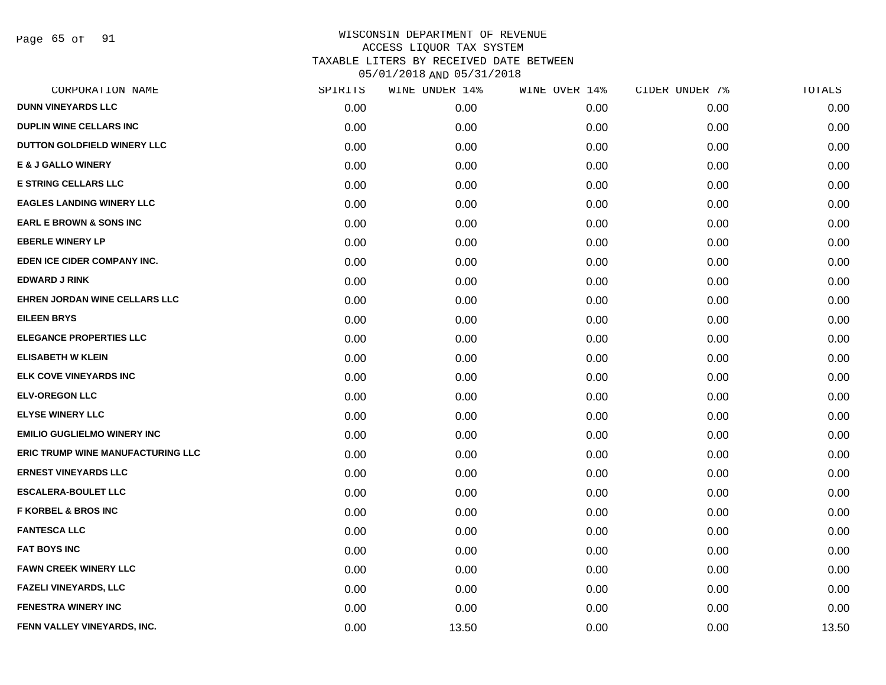Page 65 of 91

| CORPORATION NAME                         | SPIRITS | WINE UNDER 14% | WINE OVER 14% | CIDER UNDER 7% | TOTALS |
|------------------------------------------|---------|----------------|---------------|----------------|--------|
| <b>DUNN VINEYARDS LLC</b>                | 0.00    | 0.00           | 0.00          | 0.00           | 0.00   |
| <b>DUPLIN WINE CELLARS INC</b>           | 0.00    | 0.00           | 0.00          | 0.00           | 0.00   |
| DUTTON GOLDFIELD WINERY LLC              | 0.00    | 0.00           | 0.00          | 0.00           | 0.00   |
| <b>E &amp; J GALLO WINERY</b>            | 0.00    | 0.00           | 0.00          | 0.00           | 0.00   |
| <b>E STRING CELLARS LLC</b>              | 0.00    | 0.00           | 0.00          | 0.00           | 0.00   |
| <b>EAGLES LANDING WINERY LLC</b>         | 0.00    | 0.00           | 0.00          | 0.00           | 0.00   |
| <b>EARL E BROWN &amp; SONS INC</b>       | 0.00    | 0.00           | 0.00          | 0.00           | 0.00   |
| <b>EBERLE WINERY LP</b>                  | 0.00    | 0.00           | 0.00          | 0.00           | 0.00   |
| EDEN ICE CIDER COMPANY INC.              | 0.00    | 0.00           | 0.00          | 0.00           | 0.00   |
| <b>EDWARD J RINK</b>                     | 0.00    | 0.00           | 0.00          | 0.00           | 0.00   |
| EHREN JORDAN WINE CELLARS LLC            | 0.00    | 0.00           | 0.00          | 0.00           | 0.00   |
| <b>EILEEN BRYS</b>                       | 0.00    | 0.00           | 0.00          | 0.00           | 0.00   |
| <b>ELEGANCE PROPERTIES LLC</b>           | 0.00    | 0.00           | 0.00          | 0.00           | 0.00   |
| <b>ELISABETH W KLEIN</b>                 | 0.00    | 0.00           | 0.00          | 0.00           | 0.00   |
| ELK COVE VINEYARDS INC                   | 0.00    | 0.00           | 0.00          | 0.00           | 0.00   |
| <b>ELV-OREGON LLC</b>                    | 0.00    | 0.00           | 0.00          | 0.00           | 0.00   |
| <b>ELYSE WINERY LLC</b>                  | 0.00    | 0.00           | 0.00          | 0.00           | 0.00   |
| <b>EMILIO GUGLIELMO WINERY INC.</b>      | 0.00    | 0.00           | 0.00          | 0.00           | 0.00   |
| <b>ERIC TRUMP WINE MANUFACTURING LLC</b> | 0.00    | 0.00           | 0.00          | 0.00           | 0.00   |
| <b>ERNEST VINEYARDS LLC</b>              | 0.00    | 0.00           | 0.00          | 0.00           | 0.00   |
| <b>ESCALERA-BOULET LLC</b>               | 0.00    | 0.00           | 0.00          | 0.00           | 0.00   |
| <b>F KORBEL &amp; BROS INC</b>           | 0.00    | 0.00           | 0.00          | 0.00           | 0.00   |
| <b>FANTESCA LLC</b>                      | 0.00    | 0.00           | 0.00          | 0.00           | 0.00   |
| <b>FAT BOYS INC</b>                      | 0.00    | 0.00           | 0.00          | 0.00           | 0.00   |
| <b>FAWN CREEK WINERY LLC</b>             | 0.00    | 0.00           | 0.00          | 0.00           | 0.00   |
| <b>FAZELI VINEYARDS, LLC</b>             | 0.00    | 0.00           | 0.00          | 0.00           | 0.00   |
| <b>FENESTRA WINERY INC</b>               | 0.00    | 0.00           | 0.00          | 0.00           | 0.00   |
| FENN VALLEY VINEYARDS, INC.              | 0.00    | 13.50          | 0.00          | 0.00           | 13.50  |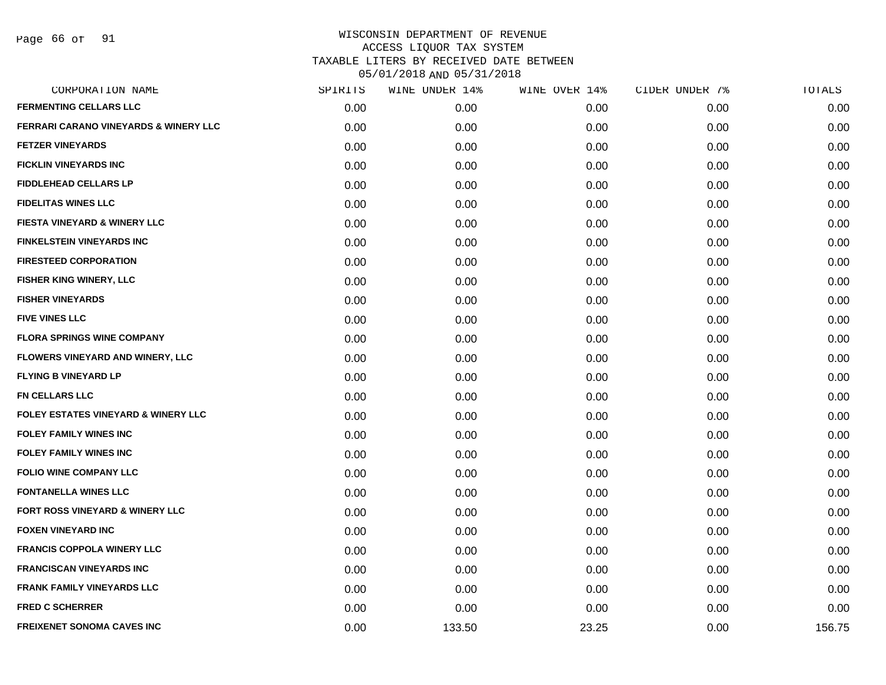Page 66 of 91

| CORPORATION NAME                                 | SPIRITS | WINE UNDER 14% | WINE OVER 14% | CIDER UNDER 7% | <b>TOTALS</b> |
|--------------------------------------------------|---------|----------------|---------------|----------------|---------------|
| <b>FERMENTING CELLARS LLC</b>                    | 0.00    | 0.00           | 0.00          | 0.00           | 0.00          |
| <b>FERRARI CARANO VINEYARDS &amp; WINERY LLC</b> | 0.00    | 0.00           | 0.00          | 0.00           | 0.00          |
| <b>FETZER VINEYARDS</b>                          | 0.00    | 0.00           | 0.00          | 0.00           | 0.00          |
| <b>FICKLIN VINEYARDS INC</b>                     | 0.00    | 0.00           | 0.00          | 0.00           | 0.00          |
| <b>FIDDLEHEAD CELLARS LP</b>                     | 0.00    | 0.00           | 0.00          | 0.00           | 0.00          |
| <b>FIDELITAS WINES LLC</b>                       | 0.00    | 0.00           | 0.00          | 0.00           | 0.00          |
| <b>FIESTA VINEYARD &amp; WINERY LLC</b>          | 0.00    | 0.00           | 0.00          | 0.00           | 0.00          |
| <b>FINKELSTEIN VINEYARDS INC</b>                 | 0.00    | 0.00           | 0.00          | 0.00           | 0.00          |
| <b>FIRESTEED CORPORATION</b>                     | 0.00    | 0.00           | 0.00          | 0.00           | 0.00          |
| <b>FISHER KING WINERY, LLC</b>                   | 0.00    | 0.00           | 0.00          | 0.00           | 0.00          |
| <b>FISHER VINEYARDS</b>                          | 0.00    | 0.00           | 0.00          | 0.00           | 0.00          |
| <b>FIVE VINES LLC</b>                            | 0.00    | 0.00           | 0.00          | 0.00           | 0.00          |
| <b>FLORA SPRINGS WINE COMPANY</b>                | 0.00    | 0.00           | 0.00          | 0.00           | 0.00          |
| <b>FLOWERS VINEYARD AND WINERY, LLC</b>          | 0.00    | 0.00           | 0.00          | 0.00           | 0.00          |
| <b>FLYING B VINEYARD LP</b>                      | 0.00    | 0.00           | 0.00          | 0.00           | 0.00          |
| FN CELLARS LLC                                   | 0.00    | 0.00           | 0.00          | 0.00           | 0.00          |
| <b>FOLEY ESTATES VINEYARD &amp; WINERY LLC</b>   | 0.00    | 0.00           | 0.00          | 0.00           | 0.00          |
| <b>FOLEY FAMILY WINES INC</b>                    | 0.00    | 0.00           | 0.00          | 0.00           | 0.00          |
| <b>FOLEY FAMILY WINES INC</b>                    | 0.00    | 0.00           | 0.00          | 0.00           | 0.00          |
| <b>FOLIO WINE COMPANY LLC</b>                    | 0.00    | 0.00           | 0.00          | 0.00           | 0.00          |
| <b>FONTANELLA WINES LLC</b>                      | 0.00    | 0.00           | 0.00          | 0.00           | 0.00          |
| FORT ROSS VINEYARD & WINERY LLC                  | 0.00    | 0.00           | 0.00          | 0.00           | 0.00          |
| <b>FOXEN VINEYARD INC</b>                        | 0.00    | 0.00           | 0.00          | 0.00           | 0.00          |
| <b>FRANCIS COPPOLA WINERY LLC</b>                | 0.00    | 0.00           | 0.00          | 0.00           | 0.00          |
| <b>FRANCISCAN VINEYARDS INC</b>                  | 0.00    | 0.00           | 0.00          | 0.00           | 0.00          |
| <b>FRANK FAMILY VINEYARDS LLC</b>                | 0.00    | 0.00           | 0.00          | 0.00           | 0.00          |
| <b>FRED C SCHERRER</b>                           | 0.00    | 0.00           | 0.00          | 0.00           | 0.00          |
| <b>FREIXENET SONOMA CAVES INC</b>                | 0.00    | 133.50         | 23.25         | 0.00           | 156.75        |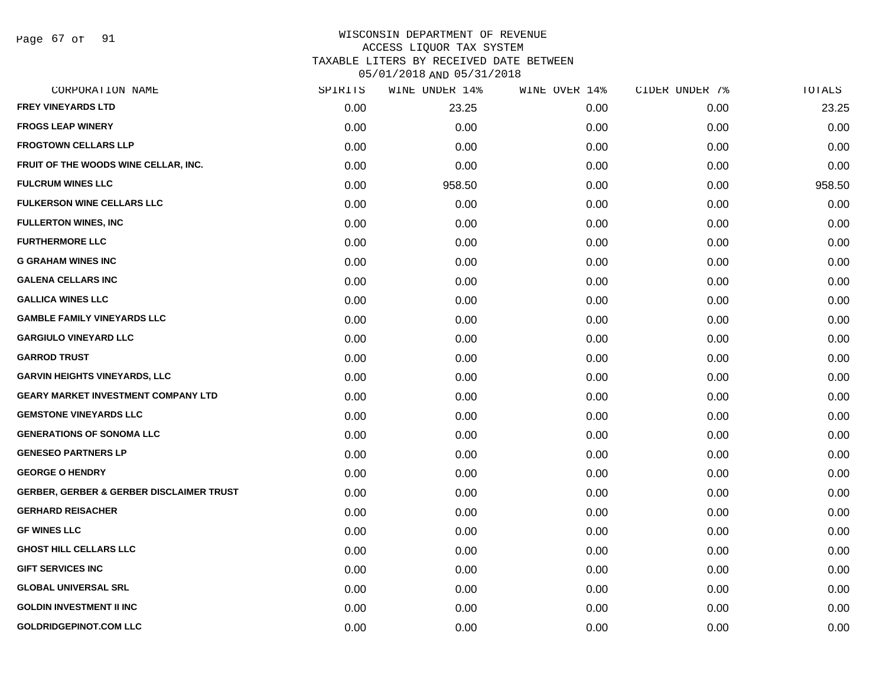Page 67 of 91

#### WISCONSIN DEPARTMENT OF REVENUE ACCESS LIQUOR TAX SYSTEM TAXABLE LITERS BY RECEIVED DATE BETWEEN

| CORPORATION NAME                                    | SPIRITS | WINE UNDER 14% | WINE OVER 14% | CIDER UNDER 7% | TOTALS |
|-----------------------------------------------------|---------|----------------|---------------|----------------|--------|
| <b>FREY VINEYARDS LTD</b>                           | 0.00    | 23.25          | 0.00          | 0.00           | 23.25  |
| <b>FROGS LEAP WINERY</b>                            | 0.00    | 0.00           | 0.00          | 0.00           | 0.00   |
| <b>FROGTOWN CELLARS LLP</b>                         | 0.00    | 0.00           | 0.00          | 0.00           | 0.00   |
| FRUIT OF THE WOODS WINE CELLAR, INC.                | 0.00    | 0.00           | 0.00          | 0.00           | 0.00   |
| <b>FULCRUM WINES LLC</b>                            | 0.00    | 958.50         | 0.00          | 0.00           | 958.50 |
| <b>FULKERSON WINE CELLARS LLC</b>                   | 0.00    | 0.00           | 0.00          | 0.00           | 0.00   |
| <b>FULLERTON WINES, INC</b>                         | 0.00    | 0.00           | 0.00          | 0.00           | 0.00   |
| <b>FURTHERMORE LLC</b>                              | 0.00    | 0.00           | 0.00          | 0.00           | 0.00   |
| <b>G GRAHAM WINES INC</b>                           | 0.00    | 0.00           | 0.00          | 0.00           | 0.00   |
| <b>GALENA CELLARS INC</b>                           | 0.00    | 0.00           | 0.00          | 0.00           | 0.00   |
| <b>GALLICA WINES LLC</b>                            | 0.00    | 0.00           | 0.00          | 0.00           | 0.00   |
| <b>GAMBLE FAMILY VINEYARDS LLC</b>                  | 0.00    | 0.00           | 0.00          | 0.00           | 0.00   |
| <b>GARGIULO VINEYARD LLC</b>                        | 0.00    | 0.00           | 0.00          | 0.00           | 0.00   |
| <b>GARROD TRUST</b>                                 | 0.00    | 0.00           | 0.00          | 0.00           | 0.00   |
| <b>GARVIN HEIGHTS VINEYARDS, LLC</b>                | 0.00    | 0.00           | 0.00          | 0.00           | 0.00   |
| <b>GEARY MARKET INVESTMENT COMPANY LTD</b>          | 0.00    | 0.00           | 0.00          | 0.00           | 0.00   |
| <b>GEMSTONE VINEYARDS LLC</b>                       | 0.00    | 0.00           | 0.00          | 0.00           | 0.00   |
| <b>GENERATIONS OF SONOMA LLC</b>                    | 0.00    | 0.00           | 0.00          | 0.00           | 0.00   |
| <b>GENESEO PARTNERS LP</b>                          | 0.00    | 0.00           | 0.00          | 0.00           | 0.00   |
| <b>GEORGE O HENDRY</b>                              | 0.00    | 0.00           | 0.00          | 0.00           | 0.00   |
| <b>GERBER, GERBER &amp; GERBER DISCLAIMER TRUST</b> | 0.00    | 0.00           | 0.00          | 0.00           | 0.00   |
| <b>GERHARD REISACHER</b>                            | 0.00    | 0.00           | 0.00          | 0.00           | 0.00   |
| <b>GF WINES LLC</b>                                 | 0.00    | 0.00           | 0.00          | 0.00           | 0.00   |
| <b>GHOST HILL CELLARS LLC</b>                       | 0.00    | 0.00           | 0.00          | 0.00           | 0.00   |
| <b>GIFT SERVICES INC</b>                            | 0.00    | 0.00           | 0.00          | 0.00           | 0.00   |
| <b>GLOBAL UNIVERSAL SRL</b>                         | 0.00    | 0.00           | 0.00          | 0.00           | 0.00   |
| <b>GOLDIN INVESTMENT II INC</b>                     | 0.00    | 0.00           | 0.00          | 0.00           | 0.00   |
| <b>GOLDRIDGEPINOT.COM LLC</b>                       | 0.00    | 0.00           | 0.00          | 0.00           | 0.00   |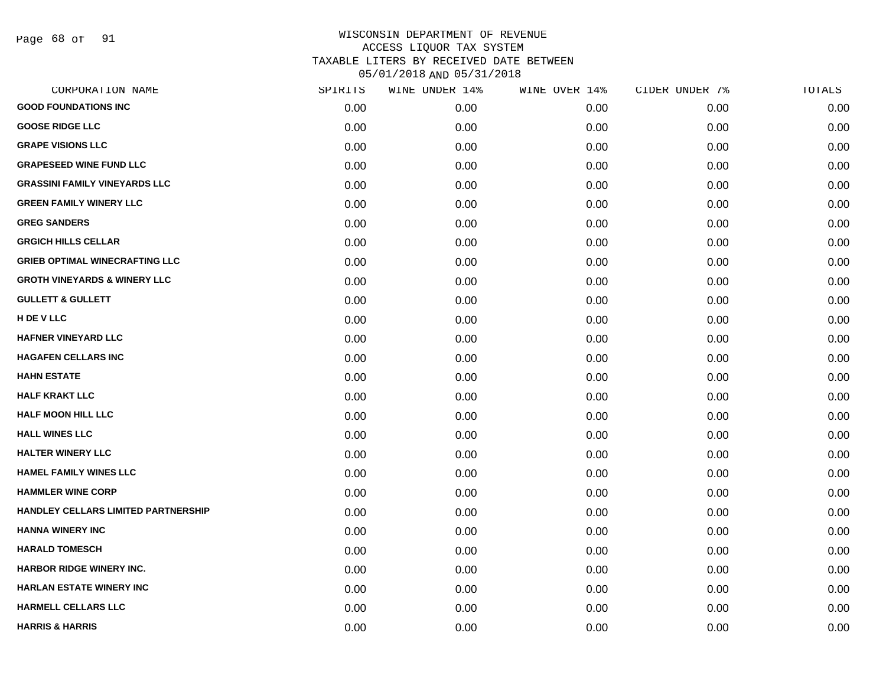Page 68 of 91

|      | WINE UNDER 14% |      | CIDER UNDER 7% | TOTALS |
|------|----------------|------|----------------|--------|
| 0.00 | 0.00           | 0.00 | 0.00           | 0.00   |
| 0.00 | 0.00           | 0.00 | 0.00           | 0.00   |
| 0.00 | 0.00           | 0.00 | 0.00           | 0.00   |
| 0.00 | 0.00           | 0.00 | 0.00           | 0.00   |
| 0.00 | 0.00           | 0.00 | 0.00           | 0.00   |
| 0.00 | 0.00           | 0.00 | 0.00           | 0.00   |
| 0.00 | 0.00           | 0.00 | 0.00           | 0.00   |
| 0.00 | 0.00           | 0.00 | 0.00           | 0.00   |
| 0.00 | 0.00           | 0.00 | 0.00           | 0.00   |
| 0.00 | 0.00           | 0.00 | 0.00           | 0.00   |
| 0.00 | 0.00           | 0.00 | 0.00           | 0.00   |
| 0.00 | 0.00           | 0.00 | 0.00           | 0.00   |
| 0.00 | 0.00           | 0.00 | 0.00           | 0.00   |
| 0.00 | 0.00           | 0.00 | 0.00           | 0.00   |
| 0.00 | 0.00           | 0.00 | 0.00           | 0.00   |
| 0.00 | 0.00           | 0.00 | 0.00           | 0.00   |
| 0.00 | 0.00           | 0.00 | 0.00           | 0.00   |
| 0.00 | 0.00           | 0.00 | 0.00           | 0.00   |
| 0.00 | 0.00           | 0.00 | 0.00           | 0.00   |
| 0.00 | 0.00           | 0.00 | 0.00           | 0.00   |
| 0.00 | 0.00           | 0.00 | 0.00           | 0.00   |
| 0.00 | 0.00           | 0.00 | 0.00           | 0.00   |
| 0.00 | 0.00           | 0.00 | 0.00           | 0.00   |
| 0.00 | 0.00           | 0.00 | 0.00           | 0.00   |
| 0.00 | 0.00           | 0.00 | 0.00           | 0.00   |
| 0.00 | 0.00           | 0.00 | 0.00           | 0.00   |
| 0.00 | 0.00           | 0.00 | 0.00           | 0.00   |
| 0.00 | 0.00           | 0.00 | 0.00           | 0.00   |
|      | SPIRITS        |      | WINE OVER 14%  |        |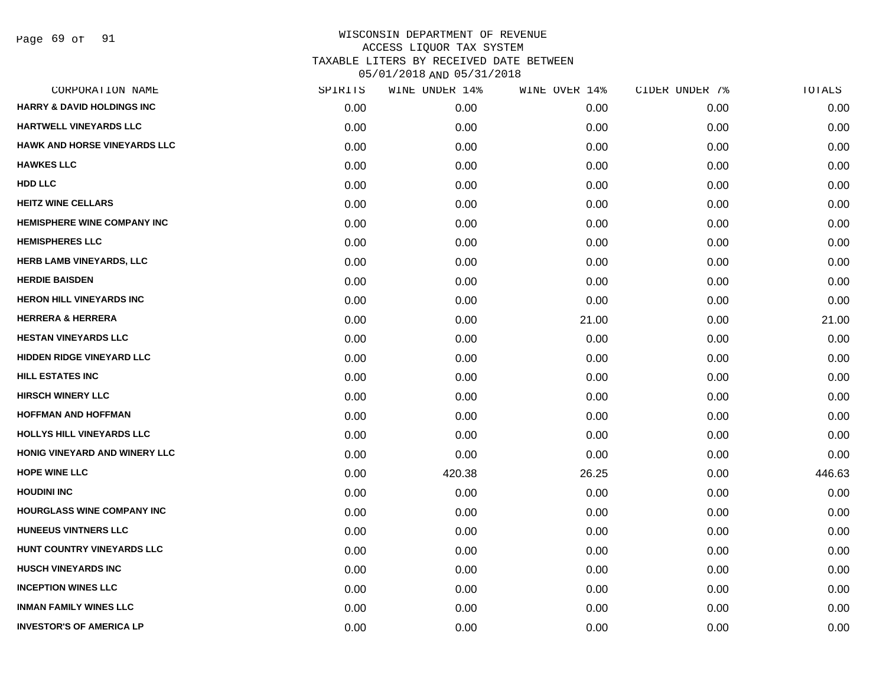Page 69 of 91

| CORPORATION NAME                      | SPIRITS | WINE UNDER 14% | WINE OVER 14% | CIDER UNDER 7% | TOTALS |
|---------------------------------------|---------|----------------|---------------|----------------|--------|
| <b>HARRY &amp; DAVID HOLDINGS INC</b> | 0.00    | 0.00           | 0.00          | 0.00           | 0.00   |
| HARTWELL VINEYARDS LLC                | 0.00    | 0.00           | 0.00          | 0.00           | 0.00   |
| HAWK AND HORSE VINEYARDS LLC          | 0.00    | 0.00           | 0.00          | 0.00           | 0.00   |
| <b>HAWKES LLC</b>                     | 0.00    | 0.00           | 0.00          | 0.00           | 0.00   |
| HDD LLC                               | 0.00    | 0.00           | 0.00          | 0.00           | 0.00   |
| <b>HEITZ WINE CELLARS</b>             | 0.00    | 0.00           | 0.00          | 0.00           | 0.00   |
| HEMISPHERE WINE COMPANY INC           | 0.00    | 0.00           | 0.00          | 0.00           | 0.00   |
| <b>HEMISPHERES LLC</b>                | 0.00    | 0.00           | 0.00          | 0.00           | 0.00   |
| <b>HERB LAMB VINEYARDS, LLC</b>       | 0.00    | 0.00           | 0.00          | 0.00           | 0.00   |
| <b>HERDIE BAISDEN</b>                 | 0.00    | 0.00           | 0.00          | 0.00           | 0.00   |
| <b>HERON HILL VINEYARDS INC</b>       | 0.00    | 0.00           | 0.00          | 0.00           | 0.00   |
| <b>HERRERA &amp; HERRERA</b>          | 0.00    | 0.00           | 21.00         | 0.00           | 21.00  |
| <b>HESTAN VINEYARDS LLC</b>           | 0.00    | 0.00           | 0.00          | 0.00           | 0.00   |
| <b>HIDDEN RIDGE VINEYARD LLC</b>      | 0.00    | 0.00           | 0.00          | 0.00           | 0.00   |
| <b>HILL ESTATES INC</b>               | 0.00    | 0.00           | 0.00          | 0.00           | 0.00   |
| <b>HIRSCH WINERY LLC</b>              | 0.00    | 0.00           | 0.00          | 0.00           | 0.00   |
| <b>HOFFMAN AND HOFFMAN</b>            | 0.00    | 0.00           | 0.00          | 0.00           | 0.00   |
| <b>HOLLYS HILL VINEYARDS LLC</b>      | 0.00    | 0.00           | 0.00          | 0.00           | 0.00   |
| HONIG VINEYARD AND WINERY LLC         | 0.00    | 0.00           | 0.00          | 0.00           | 0.00   |
| <b>HOPE WINE LLC</b>                  | 0.00    | 420.38         | 26.25         | 0.00           | 446.63 |
| <b>HOUDINI INC</b>                    | 0.00    | 0.00           | 0.00          | 0.00           | 0.00   |
| <b>HOURGLASS WINE COMPANY INC</b>     | 0.00    | 0.00           | 0.00          | 0.00           | 0.00   |
| <b>HUNEEUS VINTNERS LLC</b>           | 0.00    | 0.00           | 0.00          | 0.00           | 0.00   |
| HUNT COUNTRY VINEYARDS LLC            | 0.00    | 0.00           | 0.00          | 0.00           | 0.00   |
| <b>HUSCH VINEYARDS INC</b>            | 0.00    | 0.00           | 0.00          | 0.00           | 0.00   |
| <b>INCEPTION WINES LLC</b>            | 0.00    | 0.00           | 0.00          | 0.00           | 0.00   |
| <b>INMAN FAMILY WINES LLC</b>         | 0.00    | 0.00           | 0.00          | 0.00           | 0.00   |
| <b>INVESTOR'S OF AMERICA LP</b>       | 0.00    | 0.00           | 0.00          | 0.00           | 0.00   |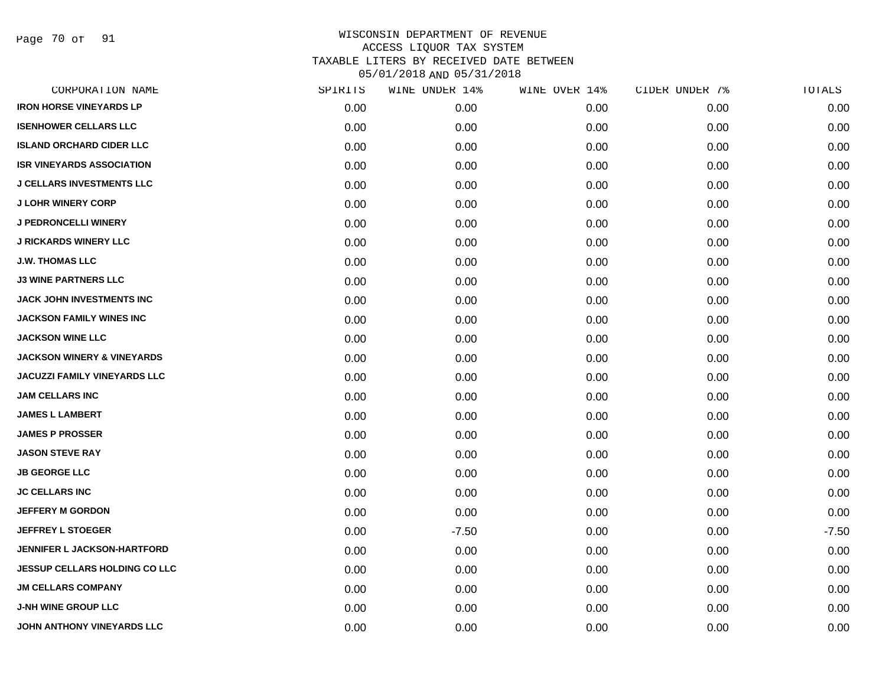Page 70 of 91

| CORPORATION NAME                      | SPIRITS | WINE UNDER 14% | WINE OVER 14% | CIDER UNDER 7% | TOTALS  |
|---------------------------------------|---------|----------------|---------------|----------------|---------|
| <b>IRON HORSE VINEYARDS LP</b>        | 0.00    | 0.00           | 0.00          | 0.00           | 0.00    |
| <b>ISENHOWER CELLARS LLC</b>          | 0.00    | 0.00           | 0.00          | 0.00           | 0.00    |
| <b>ISLAND ORCHARD CIDER LLC</b>       | 0.00    | 0.00           | 0.00          | 0.00           | 0.00    |
| <b>ISR VINEYARDS ASSOCIATION</b>      | 0.00    | 0.00           | 0.00          | 0.00           | 0.00    |
| <b>J CELLARS INVESTMENTS LLC</b>      | 0.00    | 0.00           | 0.00          | 0.00           | 0.00    |
| <b>J LOHR WINERY CORP</b>             | 0.00    | 0.00           | 0.00          | 0.00           | 0.00    |
| <b>J PEDRONCELLI WINERY</b>           | 0.00    | 0.00           | 0.00          | 0.00           | 0.00    |
| <b>J RICKARDS WINERY LLC</b>          | 0.00    | 0.00           | 0.00          | 0.00           | 0.00    |
| <b>J.W. THOMAS LLC</b>                | 0.00    | 0.00           | 0.00          | 0.00           | 0.00    |
| <b>J3 WINE PARTNERS LLC</b>           | 0.00    | 0.00           | 0.00          | 0.00           | 0.00    |
| JACK JOHN INVESTMENTS INC             | 0.00    | 0.00           | 0.00          | 0.00           | 0.00    |
| <b>JACKSON FAMILY WINES INC</b>       | 0.00    | 0.00           | 0.00          | 0.00           | 0.00    |
| <b>JACKSON WINE LLC</b>               | 0.00    | 0.00           | 0.00          | 0.00           | 0.00    |
| <b>JACKSON WINERY &amp; VINEYARDS</b> | 0.00    | 0.00           | 0.00          | 0.00           | 0.00    |
| <b>JACUZZI FAMILY VINEYARDS LLC</b>   | 0.00    | 0.00           | 0.00          | 0.00           | 0.00    |
| <b>JAM CELLARS INC</b>                | 0.00    | 0.00           | 0.00          | 0.00           | 0.00    |
| <b>JAMES L LAMBERT</b>                | 0.00    | 0.00           | 0.00          | 0.00           | 0.00    |
| <b>JAMES P PROSSER</b>                | 0.00    | 0.00           | 0.00          | 0.00           | 0.00    |
| <b>JASON STEVE RAY</b>                | 0.00    | 0.00           | 0.00          | 0.00           | 0.00    |
| <b>JB GEORGE LLC</b>                  | 0.00    | 0.00           | 0.00          | 0.00           | 0.00    |
| <b>JC CELLARS INC</b>                 | 0.00    | 0.00           | 0.00          | 0.00           | 0.00    |
| <b>JEFFERY M GORDON</b>               | 0.00    | 0.00           | 0.00          | 0.00           | 0.00    |
| <b>JEFFREY L STOEGER</b>              | 0.00    | $-7.50$        | 0.00          | 0.00           | $-7.50$ |
| <b>JENNIFER L JACKSON-HARTFORD</b>    | 0.00    | 0.00           | 0.00          | 0.00           | 0.00    |
| <b>JESSUP CELLARS HOLDING CO LLC</b>  | 0.00    | 0.00           | 0.00          | 0.00           | 0.00    |
| <b>JM CELLARS COMPANY</b>             | 0.00    | 0.00           | 0.00          | 0.00           | 0.00    |
| <b>J-NH WINE GROUP LLC</b>            | 0.00    | 0.00           | 0.00          | 0.00           | 0.00    |
| JOHN ANTHONY VINEYARDS LLC            | 0.00    | 0.00           | 0.00          | 0.00           | 0.00    |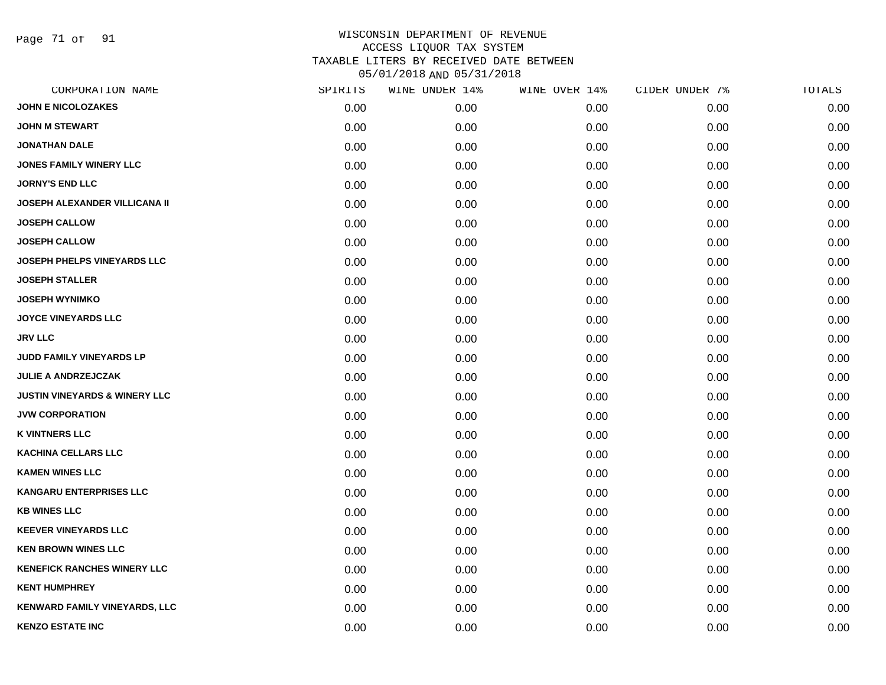Page 71 of 91

| SPIRITS | WINE UNDER 14% | WINE OVER 14% | CIDER UNDER 7% | TOTALS |
|---------|----------------|---------------|----------------|--------|
| 0.00    | 0.00           | 0.00          | 0.00           | 0.00   |
| 0.00    | 0.00           | 0.00          | 0.00           | 0.00   |
| 0.00    | 0.00           | 0.00          | 0.00           | 0.00   |
| 0.00    | 0.00           | 0.00          | 0.00           | 0.00   |
| 0.00    | 0.00           | 0.00          | 0.00           | 0.00   |
| 0.00    | 0.00           | 0.00          | 0.00           | 0.00   |
| 0.00    | 0.00           | 0.00          | 0.00           | 0.00   |
| 0.00    | 0.00           | 0.00          | 0.00           | 0.00   |
| 0.00    | 0.00           | 0.00          | 0.00           | 0.00   |
| 0.00    | 0.00           | 0.00          | 0.00           | 0.00   |
| 0.00    | 0.00           | 0.00          | 0.00           | 0.00   |
| 0.00    | 0.00           | 0.00          | 0.00           | 0.00   |
| 0.00    | 0.00           | 0.00          | 0.00           | 0.00   |
| 0.00    | 0.00           | 0.00          | 0.00           | 0.00   |
| 0.00    | 0.00           | 0.00          | 0.00           | 0.00   |
| 0.00    | 0.00           | 0.00          | 0.00           | 0.00   |
| 0.00    | 0.00           | 0.00          | 0.00           | 0.00   |
| 0.00    | 0.00           | 0.00          | 0.00           | 0.00   |
| 0.00    | 0.00           | 0.00          | 0.00           | 0.00   |
| 0.00    | 0.00           | 0.00          | 0.00           | 0.00   |
| 0.00    | 0.00           | 0.00          | 0.00           | 0.00   |
| 0.00    | 0.00           | 0.00          | 0.00           | 0.00   |
| 0.00    | 0.00           | 0.00          | 0.00           | 0.00   |
| 0.00    | 0.00           | 0.00          | 0.00           | 0.00   |
| 0.00    | 0.00           | 0.00          | 0.00           | 0.00   |
| 0.00    | 0.00           | 0.00          | 0.00           | 0.00   |
| 0.00    | 0.00           | 0.00          | 0.00           | 0.00   |
| 0.00    | 0.00           | 0.00          | 0.00           | 0.00   |
|         |                |               |                |        |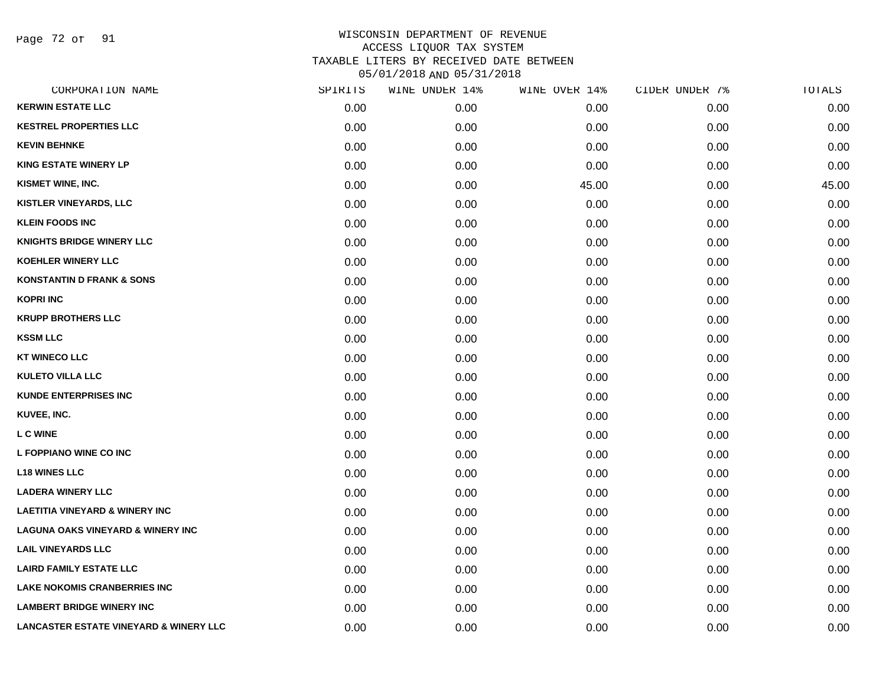Page 72 of 91

| CORPORATION NAME                                  | SPIRITS | WINE UNDER 14% | WINE OVER 14% | CIDER UNDER 7% | TOTALS |
|---------------------------------------------------|---------|----------------|---------------|----------------|--------|
| <b>KERWIN ESTATE LLC</b>                          | 0.00    | 0.00           | 0.00          | 0.00           | 0.00   |
| <b>KESTREL PROPERTIES LLC</b>                     | 0.00    | 0.00           | 0.00          | 0.00           | 0.00   |
| <b>KEVIN BEHNKE</b>                               | 0.00    | 0.00           | 0.00          | 0.00           | 0.00   |
| <b>KING ESTATE WINERY LP</b>                      | 0.00    | 0.00           | 0.00          | 0.00           | 0.00   |
| KISMET WINE, INC.                                 | 0.00    | 0.00           | 45.00         | 0.00           | 45.00  |
| <b>KISTLER VINEYARDS, LLC</b>                     | 0.00    | 0.00           | 0.00          | 0.00           | 0.00   |
| <b>KLEIN FOODS INC</b>                            | 0.00    | 0.00           | 0.00          | 0.00           | 0.00   |
| <b>KNIGHTS BRIDGE WINERY LLC</b>                  | 0.00    | 0.00           | 0.00          | 0.00           | 0.00   |
| <b>KOEHLER WINERY LLC</b>                         | 0.00    | 0.00           | 0.00          | 0.00           | 0.00   |
| <b>KONSTANTIN D FRANK &amp; SONS</b>              | 0.00    | 0.00           | 0.00          | 0.00           | 0.00   |
| <b>KOPRI INC</b>                                  | 0.00    | 0.00           | 0.00          | 0.00           | 0.00   |
| <b>KRUPP BROTHERS LLC</b>                         | 0.00    | 0.00           | 0.00          | 0.00           | 0.00   |
| <b>KSSM LLC</b>                                   | 0.00    | 0.00           | 0.00          | 0.00           | 0.00   |
| <b>KT WINECO LLC</b>                              | 0.00    | 0.00           | 0.00          | 0.00           | 0.00   |
| <b>KULETO VILLA LLC</b>                           | 0.00    | 0.00           | 0.00          | 0.00           | 0.00   |
| <b>KUNDE ENTERPRISES INC</b>                      | 0.00    | 0.00           | 0.00          | 0.00           | 0.00   |
| KUVEE, INC.                                       | 0.00    | 0.00           | 0.00          | 0.00           | 0.00   |
| <b>LC WINE</b>                                    | 0.00    | 0.00           | 0.00          | 0.00           | 0.00   |
| L FOPPIANO WINE CO INC                            | 0.00    | 0.00           | 0.00          | 0.00           | 0.00   |
| <b>L18 WINES LLC</b>                              | 0.00    | 0.00           | 0.00          | 0.00           | 0.00   |
| <b>LADERA WINERY LLC</b>                          | 0.00    | 0.00           | 0.00          | 0.00           | 0.00   |
| <b>LAETITIA VINEYARD &amp; WINERY INC</b>         | 0.00    | 0.00           | 0.00          | 0.00           | 0.00   |
| <b>LAGUNA OAKS VINEYARD &amp; WINERY INC</b>      | 0.00    | 0.00           | 0.00          | 0.00           | 0.00   |
| <b>LAIL VINEYARDS LLC</b>                         | 0.00    | 0.00           | 0.00          | 0.00           | 0.00   |
| <b>LAIRD FAMILY ESTATE LLC</b>                    | 0.00    | 0.00           | 0.00          | 0.00           | 0.00   |
| <b>LAKE NOKOMIS CRANBERRIES INC</b>               | 0.00    | 0.00           | 0.00          | 0.00           | 0.00   |
| <b>LAMBERT BRIDGE WINERY INC</b>                  | 0.00    | 0.00           | 0.00          | 0.00           | 0.00   |
| <b>LANCASTER ESTATE VINEYARD &amp; WINERY LLC</b> | 0.00    | 0.00           | 0.00          | 0.00           | 0.00   |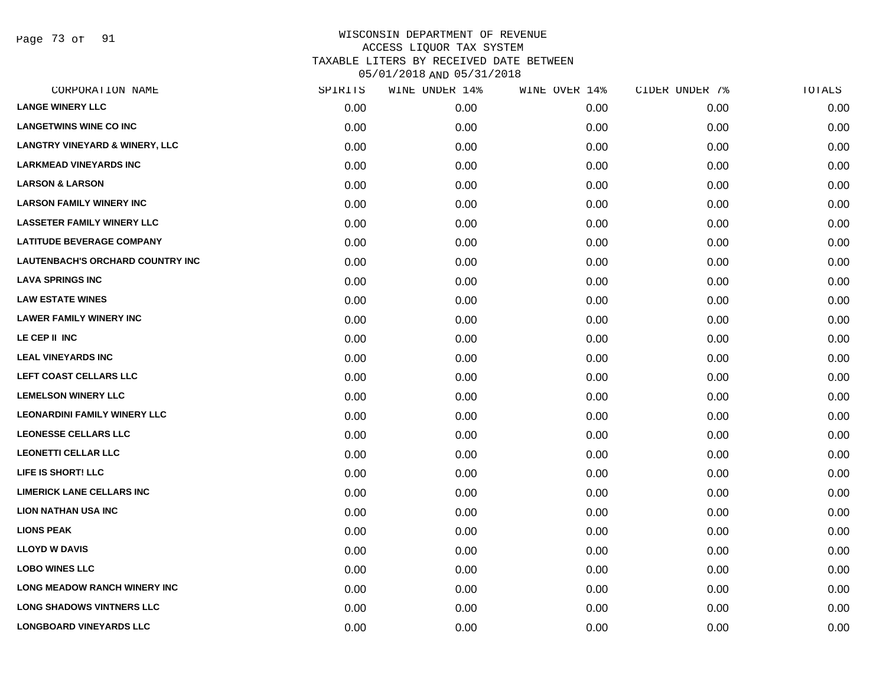Page 73 of 91

| CORPORATION NAME                          | SPIRITS | WINE UNDER 14% | WINE OVER 14% | CIDER UNDER 7% | TOTALS |
|-------------------------------------------|---------|----------------|---------------|----------------|--------|
| <b>LANGE WINERY LLC</b>                   | 0.00    | 0.00           | 0.00          | 0.00           | 0.00   |
| <b>LANGETWINS WINE CO INC</b>             | 0.00    | 0.00           | 0.00          | 0.00           | 0.00   |
| <b>LANGTRY VINEYARD &amp; WINERY, LLC</b> | 0.00    | 0.00           | 0.00          | 0.00           | 0.00   |
| <b>LARKMEAD VINEYARDS INC</b>             | 0.00    | 0.00           | 0.00          | 0.00           | 0.00   |
| <b>LARSON &amp; LARSON</b>                | 0.00    | 0.00           | 0.00          | 0.00           | 0.00   |
| <b>LARSON FAMILY WINERY INC</b>           | 0.00    | 0.00           | 0.00          | 0.00           | 0.00   |
| <b>LASSETER FAMILY WINERY LLC</b>         | 0.00    | 0.00           | 0.00          | 0.00           | 0.00   |
| <b>LATITUDE BEVERAGE COMPANY</b>          | 0.00    | 0.00           | 0.00          | 0.00           | 0.00   |
| <b>LAUTENBACH'S ORCHARD COUNTRY INC</b>   | 0.00    | 0.00           | 0.00          | 0.00           | 0.00   |
| <b>LAVA SPRINGS INC</b>                   | 0.00    | 0.00           | 0.00          | 0.00           | 0.00   |
| <b>LAW ESTATE WINES</b>                   | 0.00    | 0.00           | 0.00          | 0.00           | 0.00   |
| <b>LAWER FAMILY WINERY INC</b>            | 0.00    | 0.00           | 0.00          | 0.00           | 0.00   |
| LE CEP II INC                             | 0.00    | 0.00           | 0.00          | 0.00           | 0.00   |
| <b>LEAL VINEYARDS INC</b>                 | 0.00    | 0.00           | 0.00          | 0.00           | 0.00   |
| LEFT COAST CELLARS LLC                    | 0.00    | 0.00           | 0.00          | 0.00           | 0.00   |
| <b>LEMELSON WINERY LLC</b>                | 0.00    | 0.00           | 0.00          | 0.00           | 0.00   |
| <b>LEONARDINI FAMILY WINERY LLC</b>       | 0.00    | 0.00           | 0.00          | 0.00           | 0.00   |
| <b>LEONESSE CELLARS LLC</b>               | 0.00    | 0.00           | 0.00          | 0.00           | 0.00   |
| <b>LEONETTI CELLAR LLC</b>                | 0.00    | 0.00           | 0.00          | 0.00           | 0.00   |
| LIFE IS SHORT! LLC                        | 0.00    | 0.00           | 0.00          | 0.00           | 0.00   |
| <b>LIMERICK LANE CELLARS INC</b>          | 0.00    | 0.00           | 0.00          | 0.00           | 0.00   |
| <b>LION NATHAN USA INC</b>                | 0.00    | 0.00           | 0.00          | 0.00           | 0.00   |
| <b>LIONS PEAK</b>                         | 0.00    | 0.00           | 0.00          | 0.00           | 0.00   |
| <b>LLOYD W DAVIS</b>                      | 0.00    | 0.00           | 0.00          | 0.00           | 0.00   |
| <b>LOBO WINES LLC</b>                     | 0.00    | 0.00           | 0.00          | 0.00           | 0.00   |
| <b>LONG MEADOW RANCH WINERY INC</b>       | 0.00    | 0.00           | 0.00          | 0.00           | 0.00   |
| <b>LONG SHADOWS VINTNERS LLC</b>          | 0.00    | 0.00           | 0.00          | 0.00           | 0.00   |
| <b>LONGBOARD VINEYARDS LLC</b>            | 0.00    | 0.00           | 0.00          | 0.00           | 0.00   |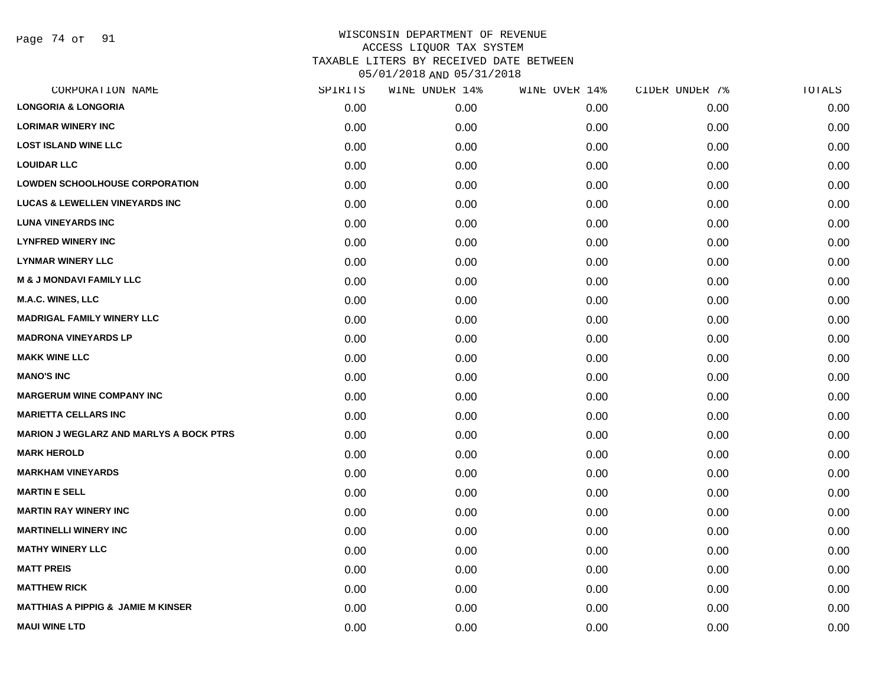Page 74 of 91

| SPIRITS | WINE UNDER 14% | WINE OVER 14% | CIDER UNDER 7% | TOTALS |
|---------|----------------|---------------|----------------|--------|
| 0.00    | 0.00           | 0.00          | 0.00           | 0.00   |
| 0.00    | 0.00           | 0.00          | 0.00           | 0.00   |
| 0.00    | 0.00           | 0.00          | 0.00           | 0.00   |
| 0.00    | 0.00           | 0.00          | 0.00           | 0.00   |
| 0.00    | 0.00           | 0.00          | 0.00           | 0.00   |
| 0.00    | 0.00           | 0.00          | 0.00           | 0.00   |
| 0.00    | 0.00           | 0.00          | 0.00           | 0.00   |
| 0.00    | 0.00           | 0.00          | 0.00           | 0.00   |
| 0.00    | 0.00           | 0.00          | 0.00           | 0.00   |
| 0.00    | 0.00           | 0.00          | 0.00           | 0.00   |
| 0.00    | 0.00           | 0.00          | 0.00           | 0.00   |
| 0.00    | 0.00           | 0.00          | 0.00           | 0.00   |
| 0.00    | 0.00           | 0.00          | 0.00           | 0.00   |
| 0.00    | 0.00           | 0.00          | 0.00           | 0.00   |
| 0.00    | 0.00           | 0.00          | 0.00           | 0.00   |
| 0.00    | 0.00           | 0.00          | 0.00           | 0.00   |
| 0.00    | 0.00           | 0.00          | 0.00           | 0.00   |
| 0.00    | 0.00           | 0.00          | 0.00           | 0.00   |
| 0.00    | 0.00           | 0.00          | 0.00           | 0.00   |
| 0.00    | 0.00           | 0.00          | 0.00           | 0.00   |
| 0.00    | 0.00           | 0.00          | 0.00           | 0.00   |
| 0.00    | 0.00           | 0.00          | 0.00           | 0.00   |
| 0.00    | 0.00           | 0.00          | 0.00           | 0.00   |
| 0.00    | 0.00           | 0.00          | 0.00           | 0.00   |
| 0.00    | 0.00           | 0.00          | 0.00           | 0.00   |
| 0.00    | 0.00           | 0.00          | 0.00           | 0.00   |
| 0.00    | 0.00           | 0.00          | 0.00           | 0.00   |
| 0.00    | 0.00           | 0.00          | 0.00           | 0.00   |
|         |                |               |                |        |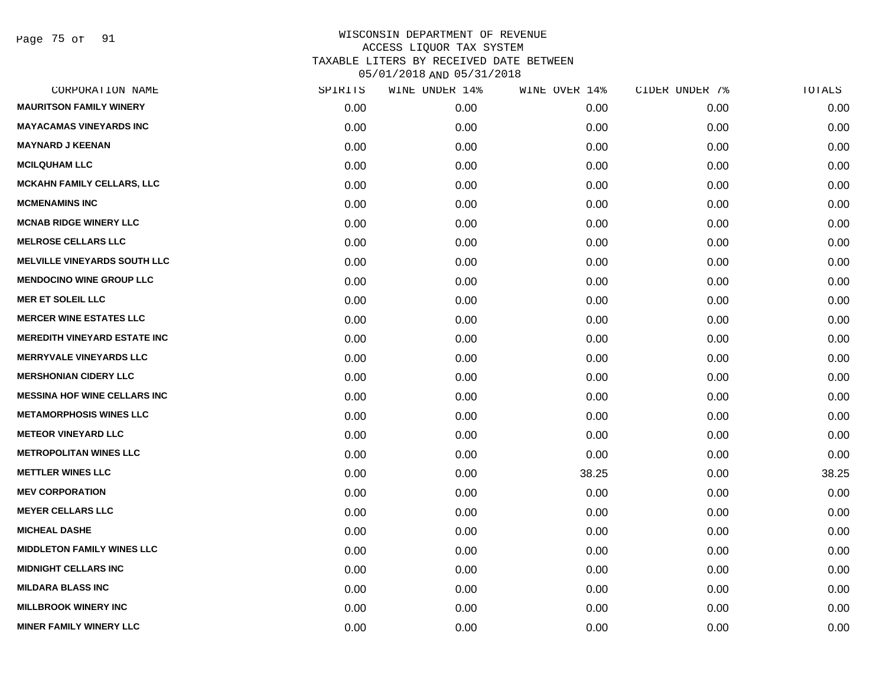Page 75 of 91

| CORPORATION NAME                    | SPIRITS | WINE UNDER 14% | WINE OVER 14% | CIDER UNDER 7% | TOTALS |
|-------------------------------------|---------|----------------|---------------|----------------|--------|
| <b>MAURITSON FAMILY WINERY</b>      | 0.00    | 0.00           | 0.00          | 0.00           | 0.00   |
| <b>MAYACAMAS VINEYARDS INC</b>      | 0.00    | 0.00           | 0.00          | 0.00           | 0.00   |
| <b>MAYNARD J KEENAN</b>             | 0.00    | 0.00           | 0.00          | 0.00           | 0.00   |
| <b>MCILQUHAM LLC</b>                | 0.00    | 0.00           | 0.00          | 0.00           | 0.00   |
| <b>MCKAHN FAMILY CELLARS, LLC</b>   | 0.00    | 0.00           | 0.00          | 0.00           | 0.00   |
| <b>MCMENAMINS INC</b>               | 0.00    | 0.00           | 0.00          | 0.00           | 0.00   |
| <b>MCNAB RIDGE WINERY LLC</b>       | 0.00    | 0.00           | 0.00          | 0.00           | 0.00   |
| <b>MELROSE CELLARS LLC</b>          | 0.00    | 0.00           | 0.00          | 0.00           | 0.00   |
| <b>MELVILLE VINEYARDS SOUTH LLC</b> | 0.00    | 0.00           | 0.00          | 0.00           | 0.00   |
| <b>MENDOCINO WINE GROUP LLC</b>     | 0.00    | 0.00           | 0.00          | 0.00           | 0.00   |
| <b>MER ET SOLEIL LLC</b>            | 0.00    | 0.00           | 0.00          | 0.00           | 0.00   |
| <b>MERCER WINE ESTATES LLC</b>      | 0.00    | 0.00           | 0.00          | 0.00           | 0.00   |
| <b>MEREDITH VINEYARD ESTATE INC</b> | 0.00    | 0.00           | 0.00          | 0.00           | 0.00   |
| <b>MERRYVALE VINEYARDS LLC</b>      | 0.00    | 0.00           | 0.00          | 0.00           | 0.00   |
| <b>MERSHONIAN CIDERY LLC</b>        | 0.00    | 0.00           | 0.00          | 0.00           | 0.00   |
| <b>MESSINA HOF WINE CELLARS INC</b> | 0.00    | 0.00           | 0.00          | 0.00           | 0.00   |
| <b>METAMORPHOSIS WINES LLC</b>      | 0.00    | 0.00           | 0.00          | 0.00           | 0.00   |
| <b>METEOR VINEYARD LLC</b>          | 0.00    | 0.00           | 0.00          | 0.00           | 0.00   |
| <b>METROPOLITAN WINES LLC</b>       | 0.00    | 0.00           | 0.00          | 0.00           | 0.00   |
| <b>METTLER WINES LLC</b>            | 0.00    | 0.00           | 38.25         | 0.00           | 38.25  |
| <b>MEV CORPORATION</b>              | 0.00    | 0.00           | 0.00          | 0.00           | 0.00   |
| <b>MEYER CELLARS LLC</b>            | 0.00    | 0.00           | 0.00          | 0.00           | 0.00   |
| <b>MICHEAL DASHE</b>                | 0.00    | 0.00           | 0.00          | 0.00           | 0.00   |
| <b>MIDDLETON FAMILY WINES LLC</b>   | 0.00    | 0.00           | 0.00          | 0.00           | 0.00   |
| <b>MIDNIGHT CELLARS INC</b>         | 0.00    | 0.00           | 0.00          | 0.00           | 0.00   |
| <b>MILDARA BLASS INC</b>            | 0.00    | 0.00           | 0.00          | 0.00           | 0.00   |
| <b>MILLBROOK WINERY INC</b>         | 0.00    | 0.00           | 0.00          | 0.00           | 0.00   |
| <b>MINER FAMILY WINERY LLC</b>      | 0.00    | 0.00           | 0.00          | 0.00           | 0.00   |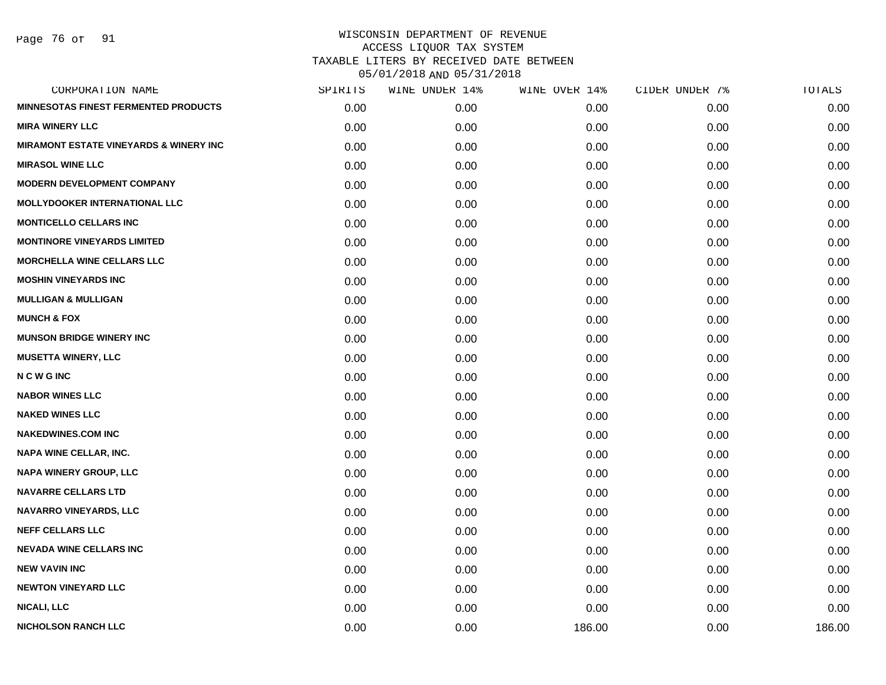Page 76 of 91

| CORPORATION NAME                                  | SPIRITS | WINE UNDER 14% | WINE OVER 14% | CIDER UNDER 7% | TOTALS |
|---------------------------------------------------|---------|----------------|---------------|----------------|--------|
| <b>MINNESOTAS FINEST FERMENTED PRODUCTS</b>       | 0.00    | 0.00           | 0.00          | 0.00           | 0.00   |
| <b>MIRA WINERY LLC</b>                            | 0.00    | 0.00           | 0.00          | 0.00           | 0.00   |
| <b>MIRAMONT ESTATE VINEYARDS &amp; WINERY INC</b> | 0.00    | 0.00           | 0.00          | 0.00           | 0.00   |
| <b>MIRASOL WINE LLC</b>                           | 0.00    | 0.00           | 0.00          | 0.00           | 0.00   |
| <b>MODERN DEVELOPMENT COMPANY</b>                 | 0.00    | 0.00           | 0.00          | 0.00           | 0.00   |
| <b>MOLLYDOOKER INTERNATIONAL LLC</b>              | 0.00    | 0.00           | 0.00          | 0.00           | 0.00   |
| <b>MONTICELLO CELLARS INC</b>                     | 0.00    | 0.00           | 0.00          | 0.00           | 0.00   |
| <b>MONTINORE VINEYARDS LIMITED</b>                | 0.00    | 0.00           | 0.00          | 0.00           | 0.00   |
| <b>MORCHELLA WINE CELLARS LLC</b>                 | 0.00    | 0.00           | 0.00          | 0.00           | 0.00   |
| <b>MOSHIN VINEYARDS INC</b>                       | 0.00    | 0.00           | 0.00          | 0.00           | 0.00   |
| <b>MULLIGAN &amp; MULLIGAN</b>                    | 0.00    | 0.00           | 0.00          | 0.00           | 0.00   |
| <b>MUNCH &amp; FOX</b>                            | 0.00    | 0.00           | 0.00          | 0.00           | 0.00   |
| <b>MUNSON BRIDGE WINERY INC</b>                   | 0.00    | 0.00           | 0.00          | 0.00           | 0.00   |
| <b>MUSETTA WINERY, LLC</b>                        | 0.00    | 0.00           | 0.00          | 0.00           | 0.00   |
| <b>NCWGINC</b>                                    | 0.00    | 0.00           | 0.00          | 0.00           | 0.00   |
| <b>NABOR WINES LLC</b>                            | 0.00    | 0.00           | 0.00          | 0.00           | 0.00   |
| <b>NAKED WINES LLC</b>                            | 0.00    | 0.00           | 0.00          | 0.00           | 0.00   |
| <b>NAKEDWINES.COM INC</b>                         | 0.00    | 0.00           | 0.00          | 0.00           | 0.00   |
| <b>NAPA WINE CELLAR, INC.</b>                     | 0.00    | 0.00           | 0.00          | 0.00           | 0.00   |
| NAPA WINERY GROUP, LLC                            | 0.00    | 0.00           | 0.00          | 0.00           | 0.00   |
| <b>NAVARRE CELLARS LTD</b>                        | 0.00    | 0.00           | 0.00          | 0.00           | 0.00   |
| NAVARRO VINEYARDS, LLC                            | 0.00    | 0.00           | 0.00          | 0.00           | 0.00   |
| <b>NEFF CELLARS LLC</b>                           | 0.00    | 0.00           | 0.00          | 0.00           | 0.00   |
| <b>NEVADA WINE CELLARS INC</b>                    | 0.00    | 0.00           | 0.00          | 0.00           | 0.00   |
| <b>NEW VAVIN INC</b>                              | 0.00    | 0.00           | 0.00          | 0.00           | 0.00   |
| <b>NEWTON VINEYARD LLC</b>                        | 0.00    | 0.00           | 0.00          | 0.00           | 0.00   |
| <b>NICALI, LLC</b>                                | 0.00    | 0.00           | 0.00          | 0.00           | 0.00   |
| <b>NICHOLSON RANCH LLC</b>                        | 0.00    | 0.00           | 186.00        | 0.00           | 186.00 |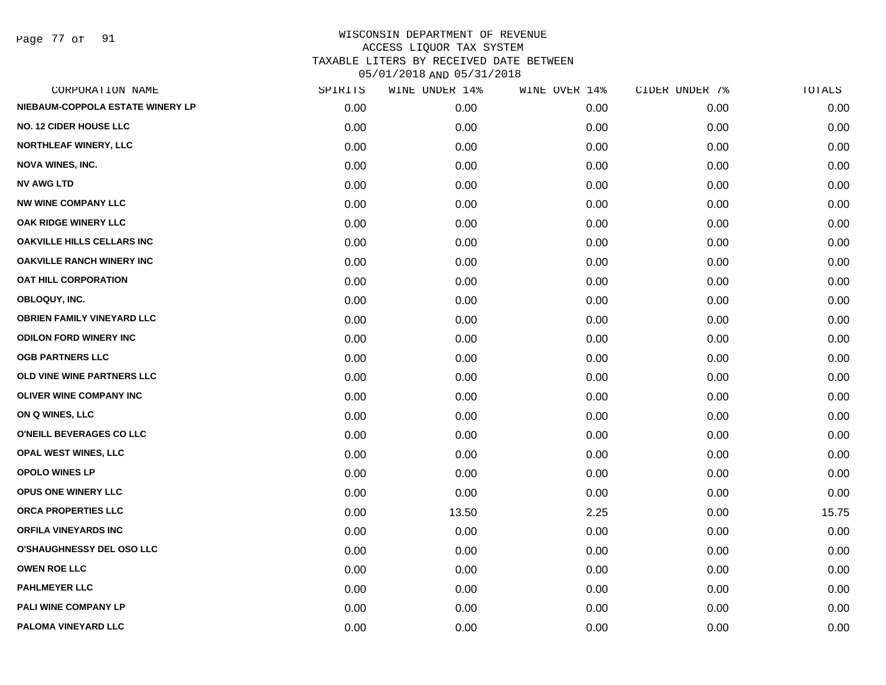Page 77 of 91

| CORPORATION NAME                  | SPIRITS | WINE UNDER 14% | WINE OVER 14% | CIDER UNDER 7% | TOTALS |
|-----------------------------------|---------|----------------|---------------|----------------|--------|
| NIEBAUM-COPPOLA ESTATE WINERY LP  | 0.00    | 0.00           | 0.00          | 0.00           | 0.00   |
| <b>NO. 12 CIDER HOUSE LLC</b>     | 0.00    | 0.00           | 0.00          | 0.00           | 0.00   |
| <b>NORTHLEAF WINERY, LLC</b>      | 0.00    | 0.00           | 0.00          | 0.00           | 0.00   |
| <b>NOVA WINES, INC.</b>           | 0.00    | 0.00           | 0.00          | 0.00           | 0.00   |
| <b>NV AWG LTD</b>                 | 0.00    | 0.00           | 0.00          | 0.00           | 0.00   |
| <b>NW WINE COMPANY LLC</b>        | 0.00    | 0.00           | 0.00          | 0.00           | 0.00   |
| OAK RIDGE WINERY LLC              | 0.00    | 0.00           | 0.00          | 0.00           | 0.00   |
| <b>OAKVILLE HILLS CELLARS INC</b> | 0.00    | 0.00           | 0.00          | 0.00           | 0.00   |
| <b>OAKVILLE RANCH WINERY INC</b>  | 0.00    | 0.00           | 0.00          | 0.00           | 0.00   |
| <b>OAT HILL CORPORATION</b>       | 0.00    | 0.00           | 0.00          | 0.00           | 0.00   |
| OBLOQUY, INC.                     | 0.00    | 0.00           | 0.00          | 0.00           | 0.00   |
| <b>OBRIEN FAMILY VINEYARD LLC</b> | 0.00    | 0.00           | 0.00          | 0.00           | 0.00   |
| <b>ODILON FORD WINERY INC</b>     | 0.00    | 0.00           | 0.00          | 0.00           | 0.00   |
| <b>OGB PARTNERS LLC</b>           | 0.00    | 0.00           | 0.00          | 0.00           | 0.00   |
| OLD VINE WINE PARTNERS LLC        | 0.00    | 0.00           | 0.00          | 0.00           | 0.00   |
| <b>OLIVER WINE COMPANY INC</b>    | 0.00    | 0.00           | 0.00          | 0.00           | 0.00   |
| ON Q WINES, LLC                   | 0.00    | 0.00           | 0.00          | 0.00           | 0.00   |
| O'NEILL BEVERAGES CO LLC          | 0.00    | 0.00           | 0.00          | 0.00           | 0.00   |
| OPAL WEST WINES, LLC              | 0.00    | 0.00           | 0.00          | 0.00           | 0.00   |
| OPOLO WINES LP                    | 0.00    | 0.00           | 0.00          | 0.00           | 0.00   |
| OPUS ONE WINERY LLC               | 0.00    | 0.00           | 0.00          | 0.00           | 0.00   |
| ORCA PROPERTIES LLC               | 0.00    | 13.50          | 2.25          | 0.00           | 15.75  |
| <b>ORFILA VINEYARDS INC</b>       | 0.00    | 0.00           | 0.00          | 0.00           | 0.00   |
| <b>O'SHAUGHNESSY DEL OSO LLC</b>  | 0.00    | 0.00           | 0.00          | 0.00           | 0.00   |
| <b>OWEN ROE LLC</b>               | 0.00    | 0.00           | 0.00          | 0.00           | 0.00   |
| <b>PAHLMEYER LLC</b>              | 0.00    | 0.00           | 0.00          | 0.00           | 0.00   |
| PALI WINE COMPANY LP              | 0.00    | 0.00           | 0.00          | 0.00           | 0.00   |
| PALOMA VINEYARD LLC               | 0.00    | 0.00           | 0.00          | 0.00           | 0.00   |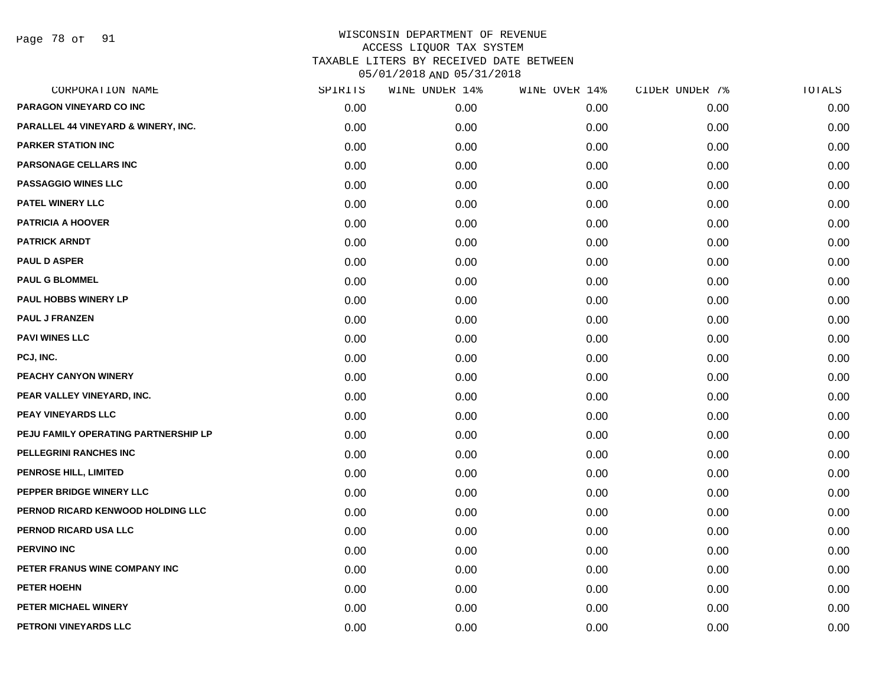Page 78 of 91

| CORPORATION NAME                     | SPIRITS | WINE UNDER 14% | WINE OVER 14% | CIDER UNDER 7% | TOTALS |
|--------------------------------------|---------|----------------|---------------|----------------|--------|
| PARAGON VINEYARD CO INC              | 0.00    | 0.00           | 0.00          | 0.00           | 0.00   |
| PARALLEL 44 VINEYARD & WINERY, INC.  | 0.00    | 0.00           | 0.00          | 0.00           | 0.00   |
| <b>PARKER STATION INC</b>            | 0.00    | 0.00           | 0.00          | 0.00           | 0.00   |
| PARSONAGE CELLARS INC                | 0.00    | 0.00           | 0.00          | 0.00           | 0.00   |
| <b>PASSAGGIO WINES LLC</b>           | 0.00    | 0.00           | 0.00          | 0.00           | 0.00   |
| PATEL WINERY LLC                     | 0.00    | 0.00           | 0.00          | 0.00           | 0.00   |
| <b>PATRICIA A HOOVER</b>             | 0.00    | 0.00           | 0.00          | 0.00           | 0.00   |
| <b>PATRICK ARNDT</b>                 | 0.00    | 0.00           | 0.00          | 0.00           | 0.00   |
| <b>PAUL D ASPER</b>                  | 0.00    | 0.00           | 0.00          | 0.00           | 0.00   |
| <b>PAUL G BLOMMEL</b>                | 0.00    | 0.00           | 0.00          | 0.00           | 0.00   |
| <b>PAUL HOBBS WINERY LP</b>          | 0.00    | 0.00           | 0.00          | 0.00           | 0.00   |
| <b>PAUL J FRANZEN</b>                | 0.00    | 0.00           | 0.00          | 0.00           | 0.00   |
| <b>PAVI WINES LLC</b>                | 0.00    | 0.00           | 0.00          | 0.00           | 0.00   |
| PCJ, INC.                            | 0.00    | 0.00           | 0.00          | 0.00           | 0.00   |
| PEACHY CANYON WINERY                 | 0.00    | 0.00           | 0.00          | 0.00           | 0.00   |
| PEAR VALLEY VINEYARD, INC.           | 0.00    | 0.00           | 0.00          | 0.00           | 0.00   |
| PEAY VINEYARDS LLC                   | 0.00    | 0.00           | 0.00          | 0.00           | 0.00   |
| PEJU FAMILY OPERATING PARTNERSHIP LP | 0.00    | 0.00           | 0.00          | 0.00           | 0.00   |
| PELLEGRINI RANCHES INC               | 0.00    | 0.00           | 0.00          | 0.00           | 0.00   |
| PENROSE HILL, LIMITED                | 0.00    | 0.00           | 0.00          | 0.00           | 0.00   |
| PEPPER BRIDGE WINERY LLC             | 0.00    | 0.00           | 0.00          | 0.00           | 0.00   |
| PERNOD RICARD KENWOOD HOLDING LLC    | 0.00    | 0.00           | 0.00          | 0.00           | 0.00   |
| PERNOD RICARD USA LLC                | 0.00    | 0.00           | 0.00          | 0.00           | 0.00   |
| <b>PERVINO INC</b>                   | 0.00    | 0.00           | 0.00          | 0.00           | 0.00   |
| PETER FRANUS WINE COMPANY INC        | 0.00    | 0.00           | 0.00          | 0.00           | 0.00   |
| PETER HOEHN                          | 0.00    | 0.00           | 0.00          | 0.00           | 0.00   |
| PETER MICHAEL WINERY                 | 0.00    | 0.00           | 0.00          | 0.00           | 0.00   |
| PETRONI VINEYARDS LLC                | 0.00    | 0.00           | 0.00          | 0.00           | 0.00   |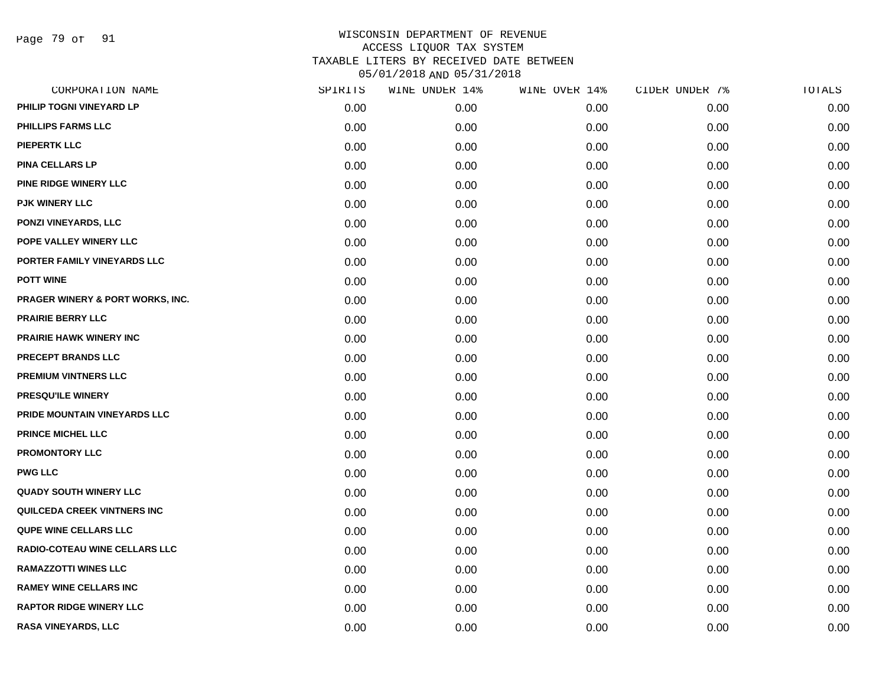Page 79 of 91

| CORPORATION NAME                 | SPIRITS | WINE UNDER 14% | WINE OVER 14% | CIDER UNDER 7% | TOTALS |
|----------------------------------|---------|----------------|---------------|----------------|--------|
| PHILIP TOGNI VINEYARD LP         | 0.00    | 0.00           | 0.00          | 0.00           | 0.00   |
| <b>PHILLIPS FARMS LLC</b>        | 0.00    | 0.00           | 0.00          | 0.00           | 0.00   |
| <b>PIEPERTK LLC</b>              | 0.00    | 0.00           | 0.00          | 0.00           | 0.00   |
| <b>PINA CELLARS LP</b>           | 0.00    | 0.00           | 0.00          | 0.00           | 0.00   |
| PINE RIDGE WINERY LLC            | 0.00    | 0.00           | 0.00          | 0.00           | 0.00   |
| <b>PJK WINERY LLC</b>            | 0.00    | 0.00           | 0.00          | 0.00           | 0.00   |
| PONZI VINEYARDS, LLC             | 0.00    | 0.00           | 0.00          | 0.00           | 0.00   |
| POPE VALLEY WINERY LLC           | 0.00    | 0.00           | 0.00          | 0.00           | 0.00   |
| PORTER FAMILY VINEYARDS LLC      | 0.00    | 0.00           | 0.00          | 0.00           | 0.00   |
| <b>POTT WINE</b>                 | 0.00    | 0.00           | 0.00          | 0.00           | 0.00   |
| PRAGER WINERY & PORT WORKS, INC. | 0.00    | 0.00           | 0.00          | 0.00           | 0.00   |
| <b>PRAIRIE BERRY LLC</b>         | 0.00    | 0.00           | 0.00          | 0.00           | 0.00   |
| <b>PRAIRIE HAWK WINERY INC</b>   | 0.00    | 0.00           | 0.00          | 0.00           | 0.00   |
| <b>PRECEPT BRANDS LLC</b>        | 0.00    | 0.00           | 0.00          | 0.00           | 0.00   |
| <b>PREMIUM VINTNERS LLC</b>      | 0.00    | 0.00           | 0.00          | 0.00           | 0.00   |
| PRESQU'ILE WINERY                | 0.00    | 0.00           | 0.00          | 0.00           | 0.00   |
| PRIDE MOUNTAIN VINEYARDS LLC     | 0.00    | 0.00           | 0.00          | 0.00           | 0.00   |
| <b>PRINCE MICHEL LLC</b>         | 0.00    | 0.00           | 0.00          | 0.00           | 0.00   |
| <b>PROMONTORY LLC</b>            | 0.00    | 0.00           | 0.00          | 0.00           | 0.00   |
| <b>PWG LLC</b>                   | 0.00    | 0.00           | 0.00          | 0.00           | 0.00   |
| <b>QUADY SOUTH WINERY LLC</b>    | 0.00    | 0.00           | 0.00          | 0.00           | 0.00   |
| QUILCEDA CREEK VINTNERS INC      | 0.00    | 0.00           | 0.00          | 0.00           | 0.00   |
| <b>QUPE WINE CELLARS LLC</b>     | 0.00    | 0.00           | 0.00          | 0.00           | 0.00   |
| RADIO-COTEAU WINE CELLARS LLC    | 0.00    | 0.00           | 0.00          | 0.00           | 0.00   |
| <b>RAMAZZOTTI WINES LLC</b>      | 0.00    | 0.00           | 0.00          | 0.00           | 0.00   |
| <b>RAMEY WINE CELLARS INC</b>    | 0.00    | 0.00           | 0.00          | 0.00           | 0.00   |
| <b>RAPTOR RIDGE WINERY LLC</b>   | 0.00    | 0.00           | 0.00          | 0.00           | 0.00   |
| RASA VINEYARDS, LLC              | 0.00    | 0.00           | 0.00          | 0.00           | 0.00   |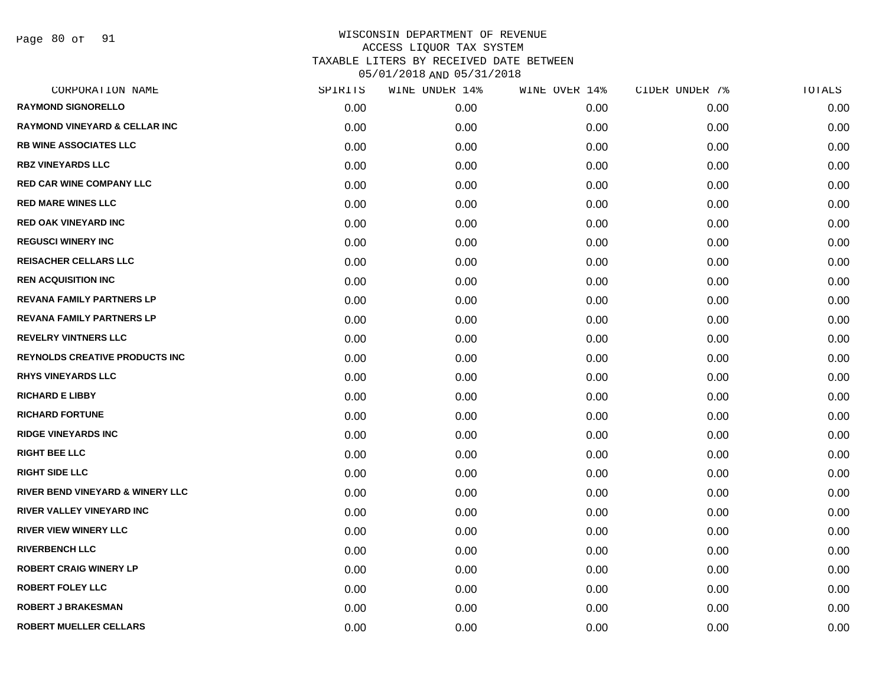Page 80 of 91

| CORPORATION NAME                            | SPIRITS | WINE UNDER 14% | WINE OVER 14% | CIDER UNDER 7% | TOTALS |
|---------------------------------------------|---------|----------------|---------------|----------------|--------|
| <b>RAYMOND SIGNORELLO</b>                   | 0.00    | 0.00           | 0.00          | 0.00           | 0.00   |
| <b>RAYMOND VINEYARD &amp; CELLAR INC</b>    | 0.00    | 0.00           | 0.00          | 0.00           | 0.00   |
| <b>RB WINE ASSOCIATES LLC</b>               | 0.00    | 0.00           | 0.00          | 0.00           | 0.00   |
| <b>RBZ VINEYARDS LLC</b>                    | 0.00    | 0.00           | 0.00          | 0.00           | 0.00   |
| <b>RED CAR WINE COMPANY LLC</b>             | 0.00    | 0.00           | 0.00          | 0.00           | 0.00   |
| <b>RED MARE WINES LLC</b>                   | 0.00    | 0.00           | 0.00          | 0.00           | 0.00   |
| <b>RED OAK VINEYARD INC</b>                 | 0.00    | 0.00           | 0.00          | 0.00           | 0.00   |
| <b>REGUSCI WINERY INC</b>                   | 0.00    | 0.00           | 0.00          | 0.00           | 0.00   |
| <b>REISACHER CELLARS LLC</b>                | 0.00    | 0.00           | 0.00          | 0.00           | 0.00   |
| <b>REN ACQUISITION INC</b>                  | 0.00    | 0.00           | 0.00          | 0.00           | 0.00   |
| <b>REVANA FAMILY PARTNERS LP</b>            | 0.00    | 0.00           | 0.00          | 0.00           | 0.00   |
| <b>REVANA FAMILY PARTNERS LP</b>            | 0.00    | 0.00           | 0.00          | 0.00           | 0.00   |
| <b>REVELRY VINTNERS LLC</b>                 | 0.00    | 0.00           | 0.00          | 0.00           | 0.00   |
| <b>REYNOLDS CREATIVE PRODUCTS INC</b>       | 0.00    | 0.00           | 0.00          | 0.00           | 0.00   |
| <b>RHYS VINEYARDS LLC</b>                   | 0.00    | 0.00           | 0.00          | 0.00           | 0.00   |
| <b>RICHARD E LIBBY</b>                      | 0.00    | 0.00           | 0.00          | 0.00           | 0.00   |
| <b>RICHARD FORTUNE</b>                      | 0.00    | 0.00           | 0.00          | 0.00           | 0.00   |
| <b>RIDGE VINEYARDS INC</b>                  | 0.00    | 0.00           | 0.00          | 0.00           | 0.00   |
| <b>RIGHT BEE LLC</b>                        | 0.00    | 0.00           | 0.00          | 0.00           | 0.00   |
| <b>RIGHT SIDE LLC</b>                       | 0.00    | 0.00           | 0.00          | 0.00           | 0.00   |
| <b>RIVER BEND VINEYARD &amp; WINERY LLC</b> | 0.00    | 0.00           | 0.00          | 0.00           | 0.00   |
| RIVER VALLEY VINEYARD INC                   | 0.00    | 0.00           | 0.00          | 0.00           | 0.00   |
| <b>RIVER VIEW WINERY LLC</b>                | 0.00    | 0.00           | 0.00          | 0.00           | 0.00   |
| <b>RIVERBENCH LLC</b>                       | 0.00    | 0.00           | 0.00          | 0.00           | 0.00   |
| <b>ROBERT CRAIG WINERY LP</b>               | 0.00    | 0.00           | 0.00          | 0.00           | 0.00   |
| <b>ROBERT FOLEY LLC</b>                     | 0.00    | 0.00           | 0.00          | 0.00           | 0.00   |
| <b>ROBERT J BRAKESMAN</b>                   | 0.00    | 0.00           | 0.00          | 0.00           | 0.00   |
| <b>ROBERT MUELLER CELLARS</b>               | 0.00    | 0.00           | 0.00          | 0.00           | 0.00   |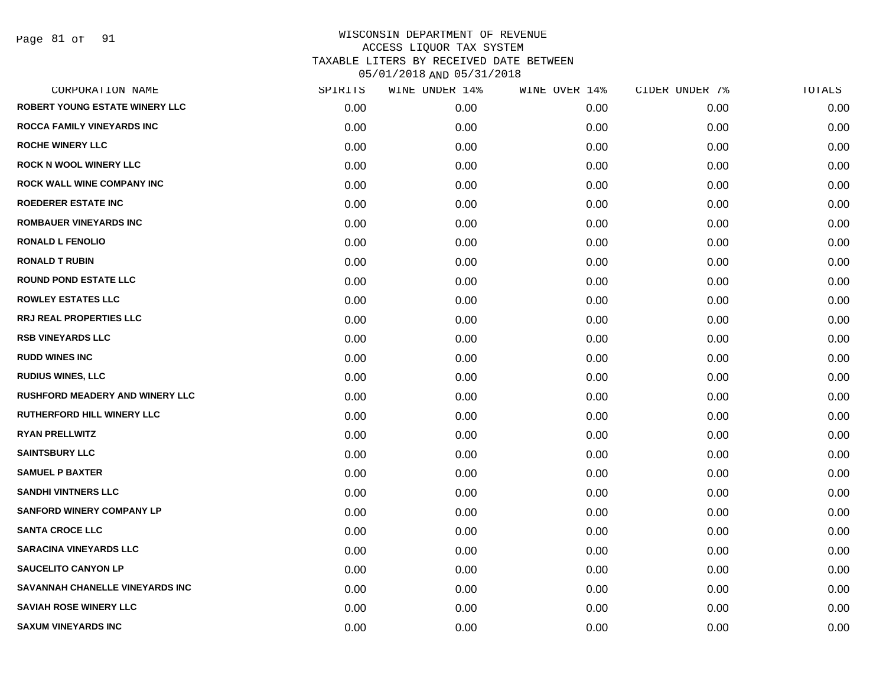Page 81 of 91

| CORPORATION NAME                       | SPIRITS | WINE UNDER 14% | WINE OVER 14% | CIDER UNDER 7% | TOTALS |
|----------------------------------------|---------|----------------|---------------|----------------|--------|
| <b>ROBERT YOUNG ESTATE WINERY LLC</b>  | 0.00    | 0.00           | 0.00          | 0.00           | 0.00   |
| <b>ROCCA FAMILY VINEYARDS INC</b>      | 0.00    | 0.00           | 0.00          | 0.00           | 0.00   |
| <b>ROCHE WINERY LLC</b>                | 0.00    | 0.00           | 0.00          | 0.00           | 0.00   |
| <b>ROCK N WOOL WINERY LLC</b>          | 0.00    | 0.00           | 0.00          | 0.00           | 0.00   |
| <b>ROCK WALL WINE COMPANY INC</b>      | 0.00    | 0.00           | 0.00          | 0.00           | 0.00   |
| <b>ROEDERER ESTATE INC</b>             | 0.00    | 0.00           | 0.00          | 0.00           | 0.00   |
| <b>ROMBAUER VINEYARDS INC</b>          | 0.00    | 0.00           | 0.00          | 0.00           | 0.00   |
| <b>RONALD L FENOLIO</b>                | 0.00    | 0.00           | 0.00          | 0.00           | 0.00   |
| <b>RONALD T RUBIN</b>                  | 0.00    | 0.00           | 0.00          | 0.00           | 0.00   |
| <b>ROUND POND ESTATE LLC</b>           | 0.00    | 0.00           | 0.00          | 0.00           | 0.00   |
| <b>ROWLEY ESTATES LLC</b>              | 0.00    | 0.00           | 0.00          | 0.00           | 0.00   |
| <b>RRJ REAL PROPERTIES LLC</b>         | 0.00    | 0.00           | 0.00          | 0.00           | 0.00   |
| <b>RSB VINEYARDS LLC</b>               | 0.00    | 0.00           | 0.00          | 0.00           | 0.00   |
| <b>RUDD WINES INC</b>                  | 0.00    | 0.00           | 0.00          | 0.00           | 0.00   |
| <b>RUDIUS WINES, LLC</b>               | 0.00    | 0.00           | 0.00          | 0.00           | 0.00   |
| <b>RUSHFORD MEADERY AND WINERY LLC</b> | 0.00    | 0.00           | 0.00          | 0.00           | 0.00   |
| RUTHERFORD HILL WINERY LLC             | 0.00    | 0.00           | 0.00          | 0.00           | 0.00   |
| <b>RYAN PRELLWITZ</b>                  | 0.00    | 0.00           | 0.00          | 0.00           | 0.00   |
| <b>SAINTSBURY LLC</b>                  | 0.00    | 0.00           | 0.00          | 0.00           | 0.00   |
| <b>SAMUEL P BAXTER</b>                 | 0.00    | 0.00           | 0.00          | 0.00           | 0.00   |
| <b>SANDHI VINTNERS LLC</b>             | 0.00    | 0.00           | 0.00          | 0.00           | 0.00   |
| <b>SANFORD WINERY COMPANY LP</b>       | 0.00    | 0.00           | 0.00          | 0.00           | 0.00   |
| <b>SANTA CROCE LLC</b>                 | 0.00    | 0.00           | 0.00          | 0.00           | 0.00   |
| <b>SARACINA VINEYARDS LLC</b>          | 0.00    | 0.00           | 0.00          | 0.00           | 0.00   |
| <b>SAUCELITO CANYON LP</b>             | 0.00    | 0.00           | 0.00          | 0.00           | 0.00   |
| SAVANNAH CHANELLE VINEYARDS INC        | 0.00    | 0.00           | 0.00          | 0.00           | 0.00   |
| <b>SAVIAH ROSE WINERY LLC</b>          | 0.00    | 0.00           | 0.00          | 0.00           | 0.00   |
| <b>SAXUM VINEYARDS INC</b>             | 0.00    | 0.00           | 0.00          | 0.00           | 0.00   |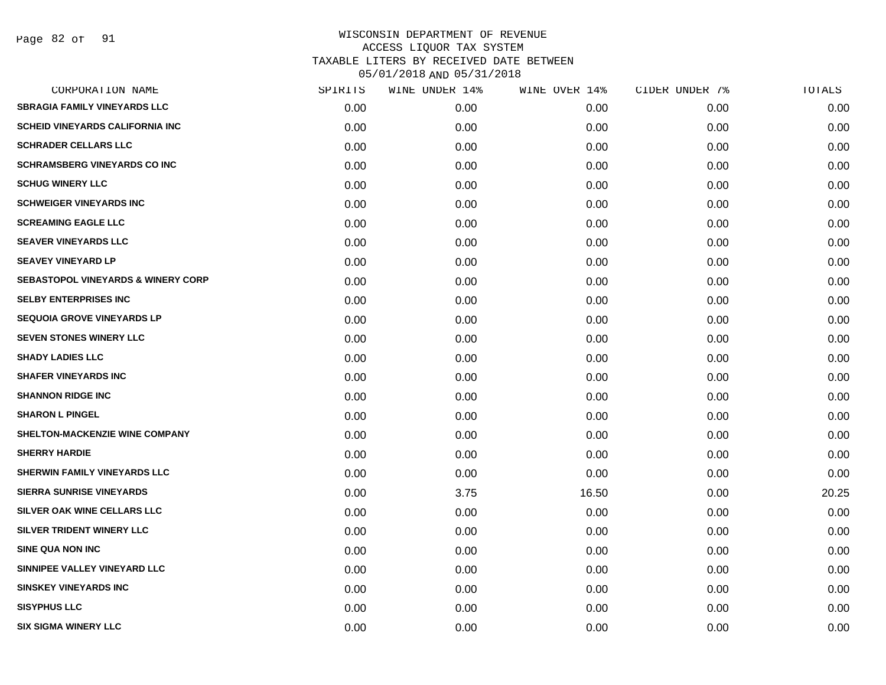| CORPORATION NAME                              | SPIRITS | WINE UNDER 14% | WINE OVER 14% | CIDER UNDER 7% | TOTALS |
|-----------------------------------------------|---------|----------------|---------------|----------------|--------|
| <b>SBRAGIA FAMILY VINEYARDS LLC</b>           | 0.00    | 0.00           | 0.00          | 0.00           | 0.00   |
| <b>SCHEID VINEYARDS CALIFORNIA INC</b>        | 0.00    | 0.00           | 0.00          | 0.00           | 0.00   |
| <b>SCHRADER CELLARS LLC</b>                   | 0.00    | 0.00           | 0.00          | 0.00           | 0.00   |
| <b>SCHRAMSBERG VINEYARDS CO INC</b>           | 0.00    | 0.00           | 0.00          | 0.00           | 0.00   |
| <b>SCHUG WINERY LLC</b>                       | 0.00    | 0.00           | 0.00          | 0.00           | 0.00   |
| <b>SCHWEIGER VINEYARDS INC</b>                | 0.00    | 0.00           | 0.00          | 0.00           | 0.00   |
| <b>SCREAMING EAGLE LLC</b>                    | 0.00    | 0.00           | 0.00          | 0.00           | 0.00   |
| <b>SEAVER VINEYARDS LLC</b>                   | 0.00    | 0.00           | 0.00          | 0.00           | 0.00   |
| <b>SEAVEY VINEYARD LP</b>                     | 0.00    | 0.00           | 0.00          | 0.00           | 0.00   |
| <b>SEBASTOPOL VINEYARDS &amp; WINERY CORP</b> | 0.00    | 0.00           | 0.00          | 0.00           | 0.00   |
| <b>SELBY ENTERPRISES INC</b>                  | 0.00    | 0.00           | 0.00          | 0.00           | 0.00   |
| <b>SEQUOIA GROVE VINEYARDS LP</b>             | 0.00    | 0.00           | 0.00          | 0.00           | 0.00   |
| <b>SEVEN STONES WINERY LLC</b>                | 0.00    | 0.00           | 0.00          | 0.00           | 0.00   |
| <b>SHADY LADIES LLC</b>                       | 0.00    | 0.00           | 0.00          | 0.00           | 0.00   |
| <b>SHAFER VINEYARDS INC</b>                   | 0.00    | 0.00           | 0.00          | 0.00           | 0.00   |
| <b>SHANNON RIDGE INC</b>                      | 0.00    | 0.00           | 0.00          | 0.00           | 0.00   |
| <b>SHARON L PINGEL</b>                        | 0.00    | 0.00           | 0.00          | 0.00           | 0.00   |
| SHELTON-MACKENZIE WINE COMPANY                | 0.00    | 0.00           | 0.00          | 0.00           | 0.00   |
| <b>SHERRY HARDIE</b>                          | 0.00    | 0.00           | 0.00          | 0.00           | 0.00   |
| SHERWIN FAMILY VINEYARDS LLC                  | 0.00    | 0.00           | 0.00          | 0.00           | 0.00   |
| <b>SIERRA SUNRISE VINEYARDS</b>               | 0.00    | 3.75           | 16.50         | 0.00           | 20.25  |
| SILVER OAK WINE CELLARS LLC                   | 0.00    | 0.00           | 0.00          | 0.00           | 0.00   |
| SILVER TRIDENT WINERY LLC                     | 0.00    | 0.00           | 0.00          | 0.00           | 0.00   |
| <b>SINE QUA NON INC</b>                       | 0.00    | 0.00           | 0.00          | 0.00           | 0.00   |
| SINNIPEE VALLEY VINEYARD LLC                  | 0.00    | 0.00           | 0.00          | 0.00           | 0.00   |
| <b>SINSKEY VINEYARDS INC</b>                  | 0.00    | 0.00           | 0.00          | 0.00           | 0.00   |
| <b>SISYPHUS LLC</b>                           | 0.00    | 0.00           | 0.00          | 0.00           | 0.00   |
| <b>SIX SIGMA WINERY LLC</b>                   | 0.00    | 0.00           | 0.00          | 0.00           | 0.00   |
|                                               |         |                |               |                |        |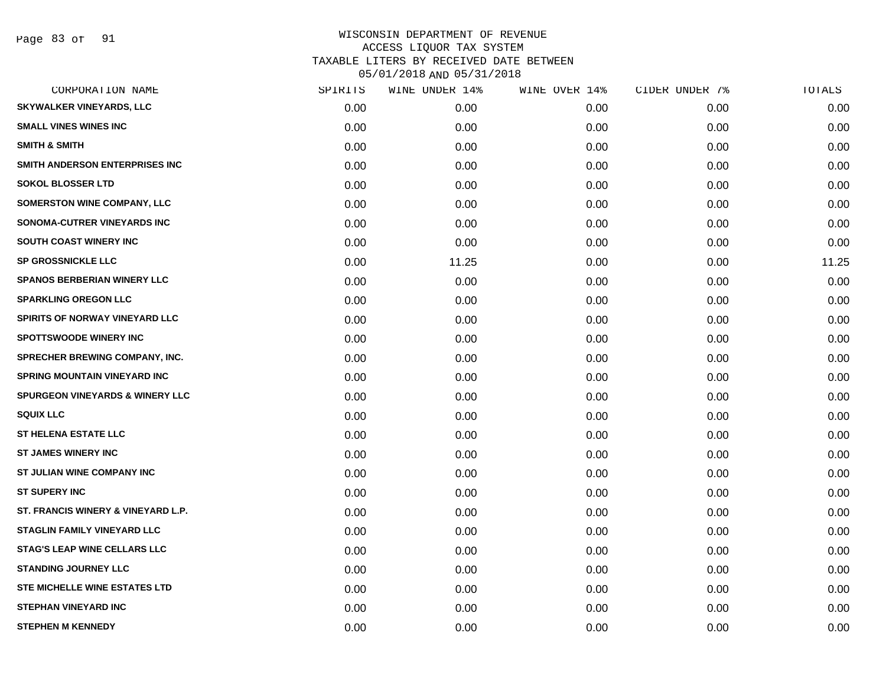| CORPORATION NAME                           | SPIRITS | WINE UNDER 14% | WINE OVER 14% | CIDER UNDER 7% | TOTALS |
|--------------------------------------------|---------|----------------|---------------|----------------|--------|
| <b>SKYWALKER VINEYARDS, LLC</b>            | 0.00    | 0.00           | 0.00          | 0.00           | 0.00   |
| <b>SMALL VINES WINES INC</b>               | 0.00    | 0.00           | 0.00          | 0.00           | 0.00   |
| <b>SMITH &amp; SMITH</b>                   | 0.00    | 0.00           | 0.00          | 0.00           | 0.00   |
| SMITH ANDERSON ENTERPRISES INC             | 0.00    | 0.00           | 0.00          | 0.00           | 0.00   |
| <b>SOKOL BLOSSER LTD</b>                   | 0.00    | 0.00           | 0.00          | 0.00           | 0.00   |
| SOMERSTON WINE COMPANY, LLC                | 0.00    | 0.00           | 0.00          | 0.00           | 0.00   |
| SONOMA-CUTRER VINEYARDS INC                | 0.00    | 0.00           | 0.00          | 0.00           | 0.00   |
| SOUTH COAST WINERY INC                     | 0.00    | 0.00           | 0.00          | 0.00           | 0.00   |
| <b>SP GROSSNICKLE LLC</b>                  | 0.00    | 11.25          | 0.00          | 0.00           | 11.25  |
| <b>SPANOS BERBERIAN WINERY LLC</b>         | 0.00    | 0.00           | 0.00          | 0.00           | 0.00   |
| <b>SPARKLING OREGON LLC</b>                | 0.00    | 0.00           | 0.00          | 0.00           | 0.00   |
| SPIRITS OF NORWAY VINEYARD LLC             | 0.00    | 0.00           | 0.00          | 0.00           | 0.00   |
| <b>SPOTTSWOODE WINERY INC</b>              | 0.00    | 0.00           | 0.00          | 0.00           | 0.00   |
| <b>SPRECHER BREWING COMPANY, INC.</b>      | 0.00    | 0.00           | 0.00          | 0.00           | 0.00   |
| <b>SPRING MOUNTAIN VINEYARD INC</b>        | 0.00    | 0.00           | 0.00          | 0.00           | 0.00   |
| <b>SPURGEON VINEYARDS &amp; WINERY LLC</b> | 0.00    | 0.00           | 0.00          | 0.00           | 0.00   |
| <b>SQUIX LLC</b>                           | 0.00    | 0.00           | 0.00          | 0.00           | 0.00   |
| <b>ST HELENA ESTATE LLC</b>                | 0.00    | 0.00           | 0.00          | 0.00           | 0.00   |
| <b>ST JAMES WINERY INC</b>                 | 0.00    | 0.00           | 0.00          | 0.00           | 0.00   |
| ST JULIAN WINE COMPANY INC                 | 0.00    | 0.00           | 0.00          | 0.00           | 0.00   |
| <b>ST SUPERY INC</b>                       | 0.00    | 0.00           | 0.00          | 0.00           | 0.00   |
| ST. FRANCIS WINERY & VINEYARD L.P.         | 0.00    | 0.00           | 0.00          | 0.00           | 0.00   |
| STAGLIN FAMILY VINEYARD LLC                | 0.00    | 0.00           | 0.00          | 0.00           | 0.00   |
| <b>STAG'S LEAP WINE CELLARS LLC</b>        | 0.00    | 0.00           | 0.00          | 0.00           | 0.00   |
| <b>STANDING JOURNEY LLC</b>                | 0.00    | 0.00           | 0.00          | 0.00           | 0.00   |
| STE MICHELLE WINE ESTATES LTD              | 0.00    | 0.00           | 0.00          | 0.00           | 0.00   |
| <b>STEPHAN VINEYARD INC</b>                | 0.00    | 0.00           | 0.00          | 0.00           | 0.00   |
| <b>STEPHEN M KENNEDY</b>                   | 0.00    | 0.00           | 0.00          | 0.00           | 0.00   |
|                                            |         |                |               |                |        |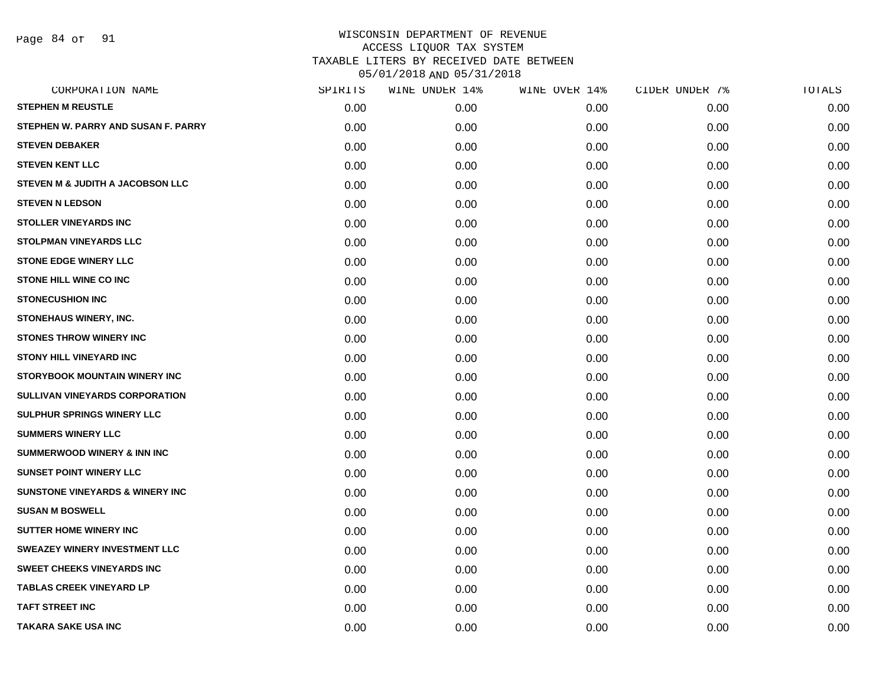Page 84 of 91

| CORPORATION NAME                           | SPIRITS | WINE UNDER 14% | WINE OVER 14% | CIDER UNDER 7% | TOTALS |
|--------------------------------------------|---------|----------------|---------------|----------------|--------|
| <b>STEPHEN M REUSTLE</b>                   | 0.00    | 0.00           | 0.00          | 0.00           | 0.00   |
| STEPHEN W. PARRY AND SUSAN F. PARRY        | 0.00    | 0.00           | 0.00          | 0.00           | 0.00   |
| <b>STEVEN DEBAKER</b>                      | 0.00    | 0.00           | 0.00          | 0.00           | 0.00   |
| <b>STEVEN KENT LLC</b>                     | 0.00    | 0.00           | 0.00          | 0.00           | 0.00   |
| STEVEN M & JUDITH A JACOBSON LLC           | 0.00    | 0.00           | 0.00          | 0.00           | 0.00   |
| <b>STEVEN N LEDSON</b>                     | 0.00    | 0.00           | 0.00          | 0.00           | 0.00   |
| <b>STOLLER VINEYARDS INC</b>               | 0.00    | 0.00           | 0.00          | 0.00           | 0.00   |
| <b>STOLPMAN VINEYARDS LLC</b>              | 0.00    | 0.00           | 0.00          | 0.00           | 0.00   |
| <b>STONE EDGE WINERY LLC</b>               | 0.00    | 0.00           | 0.00          | 0.00           | 0.00   |
| <b>STONE HILL WINE CO INC</b>              | 0.00    | 0.00           | 0.00          | 0.00           | 0.00   |
| <b>STONECUSHION INC</b>                    | 0.00    | 0.00           | 0.00          | 0.00           | 0.00   |
| STONEHAUS WINERY, INC.                     | 0.00    | 0.00           | 0.00          | 0.00           | 0.00   |
| <b>STONES THROW WINERY INC</b>             | 0.00    | 0.00           | 0.00          | 0.00           | 0.00   |
| <b>STONY HILL VINEYARD INC</b>             | 0.00    | 0.00           | 0.00          | 0.00           | 0.00   |
| STORYBOOK MOUNTAIN WINERY INC              | 0.00    | 0.00           | 0.00          | 0.00           | 0.00   |
| SULLIVAN VINEYARDS CORPORATION             | 0.00    | 0.00           | 0.00          | 0.00           | 0.00   |
| <b>SULPHUR SPRINGS WINERY LLC</b>          | 0.00    | 0.00           | 0.00          | 0.00           | 0.00   |
| <b>SUMMERS WINERY LLC</b>                  | 0.00    | 0.00           | 0.00          | 0.00           | 0.00   |
| <b>SUMMERWOOD WINERY &amp; INN INC</b>     | 0.00    | 0.00           | 0.00          | 0.00           | 0.00   |
| <b>SUNSET POINT WINERY LLC</b>             | 0.00    | 0.00           | 0.00          | 0.00           | 0.00   |
| <b>SUNSTONE VINEYARDS &amp; WINERY INC</b> | 0.00    | 0.00           | 0.00          | 0.00           | 0.00   |
| <b>SUSAN M BOSWELL</b>                     | 0.00    | 0.00           | 0.00          | 0.00           | 0.00   |
| <b>SUTTER HOME WINERY INC.</b>             | 0.00    | 0.00           | 0.00          | 0.00           | 0.00   |
| <b>SWEAZEY WINERY INVESTMENT LLC</b>       | 0.00    | 0.00           | 0.00          | 0.00           | 0.00   |
| <b>SWEET CHEEKS VINEYARDS INC</b>          | 0.00    | 0.00           | 0.00          | 0.00           | 0.00   |
| <b>TABLAS CREEK VINEYARD LP</b>            | 0.00    | 0.00           | 0.00          | 0.00           | 0.00   |
| <b>TAFT STREET INC</b>                     | 0.00    | 0.00           | 0.00          | 0.00           | 0.00   |
| <b>TAKARA SAKE USA INC</b>                 | 0.00    | 0.00           | 0.00          | 0.00           | 0.00   |
|                                            |         |                |               |                |        |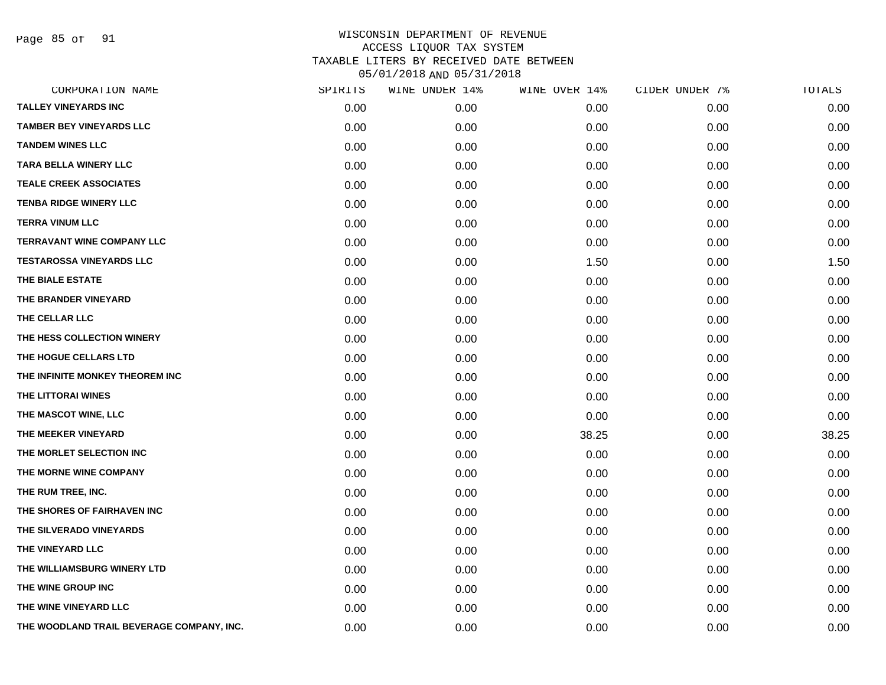Page 85 of 91

| CORPORATION NAME                          | SPIRITS | WINE UNDER 14% | WINE OVER 14% | CIDER UNDER 7% | TOTALS |
|-------------------------------------------|---------|----------------|---------------|----------------|--------|
| <b>TALLEY VINEYARDS INC</b>               | 0.00    | 0.00           | 0.00          | 0.00           | 0.00   |
| <b>TAMBER BEY VINEYARDS LLC</b>           | 0.00    | 0.00           | 0.00          | 0.00           | 0.00   |
| <b>TANDEM WINES LLC</b>                   | 0.00    | 0.00           | 0.00          | 0.00           | 0.00   |
| <b>TARA BELLA WINERY LLC</b>              | 0.00    | 0.00           | 0.00          | 0.00           | 0.00   |
| <b>TEALE CREEK ASSOCIATES</b>             | 0.00    | 0.00           | 0.00          | 0.00           | 0.00   |
| <b>TENBA RIDGE WINERY LLC</b>             | 0.00    | 0.00           | 0.00          | 0.00           | 0.00   |
| <b>TERRA VINUM LLC</b>                    | 0.00    | 0.00           | 0.00          | 0.00           | 0.00   |
| <b>TERRAVANT WINE COMPANY LLC</b>         | 0.00    | 0.00           | 0.00          | 0.00           | 0.00   |
| <b>TESTAROSSA VINEYARDS LLC</b>           | 0.00    | 0.00           | 1.50          | 0.00           | 1.50   |
| THE BIALE ESTATE                          | 0.00    | 0.00           | 0.00          | 0.00           | 0.00   |
| THE BRANDER VINEYARD                      | 0.00    | 0.00           | 0.00          | 0.00           | 0.00   |
| THE CELLAR LLC                            | 0.00    | 0.00           | 0.00          | 0.00           | 0.00   |
| THE HESS COLLECTION WINERY                | 0.00    | 0.00           | 0.00          | 0.00           | 0.00   |
| THE HOGUE CELLARS LTD                     | 0.00    | 0.00           | 0.00          | 0.00           | 0.00   |
| THE INFINITE MONKEY THEOREM INC           | 0.00    | 0.00           | 0.00          | 0.00           | 0.00   |
| THE LITTORAI WINES                        | 0.00    | 0.00           | 0.00          | 0.00           | 0.00   |
| THE MASCOT WINE, LLC                      | 0.00    | 0.00           | 0.00          | 0.00           | 0.00   |
| THE MEEKER VINEYARD                       | 0.00    | 0.00           | 38.25         | 0.00           | 38.25  |
| THE MORLET SELECTION INC                  | 0.00    | 0.00           | 0.00          | 0.00           | 0.00   |
| THE MORNE WINE COMPANY                    | 0.00    | 0.00           | 0.00          | 0.00           | 0.00   |
| THE RUM TREE, INC.                        | 0.00    | 0.00           | 0.00          | 0.00           | 0.00   |
| THE SHORES OF FAIRHAVEN INC               | 0.00    | 0.00           | 0.00          | 0.00           | 0.00   |
| THE SILVERADO VINEYARDS                   | 0.00    | 0.00           | 0.00          | 0.00           | 0.00   |
| THE VINEYARD LLC                          | 0.00    | 0.00           | 0.00          | 0.00           | 0.00   |
| THE WILLIAMSBURG WINERY LTD               | 0.00    | 0.00           | 0.00          | 0.00           | 0.00   |
| THE WINE GROUP INC                        | 0.00    | 0.00           | 0.00          | 0.00           | 0.00   |
| THE WINE VINEYARD LLC                     | 0.00    | 0.00           | 0.00          | 0.00           | 0.00   |
| THE WOODLAND TRAIL BEVERAGE COMPANY, INC. | 0.00    | 0.00           | 0.00          | 0.00           | 0.00   |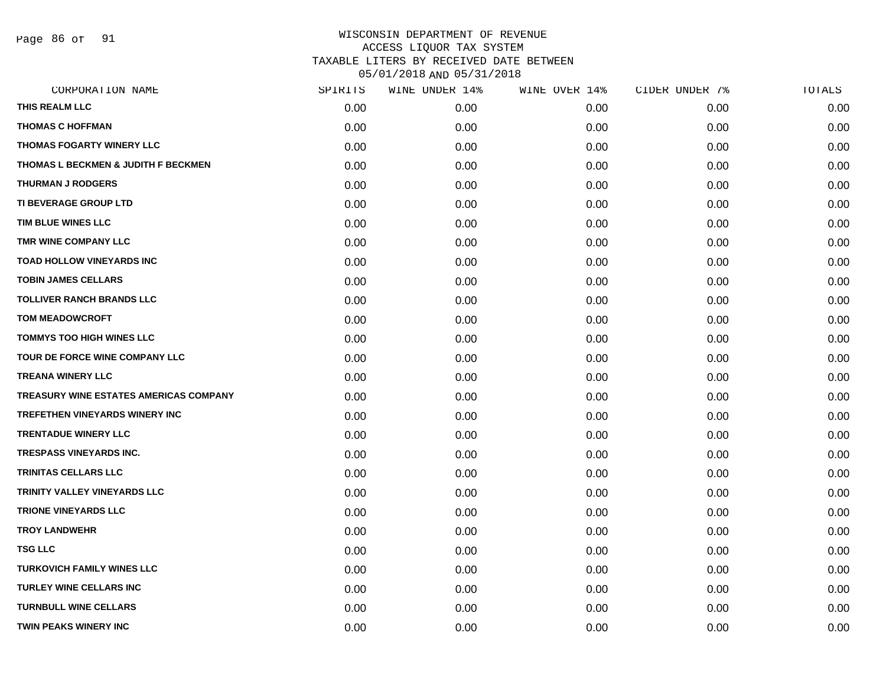Page 86 of 91

| CORPORATION NAME                       | SPIRITS | WINE UNDER 14% | WINE OVER 14% | CIDER UNDER 7% | TOTALS |
|----------------------------------------|---------|----------------|---------------|----------------|--------|
| THIS REALM LLC                         | 0.00    | 0.00           | 0.00          | 0.00           | 0.00   |
| <b>THOMAS C HOFFMAN</b>                | 0.00    | 0.00           | 0.00          | 0.00           | 0.00   |
| <b>THOMAS FOGARTY WINERY LLC</b>       | 0.00    | 0.00           | 0.00          | 0.00           | 0.00   |
| THOMAS L BECKMEN & JUDITH F BECKMEN    | 0.00    | 0.00           | 0.00          | 0.00           | 0.00   |
| <b>THURMAN J RODGERS</b>               | 0.00    | 0.00           | 0.00          | 0.00           | 0.00   |
| <b>TI BEVERAGE GROUP LTD</b>           | 0.00    | 0.00           | 0.00          | 0.00           | 0.00   |
| TIM BLUE WINES LLC                     | 0.00    | 0.00           | 0.00          | 0.00           | 0.00   |
| TMR WINE COMPANY LLC                   | 0.00    | 0.00           | 0.00          | 0.00           | 0.00   |
| <b>TOAD HOLLOW VINEYARDS INC</b>       | 0.00    | 0.00           | 0.00          | 0.00           | 0.00   |
| <b>TOBIN JAMES CELLARS</b>             | 0.00    | 0.00           | 0.00          | 0.00           | 0.00   |
| <b>TOLLIVER RANCH BRANDS LLC</b>       | 0.00    | 0.00           | 0.00          | 0.00           | 0.00   |
| <b>TOM MEADOWCROFT</b>                 | 0.00    | 0.00           | 0.00          | 0.00           | 0.00   |
| <b>TOMMYS TOO HIGH WINES LLC</b>       | 0.00    | 0.00           | 0.00          | 0.00           | 0.00   |
| TOUR DE FORCE WINE COMPANY LLC         | 0.00    | 0.00           | 0.00          | 0.00           | 0.00   |
| <b>TREANA WINERY LLC</b>               | 0.00    | 0.00           | 0.00          | 0.00           | 0.00   |
| TREASURY WINE ESTATES AMERICAS COMPANY | 0.00    | 0.00           | 0.00          | 0.00           | 0.00   |
| <b>TREFETHEN VINEYARDS WINERY INC</b>  | 0.00    | 0.00           | 0.00          | 0.00           | 0.00   |
| <b>TRENTADUE WINERY LLC</b>            | 0.00    | 0.00           | 0.00          | 0.00           | 0.00   |
| <b>TRESPASS VINEYARDS INC.</b>         | 0.00    | 0.00           | 0.00          | 0.00           | 0.00   |
| TRINITAS CELLARS LLC                   | 0.00    | 0.00           | 0.00          | 0.00           | 0.00   |
| TRINITY VALLEY VINEYARDS LLC           | 0.00    | 0.00           | 0.00          | 0.00           | 0.00   |
| <b>TRIONE VINEYARDS LLC</b>            | 0.00    | 0.00           | 0.00          | 0.00           | 0.00   |
| <b>TROY LANDWEHR</b>                   | 0.00    | 0.00           | 0.00          | 0.00           | 0.00   |
| <b>TSG LLC</b>                         | 0.00    | 0.00           | 0.00          | 0.00           | 0.00   |
| <b>TURKOVICH FAMILY WINES LLC</b>      | 0.00    | 0.00           | 0.00          | 0.00           | 0.00   |
| <b>TURLEY WINE CELLARS INC</b>         | 0.00    | 0.00           | 0.00          | 0.00           | 0.00   |
| <b>TURNBULL WINE CELLARS</b>           | 0.00    | 0.00           | 0.00          | 0.00           | 0.00   |
| <b>TWIN PEAKS WINERY INC</b>           | 0.00    | 0.00           | 0.00          | 0.00           | 0.00   |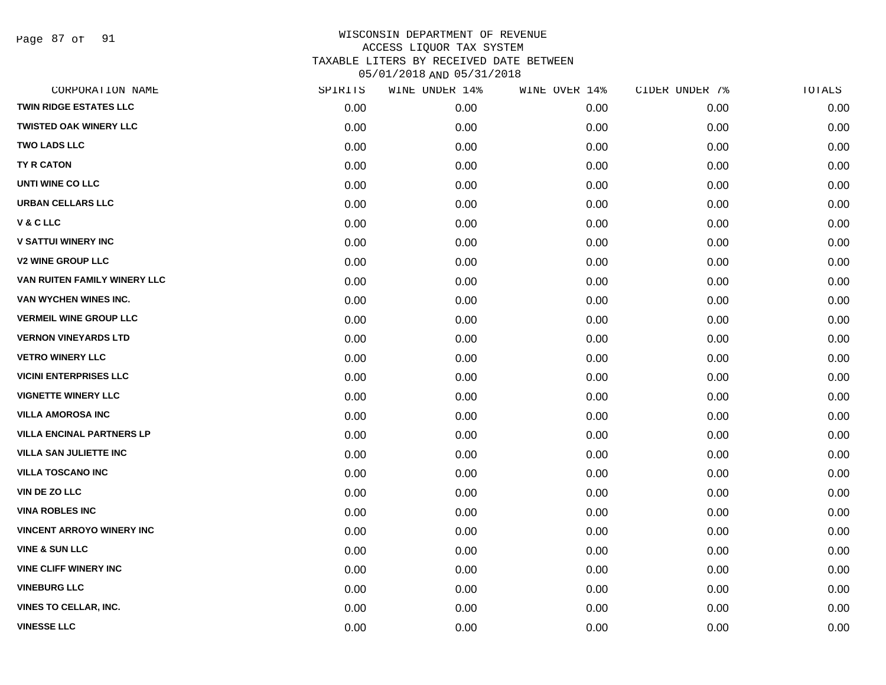Page 87 of 91

| CORPORATION NAME                 | SPIRITS | WINE UNDER 14% | WINE OVER 14% | CIDER UNDER 7% | TOTALS |
|----------------------------------|---------|----------------|---------------|----------------|--------|
| <b>TWIN RIDGE ESTATES LLC</b>    | 0.00    | 0.00           | 0.00          | 0.00           | 0.00   |
| <b>TWISTED OAK WINERY LLC</b>    | 0.00    | 0.00           | 0.00          | 0.00           | 0.00   |
| <b>TWO LADS LLC</b>              | 0.00    | 0.00           | 0.00          | 0.00           | 0.00   |
| <b>TY R CATON</b>                | 0.00    | 0.00           | 0.00          | 0.00           | 0.00   |
| UNTI WINE CO LLC                 | 0.00    | 0.00           | 0.00          | 0.00           | 0.00   |
| <b>URBAN CELLARS LLC</b>         | 0.00    | 0.00           | 0.00          | 0.00           | 0.00   |
| <b>V&amp;CLLC</b>                | 0.00    | 0.00           | 0.00          | 0.00           | 0.00   |
| <b>V SATTUI WINERY INC</b>       | 0.00    | 0.00           | 0.00          | 0.00           | 0.00   |
| <b>V2 WINE GROUP LLC</b>         | 0.00    | 0.00           | 0.00          | 0.00           | 0.00   |
| VAN RUITEN FAMILY WINERY LLC     | 0.00    | 0.00           | 0.00          | 0.00           | 0.00   |
| VAN WYCHEN WINES INC.            | 0.00    | 0.00           | 0.00          | 0.00           | 0.00   |
| <b>VERMEIL WINE GROUP LLC</b>    | 0.00    | 0.00           | 0.00          | 0.00           | 0.00   |
| <b>VERNON VINEYARDS LTD</b>      | 0.00    | 0.00           | 0.00          | 0.00           | 0.00   |
| <b>VETRO WINERY LLC</b>          | 0.00    | 0.00           | 0.00          | 0.00           | 0.00   |
| <b>VICINI ENTERPRISES LLC</b>    | 0.00    | 0.00           | 0.00          | 0.00           | 0.00   |
| <b>VIGNETTE WINERY LLC</b>       | 0.00    | 0.00           | 0.00          | 0.00           | 0.00   |
| <b>VILLA AMOROSA INC</b>         | 0.00    | 0.00           | 0.00          | 0.00           | 0.00   |
| <b>VILLA ENCINAL PARTNERS LP</b> | 0.00    | 0.00           | 0.00          | 0.00           | 0.00   |
| <b>VILLA SAN JULIETTE INC</b>    | 0.00    | 0.00           | 0.00          | 0.00           | 0.00   |
| <b>VILLA TOSCANO INC</b>         | 0.00    | 0.00           | 0.00          | 0.00           | 0.00   |
| <b>VIN DE ZO LLC</b>             | 0.00    | 0.00           | 0.00          | 0.00           | 0.00   |
| <b>VINA ROBLES INC</b>           | 0.00    | 0.00           | 0.00          | 0.00           | 0.00   |
| <b>VINCENT ARROYO WINERY INC</b> | 0.00    | 0.00           | 0.00          | 0.00           | 0.00   |
| <b>VINE &amp; SUN LLC</b>        | 0.00    | 0.00           | 0.00          | 0.00           | 0.00   |
| <b>VINE CLIFF WINERY INC</b>     | 0.00    | 0.00           | 0.00          | 0.00           | 0.00   |
| <b>VINEBURG LLC</b>              | 0.00    | 0.00           | 0.00          | 0.00           | 0.00   |
| <b>VINES TO CELLAR, INC.</b>     | 0.00    | 0.00           | 0.00          | 0.00           | 0.00   |
| <b>VINESSE LLC</b>               | 0.00    | 0.00           | 0.00          | 0.00           | 0.00   |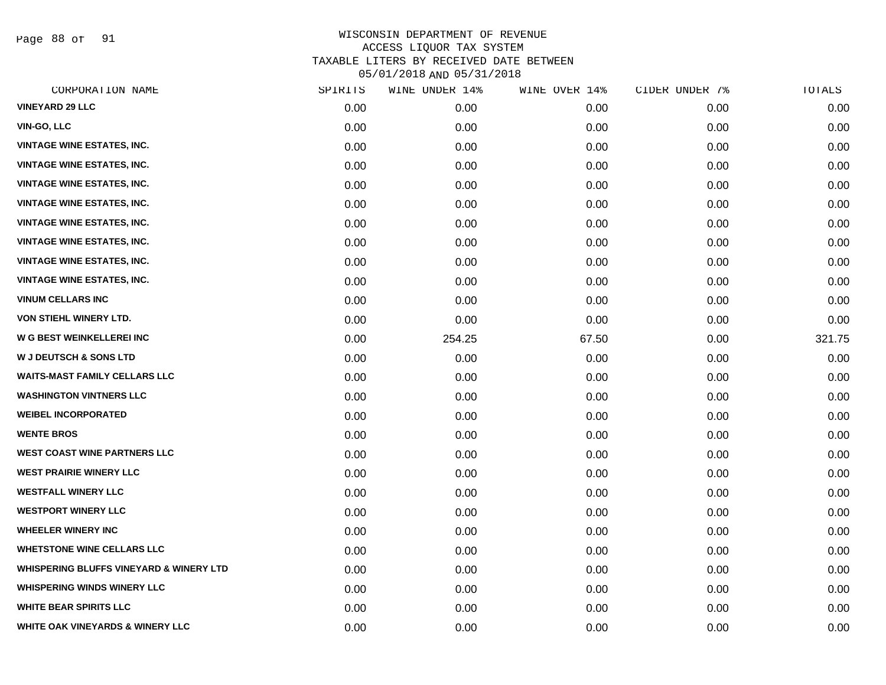Page 88 of 91

| CORPORATION NAME                                   | SPIRITS | WINE UNDER 14% | WINE OVER 14% | CIDER UNDER 7% | TOTALS |
|----------------------------------------------------|---------|----------------|---------------|----------------|--------|
| <b>VINEYARD 29 LLC</b>                             | 0.00    | 0.00           | 0.00          | 0.00           | 0.00   |
| <b>VIN-GO, LLC</b>                                 | 0.00    | 0.00           | 0.00          | 0.00           | 0.00   |
| <b>VINTAGE WINE ESTATES, INC.</b>                  | 0.00    | 0.00           | 0.00          | 0.00           | 0.00   |
| <b>VINTAGE WINE ESTATES, INC.</b>                  | 0.00    | 0.00           | 0.00          | 0.00           | 0.00   |
| <b>VINTAGE WINE ESTATES, INC.</b>                  | 0.00    | 0.00           | 0.00          | 0.00           | 0.00   |
| <b>VINTAGE WINE ESTATES, INC.</b>                  | 0.00    | 0.00           | 0.00          | 0.00           | 0.00   |
| <b>VINTAGE WINE ESTATES, INC.</b>                  | 0.00    | 0.00           | 0.00          | 0.00           | 0.00   |
| <b>VINTAGE WINE ESTATES, INC.</b>                  | 0.00    | 0.00           | 0.00          | 0.00           | 0.00   |
| <b>VINTAGE WINE ESTATES, INC.</b>                  | 0.00    | 0.00           | 0.00          | 0.00           | 0.00   |
| <b>VINTAGE WINE ESTATES, INC.</b>                  | 0.00    | 0.00           | 0.00          | 0.00           | 0.00   |
| <b>VINUM CELLARS INC</b>                           | 0.00    | 0.00           | 0.00          | 0.00           | 0.00   |
| VON STIEHL WINERY LTD.                             | 0.00    | 0.00           | 0.00          | 0.00           | 0.00   |
| W G BEST WEINKELLEREI INC                          | 0.00    | 254.25         | 67.50         | 0.00           | 321.75 |
| <b>W J DEUTSCH &amp; SONS LTD</b>                  | 0.00    | 0.00           | 0.00          | 0.00           | 0.00   |
| <b>WAITS-MAST FAMILY CELLARS LLC</b>               | 0.00    | 0.00           | 0.00          | 0.00           | 0.00   |
| <b>WASHINGTON VINTNERS LLC</b>                     | 0.00    | 0.00           | 0.00          | 0.00           | 0.00   |
| <b>WEIBEL INCORPORATED</b>                         | 0.00    | 0.00           | 0.00          | 0.00           | 0.00   |
| <b>WENTE BROS</b>                                  | 0.00    | 0.00           | 0.00          | 0.00           | 0.00   |
| <b>WEST COAST WINE PARTNERS LLC</b>                | 0.00    | 0.00           | 0.00          | 0.00           | 0.00   |
| <b>WEST PRAIRIE WINERY LLC</b>                     | 0.00    | 0.00           | 0.00          | 0.00           | 0.00   |
| <b>WESTFALL WINERY LLC</b>                         | 0.00    | 0.00           | 0.00          | 0.00           | 0.00   |
| <b>WESTPORT WINERY LLC</b>                         | 0.00    | 0.00           | 0.00          | 0.00           | 0.00   |
| <b>WHEELER WINERY INC</b>                          | 0.00    | 0.00           | 0.00          | 0.00           | 0.00   |
| <b>WHETSTONE WINE CELLARS LLC</b>                  | 0.00    | 0.00           | 0.00          | 0.00           | 0.00   |
| <b>WHISPERING BLUFFS VINEYARD &amp; WINERY LTD</b> | 0.00    | 0.00           | 0.00          | 0.00           | 0.00   |
| <b>WHISPERING WINDS WINERY LLC</b>                 | 0.00    | 0.00           | 0.00          | 0.00           | 0.00   |
| <b>WHITE BEAR SPIRITS LLC</b>                      | 0.00    | 0.00           | 0.00          | 0.00           | 0.00   |
| <b>WHITE OAK VINEYARDS &amp; WINERY LLC</b>        | 0.00    | 0.00           | 0.00          | 0.00           | 0.00   |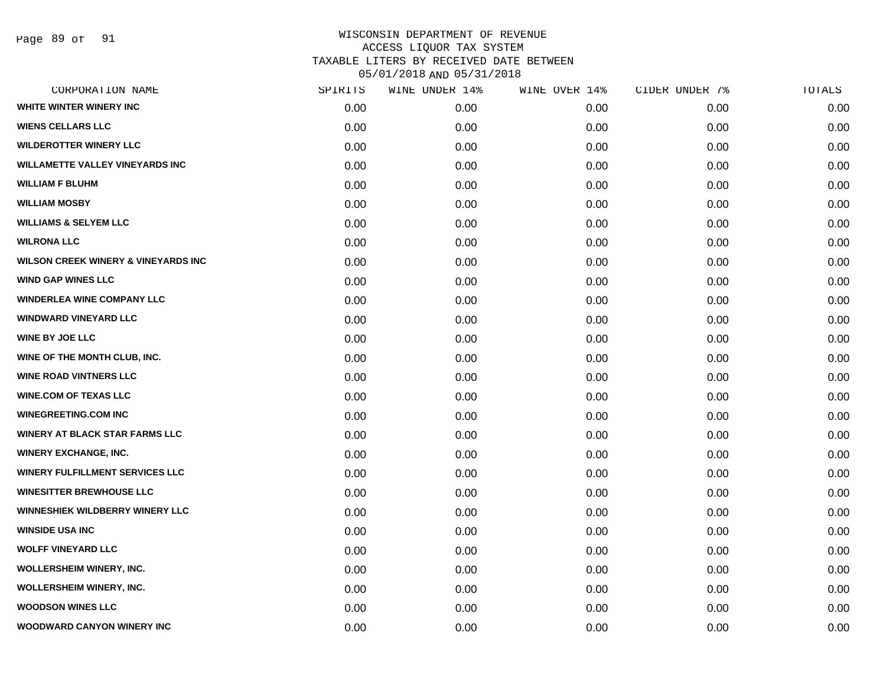| CORPORATION NAME                               | SPIRITS | WINE UNDER 14% | WINE OVER 14% | CIDER UNDER 7% | TOTALS |
|------------------------------------------------|---------|----------------|---------------|----------------|--------|
| WHITE WINTER WINERY INC                        | 0.00    | 0.00           | 0.00          | 0.00           | 0.00   |
| <b>WIENS CELLARS LLC</b>                       | 0.00    | 0.00           | 0.00          | 0.00           | 0.00   |
| <b>WILDEROTTER WINERY LLC</b>                  | 0.00    | 0.00           | 0.00          | 0.00           | 0.00   |
| <b>WILLAMETTE VALLEY VINEYARDS INC</b>         | 0.00    | 0.00           | 0.00          | 0.00           | 0.00   |
| <b>WILLIAM F BLUHM</b>                         | 0.00    | 0.00           | 0.00          | 0.00           | 0.00   |
| <b>WILLIAM MOSBY</b>                           | 0.00    | 0.00           | 0.00          | 0.00           | 0.00   |
| <b>WILLIAMS &amp; SELYEM LLC</b>               | 0.00    | 0.00           | 0.00          | 0.00           | 0.00   |
| <b>WILRONA LLC</b>                             | 0.00    | 0.00           | 0.00          | 0.00           | 0.00   |
| <b>WILSON CREEK WINERY &amp; VINEYARDS INC</b> | 0.00    | 0.00           | 0.00          | 0.00           | 0.00   |
| <b>WIND GAP WINES LLC</b>                      | 0.00    | 0.00           | 0.00          | 0.00           | 0.00   |
| <b>WINDERLEA WINE COMPANY LLC</b>              | 0.00    | 0.00           | 0.00          | 0.00           | 0.00   |
| <b>WINDWARD VINEYARD LLC</b>                   | 0.00    | 0.00           | 0.00          | 0.00           | 0.00   |
| <b>WINE BY JOE LLC</b>                         | 0.00    | 0.00           | 0.00          | 0.00           | 0.00   |
| WINE OF THE MONTH CLUB, INC.                   | 0.00    | 0.00           | 0.00          | 0.00           | 0.00   |
| <b>WINE ROAD VINTNERS LLC</b>                  | 0.00    | 0.00           | 0.00          | 0.00           | 0.00   |
| <b>WINE.COM OF TEXAS LLC</b>                   | 0.00    | 0.00           | 0.00          | 0.00           | 0.00   |
| <b>WINEGREETING.COM INC</b>                    | 0.00    | 0.00           | 0.00          | 0.00           | 0.00   |
| WINERY AT BLACK STAR FARMS LLC                 | 0.00    | 0.00           | 0.00          | 0.00           | 0.00   |
| <b>WINERY EXCHANGE, INC.</b>                   | 0.00    | 0.00           | 0.00          | 0.00           | 0.00   |
| <b>WINERY FULFILLMENT SERVICES LLC</b>         | 0.00    | 0.00           | 0.00          | 0.00           | 0.00   |
| <b>WINESITTER BREWHOUSE LLC</b>                | 0.00    | 0.00           | 0.00          | 0.00           | 0.00   |
| <b>WINNESHIEK WILDBERRY WINERY LLC</b>         | 0.00    | 0.00           | 0.00          | 0.00           | 0.00   |
| <b>WINSIDE USA INC</b>                         | 0.00    | 0.00           | 0.00          | 0.00           | 0.00   |
| <b>WOLFF VINEYARD LLC</b>                      | 0.00    | 0.00           | 0.00          | 0.00           | 0.00   |
| <b>WOLLERSHEIM WINERY, INC.</b>                | 0.00    | 0.00           | 0.00          | 0.00           | 0.00   |
| <b>WOLLERSHEIM WINERY, INC.</b>                | 0.00    | 0.00           | 0.00          | 0.00           | 0.00   |
| <b>WOODSON WINES LLC</b>                       | 0.00    | 0.00           | 0.00          | 0.00           | 0.00   |
| WOODWARD CANYON WINERY INC                     | 0.00    | 0.00           | 0.00          | 0.00           | 0.00   |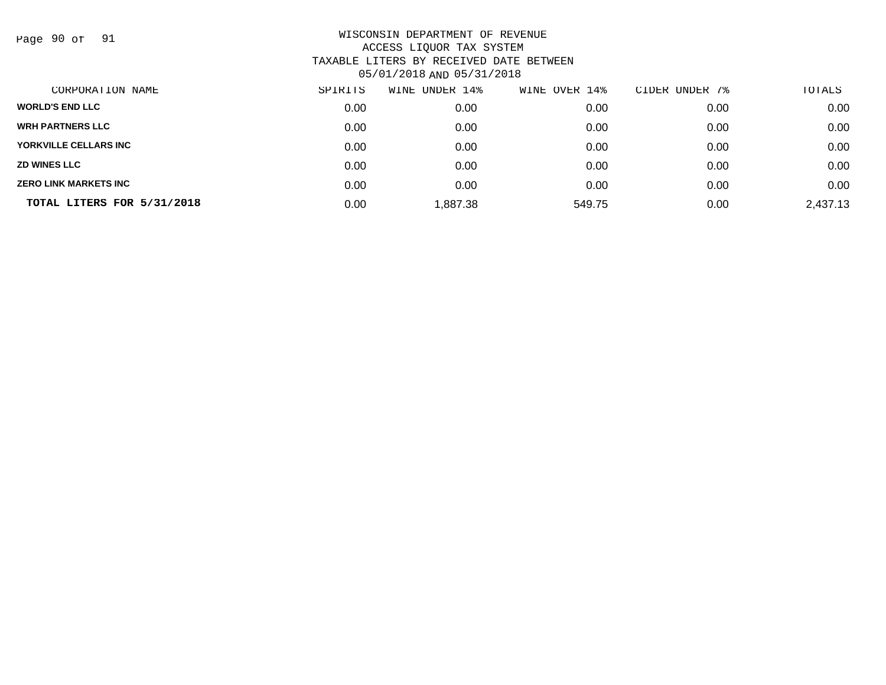Page 90 of 91

| CORPORATION NAME             | SPIRITS | UNDER 14%<br>WINE | OVER 14%<br>WINE | CIDER UNDER 7% | TOTALS   |
|------------------------------|---------|-------------------|------------------|----------------|----------|
| <b>WORLD'S END LLC</b>       | 0.00    | 0.00              | 0.00             | 0.00           | 0.00     |
| <b>WRH PARTNERS LLC</b>      | 0.00    | 0.00              | 0.00             | 0.00           | 0.00     |
| YORKVILLE CELLARS INC        | 0.00    | 0.00              | 0.00             | 0.00           | 0.00     |
| <b>ZD WINES LLC</b>          | 0.00    | 0.00              | 0.00             | 0.00           | 0.00     |
| <b>ZERO LINK MARKETS INC</b> | 0.00    | 0.00              | 0.00             | 0.00           | 0.00     |
| TOTAL LITERS FOR 5/31/2018   | 0.00    | 1,887.38          | 549.75           | 0.00           | 2,437.13 |